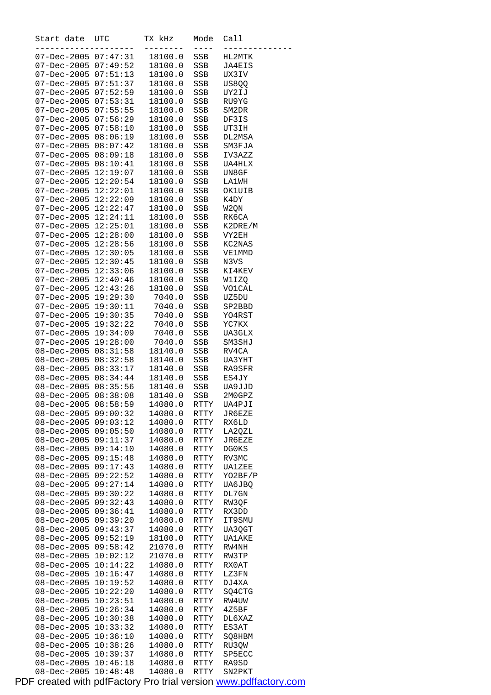| Start date                                           | UTC      | TX kHz             | Mode<br>----          | Call             |
|------------------------------------------------------|----------|--------------------|-----------------------|------------------|
| 07-Dec-2005 07:47:31                                 |          | 18100.0            | SSB                   | HL2MTK           |
| 07-Dec-2005 07:49:52                                 |          | 18100.0            | SSB                   | JA4EIS           |
| 07-Dec-2005 07:51:13                                 |          | 18100.0            | SSB                   | UX3IV            |
| 07-Dec-2005 07:51:37                                 |          | 18100.0            | SSB                   | US8QQ            |
| 07-Dec-2005 07:52:59                                 |          | 18100.0            | SSB                   | UY2IJ            |
| 07-Dec-2005 07:53:31                                 |          | 18100.0            | SSB                   | RU9YG            |
| 07-Dec-2005 07:55:55                                 |          | 18100.0            | SSB                   | SM2DR            |
| 07-Dec-2005 07:56:29                                 |          | 18100.0            | <b>SSB</b>            | DF3IS            |
| 07-Dec-2005 07:58:10                                 |          | 18100.0            | SSB                   | UT3IH            |
| 07-Dec-2005 08:06:19                                 |          | 18100.0            | SSB                   | DL2MSA           |
| $07 - Dec - 2005 08:07:42$                           |          | 18100.0            | SSB                   | SM3FJA           |
| 07-Dec-2005 08:09:18                                 |          | 18100.0            | SSB                   | IV3AZZ           |
| 07-Dec-2005 08:10:41                                 |          | 18100.0            | SSB                   | UA4HLX           |
| 07-Dec-2005 12:19:07                                 |          | 18100.0            | SSB                   | UN8GF            |
| 07-Dec-2005 12:20:54                                 |          | 18100.0            | SSB                   | <b>LA1WH</b>     |
| 07-Dec-2005 12:22:01                                 |          | 18100.0            | SSB                   | OK1UIB           |
| 07-Dec-2005 12:22:09                                 |          | 18100.0            | SSB                   | K4DY             |
| 07-Dec-2005 12:22:47                                 |          | 18100.0            | SSB                   | W2QN             |
| 07-Dec-2005 12:24:11                                 |          | 18100.0            | SSB                   | RK6CA            |
| 07-Dec-2005 12:25:01                                 |          | 18100.0            | SSB                   | K2DRE/M          |
| 07-Dec-2005 12:28:00                                 |          | 18100.0            | SSB                   | VY2EH            |
| 07-Dec-2005 12:28:56                                 |          | 18100.0            | SSB                   | KC2NAS           |
| 07-Dec-2005 12:30:05                                 |          | 18100.0            | <b>SSB</b>            | VE1MMD           |
| 07-Dec-2005 12:30:45                                 |          | 18100.0            | SSB                   | N3VS             |
| 07-Dec-2005 12:33:06                                 |          | 18100.0            | SSB                   | KI4KEV           |
| 07-Dec-2005 12:40:46                                 |          | 18100.0            | SSB                   | W1IZQ            |
| $07 - Dec - 2005$ $12:43:26$                         |          | 18100.0            | SSB                   | <b>VO1CAL</b>    |
| 07-Dec-2005 19:29:30                                 |          | 7040.0             | SSB                   | UZ5DU            |
| 07-Dec-2005 19:30:11<br>07-Dec-2005 19:30:35         |          | 7040.0<br>7040.0   | SSB                   | SP2BBD<br>YO4RST |
| 07-Dec-2005 19:32:22                                 |          | 7040.0             | SSB<br>SSB            | YC7KX            |
| 07-Dec-2005 19:34:09                                 |          | 7040.0             | SSB                   | UA3GLX           |
| 07-Dec-2005 19:28:00                                 |          | 7040.0             | SSB                   | SM3SHJ           |
| 08-Dec-2005 08:31:58                                 |          | 18140.0            | SSB                   | RV4CA            |
| 08-Dec-2005 08:32:58                                 |          | 18140.0            | SSB                   | UA3YHT           |
| 08-Dec-2005 08:33:17                                 |          | 18140.0            | SSB                   | RA9SFR           |
| $08 - Dec - 2005 08:34:44$                           |          | 18140.0            | SSB                   | ES4JY            |
| 08-Dec-2005 08:35:56                                 |          | 18140.0            | SSB                   | UA9JJD           |
| 08-Dec-2005 08:38:08                                 |          | 18140.0            | <b>SSB</b>            | 2M0GPZ           |
| 08-Dec-2005 08:58:59                                 |          | 14080.0            | $\operatorname{RTTY}$ | UA4PJI           |
| 08-Dec-2005 09:00:32                                 |          | 14080.0            | RTTY                  | JR6EZE           |
| 08-Dec-2005 09:03:12                                 |          | 14080.0            | RTTY                  | RX6LD            |
| 08-Dec-2005 09:05:50                                 |          | 14080.0            | RTTY                  | LA2QZL           |
| $08 - Dec - 2005$                                    | 09:11:37 | 14080.0            | RTTY                  | JR6EZE           |
| 08-Dec-2005                                          | 09:14:10 | 14080.0            | RTTY                  | DG0KS            |
| 08-Dec-2005                                          | 09:15:48 | 14080.0            | $\operatorname{RTTY}$ | RV3MC            |
| 08-Dec-2005 09:17:43                                 |          | 14080.0            | RTTY                  | UA1ZEE           |
| 08-Dec-2005 09:22:52                                 |          | 14080.0            | RTTY                  | YO2BF/P          |
| 08-Dec-2005                                          | 09:27:14 | 14080.0            | RTTY                  | UA6JBQ           |
| 08-Dec-2005<br>08-Dec-2005 09:32:43                  | 09:30:22 | 14080.0<br>14080.0 | RTTY                  | DL7GN            |
| 08-Dec-2005 09:36:41                                 |          | 14080.0            | RTTY<br>RTTY          | RW3QF<br>RX3DD   |
| 08-Dec-2005 09:39:20                                 |          | 14080.0            | RTTY                  | IT9SMU           |
| 08-Dec-2005                                          | 09:43:37 | 14080.0            | RTTY                  | UA3QGT           |
| 08-Dec-2005                                          | 09:52:19 | 18100.0            | RTTY                  | UA1AKE           |
| 08-Dec-2005                                          | 09:58:42 | 21070.0            | RTTY                  | RW4NH            |
| 08-Dec-2005                                          | 10:02:12 | 21070.0            | RTTY                  | RW3TP            |
| 08-Dec-2005 10:14:22                                 |          | 14080.0            | RTTY                  | RX0AT            |
| $08 - Dec - 2005$                                    | 10:16:47 | 14080.0            | RTTY                  | LZ3FN            |
| 08-Dec-2005                                          | 10:19:52 | 14080.0            | RTTY                  | DJ4XA            |
| 08-Dec-2005                                          | 10:22:20 | 14080.0            | RTTY                  | SQ4CTG           |
| $08 - Dec - 2005$                                    | 10:23:51 | 14080.0            | RTTY                  | RW4UW            |
| 08-Dec-2005                                          | 10:26:34 | 14080.0            | RTTY                  | 4Z5BF            |
| 08-Dec-2005                                          | 10:30:38 | 14080.0            | RTTY                  | DL6XAZ           |
| 08-Dec-2005                                          | 10:33:32 | 14080.0            | RTTY                  | ES3AT            |
| 08-Dec-2005                                          | 10:36:10 | 14080.0            | $\operatorname{RTTY}$ | SQ8HBM           |
| 08-Dec-2005                                          | 10:38:26 | 14080.0            | RTTY                  | RU3QW            |
| $08 - Dec - 2005$ $10:39:37$<br>08-Dec-2005 10:46:18 |          | 14080.0<br>14080.0 | RTTY<br>RTTY          | SP5ECC<br>RA9SD  |
| 08-Dec-2005 10:48:48                                 |          | 14080.0            | RTTY                  | SN2PKT           |
|                                                      |          |                    |                       |                  |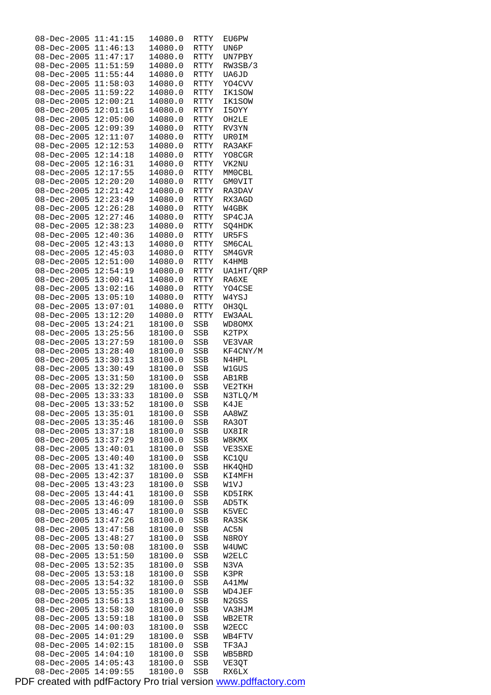| $08 - Dec - 2005$                | 11:41:15             | 14080.0            | RTTY        |                    |
|----------------------------------|----------------------|--------------------|-------------|--------------------|
|                                  |                      |                    |             | EU6PW              |
| 08-Dec-2005                      | 11:46:13             | 14080.0            | RTTY        | UN6P               |
| $08 - Dec - 2005$                | 11:47:17             | 14080.0            | RTTY        | UN7PBY             |
|                                  |                      |                    |             |                    |
| $08 - Dec - 2005$                | 11:51:59             | 14080.0            | RTTY        | RW3SB/3            |
| $08 - Dec - 2005$                | 11:55:44             | 14080.0            | RTTY        | UA6JD              |
| $08 - Dec - 2005$                | 11:58:03             |                    | <b>RTTY</b> |                    |
|                                  |                      | 14080.0            |             | YO4CVV             |
| 08-Dec-2005                      | 11:59:22             | 14080.0            | RTTY        | <b>IK1SOW</b>      |
| 08-Dec-2005                      | 12:00:21             | 14080.0            | RTTY        | IK1SOW             |
|                                  |                      |                    |             |                    |
| 08-Dec-2005                      | 12:01:16             | 14080.0            | RTTY        | I5OYY              |
| $08 - Dec - 2005$                | 12:05:00             | 14080.0            | RTTY        | OH2LE              |
| $08 - Dec - 2005$                | 12:09:39             | 14080.0            |             |                    |
|                                  |                      |                    | RTTY        | RV3YN              |
| $08 - Dec - 2005$                | 12:11:07             | 14080.0            | RTTY        | UR0IM              |
| $08 - Dec - 2005$                | 12:12:53             | 14080.0            | RTTY        | RA3AKF             |
|                                  |                      |                    |             |                    |
| 08-Dec-2005                      | 12:14:18             | 14080.0            | RTTY        | YO8CGR             |
| 08-Dec-2005                      | 12:16:31             | 14080.0            | RTTY        | VK2NU              |
| 08-Dec-2005                      | 12:17:55             | 14080.0            | RTTY        | MM0CBL             |
|                                  |                      |                    |             |                    |
| 08-Dec-2005                      | 12:20:20             | 14080.0            | RTTY        | GM0VIT             |
| 08-Dec-2005                      | 12:21:42             | 14080.0            | RTTY        | RA3DAV             |
| $08 - Dec - 2005$                | 12:23:49             |                    |             |                    |
|                                  |                      | 14080.0            | RTTY        | RX3AGD             |
| $08 - Dec - 2005$                | 12:26:28             | 14080.0            | RTTY        | W4GBK              |
| $08 - Dec - 2005$                | 12:27:46             | 14080.0            | <b>RTTY</b> | SP4CJA             |
|                                  |                      |                    |             |                    |
| 08-Dec-2005                      | 12:38:23             | 14080.0            | RTTY        | SQ4HDK             |
| $08 - Dec - 2005$                | 12:40:36             | 14080.0            | <b>RTTY</b> | UR5FS              |
| 08-Dec-2005                      | 12:43:13             | 14080.0            | RTTY        | SM6CAL             |
|                                  |                      |                    |             |                    |
| $08 - Dec - 2005$                | 12:45:03             | 14080.0            | RTTY        | SM4GVR             |
| 08-Dec-2005                      | 12:51:00             | 14080.0            | RTTY        | K4HMB              |
| 08-Dec-2005                      | 12:54:19             | 14080.0            | RTTY        | UA1HT/ORP          |
|                                  |                      |                    |             |                    |
| 08-Dec-2005                      | 13:00:41             | 14080.0            | RTTY        | RA6XE              |
| 08-Dec-2005                      | 13:02:16             | 14080.0            | RTTY        | YO4CSE             |
|                                  |                      |                    |             |                    |
| $08 - Dec - 2005$                | 13:05:10             | 14080.0            | RTTY        | W4YSJ              |
| $08 - Dec - 2005$                | 13:07:01             | 14080.0            | RTTY        | OH3QL              |
| 08-Dec-2005                      | 13:12:20             | 14080.0            | RTTY        | EW3AAL             |
|                                  |                      |                    |             |                    |
| $08 - Dec - 2005$                | 13:24:21             | 18100.0            | SSB         | WD8OMX             |
| 08-Dec-2005                      | 13:25:56             | 18100.0            | SSB         | K2TPX              |
| 08-Dec-2005                      | 13:27:59             | 18100.0            | SSB         | VE3VAR             |
|                                  |                      |                    |             |                    |
| 08-Dec-2005                      | 13:28:40             | 18100.0            | SSB         | KF4CNY/M           |
| 08-Dec-2005                      | 13:30:13             | 18100.0            | <b>SSB</b>  | N4HPL              |
| $08 - Dec - 2005$                | 13:30:49             | 18100.0            | <b>SSB</b>  | W1GUS              |
|                                  |                      |                    |             |                    |
| 08-Dec-2005                      | 13:31:50             | 18100.0            | SSB         | AB1RB              |
| $08 - Dec - 2005$                | 13:32:29             | 18100.0            | SSB         | VE2TKH             |
| $08 - Dec - 2005$                | 13:33:33             | 18100.0            | SSB         | N3TLQ/M            |
|                                  |                      |                    |             |                    |
| 08-Dec-2005                      | 13:33:52             | 18100.0            | SSB         | K4JE               |
| $08 - Dec - 2005$                | 13:35:01             | 18100.0            | SSB         | AA8WZ              |
| $08 - Dec - 2005$                | 13:35:46             | 18100.0            | SSB         | RA3OT              |
|                                  |                      |                    |             |                    |
| 08-Dec-2005                      | 13:37:18             | 18100.0            | SSB         | UX8IR              |
| $08 - Dec - 2005$                | 13:37:29             | 18100.0            | SSB         | W8KMX              |
| 08-Dec-2005                      | 13:40:01             | 18100.0            | SSB         | VE3SXE             |
|                                  |                      |                    |             |                    |
| $08 - Dec - 2005$                | 13:40:40             | 18100.0            | SSB         | KC1QU              |
| 08-Dec-2005                      | 13:41:32             | 18100.0            | SSB         | HK4QHD             |
| 08-Dec-2005                      | 13:42:37             | 18100.0            | SSB         | KI4MFH             |
|                                  |                      |                    |             |                    |
| $08 - Dec - 2005$                | 13:43:23             | 18100.0            | SSB         | W1VJ               |
| $08 - Dec - 2005$                | 13:44:41             | 18100.0            | SSB         | KD5IRK             |
| $08 - Dec - 2005$                | 13:46:09             | 18100.0            | SSB         | AD5TK              |
|                                  |                      |                    |             |                    |
| $08 - Dec - 2005$                | 13:46:47             | 18100.0            | SSB         | K5VEC              |
| 08-Dec-2005                      | 13:47:26             | 18100.0            | SSB         | RA3SK              |
| $08 - Dec - 2005$                | 13:47:58             | 18100.0            | SSB         | AC5N               |
|                                  |                      |                    |             |                    |
| 08-Dec-2005                      | 13:48:27             | 18100.0            | SSB         | N8ROY              |
| $08 - Dec - 2005$                | 13:50:08             | 18100.0            | SSB         | W4UWC              |
| $08 - Dec - 2005$                | 13:51:50             |                    |             |                    |
|                                  |                      | 18100.0            | SSB         | W2ELC              |
| 08-Dec-2005                      | 13:52:35             | 18100.0            | SSB         | N3VA               |
| $08 - Dec - 2005$                | 13:53:18             | 18100.0            | SSB         | K3PR               |
|                                  |                      |                    |             |                    |
| 08-Dec-2005                      | 13:54:32             | 18100.0            | SSB         | A41MW              |
| 08-Dec-2005                      | 13:55:35             | 18100.0            | SSB         | WD4JEF             |
| $08 - Dec - 2005$                | 13:56:13             | 18100.0            | SSB         | N <sub>2</sub> GSS |
|                                  |                      |                    |             |                    |
| $08 - Dec - 2005$                | 13:58:30             | 18100.0            | SSB         | VA3HJM             |
| $08 - Dec - 2005$                | 13:59:18             | 18100.0            | SSB         | WB2ETR             |
| 08-Dec-2005                      | 14:00:03             | 18100.0            | SSB         | W2ECC              |
| $08 - Dec - 2005$                | 14:01:29             |                    |             |                    |
|                                  |                      | 18100.0            | SSB         | WB4FTV             |
| 08-Dec-2005                      |                      | 18100.0            | SSB         | TF3AJ              |
|                                  | 14:02:15             |                    |             |                    |
|                                  |                      |                    |             |                    |
| 08-Dec-2005                      | 14:04:10             | 18100.0            | SSB         | WB5BRD             |
| $08 - Dec - 2005$<br>08-Dec-2005 | 14:05:43<br>14:09:55 | 18100.0<br>18100.0 | SSB<br>SSB  | VE3QT<br>RX6LX     |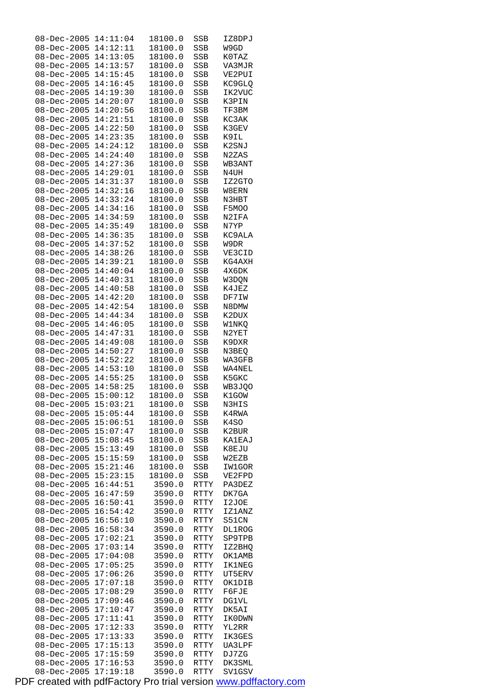| $08 - Dec - 2005$    | 14:11:04 | 18100.0 | <b>SSB</b> | IZ8DPJ        |
|----------------------|----------|---------|------------|---------------|
| $08 - Dec - 2005$    | 14:12:11 | 18100.0 | SSB        | W9GD          |
| 08-Dec-2005          | 14:13:05 | 18100.0 | SSB        | K0TAZ         |
| $08 - Dec - 2005$    | 14:13:57 | 18100.0 | SSB        | VA3MJR        |
| 08-Dec-2005          | 14:15:45 | 18100.0 | SSB        | VE2PUI        |
| $08 - Dec - 2005$    | 14:16:45 | 18100.0 | SSB        | KC9GLQ        |
| $08 - Dec - 2005$    |          |         |            |               |
|                      | 14:19:30 | 18100.0 | SSB        | IK2VUC        |
| 08-Dec-2005          | 14:20:07 | 18100.0 | SSB        | K3PIN         |
| $08 - Dec - 2005$    | 14:20:56 | 18100.0 | SSB        | TF3BM         |
| $08 - Dec - 2005$    | 14:21:51 | 18100.0 | SSB        | KC3AK         |
| $08 - Dec - 2005$    | 14:22:50 | 18100.0 | <b>SSB</b> | K3GEV         |
| $08 - Dec - 2005$    | 14:23:35 | 18100.0 | SSB        | K9IL          |
| 08-Dec-2005          | 14:24:12 | 18100.0 | SSB        | K2SNJ         |
| $08 - Dec - 2005$    | 14:24:40 | 18100.0 | SSB        | N2ZAS         |
| 08-Dec-2005          | 14:27:36 | 18100.0 | SSB        | WB3ANT        |
| $08 - Dec - 2005$    | 14:29:01 | 18100.0 | SSB        | N4UH          |
|                      |          |         |            |               |
| $08 - Dec - 2005$    | 14:31:37 | 18100.0 | SSB        | IZ2GTO        |
| 08-Dec-2005          | 14:32:16 | 18100.0 | SSB        | W8ERN         |
| $08 - Dec - 2005$    | 14:33:24 | 18100.0 | SSB        | N3HBT         |
| $08 - Dec - 2005$    | 14:34:16 | 18100.0 | SSB        | F5MOO         |
| $08 - Dec - 2005$    | 14:34:59 | 18100.0 | <b>SSB</b> | N2IFA         |
| $08 - Dec - 2005$    | 14:35:49 | 18100.0 | SSB        | N7YP          |
| 08-Dec-2005          | 14:36:35 | 18100.0 | SSB        | KC9ALA        |
| $08 - Dec - 2005$    | 14:37:52 | 18100.0 | SSB        | W9DR          |
| $08 - Dec - 2005$    | 14:38:26 | 18100.0 | SSB        | VE3CID        |
| $08 - Dec - 2005$    | 14:39:21 | 18100.0 | SSB        | KG4AXH        |
| $08 - Dec - 2005$    | 14:40:04 | 18100.0 | <b>SSB</b> |               |
|                      |          |         |            | 4X6DK         |
| 08-Dec-2005          | 14:40:31 | 18100.0 | SSB        | W3DQN         |
| $08 - Dec - 2005$    | 14:40:58 | 18100.0 | SSB        | K4JEZ         |
| $08 - Dec - 2005$    | 14:42:20 | 18100.0 | SSB        | DF7IW         |
| $08 - Dec - 2005$    | 14:42:54 | 18100.0 | SSB        | N8DMW         |
| $08 - Dec - 2005$    | 14:44:34 | 18100.0 | SSB        | K2DUX         |
| $08 - Dec - 2005$    | 14:46:05 | 18100.0 | SSB        | W1NKQ         |
| $08 - Dec - 2005$    | 14:47:31 | 18100.0 | SSB        | N2YET         |
| 08-Dec-2005          | 14:49:08 | 18100.0 | SSB        | K9DXR         |
| $08 - Dec - 2005$    | 14:50:27 | 18100.0 | SSB        | N3BEQ         |
| $08 - Dec - 2005$    | 14:52:22 | 18100.0 | SSB        | WA3GFB        |
| $08 - Dec - 2005$    | 14:53:10 | 18100.0 | SSB        | WA4NEL        |
| $08 - Dec - 2005$    | 14:55:25 | 18100.0 | SSB        | K5GKC         |
| $08 - Dec - 2005$    | 14:58:25 | 18100.0 | SSB        | WB3JQO        |
| $08 - Dec - 2005$    | 15:00:12 | 18100.0 | SSB        | K1GOW         |
| 08-Dec-2005 15:03:21 |          | 18100.0 | SSB        | N3HIS         |
| $08 - Dec - 2005$    | 15:05:44 | 18100.0 |            |               |
|                      | 15:06:51 | 18100.0 | SSB        | K4RWA         |
| $08 - Dec - 2005$    |          |         | SSB        | K4SO          |
| $08 - Dec - 2005$    | 15:07:47 | 18100.0 | SSB        | K2BUR         |
| $08 - Dec - 2005$    | 15:08:45 | 18100.0 | SSB        | <b>KA1EAJ</b> |
| $08 - Dec - 2005$    | 15:13:49 | 18100.0 | SSB        | K8EJU         |
| $08 - Dec - 2005$    | 15:15:59 | 18100.0 | <b>SSB</b> | W2EZB         |
| $08 - Dec - 2005$    | 15:21:46 | 18100.0 | SSB        | IW1GOR        |
| $08 - Dec - 2005$    | 15:23:15 | 18100.0 | SSB        | VE2FPD        |
| $08 - Dec - 2005$    | 16:44:51 | 3590.0  | RTTY       | PA3DEZ        |
| $08 - Dec - 2005$    | 16:47:59 | 3590.0  | RTTY       | DK7GA         |
| $08 - Dec - 2005$    | 16:50:41 | 3590.0  | RTTY       | I2JOE         |
| $08 - Dec - 2005$    | 16:54:42 | 3590.0  | RTTY       | IZ1ANZ        |
| $08 - Dec - 2005$    | 16:56:10 | 3590.0  | RTTY       | S51CN         |
| $08 - Dec - 2005$    | 16:58:34 | 3590.0  | RTTY       | <b>DL1ROG</b> |
| 08-Dec-2005          | 17:02:21 | 3590.0  | RTTY       | SP9TPB        |
| $08 - Dec - 2005$    | 17:03:14 | 3590.0  | RTTY       | IZ2BHQ        |
| $08 - Dec - 2005$    | 17:04:08 |         |            |               |
|                      |          | 3590.0  | RTTY       | <b>OK1AMB</b> |
| $08 - Dec - 2005$    | 17:05:25 | 3590.0  | RTTY       | <b>IK1NEG</b> |
| $08 - Dec - 2005$    | 17:06:26 | 3590.0  | RTTY       | UT5ERV        |
| 08-Dec-2005          | 17:07:18 | 3590.0  | RTTY       | OK1DIB        |
| $08 - Dec - 2005$    | 17:08:29 | 3590.0  | RTTY       | F6FJE         |
| $08 - Dec - 2005$    | 17:09:46 | 3590.0  | RTTY       | <b>DG1VL</b>  |
| $08 - Dec - 2005$    | 17:10:47 | 3590.0  | RTTY       | DK5AI         |
| $08 - Dec - 2005$    | 17:11:41 | 3590.0  | RTTY       | IK0DWN        |
| 08-Dec-2005          | 17:12:33 | 3590.0  | RTTY       | YL2RR         |
| $08 - Dec - 2005$    | 17:13:33 | 3590.0  | RTTY       | IK3GES        |
| $08 - Dec - 2005$    | 17:15:13 | 3590.0  | RTTY       | UA3LPF        |
| $08 - Dec - 2005$    | 17:15:59 | 3590.0  | RTTY       | DJ7ZG         |
| $08 - Dec - 2005$    | 17:16:53 | 3590.0  | RTTY       | DK3SML        |
| $08 - Dec - 2005$    | 17:19:18 | 3590.0  | RTTY       | SV1GSV        |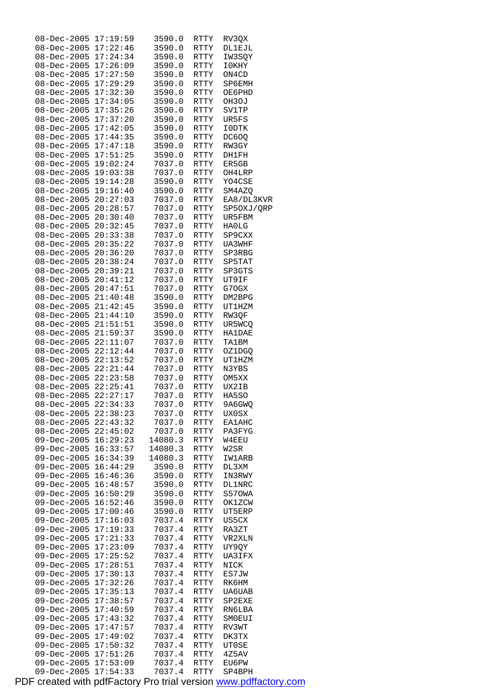| $08 - Dec - 2005$ | 17:19:59 | 3590.0  | RTTY        | RV3QX         |
|-------------------|----------|---------|-------------|---------------|
| $08 - Dec - 2005$ | 17:22:46 | 3590.0  | <b>RTTY</b> | <b>DL1EJL</b> |
| $08 - Dec - 2005$ | 17:24:34 |         | <b>RTTY</b> | IW3SOY        |
|                   |          | 3590.0  |             |               |
| $08 - Dec - 2005$ | 17:26:09 | 3590.0  | <b>RTTY</b> | I0KHY         |
| $08 - Dec - 2005$ | 17:27:50 | 3590.0  | <b>RTTY</b> | ON4CD         |
| $08 - Dec - 2005$ | 17:29:29 | 3590.0  | <b>RTTY</b> | SP6EMH        |
|                   |          |         |             |               |
| $08 - Dec - 2005$ | 17:32:30 | 3590.0  | <b>RTTY</b> | OE6PHD        |
| $08 - Dec - 2005$ | 17:34:05 | 3590.0  | <b>RTTY</b> | OH3OJ         |
| $08 - Dec - 2005$ | 17:35:26 | 3590.0  | <b>RTTY</b> | SV1TP         |
|                   |          |         |             |               |
| $08 - Dec - 2005$ | 17:37:20 | 3590.0  | <b>RTTY</b> | UR5FS         |
| $08 - Dec - 2005$ | 17:42:05 | 3590.0  | <b>RTTY</b> | I0DTK         |
| $08 - Dec - 2005$ | 17:44:35 | 3590.0  | <b>RTTY</b> | DC60Q         |
|                   |          |         |             |               |
| $08 - Dec - 2005$ | 17:47:18 | 3590.0  | <b>RTTY</b> | RW3GY         |
| $08 - Dec - 2005$ | 17:51:25 | 3590.0  | <b>RTTY</b> | DH1FH         |
| $08 - Dec - 2005$ | 19:02:24 | 7037.0  | <b>RTTY</b> | ER5GB         |
|                   |          |         |             |               |
| $08 - Dec - 2005$ | 19:03:38 | 7037.0  | <b>RTTY</b> | OH4LRP        |
| $08 - Dec - 2005$ | 19:14:28 | 3590.0  | <b>RTTY</b> | YO4CSE        |
| $08 - Dec - 2005$ | 19:16:40 | 3590.0  | RTTY        | SM4AZQ        |
|                   | 20:27:03 | 7037.0  |             | EA8/DL3KVR    |
| $08 - Dec - 2005$ |          |         | <b>RTTY</b> |               |
| $08 - Dec - 2005$ | 20:28:57 | 7037.0  | RTTY        | SP50XJ/QRP    |
| $08 - Dec - 2005$ | 20:30:40 | 7037.0  | <b>RTTY</b> | UR5FBM        |
| $08 - Dec - 2005$ | 20:32:45 | 7037.0  | <b>RTTY</b> | HA0LG         |
|                   |          |         |             |               |
| $08 - Dec - 2005$ | 20:33:38 | 7037.0  | <b>RTTY</b> | SP9CXX        |
| $08 - Dec - 2005$ | 20:35:22 | 7037.0  | <b>RTTY</b> | UA3WHF        |
| $08 - Dec - 2005$ | 20:36:20 | 7037.0  | <b>RTTY</b> | SP3RBG        |
|                   |          |         |             |               |
| $08 - Dec - 2005$ | 20:38:24 | 7037.0  | <b>RTTY</b> | SP5TAT        |
| $08 - Dec - 2005$ | 20:39:21 | 7037.0  | <b>RTTY</b> | SP3GTS        |
| $08 - Dec - 2005$ | 20:41:12 | 7037.0  | <b>RTTY</b> | UT9IF         |
|                   |          |         |             |               |
| $08 - Dec - 2005$ | 20:47:51 | 7037.0  | <b>RTTY</b> | G70GX         |
| $08 - Dec - 2005$ | 21:40:48 | 3590.0  | <b>RTTY</b> | DM2BPG        |
| $08 - Dec - 2005$ | 21:42:45 | 3590.0  | <b>RTTY</b> | <b>UT1HZM</b> |
|                   |          |         |             |               |
| $08 - Dec - 2005$ | 21:44:10 | 3590.0  | <b>RTTY</b> | RW3QF         |
| $08 - Dec - 2005$ | 21:51:51 | 3590.0  | <b>RTTY</b> | UR5WCQ        |
| $08 - Dec - 2005$ | 21:59:37 | 3590.0  | <b>RTTY</b> | <b>HA1DAE</b> |
| $08 - Dec - 2005$ | 22:11:07 | 7037.0  | <b>RTTY</b> | <b>TA1BM</b>  |
|                   |          |         |             |               |
| $08 - Dec - 2005$ | 22:12:44 | 7037.0  | <b>RTTY</b> | OZ1DGO        |
| $08 - Dec - 2005$ | 22:13:52 | 7037.0  | <b>RTTY</b> | UT1HZM        |
| $08 - Dec - 2005$ | 22:21:44 | 7037.0  | <b>RTTY</b> | N3YBS         |
|                   |          |         |             |               |
| $08 - Dec - 2005$ | 22:23:58 | 7037.0  | <b>RTTY</b> | OM5XX         |
| $08 - Dec - 2005$ | 22:25:41 | 7037.0  | RTTY        | UX2IB         |
| $08 - Dec - 2005$ | 22:27:17 | 7037.0  | <b>RTTY</b> | HA5SO         |
|                   |          |         |             |               |
| $08 - Dec - 2005$ | 22:34:33 | 7037.0  | RTTY        | 9A6GWQ        |
| $08 - Dec - 2005$ | 22:38:23 | 7037.0  | RTTY        | UX0SX         |
| $08 - Dec - 2005$ | 22:43:32 | 7037.0  | RTTY        | <b>EA1AHC</b> |
| $08 - Dec - 2005$ | 22:45:02 | 7037.0  | RTTY        | PA3FYG        |
|                   |          |         |             |               |
| $09 - Dec - 2005$ | 16:29:23 | 14080.3 | RTTY        | W4EEU         |
| $09 - Dec - 2005$ | 16:33:57 | 14080.3 | RTTY        | W2SR          |
| $09 - Dec - 2005$ | 16:34:39 | 14080.3 | <b>RTTY</b> | <b>IW1ARB</b> |
| $09 - Dec - 2005$ | 16:44:29 | 3590.0  | RTTY        |               |
|                   |          |         |             | DL3XM         |
| $09 - Dec - 2005$ | 16:46:36 | 3590.0  | RTTY        | IN3RWY        |
| $09 - Dec - 2005$ | 16:48:57 | 3590.0  | RTTY        | <b>DL1NRC</b> |
| $09 - Dec - 2005$ | 16:50:29 | 3590.0  | RTTY        | S570WA        |
|                   |          |         |             |               |
| $09 - Dec - 2005$ | 16:52:46 | 3590.0  | <b>RTTY</b> | OK1ZCW        |
| $09 - Dec - 2005$ | 17:00:46 | 3590.0  | RTTY        | UT5ERP        |
| 09-Dec-2005       | 17:16:03 | 7037.4  | RTTY        | US5CX         |
| $09 - Dec - 2005$ | 17:19:33 |         |             |               |
|                   |          | 7037.4  | RTTY        | RA3ZT         |
| $09 - Dec - 2005$ | 17:21:33 | 7037.4  | RTTY        | VR2XLN        |
| $09 - Dec - 2005$ | 17:23:09 | 7037.4  | <b>RTTY</b> | UY9QY         |
| $09 - Dec - 2005$ | 17:25:52 | 7037.4  | RTTY        | UA3IFX        |
|                   |          |         |             |               |
| 09-Dec-2005       | 17:28:51 | 7037.4  | RTTY        | NICK          |
| $09 - Dec - 2005$ | 17:30:13 | 7037.4  | RTTY        | ES7JW         |
| $09 - Dec - 2005$ | 17:32:26 | 7037.4  | RTTY        | RK6HM         |
| $09 - Dec - 2005$ | 17:35:13 | 7037.4  | <b>RTTY</b> | UA6UAB        |
|                   |          |         |             |               |
| $09 - Dec - 2005$ | 17:38:57 | 7037.4  | RTTY        | SP2EXE        |
| 09-Dec-2005       | 17:40:59 | 7037.4  | RTTY        | RN6LBA        |
| $09 - Dec - 2005$ | 17:43:32 | 7037.4  | RTTY        | SM0EUI        |
|                   |          |         |             |               |
| $09 - Dec - 2005$ | 17:47:57 | 7037.4  | RTTY        | RV3WT         |
| $09 - Dec - 2005$ | 17:49:02 | 7037.4  | <b>RTTY</b> | DK3TX         |
| $09 - Dec - 2005$ | 17:50:32 | 7037.4  | RTTY        | UT0SE         |
| 09-Dec-2005       | 17:51:26 | 7037.4  | RTTY        | 4Z5AV         |
| $09 - Dec - 2005$ | 17:53:09 | 7037.4  |             |               |
|                   |          |         | RTTY        | <b>EU6PW</b>  |
| $09 - Dec - 2005$ | 17:54:33 | 7037.4  | RTTY        | SP4BPH        |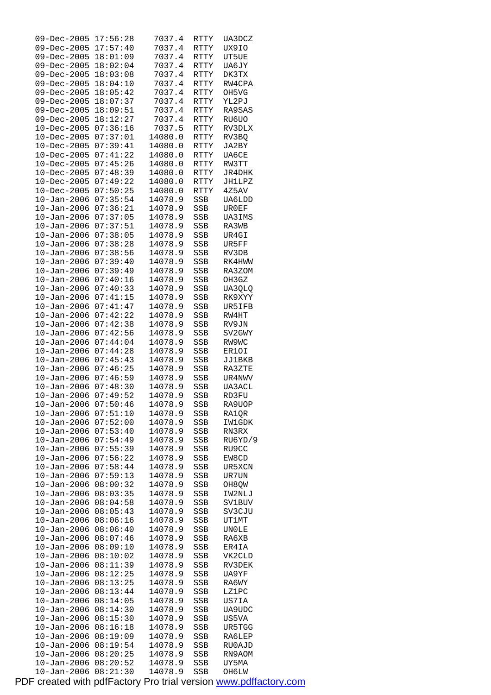| 17:57:40<br>$09 - Dec - 2005$<br>7037.4<br>RTTY<br>09-Dec-2005<br>18:01:09<br>7037.4<br>RTTY<br>18:02:04<br>09-Dec-2005<br>7037.4<br>RTTY<br>18:03:08<br>09-Dec-2005<br>7037.4<br>DK3TX<br>RTTY<br>$09 - Dec - 2005$<br>18:04:10<br>7037.4<br><b>RTTY</b><br>$09 - Dec - 2005$<br>18:05:42<br>7037.4<br>OH5VG<br>RTTY<br>18:07:37<br>09-Dec-2005<br>7037.4<br>RTTY<br>YL2PJ<br>18:09:51<br>09-Dec-2005<br>7037.4<br>RA9SAS<br>RTTY<br>18:12:27<br>$09 - Dec - 2005$<br>7037.4<br>RU6UO<br>RTTY<br>7037.5<br>$10 - Dec - 2005$<br>07:36:16<br><b>RTTY</b><br>$10 - Dec - 2005$<br>07:37:01<br>14080.0<br>RTTY | UX9IO<br>UT5UE<br>UA6JY |
|--------------------------------------------------------------------------------------------------------------------------------------------------------------------------------------------------------------------------------------------------------------------------------------------------------------------------------------------------------------------------------------------------------------------------------------------------------------------------------------------------------------------------------------------------------------------------------------------------------------|-------------------------|
|                                                                                                                                                                                                                                                                                                                                                                                                                                                                                                                                                                                                              |                         |
|                                                                                                                                                                                                                                                                                                                                                                                                                                                                                                                                                                                                              |                         |
|                                                                                                                                                                                                                                                                                                                                                                                                                                                                                                                                                                                                              |                         |
|                                                                                                                                                                                                                                                                                                                                                                                                                                                                                                                                                                                                              |                         |
|                                                                                                                                                                                                                                                                                                                                                                                                                                                                                                                                                                                                              |                         |
|                                                                                                                                                                                                                                                                                                                                                                                                                                                                                                                                                                                                              | RW4CPA                  |
|                                                                                                                                                                                                                                                                                                                                                                                                                                                                                                                                                                                                              |                         |
|                                                                                                                                                                                                                                                                                                                                                                                                                                                                                                                                                                                                              |                         |
|                                                                                                                                                                                                                                                                                                                                                                                                                                                                                                                                                                                                              |                         |
|                                                                                                                                                                                                                                                                                                                                                                                                                                                                                                                                                                                                              |                         |
|                                                                                                                                                                                                                                                                                                                                                                                                                                                                                                                                                                                                              |                         |
|                                                                                                                                                                                                                                                                                                                                                                                                                                                                                                                                                                                                              | RV3DLX                  |
|                                                                                                                                                                                                                                                                                                                                                                                                                                                                                                                                                                                                              | RV3BQ                   |
| $10 - Dec - 2005$<br>07:39:41<br>14080.0<br>RTTY                                                                                                                                                                                                                                                                                                                                                                                                                                                                                                                                                             | JA2BY                   |
|                                                                                                                                                                                                                                                                                                                                                                                                                                                                                                                                                                                                              |                         |
| 07:41:22<br>10-Dec-2005<br>14080.0<br><b>RTTY</b>                                                                                                                                                                                                                                                                                                                                                                                                                                                                                                                                                            | UA6CE                   |
| 10-Dec-2005<br>07:45:26<br>14080.0<br>RW3TT<br>RTTY                                                                                                                                                                                                                                                                                                                                                                                                                                                                                                                                                          |                         |
| $10 - Dec - 2005$<br>07:48:39<br>14080.0<br>RTTY                                                                                                                                                                                                                                                                                                                                                                                                                                                                                                                                                             | JR4DHK                  |
| $10 - Dec - 2005$<br>07:49:22<br>14080.0<br>RTTY                                                                                                                                                                                                                                                                                                                                                                                                                                                                                                                                                             | JH1LPZ                  |
| 10-Dec-2005<br>07:50:25<br>14080.0<br><b>RTTY</b>                                                                                                                                                                                                                                                                                                                                                                                                                                                                                                                                                            | 4Z5AV                   |
|                                                                                                                                                                                                                                                                                                                                                                                                                                                                                                                                                                                                              |                         |
| 07:35:54<br>$10 - Jan - 2006$<br>14078.9<br>SSB                                                                                                                                                                                                                                                                                                                                                                                                                                                                                                                                                              | UA6LDD                  |
| 07:36:21<br>$10 - Jan - 2006$<br>14078.9<br>SSB                                                                                                                                                                                                                                                                                                                                                                                                                                                                                                                                                              | UR0EF                   |
| $10 - Jan - 2006$<br>07:37:05<br>14078.9<br>SSB                                                                                                                                                                                                                                                                                                                                                                                                                                                                                                                                                              | <b>UA3IMS</b>           |
| $10 - Jan - 2006$<br>07:37:51<br>14078.9<br><b>SSB</b>                                                                                                                                                                                                                                                                                                                                                                                                                                                                                                                                                       | RA3WB                   |
| $10 - Jan - 2006$<br>07:38:05<br>14078.9<br>SSB<br>UR4GI                                                                                                                                                                                                                                                                                                                                                                                                                                                                                                                                                     |                         |
| 07:38:28                                                                                                                                                                                                                                                                                                                                                                                                                                                                                                                                                                                                     |                         |
| $10 - Jan - 2006$<br>14078.9<br>SSB<br>UR5FF                                                                                                                                                                                                                                                                                                                                                                                                                                                                                                                                                                 |                         |
| 07:38:56<br>$10 - Jan - 2006$<br>14078.9<br>SSB                                                                                                                                                                                                                                                                                                                                                                                                                                                                                                                                                              | RV3DB                   |
| $10 - Jan - 2006$<br>07:39:40<br>14078.9<br><b>SSB</b>                                                                                                                                                                                                                                                                                                                                                                                                                                                                                                                                                       | RK4HWW                  |
| 07:39:49<br>$10 - Jan - 2006$<br>14078.9<br>SSB                                                                                                                                                                                                                                                                                                                                                                                                                                                                                                                                                              | RA3ZOM                  |
| $10 - Jan - 2006$<br>07:40:16<br>14078.9<br>SSB                                                                                                                                                                                                                                                                                                                                                                                                                                                                                                                                                              | OH3GZ                   |
| 07:40:33                                                                                                                                                                                                                                                                                                                                                                                                                                                                                                                                                                                                     |                         |
| $10 - Jan - 2006$<br>14078.9<br>SSB                                                                                                                                                                                                                                                                                                                                                                                                                                                                                                                                                                          | UA3QLQ                  |
| 07:41:15<br>$10 - Jan - 2006$<br>14078.9<br>SSB                                                                                                                                                                                                                                                                                                                                                                                                                                                                                                                                                              | RK9XYY                  |
| $10 - Jan - 2006$<br>07:41:47<br>14078.9<br>SSB                                                                                                                                                                                                                                                                                                                                                                                                                                                                                                                                                              | UR5IFB                  |
| 07:42:22<br>$10 - Jan - 2006$<br>14078.9<br>SSB                                                                                                                                                                                                                                                                                                                                                                                                                                                                                                                                                              | RW4HT                   |
| 07:42:38<br>$10 - Jan - 2006$<br>14078.9<br>SSB                                                                                                                                                                                                                                                                                                                                                                                                                                                                                                                                                              | RV9JN                   |
| 07:42:56<br>$10 - Jan - 2006$<br>14078.9<br>SSB                                                                                                                                                                                                                                                                                                                                                                                                                                                                                                                                                              | SV2GWY                  |
|                                                                                                                                                                                                                                                                                                                                                                                                                                                                                                                                                                                                              |                         |
| $10 - Jan - 2006$<br>07:44:04<br>14078.9<br>SSB<br>RW9WC                                                                                                                                                                                                                                                                                                                                                                                                                                                                                                                                                     |                         |
| $10 - Jan - 2006$<br>07:44:28<br>14078.9<br>SSB                                                                                                                                                                                                                                                                                                                                                                                                                                                                                                                                                              | ER10I                   |
| 07:45:43<br>14078.9<br>$10 - Jan - 2006$<br><b>SSB</b>                                                                                                                                                                                                                                                                                                                                                                                                                                                                                                                                                       | JJ1BKB                  |
| 07:46:25<br>14078.9<br>$10 - Jan - 2006$<br>SSB                                                                                                                                                                                                                                                                                                                                                                                                                                                                                                                                                              | RA3ZTE                  |
|                                                                                                                                                                                                                                                                                                                                                                                                                                                                                                                                                                                                              |                         |
|                                                                                                                                                                                                                                                                                                                                                                                                                                                                                                                                                                                                              |                         |
| 07:46:59<br>$10 - Jan - 2006$<br>14078.9<br>SSB                                                                                                                                                                                                                                                                                                                                                                                                                                                                                                                                                              | UR4NWV                  |
| $10 - Jan - 2006$<br>07:48:30<br>14078.9<br>SSB                                                                                                                                                                                                                                                                                                                                                                                                                                                                                                                                                              | UA3ACL                  |
| $10 - Jan - 2006$<br>07:49:52<br>14078.9<br><b>SSB</b>                                                                                                                                                                                                                                                                                                                                                                                                                                                                                                                                                       | RD3FU                   |
| 14078.9<br>SSB<br>10-Jan-2006 07:50:46                                                                                                                                                                                                                                                                                                                                                                                                                                                                                                                                                                       | RA9UOP                  |
| 07:51:10<br>10-Jan-2006<br>14078.9<br><b>SSB</b>                                                                                                                                                                                                                                                                                                                                                                                                                                                                                                                                                             | RA10R                   |
|                                                                                                                                                                                                                                                                                                                                                                                                                                                                                                                                                                                                              |                         |
| $10 - Jan - 2006$<br>07:52:00<br>14078.9<br>SSB                                                                                                                                                                                                                                                                                                                                                                                                                                                                                                                                                              | IW1GDK                  |
| 07:53:40<br>10-Jan-2006<br>14078.9<br>SSB                                                                                                                                                                                                                                                                                                                                                                                                                                                                                                                                                                    | RN3RX                   |
| $10 - Jan - 2006$<br>07:54:49<br>14078.9<br>SSB                                                                                                                                                                                                                                                                                                                                                                                                                                                                                                                                                              | RU6YD/9                 |
| $10 - Jan - 2006$<br>07:55:39<br>14078.9<br>SSB                                                                                                                                                                                                                                                                                                                                                                                                                                                                                                                                                              | RU9CC                   |
| $10 - Jan - 2006$<br>07:56:22<br>14078.9<br>SSB                                                                                                                                                                                                                                                                                                                                                                                                                                                                                                                                                              | EW8CD                   |
| $10 - Jan - 2006$<br>07:58:44<br>14078.9<br>SSB                                                                                                                                                                                                                                                                                                                                                                                                                                                                                                                                                              | UR5XCN                  |
| 07:59:13                                                                                                                                                                                                                                                                                                                                                                                                                                                                                                                                                                                                     |                         |
| 10-Jan-2006<br>14078.9<br>SSB                                                                                                                                                                                                                                                                                                                                                                                                                                                                                                                                                                                | UR7UN                   |
| $10 - Jan - 2006$<br>08:00:32<br>14078.9<br>SSB                                                                                                                                                                                                                                                                                                                                                                                                                                                                                                                                                              | OH8QW                   |
| $10 - Jan - 2006$<br>08:03:35<br>14078.9<br>SSB                                                                                                                                                                                                                                                                                                                                                                                                                                                                                                                                                              | IW2NLJ                  |
| $10 - Jan - 2006$<br>08:04:58<br>14078.9<br><b>SSB</b>                                                                                                                                                                                                                                                                                                                                                                                                                                                                                                                                                       | <b>SV1BUV</b>           |
| $10 - Jan - 2006$<br>08:05:43<br>14078.9<br>SSB                                                                                                                                                                                                                                                                                                                                                                                                                                                                                                                                                              | SV3CJU                  |
| 08:06:16<br>10-Jan-2006<br>14078.9<br>SSB                                                                                                                                                                                                                                                                                                                                                                                                                                                                                                                                                                    | UT1MT                   |
|                                                                                                                                                                                                                                                                                                                                                                                                                                                                                                                                                                                                              |                         |
| $10 - Jan - 2006$<br>08:06:40<br>14078.9<br>SSB                                                                                                                                                                                                                                                                                                                                                                                                                                                                                                                                                              | <b>UNOLE</b>            |
| $10 - Jan - 2006$<br>14078.9<br>08:07:46<br>SSB                                                                                                                                                                                                                                                                                                                                                                                                                                                                                                                                                              | RA6XB                   |
| $10 - Jan - 2006$<br>08:09:10<br>14078.9<br>SSB                                                                                                                                                                                                                                                                                                                                                                                                                                                                                                                                                              | ER4IA                   |
| 08:10:02<br>$10 - Jan - 2006$<br>14078.9<br>SSB                                                                                                                                                                                                                                                                                                                                                                                                                                                                                                                                                              | VK2CLD                  |
| 08:11:39<br>10-Jan-2006<br>14078.9<br>SSB                                                                                                                                                                                                                                                                                                                                                                                                                                                                                                                                                                    | RV3DEK                  |
| 08:12:25<br>14078.9                                                                                                                                                                                                                                                                                                                                                                                                                                                                                                                                                                                          |                         |
| $10 - Jan - 2006$<br>SSB                                                                                                                                                                                                                                                                                                                                                                                                                                                                                                                                                                                     | UA9YF                   |
| $10 - Jan - 2006$<br>08:13:25<br>14078.9<br>SSB                                                                                                                                                                                                                                                                                                                                                                                                                                                                                                                                                              | RA6WY                   |
| $10 - Jan - 2006$<br>08:13:44<br>14078.9<br>SSB                                                                                                                                                                                                                                                                                                                                                                                                                                                                                                                                                              | LZ1PC                   |
| $10 - Jan - 2006$<br>08:14:05<br>14078.9<br>SSB                                                                                                                                                                                                                                                                                                                                                                                                                                                                                                                                                              | US7IA                   |
| 08:14:30<br>10-Jan-2006<br>14078.9<br>SSB                                                                                                                                                                                                                                                                                                                                                                                                                                                                                                                                                                    | UA9UDC                  |
| $10 - Jan - 2006$<br>08:15:30<br>14078.9<br>SSB                                                                                                                                                                                                                                                                                                                                                                                                                                                                                                                                                              | US5VA                   |
|                                                                                                                                                                                                                                                                                                                                                                                                                                                                                                                                                                                                              |                         |
| $10 - Jan - 2006$<br>08:16:18<br>14078.9<br>SSB                                                                                                                                                                                                                                                                                                                                                                                                                                                                                                                                                              | UR5TGG                  |
| $10 - Jan - 2006$<br>08:19:09<br>14078.9<br>SSB                                                                                                                                                                                                                                                                                                                                                                                                                                                                                                                                                              | RA6LEP                  |
| 08:19:54<br>$10 - Jan - 2006$<br>14078.9<br>SSB                                                                                                                                                                                                                                                                                                                                                                                                                                                                                                                                                              | RU0AJD                  |
| $10 - Jan - 2006$<br>08:20:25<br>14078.9<br>SSB                                                                                                                                                                                                                                                                                                                                                                                                                                                                                                                                                              | RN9AOM                  |
| $10 - Jan - 2006$<br>08:20:52<br>14078.9<br>SSB<br>08:21:30                                                                                                                                                                                                                                                                                                                                                                                                                                                                                                                                                  | UY5MA                   |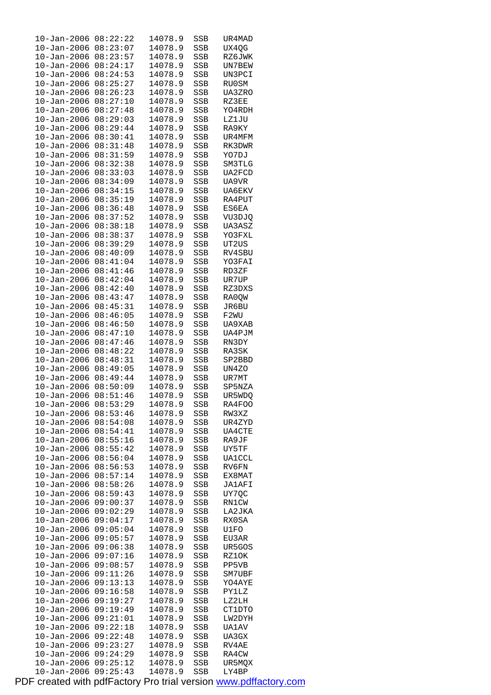| $10 - Jan - 2006$ | 08:22:22 | 14078.9 | SSB        | UR4MAD        |
|-------------------|----------|---------|------------|---------------|
| $10 - Jan - 2006$ | 08:23:07 | 14078.9 | SSB        | UX4QG         |
| $10 - Jan - 2006$ | 08:23:57 | 14078.9 | SSB        | RZ6JWK        |
|                   |          |         |            |               |
| $10 - Jan - 2006$ | 08:24:17 | 14078.9 | <b>SSB</b> | UN7BEW        |
| $10 - Jan - 2006$ | 08:24:53 | 14078.9 | SSB        | UN3PCI        |
| $10 - Jan - 2006$ | 08:25:27 | 14078.9 | SSB        | RU0SM         |
| $10 - Jan - 2006$ | 08:26:23 | 14078.9 | SSB        | UA3ZRO        |
| $10 - Jan - 2006$ | 08:27:10 | 14078.9 | SSB        | RZ3EE         |
|                   |          |         |            |               |
| $10 - Jan - 2006$ | 08:27:48 | 14078.9 | SSB        | YO4RDH        |
| $10 - Jan - 2006$ | 08:29:03 | 14078.9 | SSB        | LZ1JU         |
| $10 - Jan - 2006$ | 08:29:44 | 14078.9 | SSB        | RA9KY         |
| $10 - Jan - 2006$ | 08:30:41 | 14078.9 | SSB        | UR4MFM        |
| $10 - Jan - 2006$ | 08:31:48 | 14078.9 | SSB        | RK3DWR        |
|                   |          |         |            |               |
| $10 - Jan - 2006$ | 08:31:59 | 14078.9 | <b>SSB</b> | YO7DJ         |
| $10 - Jan - 2006$ | 08:32:38 | 14078.9 | SSB        | SM3TLG        |
| $10 - Jan - 2006$ | 08:33:03 | 14078.9 | SSB        | UA2FCD        |
| $10 - Jan - 2006$ | 08:34:09 | 14078.9 | SSB        | UA9VR         |
| $10 - Jan - 2006$ | 08:34:15 | 14078.9 | SSB        | UA6EKV        |
|                   | 08:35:19 | 14078.9 |            | RA4PUT        |
| $10 - Jan - 2006$ |          |         | SSB        |               |
| $10 - Jan - 2006$ | 08:36:48 | 14078.9 | SSB        | ES6EA         |
| $10 - Jan - 2006$ | 08:37:52 | 14078.9 | SSB        | VU3DJQ        |
| $10 - Jan - 2006$ | 08:38:18 | 14078.9 | SSB        | UA3ASZ        |
| $10 - Jan - 2006$ | 08:38:37 | 14078.9 | SSB        | YO3FXL        |
| $10 - Jan - 2006$ | 08:39:29 | 14078.9 | SSB        | UT2US         |
|                   |          |         |            |               |
| $10 - Jan - 2006$ | 08:40:09 | 14078.9 | SSB        | RV4SBU        |
| $10 - Jan - 2006$ | 08:41:04 | 14078.9 | SSB        | YO3FAI        |
| $10 - Jan - 2006$ | 08:41:46 | 14078.9 | SSB        | RD3ZF         |
| $10 - Jan - 2006$ | 08:42:04 | 14078.9 | SSB        | UR7UP         |
| $10 - Jan - 2006$ | 08:42:40 | 14078.9 | <b>SSB</b> | RZ3DXS        |
|                   | 08:43:47 | 14078.9 |            |               |
| $10 - Jan - 2006$ |          |         | SSB        | RA0QW         |
| $10 - Jan - 2006$ | 08:45:31 | 14078.9 | SSB        | JR6BU         |
| $10 - Jan - 2006$ | 08:46:05 | 14078.9 | SSB        | F2WU          |
| $10 - Jan - 2006$ | 08:46:50 | 14078.9 | SSB        | UA9XAB        |
| $10 - Jan - 2006$ | 08:47:10 | 14078.9 | <b>SSB</b> | UA4PJM        |
| $10 - Jan - 2006$ | 08:47:46 | 14078.9 | SSB        | RN3DY         |
| $10 - Jan - 2006$ | 08:48:22 | 14078.9 | SSB        | RA3SK         |
|                   |          |         |            |               |
| $10 - Jan - 2006$ | 08:48:31 | 14078.9 | SSB        | SP2BBD        |
| $10 - Jan - 2006$ | 08:49:05 | 14078.9 | SSB        | UN4ZO         |
| $10 - Jan - 2006$ | 08:49:44 | 14078.9 | SSB        | UR7MT         |
| $10 - Jan - 2006$ | 08:50:09 | 14078.9 | SSB        | SP5NZA        |
| $10 - Jan - 2006$ | 08:51:46 | 14078.9 | <b>SSB</b> | UR5WDQ        |
| $10 - Jan - 2006$ | 08:53:29 | 14078.9 | SSB        | RA4FOO        |
|                   |          |         |            |               |
| $10 - Jan - 2006$ | 08:53:46 | 14078.9 | SSB        | RW3XZ         |
| $10 - Jan - 2006$ | 08:54:08 | 14078.9 | SSB        | UR4ZYD        |
| $10 - Jan - 2006$ | 08:54:41 | 14078.9 | SSB        | <b>UA4CTE</b> |
| $10 - Jan - 2006$ | 08:55:16 | 14078.9 | <b>SSB</b> | RA9JF         |
| $10 - Jan - 2006$ | 08:55:42 | 14078.9 | SSB        | UY5TF         |
| $10 - Jan - 2006$ | 08:56:04 | 14078.9 | <b>SSB</b> | <b>UA1CCL</b> |
|                   |          |         |            |               |
| $10 - Jan - 2006$ | 08:56:53 | 14078.9 | SSB        | RV6FN         |
| $10 - Jan - 2006$ | 08:57:14 | 14078.9 | SSB        | EX8MAT        |
| $10 - Jan - 2006$ | 08:58:26 | 14078.9 | SSB        | JA1AFI        |
| $10 - Jan - 2006$ | 08:59:43 | 14078.9 | SSB        | UY7QC         |
| $10 - Jan - 2006$ | 09:00:37 | 14078.9 | <b>SSB</b> | RN1CW         |
| $10 - Jan - 2006$ | 09:02:29 | 14078.9 | SSB        | LA2JKA        |
|                   |          |         |            |               |
| $10 - Jan - 2006$ | 09:04:17 | 14078.9 | SSB        | RX0SA         |
| $10 - Jan - 2006$ | 09:05:04 | 14078.9 | SSB        | U1FO          |
| $10 - Jan - 2006$ | 09:05:57 | 14078.9 | SSB        | EU3AR         |
| $10 - Jan - 2006$ | 09:06:38 | 14078.9 | <b>SSB</b> | UR5GOS        |
| $10 - Jan - 2006$ | 09:07:16 | 14078.9 | SSB        | RZ1OK         |
|                   | 09:08:57 | 14078.9 |            |               |
| $10 - Jan - 2006$ |          |         | SSB        | PP5VB         |
| $10 - Jan - 2006$ | 09:11:26 | 14078.9 | SSB        | SM7UBF        |
| $10 - Jan - 2006$ | 09:13:13 | 14078.9 | SSB        | YO4AYE        |
| $10 - Jan - 2006$ | 09:16:58 | 14078.9 | <b>SSB</b> | PY1LZ         |
| $10 - Jan - 2006$ | 09:19:27 | 14078.9 | SSB        | LZ2LH         |
| $10 - Jan - 2006$ | 09:19:49 | 14078.9 | SSB        | CT1DTO        |
| $10 - Jan - 2006$ | 09:21:01 | 14078.9 | SSB        | LW2DYH        |
|                   |          |         |            |               |
| $10 - Jan - 2006$ | 09:22:18 | 14078.9 | SSB        | UA1AV         |
| $10 - Jan - 2006$ | 09:22:48 | 14078.9 | <b>SSB</b> | UA3GX         |
| $10 - Jan - 2006$ | 09:23:27 | 14078.9 | SSB        | RV4AE         |
| $10 - Jan - 2006$ | 09:24:29 | 14078.9 | SSB        | RA4CW         |
| $10 - Jan - 2006$ | 09:25:12 | 14078.9 | SSB        | UR5MQX        |
| $10 - Jan - 2006$ | 09:25:43 | 14078.9 | <b>SSB</b> | LY4BP         |
|                   |          |         |            |               |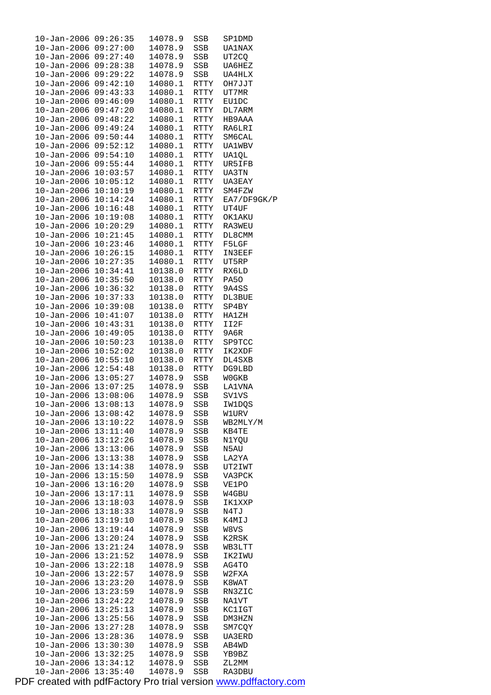| $10 - Jan - 2006$ | 09:26:35 | 14078.9 | SSB         | SP1DMD        |
|-------------------|----------|---------|-------------|---------------|
| $10 - Jan - 2006$ | 09:27:00 | 14078.9 | SSB         | UA1NAX        |
| $10 - Jan - 2006$ | 09:27:40 | 14078.9 | SSB         | UT2CO         |
|                   |          |         |             |               |
| $10 - Jan - 2006$ | 09:28:38 | 14078.9 | SSB         | UA6HEZ        |
| $10 - Jan - 2006$ | 09:29:22 | 14078.9 | SSB         | UA4HLX        |
| $10 - Jan - 2006$ | 09:42:10 | 14080.1 | RTTY        | OH7JJT        |
| $10 - Jan - 2006$ | 09:43:33 | 14080.1 | RTTY        | UT7MR         |
| $10 - Jan - 2006$ | 09:46:09 | 14080.1 | RTTY        | <b>EU1DC</b>  |
|                   |          |         |             |               |
| $10 - Jan - 2006$ | 09:47:20 | 14080.1 | RTTY        | DL7ARM        |
| $10 - Jan - 2006$ | 09:48:22 | 14080.1 | <b>RTTY</b> | HB9AAA        |
| $10 - Jan - 2006$ | 09:49:24 | 14080.1 | RTTY        | RA6LRI        |
| $10 - Jan - 2006$ | 09:50:44 | 14080.1 | RTTY        | SM6CAL        |
| $10 - Jan - 2006$ | 09:52:12 | 14080.1 | RTTY        | <b>UA1WBV</b> |
|                   |          |         |             |               |
| $10 - Jan - 2006$ | 09:54:10 | 14080.1 | RTTY        | UA1QL         |
| $10 - Jan - 2006$ | 09:55:44 | 14080.1 | RTTY        | UR5IFB        |
| $10 - Jan - 2006$ | 10:03:57 | 14080.1 | RTTY        | UA3TN         |
| $10 - Jan - 2006$ | 10:05:12 | 14080.1 | RTTY        | UA3EAY        |
| $10 - Jan - 2006$ | 10:10:19 | 14080.1 | RTTY        | SM4FZW        |
|                   |          |         |             |               |
| $10 - Jan - 2006$ | 10:14:24 | 14080.1 | RTTY        | EA7/DF9GK/P   |
| $10 - Jan - 2006$ | 10:16:48 | 14080.1 | RTTY        | UT4UF         |
| $10 - Jan - 2006$ | 10:19:08 | 14080.1 | RTTY        | OK1AKU        |
| $10 - Jan - 2006$ | 10:20:29 | 14080.1 | RTTY        | RA3WEU        |
| $10 - Jan - 2006$ | 10:21:45 | 14080.1 | <b>RTTY</b> | DL8CMM        |
|                   |          | 14080.1 |             |               |
| $10 - Jan - 2006$ | 10:23:46 |         | RTTY        | F5LGF         |
| $10 - Jan - 2006$ | 10:26:15 | 14080.1 | RTTY        | IN3EEF        |
| $10 - Jan - 2006$ | 10:27:35 | 14080.1 | RTTY        | UT5RP         |
| $10 - Jan - 2006$ | 10:34:41 | 10138.0 | RTTY        | RX6LD         |
| $10 - Jan - 2006$ | 10:35:50 | 10138.0 | RTTY        | PA50          |
|                   |          |         |             |               |
| $10 - Jan - 2006$ | 10:36:32 | 10138.0 | RTTY        | 9A4SS         |
| $10 - Jan - 2006$ | 10:37:33 | 10138.0 | RTTY        | DL3BUE        |
| $10 - Jan - 2006$ | 10:39:08 | 10138.0 | RTTY        | SP4BY         |
| $10 - Jan - 2006$ | 10:41:07 | 10138.0 | RTTY        | HA1ZH         |
| $10 - Jan - 2006$ | 10:43:31 | 10138.0 | RTTY        | II2F          |
|                   |          |         |             |               |
| $10 - Jan - 2006$ | 10:49:05 | 10138.0 | RTTY        | 9A6R          |
| $10 - Jan - 2006$ | 10:50:23 | 10138.0 | RTTY        | SP9TCC        |
| $10 - Jan - 2006$ | 10:52:02 | 10138.0 | RTTY        | IK2XDF        |
| $10 - Jan - 2006$ | 10:55:10 | 10138.0 | RTTY        | DL4SXB        |
| $10 - Jan - 2006$ | 12:54:48 | 10138.0 | RTTY        | DG9LBD        |
| $10 - Jan - 2006$ | 13:05:27 | 14078.9 | SSB         | W0GKB         |
|                   |          |         |             |               |
| $10 - Jan - 2006$ | 13:07:25 | 14078.9 | SSB         | <b>LA1VNA</b> |
| $10 - Jan - 2006$ | 13:08:06 | 14078.9 | SSB         | <b>SV1VS</b>  |
| $10 - Jan - 2006$ | 13:08:13 | 14078.9 | SSB         | IW1DQS        |
| $10 - Jan - 2006$ | 13:08:42 | 14078.9 | SSB         | W1URV         |
| $10 - Jan - 2006$ | 13:10:22 | 14078.9 | SSB         | WB2MLY/M      |
|                   | 13:11:40 |         |             |               |
| $10 - Jan - 2006$ |          | 14078.9 | SSB         | KB4TE         |
| $10 - Jan - 2006$ | 13:12:26 | 14078.9 | SSB         | N1YQU         |
| $10 - Jan - 2006$ | 13:13:06 | 14078.9 | SSB         | N5AU          |
| $10 - Jan - 2006$ | 13:13:38 | 14078.9 | SSB         | LA2YA         |
| $10 - Jan - 2006$ | 13:14:38 | 14078.9 | SSB         | UT2IWT        |
| $10 - Jan - 2006$ | 13:15:50 | 14078.9 | SSB         | VA3PCK        |
|                   |          |         |             |               |
| $10 - Jan - 2006$ | 13:16:20 | 14078.9 | SSB         | VE1PO         |
| $10 - Jan - 2006$ | 13:17:11 | 14078.9 | SSB         | W4GBU         |
| $10 - Jan - 2006$ | 13:18:03 | 14078.9 | SSB         | IK1XXP        |
| $10 - Jan - 2006$ | 13:18:33 | 14078.9 | SSB         | N4TJ          |
| $10 - Jan - 2006$ | 13:19:10 | 14078.9 | SSB         | K4MIJ         |
| $10 - Jan - 2006$ | 13:19:44 | 14078.9 | SSB         | W8VS          |
|                   |          |         |             |               |
| $10 - Jan - 2006$ | 13:20:24 | 14078.9 | SSB         | K2RSK         |
| $10 - Jan - 2006$ | 13:21:24 | 14078.9 | SSB         | WB3LTT        |
| $10 - Jan - 2006$ | 13:21:52 | 14078.9 | SSB         | IK2IWU        |
| $10 - Jan - 2006$ | 13:22:18 | 14078.9 | SSB         | AG4TO         |
| $10 - Jan - 2006$ | 13:22:57 | 14078.9 | SSB         | W2FXA         |
| $10 - Jan - 2006$ | 13:23:20 | 14078.9 |             |               |
|                   |          |         | SSB         | K8WAT         |
| $10 - Jan - 2006$ | 13:23:59 | 14078.9 | SSB         | RN3ZIC        |
| $10 - Jan - 2006$ | 13:24:22 | 14078.9 | SSB         | NA1VT         |
| $10 - Jan - 2006$ | 13:25:13 | 14078.9 | SSB         | KC1IGT        |
| $10 - Jan - 2006$ | 13:25:56 | 14078.9 | SSB         | DM3HZN        |
| $10 - Jan - 2006$ | 13:27:28 | 14078.9 | SSB         | SM7CQY        |
|                   |          |         |             |               |
| $10 - Jan - 2006$ | 13:28:36 | 14078.9 | SSB         | UA3ERD        |
| $10 - Jan - 2006$ | 13:30:30 | 14078.9 | SSB         | AB4WD         |
| $10 - Jan - 2006$ | 13:32:25 | 14078.9 | SSB         | YB9BZ         |
| $10 - Jan - 2006$ | 13:34:12 | 14078.9 | SSB         | ZL2MM         |
| $10 - Jan - 2006$ | 13:35:40 | 14078.9 | SSB         | RA3DBU        |
|                   |          |         |             |               |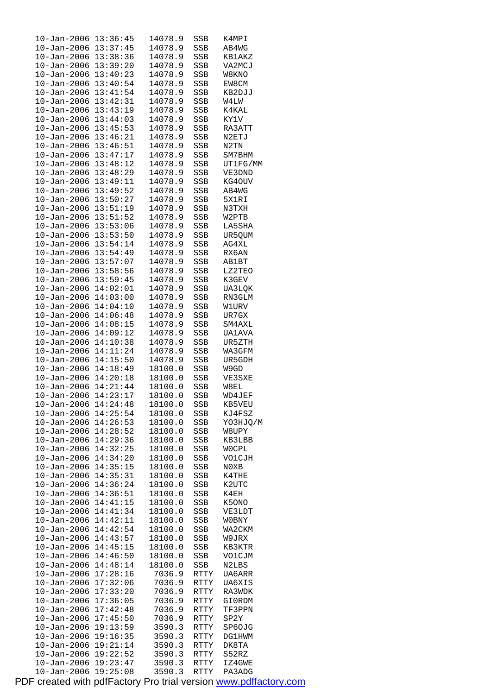| 10-Jan-2006                  | 13:36:45 | 14078.9 | SSB        | K4MPI         |
|------------------------------|----------|---------|------------|---------------|
| $10 - Jan - 2006$ $13:37:45$ |          | 14078.9 | SSB        | AB4WG         |
| 10-Jan-2006                  | 13:38:36 | 14078.9 | SSB        | KB1AKZ        |
| 10-Jan-2006 13:39:20         |          | 14078.9 | SSB        | VA2MCJ        |
| 10-Jan-2006                  | 13:40:23 | 14078.9 | SSB        | W8KNO         |
| $10 - Jan - 2006$            | 13:40:54 | 14078.9 | SSB        | EW8CM         |
| $10 - Jan - 2006$            | 13:41:54 | 14078.9 | SSB        | KB2DJJ        |
| 10-Jan-2006                  | 13:42:31 | 14078.9 | SSB        | W4LW          |
| 10-Jan-2006                  | 13:43:19 | 14078.9 | SSB        | K4KAL         |
| 10-Jan-2006                  | 13:44:03 | 14078.9 | SSB        | KY1V          |
| $10 - Jan - 2006$            | 13:45:53 | 14078.9 | SSB        | RA3ATT        |
| $10 - Jan - 2006$            | 13:46:21 | 14078.9 | SSB        | N2ETJ         |
| $10 - Jan - 2006$            | 13:46:51 | 14078.9 | <b>SSB</b> | N2TN          |
| 10-Jan-2006                  | 13:47:17 | 14078.9 | SSB        | SM7BHM        |
| 10-Jan-2006                  | 13:48:12 | 14078.9 | SSB        | UT1FG/MM      |
| $10 - Jan - 2006$            | 13:48:29 | 14078.9 | SSB        | VE3DND        |
|                              |          | 14078.9 |            |               |
| $10 - Jan - 2006$            | 13:49:11 |         | SSB        | KG40UV        |
| 10-Jan-2006                  | 13:49:52 | 14078.9 | SSB        | AB4WG         |
| 10-Jan-2006                  | 13:50:27 | 14078.9 | SSB        | 5X1RI         |
| 10-Jan-2006                  | 13:51:19 | 14078.9 | SSB        | N3TXH         |
| 10-Jan-2006                  | 13:51:52 | 14078.9 | SSB        | W2PTB         |
| $10 - Jan - 2006$            | 13:53:06 | 14078.9 | SSB        | LA5SHA        |
| 10-Jan-2006                  | 13:53:50 | 14078.9 | SSB        | UR5QUM        |
| $10 - Jan - 2006$ $13:54:14$ |          | 14078.9 | SSB        | AG4XL         |
| 10-Jan-2006                  | 13:54:49 | 14078.9 | SSB        | RX6AN         |
| $10 - Jan - 2006$            | 13:57:07 | 14078.9 | SSB        | <b>AB1BT</b>  |
| $10 - Jan - 2006$            | 13:58:56 | 14078.9 | SSB        | LZ2TEO        |
| 10-Jan-2006                  | 13:59:45 | 14078.9 | SSB        | K3GEV         |
| 10-Jan-2006                  | 14:02:01 | 14078.9 | SSB        | UA3LQK        |
| 10-Jan-2006                  | 14:03:00 | 14078.9 | SSB        | RN3GLM        |
| $10 - Jan - 2006$            | 14:04:10 | 14078.9 | SSB        | W1URV         |
| $10 - Jan - 2006$            | 14:06:48 | 14078.9 | SSB        | UR7GX         |
| $10 - Jan - 2006$            | 14:08:15 | 14078.9 | SSB        | SM4AXL        |
| 10-Jan-2006                  | 14:09:12 | 14078.9 | SSB        | UA1AVA        |
| $10 - Jan - 2006$            | 14:10:38 | 14078.9 | SSB        | UR5ZTH        |
| 10-Jan-2006                  | 14:11:24 | 14078.9 | SSB        | WA3GFM        |
| $10 - Jan - 2006$            | 14:15:50 | 14078.9 | SSB        | UR5GDH        |
| $10 - Jan - 2006$ $14:18:49$ |          | 18100.0 | SSB        | W9GD          |
| 10-Jan-2006 14:20:18         |          | 18100.0 | SSB        | VE3SXE        |
| $10 - Jan - 2006$ $14:21:44$ |          | 18100.0 | SSB        | W8EL          |
| $10 - Jan - 2006$            | 14:23:17 | 18100.0 | <b>SSB</b> | WD4JEF        |
| 10-Jan-2006 14:24:48         |          | 18100.0 |            | KB5VEU        |
|                              |          |         | SSB        |               |
| 10-Jan-2006                  | 14:25:54 | 18100.0 | SSB        | KJ4FSZ        |
| 10-Jan-2006                  | 14:26:53 | 18100.0 | SSB        | YO3HJQ/M      |
| 10-Jan-2006                  | 14:28:52 | 18100.0 | SSB        | W8UPY         |
| 10-Jan-2006                  | 14:29:36 | 18100.0 | SSB        | KB3LBB        |
| 10-Jan-2006                  | 14:32:25 | 18100.0 | SSB        | WOCPL         |
| 10-Jan-2006                  | 14:34:20 | 18100.0 | SSB        | VO1CJH        |
| 10-Jan-2006                  | 14:35:15 | 18100.0 | SSB        | N0XB          |
| $10 - Jan - 2006$            | 14:35:31 | 18100.0 | SSB        | K4THE         |
| $10 - Jan - 2006$            | 14:36:24 | 18100.0 | SSB        | K2UTC         |
| 10-Jan-2006                  | 14:36:51 | 18100.0 | SSB        | K4EH          |
| 10-Jan-2006                  | 14:41:15 | 18100.0 | SSB        | K50NO         |
| $10 - Jan - 2006$            | 14:41:34 | 18100.0 | SSB        | VE3LDT        |
| 10-Jan-2006                  | 14:42:11 | 18100.0 | SSB        | W0BNY         |
| 10-Jan-2006                  | 14:42:54 | 18100.0 | SSB        | WA2CKM        |
| 10-Jan-2006                  | 14:43:57 | 18100.0 | SSB        | W9JRX         |
| 10-Jan-2006                  | 14:45:15 | 18100.0 | SSB        | KB3KTR        |
| $10 - Jan - 2006$            | 14:46:50 | 18100.0 | SSB        | VO1CJM        |
| 10-Jan-2006                  | 14:48:14 | 18100.0 | SSB        | N2LBS         |
| $10 - Jan - 2006$            | 17:28:16 | 7036.9  | RTTY       | UA6ARR        |
| 10-Jan-2006                  | 17:32:06 | 7036.9  | RTTY       | UA6XIS        |
| 10-Jan-2006                  | 17:33:20 | 7036.9  | RTTY       | RA3WDK        |
| 10-Jan-2006                  | 17:36:05 | 7036.9  | RTTY       | GI0RDM        |
| 10-Jan-2006                  | 17:42:48 | 7036.9  | RTTY       | TF3PPN        |
| 10-Jan-2006                  | 17:45:50 | 7036.9  | RTTY       | SP2Y          |
| 10-Jan-2006                  | 19:13:59 | 3590.3  | RTTY       | SP60JG        |
| 10-Jan-2006                  | 19:16:35 | 3590.3  | RTTY       | <b>DG1HWM</b> |
| $10 - Jan - 2006$            | 19:21:14 | 3590.3  | RTTY       | DK8TA         |
| 10-Jan-2006                  | 19:22:52 | 3590.3  | RTTY       | S52RZ         |
| $10 - Jan - 2006$            | 19:23:47 | 3590.3  | RTTY       | IZ4GWE        |
| $10 - Jan - 2006$            | 19:25:08 | 3590.3  | RTTY       | PA3ADG        |
|                              |          |         |            |               |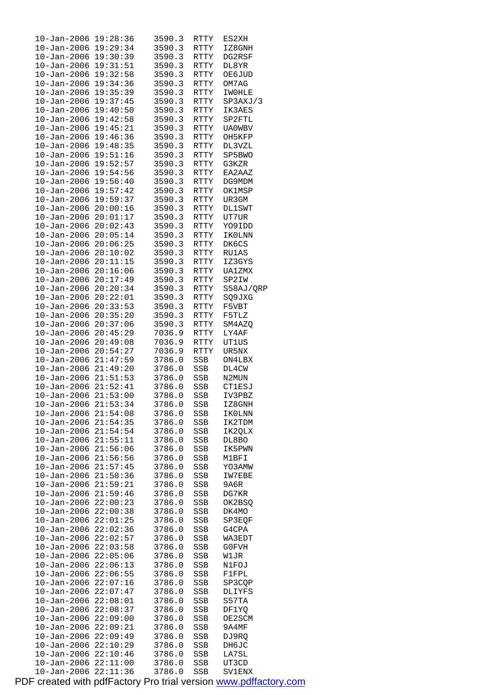| $10 - Jan - 2006$                      | 19:28:36             | 3590.3           | RTTY        | ES2XH           |
|----------------------------------------|----------------------|------------------|-------------|-----------------|
| $10 - Jan - 2006$                      | 19:29:34             | 3590.3           | RTTY        | IZ8GNH          |
| $10 - Jan - 2006$                      | 19:30:39             | 3590.3           | RTTY        | DG2RSF          |
|                                        |                      |                  |             |                 |
| $10 - Jan - 2006$                      | 19:31:51             | 3590.3           | RTTY        | DL8YR           |
| $10 - Jan - 2006$                      | 19:32:58             | 3590.3           | <b>RTTY</b> | <b>OE6JUD</b>   |
| $10 - Jan - 2006$                      | 19:34:36             | 3590.3           | <b>RTTY</b> | OM7AG           |
| $10 - Jan - 2006$                      | 19:35:39             | 3590.3           | RTTY        | <b>IWOHLE</b>   |
|                                        |                      |                  |             |                 |
| $10 - Jan - 2006$                      | 19:37:45             | 3590.3           | RTTY        | SP3AXJ/3        |
| $10 - Jan - 2006$                      | 19:40:50             | 3590.3           | RTTY        | IK3AES          |
| $10 - Jan - 2006$                      | 19:42:58             | 3590.3           | <b>RTTY</b> | SP2FTL          |
|                                        |                      |                  |             |                 |
| $10 - Jan - 2006$                      | 19:45:21             | 3590.3           | RTTY        | UA0WBV          |
| $10 - Jan - 2006$                      | 19:46:36             | 3590.3           | RTTY        | OH5KFP          |
| $10 - Jan - 2006$                      | 19:48:35             | 3590.3           | RTTY        | DL3VZL          |
|                                        |                      |                  |             |                 |
| $10 - Jan - 2006$                      | 19:51:16             | 3590.3           | RTTY        | SP5BWO          |
| $10 - Jan - 2006$                      | 19:52:57             | 3590.3           | <b>RTTY</b> | G3KZR           |
| $10 - Jan - 2006$                      | 19:54:56             | 3590.3           | <b>RTTY</b> | EA2AAZ          |
| $10 - Jan - 2006$                      | 19:56:40             | 3590.3           | <b>RTTY</b> | DG9MDM          |
|                                        |                      |                  |             |                 |
| $10 - Jan - 2006$                      | 19:57:42             | 3590.3           | RTTY        | OK1MSP          |
| $10 - Jan - 2006$                      | 19:59:37             | 3590.3           | RTTY        | UR3GM           |
| $10 - Jan - 2006$                      | 20:00:16             | 3590.3           | <b>RTTY</b> | <b>DL1SWT</b>   |
| $10 - Jan - 2006$                      | 20:01:17             | 3590.3           |             |                 |
|                                        |                      |                  | RTTY        | UT7UR           |
| $10 - Jan - 2006$                      | 20:02:43             | 3590.3           | RTTY        | YO9IDD          |
| $10 - Jan - 2006$                      | 20:05:14             | 3590.3           | RTTY        | IKOLNN          |
| $10 - Jan - 2006$                      | 20:06:25             | 3590.3           | RTTY        | DK6CS           |
|                                        |                      |                  |             |                 |
| $10 - Jan - 2006$                      | 20:10:02             | 3590.3           | <b>RTTY</b> | RU1AS           |
| $10 - Jan - 2006$                      | 20:11:15             | 3590.3           | <b>RTTY</b> | IZ3GYS          |
| $10 - Jan - 2006$                      | 20:16:06             | 3590.3           | RTTY        | UA1ZMX          |
| $10 - Jan - 2006$                      | 20:17:49             | 3590.3           | RTTY        | SP2IW           |
| $10 - Jan - 2006$                      | 20:20:34             | 3590.3           | RTTY        | S58AJ/QRP       |
|                                        |                      |                  |             |                 |
| $10 - Jan - 2006$                      | 20:22:01             | 3590.3           | RTTY        | SQ9JXG          |
| $10 - Jan - 2006$                      | 20:33:53             | 3590.3           | RTTY        | F5VBT           |
| $10 - Jan - 2006$                      | 20:35:20             | 3590.3           | RTTY        | F5TLZ           |
| $10 - Jan - 2006$                      | 20:37:06             | 3590.3           | RTTY        | SM4AZQ          |
| $10 - Jan - 2006$                      | 20:45:29             | 7036.9           | RTTY        | LY4AF           |
|                                        |                      |                  |             |                 |
| $10 - Jan - 2006$                      | 20:49:08             | 7036.9           | RTTY        | UT1US           |
| $10 - Jan - 2006$                      | 20:54:27             | 7036.9           | <b>RTTY</b> | UR5NX           |
| $10 - Jan - 2006$                      | 21:47:59             | 3786.0           | SSB         | ON4LBX          |
| $10 - Jan - 2006$                      | 21:49:20             | 3786.0           | SSB         | DL4CW           |
| $10 - Jan - 2006$                      | 21:51:53             | 3786.0           | SSB         | N2MUN           |
|                                        |                      |                  |             |                 |
| $10 - Jan - 2006$                      | 21:52:41             | 3786.0           | SSB         | <b>CT1ESJ</b>   |
| $10 - Jan - 2006$                      | 21:53:00             | 3786.0           | SSB         | IV3PBZ          |
| 10-Jan-2006                            | 21:53:34             | 3786.0           | SSB         | IZ8GNH          |
| $10 - Jan - 2006$                      | 21:54:08             | 3786.0           | SSB         | IK0LNN          |
|                                        |                      |                  |             |                 |
| $10 - Jan - 2006$                      | 21:54:35             | 3786.0           | SSB         | IK2TDM          |
| $10 - Jan - 2006$                      | 21:54:54             | 3786.0           | SSB         | IK2QLX          |
| $10 - Jan - 2006$                      | 21:55:11             | 3786.0           | SSB         | DL8BO           |
| $10 - Jan - 2006$                      | 21:56:06             | 3786.0           | SSB         | IK5PWN          |
|                                        |                      |                  |             |                 |
| $10 - Jan - 2006$                      | 21:56:56             | 3786.0           | SSB         | M1BFI           |
| $10 - Jan - 2006$                      | 21:57:45             | 3786.0           | SSB         | YO3AMW          |
| $10 - Jan - 2006$                      | 21:58:36             | 3786.0           | SSB         | IW7EBE          |
| $10 - Jan - 2006$                      | 21:59:21             | 3786.0           | SSB         | 9A6R            |
| $10 - Jan - 2006$                      | 21:59:46             | 3786.0           | SSB         | DG7KR           |
|                                        |                      |                  |             |                 |
| $10 - Jan - 2006$                      | 22:00:23             | 3786.0           | SSB         | OK2BSQ          |
| $10 - Jan - 2006$                      |                      |                  |             |                 |
|                                        | 22:00:38             | 3786.0           | SSB         | DK4MO           |
| $10 - Jan - 2006$                      | 22:01:25             | 3786.0           | SSB         | SP3EQF          |
|                                        |                      |                  |             |                 |
| $10 - Jan - 2006$                      | 22:02:36             | 3786.0           | SSB         | G4CPA           |
| $10 - Jan - 2006$                      | 22:02:57             | 3786.0           | SSB         | WA3EDT          |
| $10 - Jan - 2006$                      | 22:03:58             | 3786.0           | SSB         | G0FVH           |
| $10 - Jan - 2006$                      | 22:05:06             | 3786.0           | SSB         | W1JR            |
| $10 - Jan - 2006$                      | 22:06:13             | 3786.0           | SSB         | N1FOJ           |
|                                        |                      |                  |             |                 |
| $10 - Jan - 2006$                      | 22:06:55             | 3786.0           | SSB         | <b>F1FPL</b>    |
| $10 - Jan - 2006$                      | 22:07:16             | 3786.0           | SSB         | SP3CQP          |
| $10 - Jan - 2006$                      | 22:07:47             | 3786.0           | SSB         | DLIYFS          |
| $10 - Jan - 2006$                      | 22:08:01             | 3786.0           | SSB         | S57TA           |
| $10 - Jan - 2006$                      | 22:08:37             | 3786.0           | SSB         | DF1YQ           |
|                                        |                      |                  |             |                 |
| $10 - Jan - 2006$                      | 22:09:00             | 3786.0           | SSB         | OE2SCM          |
| $10 - Jan - 2006$                      | 22:09:21             | 3786.0           | SSB         | 9A4MF           |
| $10 - Jan - 2006$                      | 22:09:49             | 3786.0           | SSB         | DJ9RQ           |
| $10 - Jan - 2006$                      | 22:10:29             | 3786.0           | SSB         | DH6JC           |
| $10 - Jan - 2006$                      | 22:10:46             | 3786.0           | SSB         | LA7SL           |
|                                        |                      |                  |             |                 |
| $10 - Jan - 2006$<br>$10 - Jan - 2006$ | 22:11:00<br>22:11:36 | 3786.0<br>3786.0 | SSB<br>SSB  | UT3CD<br>SV1ENX |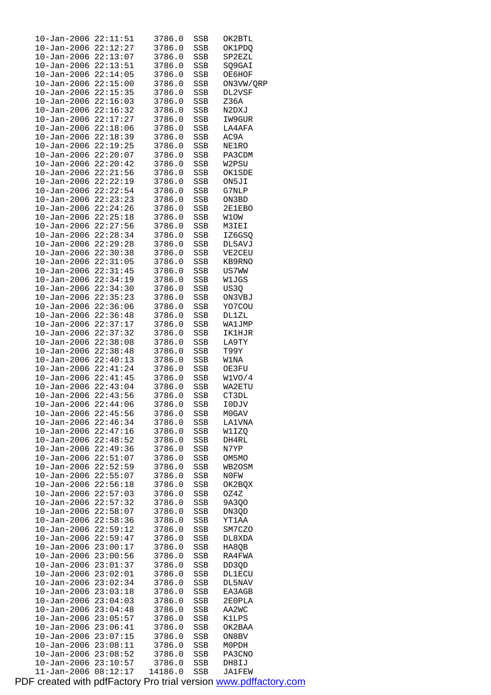| $10 - Jan - 2006$                                 | 22:11:51             | 3786.0           | SSB        | OK2BTL          |
|---------------------------------------------------|----------------------|------------------|------------|-----------------|
| 10-Jan-2006                                       | 22:12:27             | 3786.0           | SSB        | OK1PDQ          |
| 10-Jan-2006 22:13:07                              |                      | 3786.0           | SSB        | SP2EZL          |
| $10 - Jan - 2006$ $22:13:51$                      |                      | 3786.0           | SSB        | SQ9GAI          |
| $10 - Jan - 2006$                                 | 22:14:05             | 3786.0           | SSB        | ОЕ6НОР          |
| $10 - Jan - 2006$                                 | 22:15:00<br>22:15:35 | 3786.0           | SSB        | ON3VW/QRP       |
| $10 - Jan - 2006$                                 |                      | 3786.0           | SSB        | DL2VSF          |
| $10 - Jan - 2006$                                 | 22:16:03<br>22:16:32 | 3786.0<br>3786.0 | SSB        | Z36A<br>N2DXJ   |
| $10 - Jan - 2006$<br>$10 - Jan - 2006$            | 22:17:27             | 3786.0           | SSB<br>SSB | IW9GUR          |
| $10 - Jan - 2006$                                 | 22:18:06             | 3786.0           | SSB        | LA4AFA          |
| $10 - Jan - 2006$                                 | 22:18:39             | 3786.0           | <b>SSB</b> | AC9A            |
| $10 - Jan - 2006$                                 | 22:19:25             | 3786.0           | SSB        | NE1RO           |
| $10 - Jan - 2006$ $22:20:07$                      |                      | 3786.0           | SSB        | PA3CDM          |
| $10 - Jan - 2006$                                 | 22:20:42             | 3786.0           | SSB        | W2PSU           |
| $10 - Jan - 2006$                                 | 22:21:56             | 3786.0           | SSB        | OK1SDE          |
| $10 - Jan - 2006$                                 | 22:22:19             | 3786.0           | SSB        | ON5JI           |
| $10 - Jan - 2006$                                 | 22:22:54             | 3786.0           | SSB        | G7NLP           |
| $10 - Jan - 2006$                                 | 22:23:23             | 3786.0           | SSB        | ON3BD           |
| $10 - Jan - 2006$                                 | 22:24:26             | 3786.0           | SSB        | 2E1EBO          |
| $10 - Jan - 2006$                                 | 22:25:18             | 3786.0           | SSB        | W1OW            |
| $10 - Jan - 2006$                                 | 22:27:56             | 3786.0           | SSB        | M3IEI           |
| $10 - Jan - 2006$                                 | 22:28:34             | 3786.0           | SSB        | IZ6GSQ          |
| $10 - Jan - 2006$ $22:29:28$                      |                      | 3786.0           | SSB        | DL5AVJ          |
| $10 - Jan - 2006$                                 | 22:30:38             | 3786.0           | SSB        | VE2CEU          |
| $10 - Jan - 2006$                                 | 22:31:05             | 3786.0           | SSB        | KB9RNO          |
| $10 - Jan - 2006$                                 | 22:31:45             | 3786.0           | SSB        | US7WW           |
| $10 - Jan - 2006$                                 | 22:34:19             | 3786.0           | SSB        | W1JGS           |
| $10 - Jan - 2006$                                 | 22:34:30             | 3786.0           | SSB        | US3Q            |
| $10 - Jan - 2006$                                 | 22:35:23             | 3786.0           | SSB        | ON3VBJ          |
| $10 - Jan - 2006$<br>$10 - Jan - 2006$            | 22:36:06<br>22:36:48 | 3786.0<br>3786.0 | SSB<br>SSB | YO7COU<br>DL1ZL |
| $10 - Jan - 2006$                                 | 22:37:17             | 3786.0           | SSB        | WA1JMP          |
| 10-Jan-2006                                       | 22:37:32             | 3786.0           | SSB        | IK1HJR          |
| $10 - Jan - 2006$ $22:38:08$                      |                      | 3786.0           | SSB        | LA9TY           |
| 10-Jan-2006                                       | 22:38:48             | 3786.0           | SSB        | T99Y            |
| 10-Jan-2006 22:40:13                              |                      | 3786.0           | SSB        | W1NA            |
| $10 - Jan - 2006$ $22:41:24$                      |                      | 3786.0           | SSB        | OE3FU           |
| 10-Jan-2006 22:41:45                              |                      | 3786.0           | SSB        | W1VO/4          |
| $10 - Jan - 2006$ $22:43:04$                      |                      | 3786.0           | SSB        | WA2ETU          |
| 10-Jan-2006                                       | 22:43:56             | 3786.0           | SSB        | CT3DL           |
| $10 - Jan - 2006$ $22:44:06$<br>$10 - Jan - 2006$ | 22:45:56             | 3786.0<br>3786.0 | SSB<br>SSB | I0DJV<br>M0GAV  |
| $10 - Jan - 2006$                                 | 22:46:34             | 3786.0           | SSB        | <b>LA1VNA</b>   |
| $10 - Jan - 2006$                                 | 22:47:16             | 3786.0           | SSB        | W1IZQ           |
| $10 - Jan - 2006$                                 | 22:48:52             | 3786.0           | SSB        | DH4RL           |
| $10 - Jan - 2006$                                 | 22:49:36             | 3786.0           | SSB        | N7YP            |
| $10 - Jan - 2006$                                 | 22:51:07             | 3786.0           | SSB        | OM5MO           |
| $10 - Jan - 2006$                                 | 22:52:59             | 3786.0           | SSB        | WB2OSM          |
| $10 - Jan - 2006$                                 | 22:55:07             | 3786.0           | SSB        | N0FW            |
| $10 - Jan - 2006$                                 | 22:56:18             | 3786.0           | SSB        | OK2BQX          |
| $10 - Jan - 2006$                                 | 22:57:03             | 3786.0           | SSB        | OZ4Z            |
| $10 - Jan - 2006$                                 | 22:57:32             | 3786.0           | SSB        | 9A3Q0           |
| $10 - Jan - 2006$                                 | 22:58:07             | 3786.0           | SSB        | DN3QD<br>YT1AA  |
| $10 - Jan - 2006$<br>$10 - Jan - 2006$            | 22:58:36<br>22:59:12 | 3786.0<br>3786.0 | SSB<br>SSB | SM7CZO          |
| $10 - Jan - 2006$                                 | 22:59:47             | 3786.0           | SSB        | DL8XDA          |
| $10 - Jan - 2006$                                 | 23:00:17             | 3786.0           | SSB        | HA8QB           |
| $10 - Jan - 2006$                                 | 23:00:56             | 3786.0           | SSB        | RA4FWA          |
| $10 - Jan - 2006$                                 | 23:01:37             | 3786.0           | SSB        | DD3QD           |
| $10 - Jan - 2006$                                 | 23:02:01             | 3786.0           | SSB        | DL1ECU          |
| $10 - Jan - 2006$                                 | 23:02:34             | 3786.0           | SSB        | DL5NAV          |
| $10 - Jan - 2006$                                 | 23:03:18             | 3786.0           | SSB        | EA3AGB          |
| $10 - Jan - 2006$                                 | 23:04:03             | 3786.0           | SSB        | 2E0PLA          |
| $10 - Jan - 2006$                                 | 23:04:48             | 3786.0           | SSB        | AA2WC           |
| $10 - Jan - 2006$                                 | 23:05:57             | 3786.0           | SSB        | K1LPS           |
| $10 - Jan - 2006$                                 | 23:06:41             | 3786.0           | SSB        | OK2BAA          |
| $10 - Jan - 2006$<br>$10 - Jan - 2006$            | 23:07:15<br>23:08:11 | 3786.0<br>3786.0 | SSB<br>SSB | ON8BV<br>M0PDH  |
| $10 - Jan - 2006$                                 | 23:08:52             | 3786.0           | SSB        | PA3CNO          |
| $10 - Jan - 2006$                                 | 23:10:57             | 3786.0           | SSB        | DH8IJ           |
| $11 - Jan - 2006$                                 | 08:12:17             | 14186.0          | SSB        | JA1FEW          |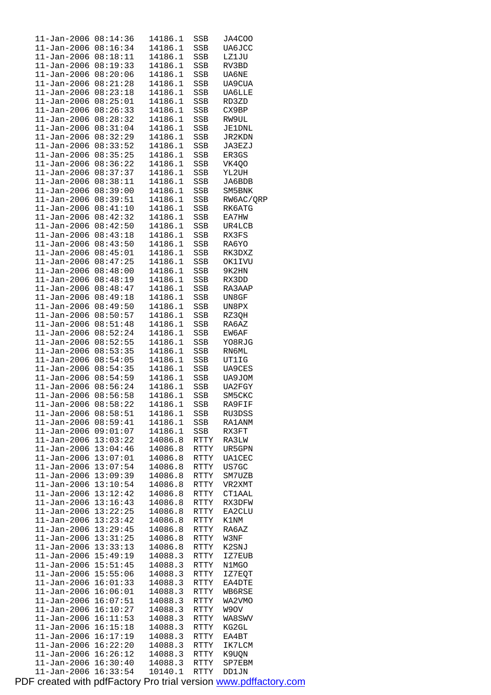|                            |          | 14186.1 |            |               |
|----------------------------|----------|---------|------------|---------------|
| $11 - Jan - 2006 08:14:36$ |          |         | SSB        | JA4COO        |
| 11-Jan-2006 08:16:34       |          | 14186.1 | SSB        | UA6JCC        |
| $11 - Jan - 2006$          | 08:18:11 | 14186.1 | SSB        | LZ1JU         |
|                            |          |         |            |               |
| $11 - Jan - 2006$          | 08:19:33 | 14186.1 | SSB        | RV3BD         |
| $11 - Jan - 2006$          | 08:20:06 | 14186.1 | <b>SSB</b> | <b>UA6NE</b>  |
|                            |          |         |            |               |
| $11 - Jan - 2006$          | 08:21:28 | 14186.1 | SSB        | UA9CUA        |
| $11 - Jan - 2006$          | 08:23:18 | 14186.1 | SSB        | <b>UA6LLE</b> |
| $11 - Jan - 2006$          | 08:25:01 | 14186.1 | SSB        | RD3ZD         |
|                            |          |         |            |               |
| $11 - Jan - 2006$          | 08:26:33 | 14186.1 | SSB        | CX9BP         |
| 11-Jan-2006                | 08:28:32 | 14186.1 | SSB        | RW9UL         |
|                            |          |         |            |               |
| $11 - Jan - 2006$          | 08:31:04 | 14186.1 | SSB        | <b>JE1DNL</b> |
| $11 - Jan - 2006$          | 08:32:29 | 14186.1 | <b>SSB</b> | JR2KDN        |
| 11-Jan-2006                | 08:33:52 | 14186.1 | SSB        | JA3EZJ        |
|                            |          |         |            |               |
| 11-Jan-2006                | 08:35:25 | 14186.1 | SSB        | ER3GS         |
| 11-Jan-2006                | 08:36:22 | 14186.1 | SSB        | VK4Q0         |
|                            |          |         |            |               |
| $11 - Jan - 2006$          | 08:37:37 | 14186.1 | SSB        | YL2UH         |
| 11-Jan-2006                | 08:38:11 | 14186.1 | SSB        | JA6BDB        |
| $11 - Jan - 2006$          | 08:39:00 | 14186.1 |            | SM5BNK        |
|                            |          |         | SSB        |               |
| $11 - Jan-2006$            | 08:39:51 | 14186.1 | SSB        | RW6AC/QRP     |
| $11 - Jan - 2006$          | 08:41:10 | 14186.1 | SSB        | RK6ATG        |
|                            |          |         |            |               |
| $11 - Jan-2006$            | 08:42:32 | 14186.1 | SSB        | EA7HW         |
| 11-Jan-2006                | 08:42:50 | 14186.1 | <b>SSB</b> | UR4LCB        |
| 11-Jan-2006                | 08:43:18 | 14186.1 | SSB        | RX3FS         |
|                            |          |         |            |               |
| 11-Jan-2006                | 08:43:50 | 14186.1 | SSB        | RA6YO         |
| 11-Jan-2006                | 08:45:01 | 14186.1 | SSB        | RK3DXZ        |
| $11 - Jan - 2006$          | 08:47:25 |         | <b>SSB</b> |               |
|                            |          | 14186.1 |            | OK1IVU        |
| 11-Jan-2006                | 08:48:00 | 14186.1 | SSB        | 9K2HN         |
| 11-Jan-2006                | 08:48:19 | 14186.1 | SSB        | RX3DD         |
|                            |          |         |            |               |
| $11 - Jan - 2006$          | 08:48:47 | 14186.1 | SSB        | RA3AAP        |
| $11 - Jan - 2006$          | 08:49:18 | 14186.1 | SSB        | UN8GF         |
| $11 - Jan - 2006$          | 08:49:50 | 14186.1 | SSB        | UN8PX         |
|                            |          |         |            |               |
| 11-Jan-2006                | 08:50:57 | 14186.1 | SSB        | RZ3QH         |
| $11 - Jan-2006$            | 08:51:48 | 14186.1 | SSB        | RA6AZ         |
|                            | 08:52:24 | 14186.1 |            |               |
| 11-Jan-2006                |          |         | SSB        | EW6AF         |
| $11 - Jan - 2006$          | 08:52:55 | 14186.1 | SSB        | YO8RJG        |
| 11-Jan-2006                | 08:53:35 | 14186.1 | SSB        | RN6ML         |
|                            |          |         |            |               |
| 11-Jan-2006                | 08:54:05 | 14186.1 | SSB        | UT1IG         |
| 11-Jan-2006                | 08:54:35 | 14186.1 | SSB        | <b>UA9CES</b> |
| $11 - Jan - 2006$          | 08:54:59 | 14186.1 | SSB        | UA9JOM        |
|                            |          |         |            |               |
| $11 - Jan - 2006$          | 08:56:24 | 14186.1 | SSB        | UA2FGY        |
| $11 - Jan - 2006$          | 08:56:58 | 14186.1 | SSB        | SM5CKC        |
| 11-Jan-2006                | 08:58:22 | 14186.1 | SSB        | RA9FIF        |
|                            |          |         |            |               |
| $11 - Jan - 2006$          | 08:58:51 | 14186.1 | SSB        | RU3DSS        |
| 11-Jan-2006                | 08:59:41 | 14186.1 | SSB        | RA1ANM        |
|                            | 09:01:07 | 14186.1 |            |               |
| $11 - Jan - 2006$          |          |         | SSB        | RX3FT         |
| $11 - Jan - 2006$          | 13:03:22 | 14086.8 | RTTY       | RA3LW         |
| 11-Jan-2006                | 13:04:46 | 14086.8 | RTTY       | UR5GPN        |
|                            |          |         |            |               |
| $11 - Jan - 2006$          | 13:07:01 | 14086.8 | RTTY       | <b>UA1CEC</b> |
| 11-Jan-2006                | 13:07:54 | 14086.8 | RTTY       | US7GC         |
| 11-Jan-2006                | 13:09:39 | 14086.8 | RTTY       | SM7UZB        |
|                            |          |         |            |               |
| 11-Jan-2006                | 13:10:54 | 14086.8 | RTTY       | VR2XMT        |
| 11-Jan-2006                | 13:12:42 | 14086.8 | RTTY       | <b>CT1AAL</b> |
| $11 - Jan - 2006$          | 13:16:43 | 14086.8 | RTTY       | RX3DFW        |
|                            |          |         |            |               |
| $11 - Jan - 2006$          | 13:22:25 | 14086.8 | RTTY       | EA2CLU        |
| 11-Jan-2006                | 13:23:42 | 14086.8 | RTTY       | K1NM          |
| 11-Jan-2006                | 13:29:45 | 14086.8 | RTTY       | RA6AZ         |
|                            |          |         |            |               |
| 11-Jan-2006                | 13:31:25 | 14086.8 | RTTY       | W3NF          |
| $11 - Jan - 2006$          | 13:33:13 | 14086.8 | RTTY       | K2SNJ         |
|                            |          |         |            |               |
| $11 - Jan - 2006$          | 15:49:19 | 14088.3 | RTTY       | IZ7EUB        |
| 11-Jan-2006                | 15:51:45 | 14088.3 | RTTY       | N1MGO         |
| 11-Jan-2006                | 15:55:06 | 14088.3 | RTTY       | IZ7EQT        |
|                            |          |         |            |               |
| 11-Jan-2006                | 16:01:33 | 14088.3 | RTTY       | EA4DTE        |
| $11 - Jan - 2006$          | 16:06:01 | 14088.3 | RTTY       | WB6RSE        |
| $11 - Jan - 2006$          | 16:07:51 | 14088.3 | RTTY       | WA2VMO        |
|                            |          |         |            |               |
| 11-Jan-2006                | 16:10:27 | 14088.3 | RTTY       | W9OV          |
| 11-Jan-2006                | 16:11:53 | 14088.3 | RTTY       | WA8SWV        |
| 11-Jan-2006                | 16:15:18 | 14088.3 | RTTY       | KG2GL         |
|                            |          |         |            |               |
| $11 - Jan - 2006$          | 16:17:19 | 14088.3 | RTTY       | EA4BT         |
| $11 - Jan - 2006$          | 16:22:20 | 14088.3 | RTTY       | IK7LCM        |
| 11-Jan-2006                | 16:26:12 | 14088.3 | RTTY       | K9UQN         |
|                            |          |         |            |               |
| 11-Jan-2006                | 16:30:40 | 14088.3 | RTTY       | SP7EBM        |
| $11 - Jan - 2006$          | 16:33:54 | 10140.1 | RTTY       | DD1JN         |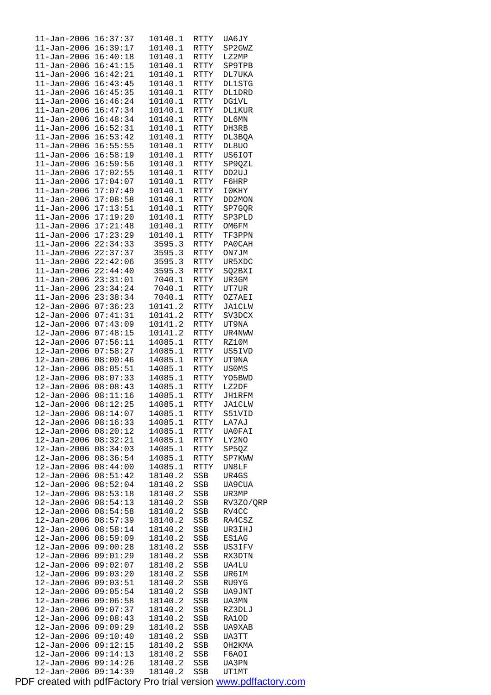| $11 - Jan-2006$                  | 16:37:37             | 10140.1            | RTTY        | UA6JY          |
|----------------------------------|----------------------|--------------------|-------------|----------------|
| $11 - Jan - 2006$                | 16:39:17             | 10140.1            | RTTY        | SP2GWZ         |
|                                  |                      |                    |             |                |
| $11 - Jan - 2006$                | 16:40:18             | 10140.1            | RTTY        | LZ2MP          |
| $11 - Jan - 2006$                | 16:41:15             | 10140.1            | RTTY        | SP9TPB         |
|                                  |                      |                    |             |                |
| $11 - Jan - 2006$                | 16:42:21             | 10140.1            | RTTY        | DL7UKA         |
| $11 - Jan - 2006$                | 16:43:45             | 10140.1            | RTTY        | <b>DL1STG</b>  |
| $11 - Jan - 2006$                | 16:45:35             | 10140.1            | RTTY        | DL1DRD         |
|                                  |                      |                    |             |                |
| $11 - Jan - 2006$                | 16:46:24             | 10140.1            | RTTY        | <b>DG1VL</b>   |
| $11 - Jan - 2006$                | 16:47:34             | 10140.1            | RTTY        | <b>DL1KUR</b>  |
|                                  |                      |                    |             |                |
| $11 - Jan - 2006$                | 16:48:34             | 10140.1            | RTTY        | DL6MN          |
| $11 - Jan - 2006$                | 16:52:31             | 10140.1            | RTTY        | DH3RB          |
|                                  |                      |                    |             |                |
| $11 - Jan - 2006$                | 16:53:42             | 10140.1            | <b>RTTY</b> | DL3BQA         |
| $11 - Jan - 2006$                | 16:55:55             | 10140.1            | RTTY        | DL8UO          |
| 11-Jan-2006                      | 16:58:19             | 10140.1            | RTTY        | US6IOT         |
|                                  |                      |                    |             |                |
| $11 - Jan - 2006$                | 16:59:56             | 10140.1            | RTTY        | SP9QZL         |
| $11 - Jan - 2006$                | 17:02:55             | 10140.1            | RTTY        | DD2UJ          |
|                                  |                      |                    |             |                |
| $11 - Jan - 2006$                | 17:04:07             | 10140.1            | RTTY        | F6HRP          |
| $11 - Jan - 2006$                | 17:07:49             | 10140.1            | RTTY        | I0KHY          |
| $11 - Jan-2006$                  | 17:08:58             | 10140.1            | RTTY        | DD2MON         |
|                                  |                      |                    |             |                |
| $11 - Jan - 2006$                | 17:13:51             | 10140.1            | <b>RTTY</b> | SP7GOR         |
| $11 - Jan - 2006$                | 17:19:20             | 10140.1            | RTTY        | SP3PLD         |
|                                  |                      |                    |             |                |
| $11 - Jan - 2006$                | 17:21:48             | 10140.1            | RTTY        | OM6FM          |
| $11 - Jan - 2006$                | 17:23:29             | 10140.1            | RTTY        | TF3PPN         |
|                                  | 22:34:33             | 3595.3             | <b>RTTY</b> | PA0CAH         |
| 11-Jan-2006                      |                      |                    |             |                |
| $11 - Jan - 2006$                | 22:37:37             | 3595.3             | <b>RTTY</b> | ON7JM          |
| $11 - Jan - 2006$                | 22:42:06             | 3595.3             | RTTY        | UR5XDC         |
|                                  |                      |                    |             |                |
| $11 - Jan - 2006$                | 22:44:40             | 3595.3             | RTTY        | SQ2BXI         |
| $11 - Jan - 2006$                | 23:31:01             | 7040.1             | RTTY        | UR3GM          |
| $11 - Jan - 2006$                | 23:34:24             | 7040.1             | RTTY        | UT7UR          |
|                                  |                      |                    |             |                |
| $11 - Jan - 2006$                | 23:38:34             | 7040.1             | RTTY        | OZ7AEI         |
| $12 - Jan - 2006$                | 07:36:23             | 10141.2            | RTTY        | JA1CLW         |
|                                  |                      |                    |             |                |
| $12 - Jan - 2006$                | 07:41:31             | 10141.2            | RTTY        | SV3DCX         |
| $12 - Jan - 2006$                | 07:43:09             | 10141.2            | RTTY        | UT9NA          |
| $12 - Jan - 2006$                | 07:48:15             | 10141.2            | RTTY        | UR4NWW         |
|                                  |                      |                    |             |                |
| $12 - Jan - 2006$                | 07:56:11             | 14085.1            | RTTY        | RZ10M          |
| $12 - Jan - 2006$                | 07:58:27             | 14085.1            | RTTY        | US5IVD         |
| $12 - Jan - 2006$                |                      | 14085.1            |             |                |
|                                  | 08:00:46             |                    | RTTY        | UT9NA          |
| $12 - Jan - 2006$                | 08:05:51             | 14085.1            | RTTY        | <b>USOMS</b>   |
| $12 - Jan - 2006$                | 08:07:33             | 14085.1            | RTTY        | YO5BWD         |
|                                  |                      |                    |             |                |
| $12 - Jan - 2006$                | 08:08:43             | 14085.1            | RTTY        | LZ2DF          |
| 12-Jan-2006                      | 08:11:16             | 14085.1            | RTTY        | JH1RFM         |
| $12 - Jan - 2006$                | 08:12:25             | 14085.1            |             | <b>JA1CLW</b>  |
|                                  |                      |                    | RTTY        |                |
| $12 - Jan - 2006$                | 08:14:07             | 14085.1            | RTTY        | S51VID         |
| $12 - Jan - 2006$                | 08:16:33             | 14085.1            | RTTY        | LA7AJ          |
|                                  |                      |                    |             |                |
| 12-Jan-2006                      | 08:20:12             | 14085.1            | RTTY        | UA0FAI         |
| $12 - Jan - 2006$                | 08:32:21             | 14085.1            | RTTY        | LY2NO          |
| 12-Jan-2006                      | 08:34:03             | 14085.1            | RTTY        | SP5QZ          |
|                                  |                      |                    |             |                |
| 12-Jan-2006                      | 08:36:54             | 14085.1            | RTTY        | SP7KWW         |
| 12-Jan-2006                      | 08:44:00             | 14085.1            | RTTY        | UN8LF          |
| $12 - Jan - 2006$                | 08:51:42             | 18140.2            | SSB         | UR4GS          |
|                                  |                      |                    |             |                |
| $12 - Jan - 2006$                | 08:52:04             | 18140.2            | SSB         | UA9CUA         |
| $12 - Jan - 2006$                | 08:53:18             | 18140.2            | SSB         | UR3MP          |
|                                  |                      |                    |             |                |
| $12 - Jan - 2006$                | 08:54:13             | 18140.2            | SSB         | RV3ZO/QRP      |
| 12-Jan-2006                      | 08:54:58             | 18140.2            | SSB         | RV4CC          |
| 12-Jan-2006                      | 08:57:39             | 18140.2            | SSB         | RA4CSZ         |
|                                  |                      |                    |             |                |
| $12 - Jan - 2006$                |                      |                    |             | UR3IHJ         |
| 12-Jan-2006                      | 08:58:14             | 18140.2            | SSB         |                |
| 12-Jan-2006                      |                      | 18140.2            |             |                |
|                                  | 08:59:09             |                    | SSB         | ES1AG          |
|                                  | 09:00:28             | 18140.2            | SSB         | US3IFV         |
| $12 - Jan - 2006$                | 09:01:29             | 18140.2            | SSB         | RX3DTN         |
| $12 - Jan - 2006$                |                      | 18140.2            |             |                |
|                                  | 09:02:07             |                    | SSB         | UA4LU          |
| $12 - Jan - 2006$                | 09:03:20             | 18140.2            | SSB         | UR6IM          |
| $12 - Jan - 2006$                | 09:03:51             | 18140.2            | SSB         | RU9YG          |
|                                  |                      |                    |             |                |
| $12 - Jan - 2006$                | 09:05:54             | 18140.2            | SSB         | UA9JNT         |
| 12-Jan-2006                      | 09:06:58             | 18140.2            | SSB         | UA3MN          |
| 12-Jan-2006                      | 09:07:37             | 18140.2            | SSB         | RZ3DLJ         |
|                                  |                      |                    |             |                |
| $12 - Jan - 2006$                | 09:08:43             | 18140.2            | SSB         | RA1OD          |
| 12-Jan-2006                      | 09:09:29             | 18140.2            | SSB         | UA9XAB         |
|                                  | 09:10:40             |                    |             |                |
| 12-Jan-2006                      |                      | 18140.2            | SSB         | UA3TT          |
| $12 - Jan - 2006$                | 09:12:15             | 18140.2            | SSB         | OH2KMA         |
| 12-Jan-2006                      | 09:14:13             | 18140.2            | SSB         | F6AOI          |
|                                  |                      |                    |             |                |
| $12 - Jan - 2006$<br>12-Jan-2006 | 09:14:26<br>09:14:39 | 18140.2<br>18140.2 | SSB<br>SSB  | UA3PN<br>UT1MT |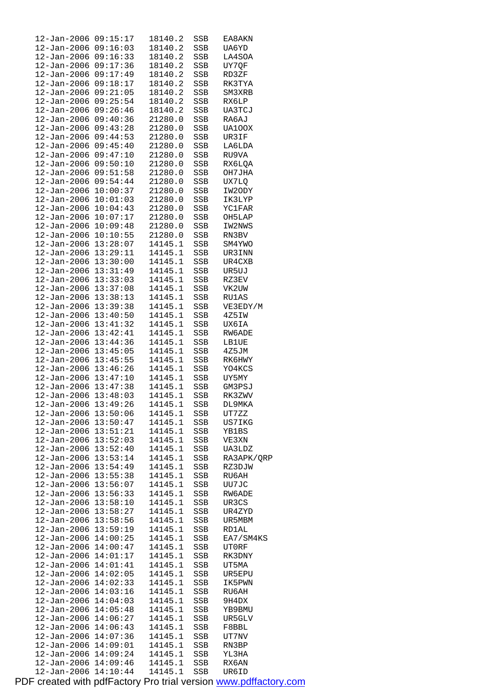| $12 - Jan - 2006$    | 09:15:17 | 18140.2            | SSB | EA8AKN        |
|----------------------|----------|--------------------|-----|---------------|
| $12 - Jan - 2006$    | 09:16:03 | 18140.2            | SSB | UA6YD         |
| $12 - Jan - 2006$    | 09:16:33 | 18140.2            | SSB | LA4SOA        |
| 12-Jan-2006          | 09:17:36 | 18140.2            | SSB | UY7QF         |
| $12 - Jan - 2006$    | 09:17:49 | 18140.2            | SSB | RD3ZF         |
| $12 - Jan - 2006$    | 09:18:17 | 18140.2            | SSB | RK3TYA        |
| $12 - Jan - 2006$    | 09:21:05 | 18140.2            | SSB | SM3XRB        |
| $12 - Jan - 2006$    | 09:25:54 | 18140.2            | SSB | RX6LP         |
| 12-Jan-2006          | 09:26:46 | 18140.2            | SSB | UA3TCJ        |
| $12 - Jan - 2006$    | 09:40:36 | 21280.0            | SSB | RA6AJ         |
| $12 - Jan - 2006$    | 09:43:28 | 21280.0            | SSB | UA100X        |
| $12 - Jan - 2006$    | 09:44:53 | 21280.0            | SSB | UR3IF         |
| $12 - Jan - 2006$    | 09:45:40 | 21280.0            | SSB | LA6LDA        |
| 12-Jan-2006          | 09:47:10 | 21280.0            | SSB | RU9VA         |
| $12 - Jan - 2006$    | 09:50:10 | 21280.0            | SSB | RX6LQA        |
| $12 - Jan - 2006$    | 09:51:58 | 21280.0            | SSB | OH7JHA        |
| $12 - Jan - 2006$    | 09:54:44 | 21280.0            | SSB | UX7LQ         |
| $12 - Jan - 2006$    | 10:00:37 | 21280.0            | SSB | IW2ODY        |
|                      | 10:01:03 |                    |     |               |
| 12-Jan-2006          |          | 21280.0<br>21280.0 | SSB | IK3LYP        |
| $12 - Jan - 2006$    | 10:04:43 |                    | SSB | <b>YC1FAR</b> |
| $12 - Jan - 2006$    | 10:07:17 | 21280.0            | SSB | OH5LAP        |
| $12 - Jan - 2006$    | 10:09:48 | 21280.0            | SSB | IW2NWS        |
| $12 - Jan - 2006$    | 10:10:55 | 21280.0            | SSB | RN3BV         |
| 12-Jan-2006          | 13:28:07 | 14145.1            | SSB | SM4YWO        |
| $12 - Jan - 2006$    | 13:29:11 | 14145.1            | SSB | UR3INN        |
| $12 - Jan - 2006$    | 13:30:00 | 14145.1            | SSB | UR4CXB        |
| $12 - Jan - 2006$    | 13:31:49 | 14145.1            | SSB | UR5UJ         |
| $12 - Jan - 2006$    | 13:33:03 | 14145.1            | SSB | RZ3EV         |
| 12-Jan-2006          | 13:37:08 | 14145.1            | SSB | VK2UW         |
| $12 - Jan - 2006$    | 13:38:13 | 14145.1            | SSB | RU1AS         |
| $12 - Jan - 2006$    | 13:39:38 | 14145.1            | SSB | VE3EDY/M      |
| $12 - Jan - 2006$    | 13:40:50 | 14145.1            | SSB | 4Z5IW         |
| $12 - Jan - 2006$    | 13:41:32 | 14145.1            | SSB | UX6IA         |
| 12-Jan-2006          | 13:42:41 | 14145.1            | SSB | RW6ADE        |
| $12 - Jan - 2006$    | 13:44:36 | 14145.1            | SSB | <b>LB1UE</b>  |
| $12 - Jan - 2006$    | 13:45:05 | 14145.1            | SSB | 4Z5JM         |
| $12 - Jan - 2006$    | 13:45:55 | 14145.1            | SSB | RK6HWY        |
| $12 - Jan - 2006$    | 13:46:26 | 14145.1            | SSB | YO4KCS        |
| $12 - Jan - 2006$    | 13:47:10 | 14145.1            | SSB | UY5MY         |
| 12-Jan-2006 13:47:38 |          | 14145.1            | SSB | GM3PSJ        |
| $12 - Jan - 2006$    | 13:48:03 | 14145.1            | SSB | RK3ZWV        |
| 12-Jan-2006 13:49:26 |          | 14145.1            | SSB | DL9MKA        |
| 12-Jan-2006 13:50:06 |          | 14145.1            | SSB | UT7ZZ         |
| 12-Jan-2006 13:50:47 |          | 14145.1            | SSB | US7IKG        |
| $12 - Jan - 2006$    | 13:51:21 | 14145.1            | SSB | YB1BS         |
| $12 - Jan - 2006$    | 13:52:03 | 14145.1            | SSB | VE3XN         |
| $12 - Jan - 2006$    | 13:52:40 | 14145.1            | SSB | UA3LDZ        |
| $12 - Jan - 2006$    | 13:53:14 | 14145.1            | SSB | RA3APK/QRP    |
| $12 - Jan - 2006$    | 13:54:49 | 14145.1            | SSB | RZ3DJW        |
| $12 - Jan - 2006$    | 13:55:38 | 14145.1            | SSB | RU6AH         |
| $12 - Jan - 2006$    | 13:56:07 | 14145.1            | SSB | UU7JC         |
| $12 - Jan - 2006$    | 13:56:33 | 14145.1            | SSB | RW6ADE        |
| $12 - Jan - 2006$    | 13:58:10 | 14145.1            | SSB | UR3CS         |
| $12 - Jan - 2006$    | 13:58:27 | 14145.1            | SSB | UR4ZYD        |
| $12 - Jan - 2006$    | 13:58:56 | 14145.1            | SSB | UR5MBM        |
| 12-Jan-2006          | 13:59:19 | 14145.1            | SSB | RD1AL         |
| $12 - Jan - 2006$    | 14:00:25 | 14145.1            | SSB | EA7/SM4KS     |
| $12 - Jan - 2006$    | 14:00:47 | 14145.1            | SSB | UT0RF         |
| $12 - Jan - 2006$    | 14:01:17 | 14145.1            | SSB | RK3DNY        |
| $12 - Jan - 2006$    | 14:01:41 | 14145.1            | SSB | UT5MA         |
| 12-Jan-2006          | 14:02:05 | 14145.1            | SSB | UR5EPU        |
| $12 - Jan - 2006$    | 14:02:33 | 14145.1            | SSB | IK5PWN        |
| $12 - Jan - 2006$    | 14:03:16 | 14145.1            | SSB | RU6AH         |
| 12-Jan-2006          | 14:04:03 | 14145.1            | SSB | 9H4DX         |
| $12 - Jan - 2006$    | 14:05:48 | 14145.1            | SSB | YB9BMU        |
| 12-Jan-2006          | 14:06:27 | 14145.1            | SSB | UR5GLV        |
| $12 - Jan - 2006$    | 14:06:43 | 14145.1            | SSB | F8BBL         |
| $12 - Jan - 2006$    | 14:07:36 | 14145.1            | SSB | UT7NV         |
| $12 - Jan - 2006$    | 14:09:01 | 14145.1            | SSB | RN3BP         |
| $12 - Jan - 2006$    | 14:09:24 | 14145.1            | SSB | YL3HA         |
| 12-Jan-2006          | 14:09:46 | 14145.1            | SSB | RX6AN         |
| 12-Jan-2006 14:10:44 |          | 14145.1            | SSB | UR6ID         |
|                      |          |                    |     |               |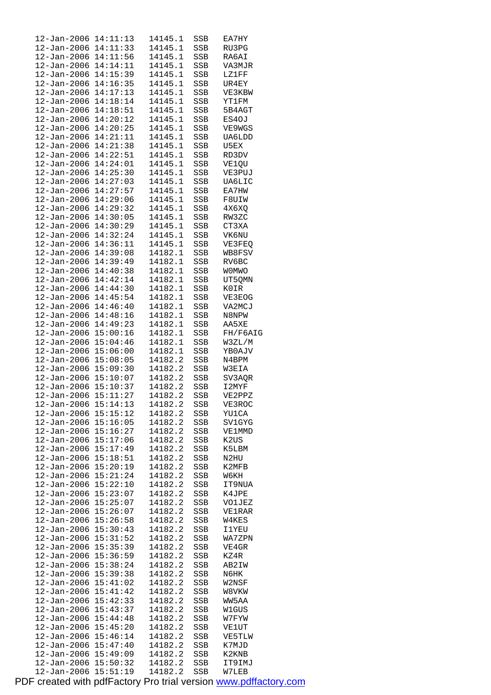| $12 - Jan - 2006$                | 14:11:13             | 14145.1            | SSB        | EA7HY           |
|----------------------------------|----------------------|--------------------|------------|-----------------|
| 12-Jan-2006                      | 14:11:33             | 14145.1            | SSB        | RU3PG           |
| $12 - Jan - 2006$                | 14:11:56             | 14145.1            | SSB        | RA6AI           |
| $12 - Jan - 2006$                | 14:14:11             | 14145.1            | SSB        | VA3MJR          |
| $12 - Jan - 2006$                | 14:15:39             | 14145.1            | SSB        | LZ1FF           |
| 12-Jan-2006                      | 14:16:35             | 14145.1            | SSB        | UR4EY           |
| 12-Jan-2006                      | 14:17:13             | 14145.1            | SSB        | VE3KBW          |
| $12 - Jan - 2006$                | 14:18:14             | 14145.1            | SSB        | YT1FM           |
| 12-Jan-2006                      | 14:18:51             | 14145.1            | SSB        | 5B4AGT          |
| $12 - Jan - 2006$                | 14:20:12             | 14145.1            | SSB        | ES40J           |
| $12 - Jan - 2006$                | 14:20:25             | 14145.1            | SSB        | VE9WGS          |
| 12-Jan-2006                      | 14:21:11             | 14145.1            | SSB        | UA6LDD          |
| $12 - Jan - 2006$                | 14:21:38             | 14145.1            | SSB        | U5EX            |
| 12-Jan-2006                      | 14:22:51             | 14145.1            | SSB        | RD3DV           |
| $12 - Jan - 2006$                | 14:24:01             | 14145.1            | SSB        | VE1QU           |
| 12-Jan-2006                      | 14:25:30             | 14145.1            | SSB        | VE3PUJ          |
| 12-Jan-2006                      | 14:27:03             | 14145.1            | SSB        | UA6LIC          |
| $12 - Jan - 2006$                | 14:27:57             | 14145.1            | SSB        | EA7HW           |
| 12-Jan-2006                      | 14:29:06             | 14145.1            | SSB        | F8UIW           |
| $12 - Jan - 2006$                | 14:29:32             | 14145.1            | SSB        | 4X6XQ           |
| 12-Jan-2006                      | 14:30:05             | 14145.1            | SSB        | RW3ZC           |
| 12-Jan-2006                      | 14:30:29             | 14145.1            | SSB        | CT3XA           |
| $12 - Jan - 2006$                | 14:32:24             | 14145.1            | SSB        | VK6NU           |
| 12-Jan-2006                      | 14:36:11             | 14145.1            | SSB        | VE3FEQ          |
| $12 - Jan - 2006$                | 14:39:08             | 14182.1            | SSB        | WB8FSV          |
| $12 - Jan - 2006$                | 14:39:49             | 14182.1            | SSB        | RV6BC           |
| 12-Jan-2006                      | 14:40:38             | 14182.1            | SSB        | <b>WOMWO</b>    |
| $12 - Jan - 2006$                | 14:42:14             | 14182.1            | SSB        | UT5QMN          |
| 12-Jan-2006                      | 14:44:30             | 14182.1            | SSB        | K0IR            |
| $12 - Jan - 2006$                | 14:45:54             | 14182.1            | SSB        | VE3EOG          |
| $12 - Jan - 2006$                | 14:46:40             | 14182.1            | SSB        | VA2MCJ          |
| 12-Jan-2006                      | 14:48:16             | 14182.1            | SSB        | N8NPW           |
| $12 - Jan - 2006$                | 14:49:23             | 14182.1            | SSB        | AA5XE           |
| 12-Jan-2006                      | 15:00:16             | 14182.1            | SSB        | FH/F6AIG        |
| 12-Jan-2006                      | 15:04:46             | 14182.1            | SSB        | W3ZL/M          |
| 12-Jan-2006                      | 15:06:00             | 14182.1            | SSB        | YB0AJV          |
| 12-Jan-2006                      | 15:08:05             | 14182.2            | SSB        | N4BPM           |
| $12 - Jan - 2006$                | 15:09:30             | 14182.2            | SSB        | W3EIA           |
|                                  | 15:10:07             | 14182.2            | SSB        | SV3AQR          |
|                                  |                      |                    |            |                 |
| 12-Jan-2006                      |                      |                    |            |                 |
| 12-Jan-2006                      | 15:10:37             | 14182.2            | SSB        | I2MYF           |
| 12-Jan-2006                      | 15:11:27             | 14182.2            | SSB        | VE2PPZ          |
| 12-Jan-2006 15:14:13             |                      | 14182.2            | SSB        | VE3ROC          |
| 12-Jan-2006                      | 15:15:12             | 14182.2            | SSB        | YU1CA           |
| 12-Jan-2006                      | 15:16:05             | 14182.2            | SSB        | SV1GYG          |
| $12 - Jan - 2006$                | 15:16:27             | 14182.2            | SSB        | VE1MMD          |
| $12 - Jan - 2006$                | 15:17:06             | 14182.2            | SSB        | K2US            |
| $12 - Jan - 2006$                | 15:17:49             | 14182.2            | SSB        | K5LBM           |
| $12 - Jan - 2006$                | 15:18:51             | 14182.2            | SSB        | N2HU            |
| 12-Jan-2006                      | 15:20:19             | 14182.2            | SSB        | K2MFB           |
| $12 - Jan - 2006$                | 15:21:24             | 14182.2            | SSB        | W6KH            |
| 12-Jan-2006                      | 15:22:10             | 14182.2            | SSB        | IT9NUA          |
| $12 - Jan - 2006$                | 15:23:07             | 14182.2            | SSB        | K4JPE           |
| 12-Jan-2006                      | 15:25:07             | 14182.2            | SSB        | VO1JEZ          |
| $12 - Jan - 2006$                | 15:26:07             | 14182.2            | SSB        | VE1RAR          |
| 12-Jan-2006                      | 15:26:58             | 14182.2            | SSB        | W4KES           |
| 12-Jan-2006                      | 15:30:43             | 14182.2            | SSB        | 11YEU           |
| $12 - Jan - 2006$                | 15:31:52             | 14182.2            | SSB        | WA7ZPN          |
| $12 - Jan - 2006$                | 15:35:39             | 14182.2            | SSB        | VE4GR           |
| $12 - Jan - 2006$                | 15:36:59             | 14182.2            | SSB        | KZ4R            |
| $12 - Jan - 2006$                | 15:38:24             | 14182.2            | SSB        | AB2IW           |
| 12-Jan-2006                      | 15:39:38             | 14182.2            | SSB        | N6HK            |
| 12-Jan-2006                      | 15:41:02             | 14182.2            | SSB        | W2NSF           |
| 12-Jan-2006                      | 15:41:42             | 14182.2            | SSB        | W8VKW           |
| $12 - Jan - 2006$                | 15:42:33             | 14182.2            | SSB        | WW5AA           |
| 12-Jan-2006                      | 15:43:37             | 14182.2            | SSB        | W1GUS           |
| 12-Jan-2006                      | 15:44:48             | 14182.2            | SSB        | W7FYW           |
| $12 - Jan - 2006$                | 15:45:20             | 14182.2            | SSB        | VE1UT           |
| $12 - Jan - 2006$                | 15:46:14             | 14182.2            | SSB        | VE5TLW          |
| $12 - Jan - 2006$                | 15:47:40             | 14182.2            | SSB        | K7MJD           |
| $12 - Jan - 2006$                | 15:49:09             | 14182.2            | SSB        | K2KNB           |
| 12-Jan-2006<br>$12 - Jan - 2006$ | 15:50:32<br>15:51:19 | 14182.2<br>14182.2 | SSB<br>SSB | IT9IMJ<br>W7LEB |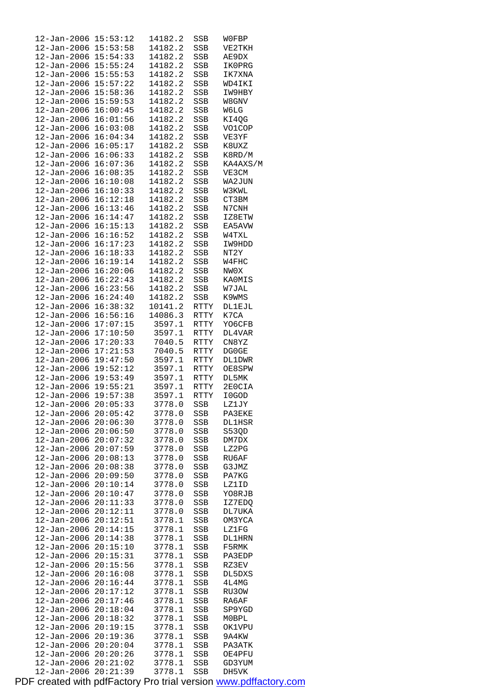| $12 - Jan - 2006$    | 15:53:12 | 14182.2 | SSB         | W0FBP         |
|----------------------|----------|---------|-------------|---------------|
| 12-Jan-2006          | 15:53:58 | 14182.2 | SSB         | VE2TKH        |
| $12 - Jan - 2006$    | 15:54:33 | 14182.2 | SSB         | AE9DX         |
| $12 - Jan - 2006$    | 15:55:24 | 14182.2 | SSB         | IK0PRG        |
| $12 - Jan - 2006$    | 15:55:53 | 14182.2 | SSB         | IK7XNA        |
| $12 - Jan - 2006$    | 15:57:22 | 14182.2 | SSB         | WD4IKI        |
| $12 - Jan - 2006$    | 15:58:36 | 14182.2 | SSB         | IW9HBY        |
| 12-Jan-2006          | 15:59:53 | 14182.2 | SSB         | W8GNV         |
| 12-Jan-2006          | 16:00:45 | 14182.2 | SSB         | W6LG          |
| $12 - Jan - 2006$    | 16:01:56 | 14182.2 | SSB         | KI4QG         |
| $12 - Jan - 2006$    | 16:03:08 | 14182.2 | SSB         | VO1COP        |
| $12 - Jan - 2006$    | 16:04:34 | 14182.2 | SSB         | VE3YF         |
| $12 - Jan - 2006$    | 16:05:17 | 14182.2 |             |               |
|                      |          |         | SSB         | K8UXZ         |
| 12-Jan-2006          | 16:06:33 | 14182.2 | SSB         | K8RD/M        |
| $12 - Jan - 2006$    | 16:07:36 | 14182.2 | SSB         | KA4AXS/M      |
| $12 - Jan - 2006$    | 16:08:35 | 14182.2 | SSB         | VE3CM         |
| $12 - Jan - 2006$    | 16:10:08 | 14182.2 | SSB         | WA2JUN        |
| 12-Jan-2006          | 16:10:33 | 14182.2 | SSB         | W3KWL         |
| $12 - Jan - 2006$    | 16:12:18 | 14182.2 | SSB         | CT3BM         |
| $12 - Jan - 2006$    | 16:13:46 | 14182.2 | SSB         | N7CNH         |
| $12 - Jan - 2006$    | 16:14:47 | 14182.2 | SSB         | IZ8ETW        |
| $12 - Jan - 2006$    | 16:15:13 | 14182.2 | SSB         | EA5AVW        |
| $12 - Jan - 2006$    | 16:16:52 | 14182.2 | SSB         | W4TXL         |
| 12-Jan-2006          | 16:17:23 | 14182.2 | SSB         | IW9HDD        |
| $12 - Jan - 2006$    | 16:18:33 | 14182.2 | SSB         | NT2Y          |
| $12 - Jan - 2006$    | 16:19:14 | 14182.2 | SSB         | W4FHC         |
| $12 - Jan - 2006$    | 16:20:06 | 14182.2 | SSB         | NW0X          |
| 12-Jan-2006          | 16:22:43 | 14182.2 | SSB         | <b>KAOMIS</b> |
| 12-Jan-2006          | 16:23:56 | 14182.2 | SSB         | W7JAL         |
| $12 - Jan - 2006$    | 16:24:40 | 14182.2 | SSB         | K9WMS         |
| $12 - Jan - 2006$    | 16:38:32 | 10141.2 | RTTY        | DL1EJL        |
| $12 - Jan - 2006$    | 16:56:16 | 14086.3 |             | K7CA          |
|                      | 17:07:15 |         | RTTY        |               |
| $12 - Jan - 2006$    |          | 3597.1  | RTTY        | YO6CFB        |
| 12-Jan-2006          | 17:10:50 | 3597.1  | RTTY        | DL4VAR        |
| $12 - Jan - 2006$    | 17:20:33 | 7040.5  | RTTY        | CN8YZ         |
| $12 - Jan - 2006$    | 17:21:53 | 7040.5  | RTTY        | DG0GE         |
| 12-Jan-2006          | 19:47:50 | 3597.1  | RTTY        | <b>DL1DWR</b> |
| $12 - Jan - 2006$    | 19:52:12 | 3597.1  | RTTY        | OE8SPW        |
| 12-Jan-2006 19:53:49 |          | 3597.1  | RTTY        | DL5MK         |
| 12-Jan-2006          | 19:55:21 | 3597.1  | <b>RTTY</b> | 2E0CIA        |
| $12 - Jan - 2006$    | 19:57:38 | 3597.1  | <b>RTTY</b> | I0GOD         |
| 12-Jan-2006 20:05:33 |          | 3778.0  | SSB         | LZ1JY         |
| $12 - Jan - 2006$    | 20:05:42 | 3778.0  | SSB         | PA3EKE        |
| $12 - Jan - 2006$    | 20:06:30 | 3778.0  | SSB         | <b>DL1HSR</b> |
| $12 - Jan - 2006$    | 20:06:50 | 3778.0  | SSB         | S53QD         |
| $12 - Jan - 2006$    | 20:07:32 | 3778.0  | SSB         | DM7DX         |
| $12 - Jan - 2006$    | 20:07:59 | 3778.0  | SSB         | LZ2PG         |
| $12 - Jan - 2006$    | 20:08:13 | 3778.0  | SSB         | RU6AF         |
| 12-Jan-2006          | 20:08:38 | 3778.0  | SSB         | G3JMZ         |
| $12 - Jan - 2006$    | 20:09:50 | 3778.0  | SSB         | PA7KG         |
| 12-Jan-2006          | 20:10:14 | 3778.0  | SSB         | LZ1ID         |
| $12 - Jan - 2006$    | 20:10:47 | 3778.0  | SSB         | YO8RJB        |
| $12 - Jan - 2006$    | 20:11:33 | 3778.0  | SSB         | IZ7EDQ        |
| $12 - Jan - 2006$    | 20:12:11 | 3778.0  | SSB         | DL7UKA        |
| 12-Jan-2006          | 20:12:51 | 3778.1  | SSB         | OM3YCA        |
| 12-Jan-2006          | 20:14:15 | 3778.1  | SSB         | LZ1FG         |
| $12 - Jan - 2006$    | 20:14:38 | 3778.1  | SSB         | DL1HRN        |
| $12 - Jan - 2006$    | 20:15:10 |         |             | F5RMK         |
|                      |          | 3778.1  | SSB         |               |
| $12 - Jan - 2006$    | 20:15:31 | 3778.1  | SSB         | PA3EDP        |
| $12 - Jan - 2006$    | 20:15:56 | 3778.1  | SSB         | RZ3EV         |
| 12-Jan-2006          | 20:16:08 | 3778.1  | SSB         | DL5DXS        |
| 12-Jan-2006          | 20:16:44 | 3778.1  | SSB         | 4L4MG         |
| 12-Jan-2006          | 20:17:12 | 3778.1  | SSB         | RU3OW         |
| 12-Jan-2006          | 20:17:46 | 3778.1  | SSB         | RA6AF         |
| 12-Jan-2006          | 20:18:04 | 3778.1  | SSB         | SP9YGD        |
| 12-Jan-2006          | 20:18:32 | 3778.1  | SSB         | M0BPL         |
| $12 - Jan - 2006$    | 20:19:15 | 3778.1  | SSB         | OK1VPU        |
| $12 - Jan - 2006$    | 20:19:36 | 3778.1  | SSB         | 9A4KW         |
| $12 - Jan - 2006$    | 20:20:04 | 3778.1  | SSB         | PA3ATK        |
| $12 - Jan - 2006$    | 20:20:26 | 3778.1  | SSB         | OE4PFU        |
| 12-Jan-2006          | 20:21:02 | 3778.1  | SSB         | GD3YUM        |
| $12 - Jan - 2006$    | 20:21:39 | 3778.1  | SSB         | DH5VK         |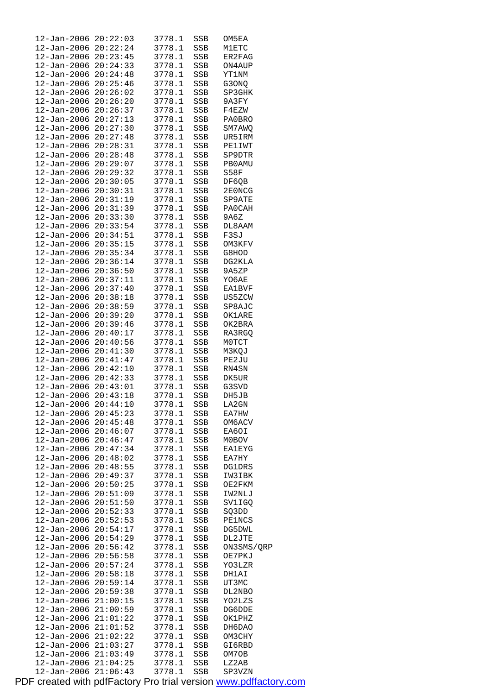| $12 - Jan - 2006$            | 20:22:03 | 3778.1 | SSB | OM5EA         |
|------------------------------|----------|--------|-----|---------------|
| $12 - Jan - 2006$ $20:22:24$ |          | 3778.1 | SSB | M1ETC         |
| $12 - Jan - 2006$ $20:23:45$ |          | 3778.1 | SSB | ER2FAG        |
| $12 - Jan - 2006$ $20:24:33$ |          | 3778.1 | SSB | ON4AUP        |
| $12 - Jan - 2006$ $20:24:48$ |          | 3778.1 | SSB | YT1NM         |
| 12-Jan-2006                  | 20:25:46 | 3778.1 | SSB | G30NO         |
| $12 - Jan - 2006$            | 20:26:02 | 3778.1 | SSB | SP3GHK        |
| $12 - Jan - 2006$            | 20:26:20 | 3778.1 | SSB | 9A3FY         |
| 12-Jan-2006                  | 20:26:37 | 3778.1 | SSB | F4EZW         |
| $12 - Jan - 2006$            | 20:27:13 | 3778.1 | SSB | PA0BRO        |
| $12 - Jan - 2006$            | 20:27:30 | 3778.1 | SSB | SM7AWQ        |
| 12-Jan-2006 20:27:48         |          | 3778.1 | SSB | UR5IRM        |
| $12 - Jan - 2006$            | 20:28:31 | 3778.1 | SSB | PE1IWT        |
| 12-Jan-2006 20:28:48         |          | 3778.1 | SSB | SP9DTR        |
| 12-Jan-2006 20:29:07         |          | 3778.1 | SSB | PB0AMU        |
| 12-Jan-2006                  | 20:29:32 | 3778.1 | SSB | S58F          |
| 12-Jan-2006 20:30:05         |          | 3778.1 | SSB | DF6QB         |
| $12 - Jan - 2006$            | 20:30:31 | 3778.1 | SSB | 2E0NCG        |
| 12-Jan-2006 20:31:19         |          | 3778.1 | SSB | SP9ATE        |
| $12 - Jan - 2006$ $20:31:39$ |          | 3778.1 | SSB | PA0CAH        |
|                              | 20:33:30 | 3778.1 |     |               |
| 12-Jan-2006                  |          |        | SSB | 9A6Z          |
| 12-Jan-2006 20:33:54         |          | 3778.1 | SSB | DL8AAM        |
| $12 - Jan - 2006$            | 20:34:51 | 3778.1 | SSB | F3SJ          |
| 12-Jan-2006 20:35:15         |          | 3778.1 | SSB | OM3KFV        |
| 12-Jan-2006 20:35:34         |          | 3778.1 | SSB | G8HOD         |
| 12-Jan-2006                  | 20:36:14 | 3778.1 | SSB | DG2KLA        |
| 12-Jan-2006 20:36:50         |          | 3778.1 | SSB | 9A5ZP         |
| $12 - Jan - 2006$            | 20:37:11 | 3778.1 | SSB | YO6AE         |
| 12-Jan-2006                  | 20:37:40 | 3778.1 | SSB | EA1BVF        |
| 12-Jan-2006                  | 20:38:18 | 3778.1 | SSB | US5ZCW        |
| $12 - Jan - 2006$            | 20:38:59 | 3778.1 | SSB | SP8AJC        |
| $12 - Jan - 2006$            | 20:39:20 | 3778.1 | SSB | OK1ARE        |
| $12 - Jan - 2006$            | 20:39:46 | 3778.1 | SSB | OK2BRA        |
| 12-Jan-2006 20:40:17         |          | 3778.1 | SSB | RA3RGQ        |
| 12-Jan-2006 20:40:56         |          | 3778.1 | SSB | MOTCT         |
| 12-Jan-2006                  | 20:41:30 | 3778.1 | SSB | M3KQJ         |
| 12-Jan-2006 20:41:47         |          | 3778.1 | SSB | PE2JU         |
| $12 - Jan - 2006$            | 20:42:10 | 3778.1 | SSB | RN4SN         |
| 12-Jan-2006 20:42:33         |          | 3778.1 | SSB | DK5UR         |
| 12-Jan-2006 20:43:01         |          | 3778.1 | SSB | G3SVD         |
| 12-Jan-2006                  | 20:43:18 | 3778.1 | SSB | DH5JB         |
| 12-Jan-2006                  | 20:44:10 | 3778.1 | SSB | LA2GN         |
| 12-Jan-2006                  | 20:45:23 | 3778.1 | SSB | EA7HW         |
| $12 - Jan - 2006$            | 20:45:48 | 3778.1 | SSB | OM6ACV        |
| 12-Jan-2006                  | 20:46:07 | 3778.1 | SSB | EA6OI         |
| 12-Jan-2006                  | 20:46:47 | 3778.1 | SSB | M0BOV         |
| $12 - Jan - 2006$            | 20:47:34 | 3778.1 | SSB | <b>EA1EYG</b> |
| $12 - Jan - 2006$            | 20:48:02 | 3778.1 | SSB | EA7HY         |
| 12-Jan-2006                  | 20:48:55 | 3778.1 | SSB | DG1DRS        |
| 12-Jan-2006                  | 20:49:37 | 3778.1 | SSB | IW3IBK        |
| $12 - Jan - 2006$            | 20:50:25 | 3778.1 | SSB | OE2FKM        |
| 12-Jan-2006                  | 20:51:09 | 3778.1 | SSB | IW2NLJ        |
| 12-Jan-2006                  | 20:51:50 | 3778.1 | SSB | SV1IGQ        |
| $12 - Jan - 2006$            | 20:52:33 | 3778.1 | SSB | SQ3DD         |
| 12-Jan-2006                  | 20:52:53 | 3778.1 | SSB | <b>PE1NCS</b> |
| 12-Jan-2006                  | 20:54:17 | 3778.1 | SSB | DG5DWL        |
| 12-Jan-2006                  | 20:54:29 | 3778.1 | SSB | DL2JTE        |
| $12 - Jan - 2006$            | 20:56:42 | 3778.1 | SSB | ON3SMS/QRP    |
| $12 - Jan - 2006$            | 20:56:58 | 3778.1 | SSB | OE7PKJ        |
| 12-Jan-2006                  | 20:57:24 | 3778.1 | SSB | YO3LZR        |
| 12-Jan-2006                  | 20:58:18 | 3778.1 | SSB | DH1AI         |
| 12-Jan-2006                  | 20:59:14 | 3778.1 | SSB | UT3MC         |
| 12-Jan-2006                  | 20:59:38 | 3778.1 | SSB | DL2NBO        |
| $12 - Jan - 2006$            | 21:00:15 | 3778.1 | SSB | YO2LZS        |
| 12-Jan-2006                  | 21:00:59 | 3778.1 | SSB | DG6DDE        |
| 12-Jan-2006                  | 21:01:22 | 3778.1 | SSB | OK1PHZ        |
| $12 - Jan - 2006$            | 21:01:52 | 3778.1 | SSB | DH6DAO        |
| $12 - Jan - 2006$            | 21:02:22 | 3778.1 | SSB | OM3CHY        |
| $12 - Jan - 2006$            | 21:03:27 | 3778.1 | SSB | GI6RBD        |
| $12 - Jan - 2006$ $21:03:49$ |          | 3778.1 | SSB | OM7OB         |
| 12-Jan-2006                  | 21:04:25 | 3778.1 | SSB | LZ2AB         |
| $12 - Jan - 2006$            | 21:06:43 | 3778.1 | SSB | SP3VZN        |
|                              |          |        |     |               |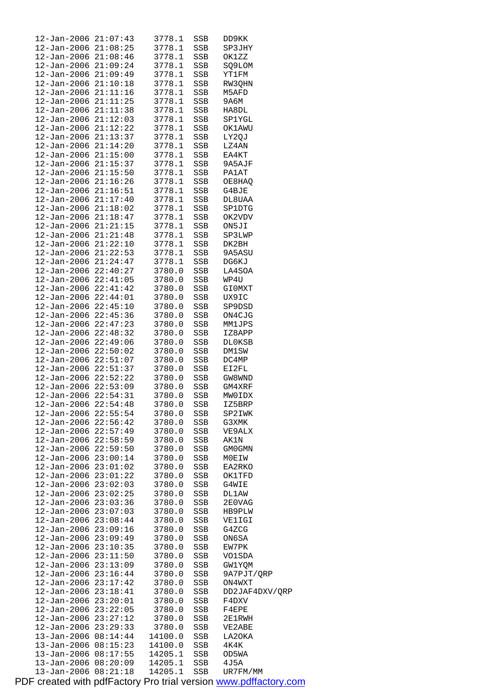| 12-Jan-2006 21:07:43         |          | 3778.1  | SSB | DD9KK          |
|------------------------------|----------|---------|-----|----------------|
|                              |          |         |     |                |
| 12-Jan-2006 21:08:25         |          | 3778.1  | SSB | SP3JHY         |
| 12-Jan-2006 21:08:46         |          | 3778.1  | SSB | OK1ZZ          |
| 12-Jan-2006 21:09:24         |          | 3778.1  | SSB | SQ9LOM         |
| 12-Jan-2006 21:09:49         |          | 3778.1  | SSB | YT1FM          |
| 12-Jan-2006 21:10:18         |          | 3778.1  | SSB | RW3QHN         |
|                              |          |         |     |                |
| $12 - Jan - 2006$ $21:11:16$ |          | 3778.1  | SSB | M5AFD          |
| 12-Jan-2006 21:11:25         |          | 3778.1  | SSB | 9А6М           |
| 12-Jan-2006 21:11:38         |          | 3778.1  | SSB | HA8DL          |
| 12-Jan-2006 21:12:03         |          | 3778.1  | SSB | SP1YGL         |
| 12-Jan-2006 21:12:22         |          | 3778.1  | SSB | OK1AWU         |
| 12-Jan-2006 21:13:37         |          | 3778.1  | SSB | LY2QJ          |
|                              |          |         |     |                |
| 12-Jan-2006 21:14:20         |          | 3778.1  | SSB | LZ4AN          |
| 12-Jan-2006 21:15:00         |          | 3778.1  | SSB | EA4KT          |
| 12-Jan-2006 21:15:37         |          | 3778.1  | SSB | 9A5AJF         |
| 12-Jan-2006 21:15:50         |          | 3778.1  | SSB | <b>PA1AT</b>   |
| 12-Jan-2006 21:16:26         |          | 3778.1  | SSB | OE8HAQ         |
| 12-Jan-2006 21:16:51         |          | 3778.1  | SSB | G4BJE          |
| 12-Jan-2006 21:17:40         |          | 3778.1  |     |                |
|                              |          |         | SSB | DL8UAA         |
| 12-Jan-2006 21:18:02         |          | 3778.1  | SSB | SP1DTG         |
| 12-Jan-2006 21:18:47         |          | 3778.1  | SSB | OK2VDV         |
| $12 - Jan - 2006$ $21:21:15$ |          | 3778.1  | SSB | ON5JI          |
| 12-Jan-2006 21:21:48         |          | 3778.1  | SSB | SP3LWP         |
| 12-Jan-2006 21:22:10         |          | 3778.1  | SSB | DK2BH          |
|                              |          | 3778.1  |     |                |
| 12-Jan-2006 21:22:53         |          |         | SSB | 9A5ASU         |
| 12-Jan-2006 21:24:47         |          | 3778.1  | SSB | DG6KJ          |
| 12-Jan-2006 22:40:27         |          | 3780.0  | SSB | LA4SOA         |
| 12-Jan-2006 22:41:05         |          | 3780.0  | SSB | WP4U           |
| 12-Jan-2006 22:41:42         |          | 3780.0  | SSB | GI0MXT         |
| $12 - Jan - 2006$ $22:44:01$ |          | 3780.0  | SSB | UX9IC          |
|                              |          |         |     |                |
| $12 - Jan - 2006$ $22:45:10$ |          | 3780.0  | SSB | SP9DSD         |
| 12-Jan-2006 22:45:36         |          | 3780.0  | SSB | ON4CJG         |
| 12-Jan-2006 22:47:23         |          | 3780.0  | SSB | MM1JPS         |
| 12-Jan-2006 22:48:32         |          | 3780.0  | SSB | IZ8APP         |
| 12-Jan-2006 22:49:06         |          | 3780.0  | SSB | DL0KSB         |
| $12 - Jan - 2006$ $22:50:02$ |          | 3780.0  | SSB | DM1SW          |
|                              |          |         |     |                |
| 12-Jan-2006 22:51:07         |          | 3780.0  | SSB | DC4MP          |
| 12-Jan-2006 22:51:37         |          | 3780.0  | SSB | EI2FL          |
| $12 - Jan - 2006$ $22:52:22$ |          | 3780.0  | SSB | GW8WND         |
| 12-Jan-2006 22:53:09         |          | 3780.0  | SSB | GM4XRF         |
| 12-Jan-2006 22:54:31         |          | 3780.0  | SSB | MW0IDX         |
| 12-Jan-2006 22:54:48         |          | 3780.0  |     |                |
|                              |          |         | SSB | IZ5BRP         |
| 12-Jan-2006 22:55:54         |          | 3780.0  | SSB | SP2IWK         |
| $12 - Jan - 2006$ $22:56:42$ |          | 3780.0  | SSB | G3XMK          |
| 12-Jan-2006 22:57:49         |          | 3780.0  | SSB | VE9ALX         |
| 12-Jan-2006 22:58:59         |          | 3780.0  | SSB | AK1N           |
| 12-Jan-2006 22:59:50         |          | 3780.0  | SSB | GM0GMN         |
| 12-Jan-2006 23:00:14         |          | 3780.0  | SSB | MOEIW          |
|                              |          |         |     |                |
| 12-Jan-2006                  | 23:01:02 | 3780.0  | SSB | EA2RKO         |
| $12 - Jan - 2006$ $23:01:22$ |          | 3780.0  | SSB | OK1TFD         |
| $12 - Jan - 2006$ $23:02:03$ |          | 3780.0  | SSB | G4WIE          |
| $12 - Jan - 2006$ $23:02:25$ |          | 3780.0  | SSB | DL1AW          |
| 12-Jan-2006 23:03:36         |          | 3780.0  | SSB | 2E0VAG         |
| $12 - Jan - 2006$ $23:07:03$ |          | 3780.0  | SSB | HB9PLW         |
|                              |          |         |     |                |
| $12 - Jan - 2006$ $23:08:44$ |          | 3780.0  | SSB | VE1IGI         |
| 12-Jan-2006 23:09:16         |          | 3780.0  | SSB | G4ZCG          |
| 12-Jan-2006 23:09:49         |          | 3780.0  | SSB | ON6SA          |
| 12-Jan-2006 23:10:35         |          | 3780.0  | SSB | EW7PK          |
| $12 - Jan - 2006$ $23:11:50$ |          | 3780.0  | SSB | VO1SDA         |
| $12 - Jan - 2006$ $23:13:09$ |          | 3780.0  | SSB | GW1YQM         |
|                              |          |         |     |                |
| $12 - Jan - 2006$ $23:16:44$ |          | 3780.0  | SSB | 9A7PJT/QRP     |
| $12 - Jan - 2006$ $23:17:42$ |          | 3780.0  | SSB | ON4WXT         |
| $12 - Jan - 2006$ $23:18:41$ |          | 3780.0  | SSB | DD2JAF4DXV/QRP |
| 12-Jan-2006                  | 23:20:01 | 3780.0  | SSB | F4DXV          |
| $12 - Jan - 2006$ $23:22:05$ |          | 3780.0  | SSB | F4EPE          |
| $12 - Jan - 2006$ $23:27:12$ |          | 3780.0  | SSB | 2E1RWH         |
|                              |          |         |     |                |
| $12 - Jan - 2006$ $23:29:33$ |          | 3780.0  | SSB | VE2ABE         |
| 13-Jan-2006 08:14:44         |          | 14100.0 | SSB | LA20KA         |
| 13-Jan-2006 08:15:23         |          | 14100.0 | SSB | 4K4K           |
| 13-Jan-2006                  | 08:17:55 | 14205.1 | SSB | OD5WA          |
| 13-Jan-2006                  | 08:20:09 | 14205.1 | SSB | 4J5A           |
| $13 - Jan - 2006$            | 08:21:18 | 14205.1 | SSB | UR7FM/MM       |
|                              |          |         |     |                |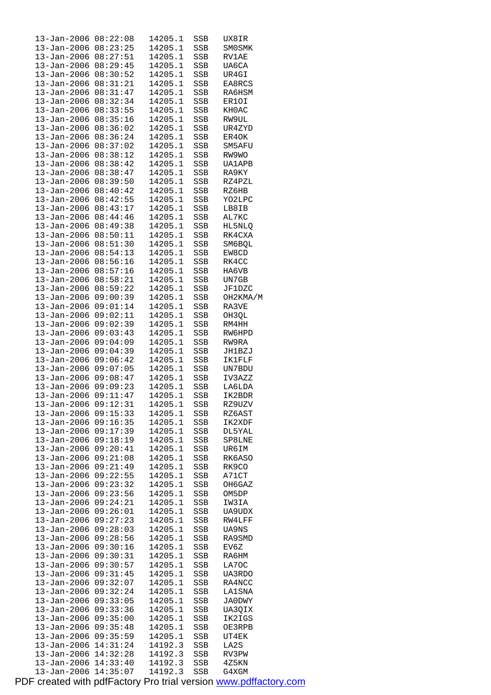| $13 - Jan - 2006$                | 08:22:08             | 14205.1            | SSB        | UX8IR          |  |
|----------------------------------|----------------------|--------------------|------------|----------------|--|
| $13 - Jan - 2006$                | 08:23:25             | 14205.1            | SSB        | SM0SMK         |  |
| $13 - Jan - 2006$                | 08:27:51             | 14205.1            | SSB        | RV1AE          |  |
|                                  | 08:29:45             | 14205.1            |            | UA6CA          |  |
| $13 - Jan - 2006$                |                      |                    | SSB        |                |  |
| $13 - Jan - 2006$                | 08:30:52             | 14205.1            | SSB        | UR4GI          |  |
| $13 - Jan - 2006$                | 08:31:21             | 14205.1            | SSB        | EA8RCS         |  |
| $13 - Jan - 2006$                | 08:31:47             | 14205.1            | SSB        | RA6HSM         |  |
| $13 - Jan - 2006$                | 08:32:34             | 14205.1            | SSB        | ER1OI          |  |
|                                  | 08:33:55             |                    |            |                |  |
| $13 - Jan - 2006$                |                      | 14205.1            | SSB        | KH0AC          |  |
| $13 - Jan - 2006$                | 08:35:16             | 14205.1            | <b>SSB</b> | RW9UL          |  |
| $13 - Jan - 2006$                | 08:36:02             | 14205.1            | SSB        | UR4ZYD         |  |
| $13 - Jan - 2006$                | 08:36:24             | 14205.1            | SSB        | ER4OK          |  |
| $13 - Jan - 2006$                | 08:37:02             | 14205.1            | SSB        | SM5AFU         |  |
|                                  | 08:38:12             |                    |            |                |  |
| $13 - Jan - 2006$                |                      | 14205.1            | SSB        | RW9WO          |  |
| $13 - Jan - 2006$                | 08:38:42             | 14205.1            | SSB        | <b>UA1APB</b>  |  |
| $13 - Jan - 2006$                | 08:38:47             | 14205.1            | SSB        | RA9KY          |  |
| $13 - Jan - 2006$                | 08:39:50             | 14205.1            | SSB        | RZ4PZL         |  |
| $13 - Jan - 2006$                | 08:40:42             | 14205.1            | SSB        | RZ6HB          |  |
| $13 - Jan - 2006$                | 08:42:55             | 14205.1            | SSB        | YO2LPC         |  |
|                                  |                      |                    |            |                |  |
| $13 - Jan - 2006$                | 08:43:17             | 14205.1            | SSB        | LB8IB          |  |
| $13 - Jan - 2006$                | 08:44:46             | 14205.1            | SSB        | AL7KC          |  |
| $13 - Jan - 2006$                | 08:49:38             | 14205.1            | SSB        | HL5NLQ         |  |
| $13 - Jan - 2006$                | 08:50:11             | 14205.1            | SSB        | RK4CXA         |  |
| $13 - Jan - 2006$                | 08:51:30             | 14205.1            | SSB        | SM6BQL         |  |
|                                  |                      |                    |            |                |  |
| $13 - Jan - 2006$                | 08:54:13             | 14205.1            | SSB        | EW8CD          |  |
| $13 - Jan - 2006$                | 08:56:16             | 14205.1            | SSB        | RK4CC          |  |
| $13 - Jan - 2006$                | 08:57:16             | 14205.1            | SSB        | HA6VB          |  |
| $13 - Jan - 2006$                | 08:58:21             | 14205.1            | SSB        | UN7GB          |  |
| $13 - Jan - 2006$                | 08:59:22             | 14205.1            | SSB        | <b>JF1DZC</b>  |  |
| $13 - Jan - 2006$                | 09:00:39             | 14205.1            | SSB        | OH2KMA/M       |  |
|                                  |                      |                    |            |                |  |
| $13 - Jan - 2006$                | 09:01:14             | 14205.1            | SSB        | RA3VE          |  |
| $13 - Jan - 2006$                | 09:02:11             | 14205.1            | SSB        | OH3QL          |  |
| $13 - Jan - 2006$                | 09:02:39             | 14205.1            | SSB        | RM4HH          |  |
| $13 - Jan - 2006$                | 09:03:43             | 14205.1            | SSB        | RW6HPD         |  |
| $13 - Jan - 2006$                | 09:04:09             | 14205.1            | SSB        | RW9RA          |  |
| $13 - Jan - 2006$                | 09:04:39             | 14205.1            | SSB        | JH1BZJ         |  |
|                                  | 09:06:42             | 14205.1            |            |                |  |
| $13 - Jan - 2006$                |                      |                    | SSB        | IK1FLF         |  |
| $13 - Jan - 2006$                | 09:07:05             | 14205.1            | SSB        | UN7BDU         |  |
| $13 - Jan - 2006$                | 09:08:47             | 14205.1            | SSB        | IV3AZZ         |  |
| $13 - Jan - 2006$                | 09:09:23             | 14205.1            | SSB        | LA6LDA         |  |
| $13 - Jan - 2006$                | 09:11:47             | 14205.1            | SSB        | IK2BDR         |  |
| $13 - Jan - 2006$                | 09:12:31             | 14205.1            | SSB        | RZ9UZV         |  |
| 13-Jan-2006                      | 09:15:33             | 14205.1            | SSB        | RZ6AST         |  |
|                                  | 09:16:35             |                    |            |                |  |
| $13 - Jan - 2006$                |                      | 14205.1            | SSB        | IK2XDF         |  |
| 13-Jan-2006                      | 09:17:39             | 14205.1            | SSB        | DL5YAL         |  |
| $13 - Jan - 2006$                | 09:18:19             | 14205.1            | SSB        | SP8LNE         |  |
| 13-Jan-2006                      | 09:20:41             | 14205.1            | SSB        | UR6IM          |  |
| $13 - Jan - 2006$                | 09:21:08             | 14205.1            | SSB        | RK6ASO         |  |
| $13 - Jan - 2006$                | 09:21:49             | 14205.1            | SSB        | RK9CO          |  |
| 13-Jan-2006                      | 09:22:55             | 14205.1            | SSB        | A71CT          |  |
|                                  |                      |                    |            |                |  |
| $13 - Jan - 2006$                | 09:23:32             | 14205.1            | SSB        | OH6GAZ         |  |
| $13 - Jan - 2006$                | 09:23:56             | 14205.1            | SSB        | OM5DP          |  |
| 13-Jan-2006                      | 09:24:21             | 14205.1            | SSB        | IW3IA          |  |
| $13 - Jan - 2006$                | 09:26:01             | 14205.1            | SSB        | UA9UDX         |  |
| 13-Jan-2006                      | 09:27:23             | 14205.1            | SSB        | RW4LFF         |  |
| $13 - Jan - 2006$                | 09:28:03             | 14205.1            | SSB        | UA9NS          |  |
| 13-Jan-2006                      | 09:28:56             | 14205.1            |            | RA9SMD         |  |
|                                  |                      |                    | SSB        |                |  |
| 13-Jan-2006                      | 09:30:16             | 14205.1            | SSB        | EV6Z           |  |
| $13 - Jan - 2006$                | 09:30:31             | 14205.1            | SSB        | RA6HM          |  |
| $13 - Jan - 2006$                | 09:30:57             | 14205.1            | SSB        | LA70C          |  |
| $13 - Jan - 2006$                | 09:31:45             | 14205.1            | SSB        | UA3RDO         |  |
| $13 - Jan - 2006$                | 09:32:07             | 14205.1            | SSB        | RA4NCC         |  |
| 13-Jan-2006                      | 09:32:24             | 14205.1            | SSB        | LA1SNA         |  |
|                                  |                      |                    |            |                |  |
| $13 - Jan - 2006$                | 09:33:05             | 14205.1            | SSB        | <b>JA0DWY</b>  |  |
| 13-Jan-2006                      | 09:33:36             | 14205.1            | SSB        | UA3QIX         |  |
| $13 - Jan - 2006$                | 09:35:00             | 14205.1            | SSB        | IK2IGS         |  |
| 13-Jan-2006                      | 09:35:48             | 14205.1            | SSB        | OE3RPB         |  |
| 13-Jan-2006                      |                      |                    |            |                |  |
|                                  |                      |                    |            |                |  |
|                                  | 09:35:59             | 14205.1            | SSB        | UT4EK          |  |
| $13 - Jan - 2006$                | 14:31:24             | 14192.3            | SSB        | LA2S           |  |
| $13 - Jan - 2006$                | 14:32:28             | 14192.3            | SSB        | RV3PW          |  |
| $13 - Jan - 2006$<br>13-Jan-2006 | 14:33:40<br>14:35:07 | 14192.3<br>14192.3 | SSB<br>SSB | 4Z5KN<br>G4XGM |  |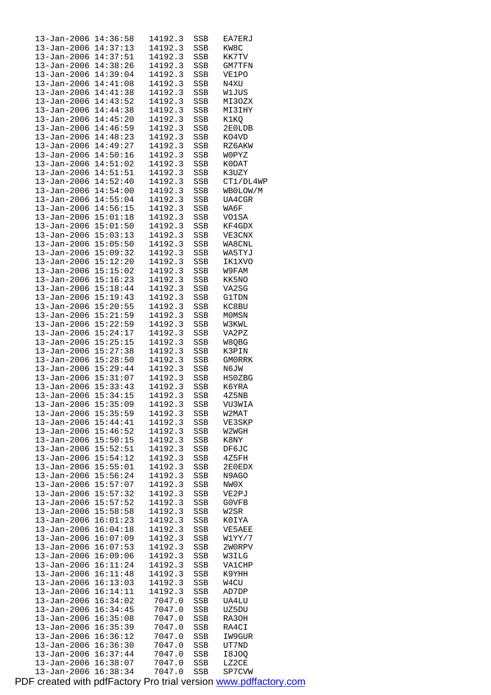| 13-Jan-2006 14:36:58                         |                      | 14192.3 | SSB | EA7ERJ         |
|----------------------------------------------|----------------------|---------|-----|----------------|
| 13-Jan-2006 14:37:13                         |                      | 14192.3 | SSB | KW8C           |
| 13-Jan-2006 14:37:51                         |                      | 14192.3 | SSB | KK7TV          |
| 13-Jan-2006 14:38:26                         |                      | 14192.3 | SSB | GM7TFN         |
| 13-Jan-2006 14:39:04                         |                      | 14192.3 | SSB | VE1PO          |
| 13-Jan-2006 14:41:08                         |                      | 14192.3 | SSB | N4XU           |
| 13-Jan-2006                                  | 14:41:38             | 14192.3 | SSB | W1JUS          |
| $13 - Jan - 2006$                            | 14:43:52             | 14192.3 | SSB | MI3OZX         |
| 13-Jan-2006 14:44:38                         |                      | 14192.3 | SSB | MI3IHY         |
| 13-Jan-2006                                  | 14:45:20             | 14192.3 | SSB | K1KQ           |
| $13 - Jan - 2006$                            | 14:46:59             | 14192.3 | SSB | 2E0LDB         |
| $13 - Jan - 2006$                            | 14:48:23             | 14192.3 | SSB | KO4VD          |
| $13 - Jan - 2006$                            | 14:49:27             | 14192.3 | SSB | RZ6AKW         |
| 13-Jan-2006 14:50:16                         |                      | 14192.3 | SSB | WOPYZ          |
| $13 - Jan - 2006$ $14:51:02$                 |                      | 14192.3 | SSB | K0DAT          |
| $13 - Jan - 2006$ $14:51:51$                 |                      | 14192.3 | SSB | K3UZY          |
| 13-Jan-2006 14:52:40                         |                      | 14192.3 | SSB | CT1/DL4WP      |
| 13-Jan-2006 14:54:00                         |                      | 14192.3 | SSB | WB0LOW/M       |
| $13 - Jan - 2006$ $14:55:04$                 |                      | 14192.3 |     |                |
|                                              |                      |         | SSB | UA4CGR<br>WA6F |
| 13-Jan-2006 14:56:15<br>13-Jan-2006 15:01:18 |                      | 14192.3 | SSB |                |
|                                              |                      | 14192.3 | SSB | VO1SA          |
| $13 - Jan - 2006$ $15:01:50$                 |                      | 14192.3 | SSB | KF4GDX         |
| 13-Jan-2006 15:03:13                         |                      | 14192.3 | SSB | VE3CNX         |
| 13-Jan-2006 15:05:50                         |                      | 14192.3 | SSB | WA8CNL         |
| 13-Jan-2006 15:09:32                         |                      | 14192.3 | SSB | WA5TYJ         |
| $13 - Jan - 2006$ $15:12:20$                 |                      | 14192.3 | SSB | IK1XVO         |
| 13-Jan-2006 15:15:02                         |                      | 14192.3 | SSB | W9FAM          |
| 13-Jan-2006 15:16:23                         |                      | 14192.3 | SSB | KK5NO          |
| $13 - Jan - 2006$ $15:18:44$                 |                      | 14192.3 | SSB | VA2SG          |
| 13-Jan-2006 15:19:43                         |                      | 14192.3 | SSB | <b>G1TDN</b>   |
| 13-Jan-2006 15:20:55                         |                      | 14192.3 | SSB | KC8BU          |
| 13-Jan-2006 15:21:59                         |                      | 14192.3 | SSB | <b>MOMSN</b>   |
| $13 - Jan - 2006$                            | 15:22:59             | 14192.3 | SSB | W3KWL          |
| $13 - Jan - 2006$ $15:24:17$                 |                      | 14192.3 | SSB | VA2PZ          |
| $13 - Jan - 2006$ $15:25:15$                 |                      | 14192.3 | SSB | W8QBG          |
| $13 - Jan - 2006$ $15:27:38$                 |                      | 14192.3 | SSB | K3PIN          |
| 13-Jan-2006 15:28:50                         |                      | 14192.3 | SSB | <b>GMORRK</b>  |
| 13-Jan-2006 15:29:44                         |                      | 14192.3 | SSB | N6JW           |
| $13 - Jan - 2006$ $15:31:07$                 |                      | 14192.3 | SSB | HS0ZBG         |
| 13-Jan-2006 15:33:43                         |                      | 14192.3 | SSB | K6YRA          |
| 13-Jan-2006 15:34:15                         |                      | 14192.3 | SSB | 4Z5NB          |
| 13-Jan-2006 15:35:09                         |                      | 14192.3 | SSB | VU3WIA         |
| 13-Jan-2006 15:35:59                         |                      | 14192.3 | SSB | W2MAT          |
| 13-Jan-2006 15:44:41                         |                      | 14192.3 | SSB | VE3SKP         |
| 13-Jan-2006                                  | 15:46:52             | 14192.3 | SSB | W2WGH          |
| $13 - Jan - 2006$                            | 15:50:15             | 14192.3 | SSB | K8NY           |
| $13 - Jan - 2006$                            | 15:52:51             | 14192.3 | SSB | DF6JC          |
| 13-Jan-2006                                  | 15:54:12             | 14192.3 | SSB | 4Z5FH          |
| 13-Jan-2006                                  | 15:55:01             | 14192.3 | SSB | 2E0EDX         |
| 13-Jan-2006                                  | 15:56:24             | 14192.3 | SSB | N9AGO          |
| $13 - Jan - 2006$                            | 15:57:07             | 14192.3 | SSB | NW0X           |
| 13-Jan-2006                                  | 15:57:32             | 14192.3 | SSB | VE2PJ          |
| $13 - Jan - 2006$                            | 15:57:52             | 14192.3 | SSB | G0VFB          |
| 13-Jan-2006                                  | 15:58:58             | 14192.3 | SSB | W2SR           |
| 13-Jan-2006                                  | 16:01:23             | 14192.3 | SSB | K0IYA          |
| 13-Jan-2006                                  | 16:04:18             | 14192.3 | SSB | VE5AEE         |
| 13-Jan-2006                                  | 16:07:09             | 14192.3 | SSB | W1YY/7         |
| 13-Jan-2006                                  | 16:07:53             | 14192.3 | SSB | 2W0RPV         |
| $13 - Jan - 2006$                            | 16:09:06             | 14192.3 | SSB | W3ILG          |
| 13-Jan-2006                                  | 16:11:24             | 14192.3 | SSB | VA1CHP         |
| 13-Jan-2006                                  | 16:11:48             | 14192.3 |     | K9YHH          |
|                                              | 16:13:03             | 14192.3 | SSB |                |
| 13-Jan-2006<br>$13 - Jan - 2006$             | 16:14:11             | 14192.3 | SSB | W4CU<br>AD7DP  |
|                                              | 16:34:02             | 7047.0  | SSB |                |
| 13-Jan-2006                                  |                      | 7047.0  | SSB | UA4LU          |
| 13-Jan-2006                                  | 16:34:45<br>16:35:08 | 7047.0  | SSB | UZ5DU          |
| 13-Jan-2006                                  |                      |         | SSB | RA3OH          |
| 13-Jan-2006                                  | 16:35:39             | 7047.0  | SSB | RA4CI          |
| $13 - Jan - 2006$                            | 16:36:12             | 7047.0  | SSB | IW9GUR         |
| $13 - Jan - 2006$                            | 16:36:30             | 7047.0  | SSB | UT7ND          |
| 13-Jan-2006                                  | 16:37:44             | 7047.0  | SSB | I8JOQ          |
| 13-Jan-2006                                  | 16:38:07             | 7047.0  | SSB | LZ2CE          |
| $13 - Jan - 2006$                            | 16:38:34             | 7047.0  | SSB | SP7CVW         |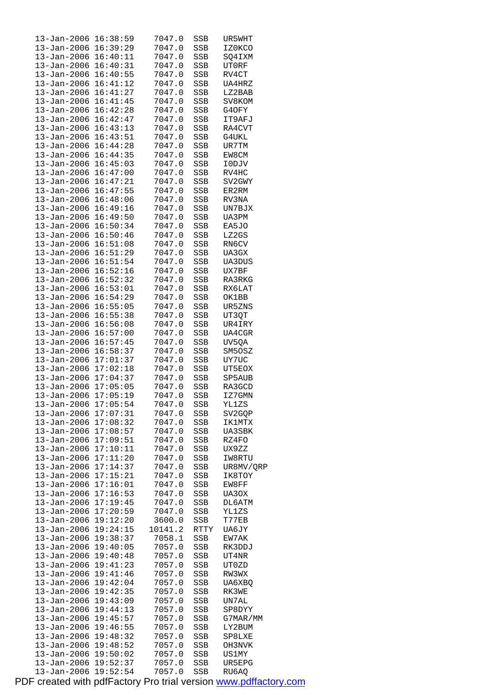| 13-Jan-2006                         | 16:38:59             | 7047.0           | SSB        | UR5WHT           |
|-------------------------------------|----------------------|------------------|------------|------------------|
| $13 - Jan - 2006$                   | 16:39:29             | 7047.0           | SSB        | IZ0KCO           |
| 13-Jan-2006                         | 16:40:11             | 7047.0           | SSB        | SQ4IXM           |
| 13-Jan-2006<br>13-Jan-2006 16:40:55 | 16:40:31             | 7047.0<br>7047.0 | SSB        | UT0RF<br>RV4CT   |
| 13-Jan-2006                         | 16:41:12             | 7047.0           | SSB<br>SSB | UA4HRZ           |
| 13-Jan-2006                         | 16:41:27             | 7047.0           | SSB        | LZ2BAB           |
| 13-Jan-2006                         | 16:41:45             | 7047.0           | SSB        | SV8KOM           |
| 13-Jan-2006                         | 16:42:28             | 7047.0           | SSB        | G4OFY            |
| 13-Jan-2006 16:42:47                |                      | 7047.0           | SSB        | IT9AFJ           |
| 13-Jan-2006                         | 16:43:13             | 7047.0           | SSB        | RA4CVT           |
| 13-Jan-2006                         | 16:43:51             | 7047.0           | SSB        | G4UKL            |
| 13-Jan-2006                         | 16:44:28             | 7047.0           | SSB        | UR7TM            |
| 13-Jan-2006                         | 16:44:35             | 7047.0           | SSB        | EW8CM            |
| 13-Jan-2006 16:45:03                |                      | 7047.0           | SSB        | I0DJV            |
| 13-Jan-2006                         | 16:47:00             | 7047.0           | SSB        | RV4HC            |
| 13-Jan-2006                         | 16:47:21             | 7047.0           | SSB        | SV2GWY           |
| 13-Jan-2006                         | 16:47:55<br>16:48:06 | 7047.0           | SSB        | ER2RM<br>RV3NA   |
| 13-Jan-2006<br>13-Jan-2006 16:49:16 |                      | 7047.0<br>7047.0 | SSB<br>SSB | UN7BJX           |
| 13-Jan-2006                         | 16:49:50             | 7047.0           | SSB        | UA3PM            |
| 13-Jan-2006                         | 16:50:34             | 7047.0           | SSB        | EA5JO            |
| 13-Jan-2006                         | 16:50:46             | 7047.0           | SSB        | LZ2GS            |
| 13-Jan-2006                         | 16:51:08             | 7047.0           | SSB        | RN6CV            |
| 13-Jan-2006 16:51:29                |                      | 7047.0           | SSB        | UA3GX            |
| 13-Jan-2006                         | 16:51:54             | 7047.0           | SSB        | UA3DUS           |
| 13-Jan-2006                         | 16:52:16             | 7047.0           | SSB        | UX7BF            |
| 13-Jan-2006                         | 16:52:32             | 7047.0           | SSB        | RA3RKG           |
| 13-Jan-2006                         | 16:53:01             | 7047.0           | SSB        | RX6LAT           |
| 13-Jan-2006 16:54:29                |                      | 7047.0           | SSB        | OK1BB            |
| 13-Jan-2006                         | 16:55:05             | 7047.0           | SSB        | UR5ZNS           |
| 13-Jan-2006<br>$13 - Jan - 2006$    | 16:55:38             | 7047.0           | SSB        | UT3QT            |
| 13-Jan-2006                         | 16:56:08<br>16:57:00 | 7047.0<br>7047.0 | SSB<br>SSB | UR4IRY<br>UA4CGR |
| 13-Jan-2006 16:57:45                |                      | 7047.0           | SSB        | UV5QA            |
| 13-Jan-2006                         | 16:58:37             | 7047.0           | SSB        | SM5OSZ           |
| 13-Jan-2006                         | 17:01:37             | 7047.0           | SSB        | UY7UC            |
| $13 - Jan - 2006$                   | 17:02:18             | 7047.0           | SSB        | UT5EOX           |
| 13-Jan-2006                         | 17:04:37             | 7047.0           | SSB        | SP5AUB           |
| 13-Jan-2006 17:05:05                |                      | 7047.0           | SSB        | RA3GCD           |
| 13-Jan-2006                         | 17:05:19             | 7047.0           | SSB        | IZ7GMN           |
| 13-Jan-2006 17:05:54                |                      | 7047.0           | SSB        | YL1ZS            |
| 13-Jan-2006 17:07:31                |                      | 7047.0           | SSB        | SV2GQP           |
| 13-Jan-2006                         | 17:08:32             | 7047.0           | SSB        | IK1MTX           |
| 13-Jan-2006 17:08:57                |                      | 7047.0<br>7047.0 | SSB        | UA3SBK           |
| 13-Jan-2006<br>$13 - Jan - 2006$    | 17:09:51<br>17:10:11 | 7047.0           | SSB<br>SSB | RZ4FO<br>UX9ZZ   |
| $13 - Jan - 2006$                   | 17:11:20             | 7047.0           | SSB        | IW8RTU           |
| 13-Jan-2006                         | 17:14:37             | 7047.0           | SSB        | UR8MV/QRP        |
| 13-Jan-2006                         | 17:15:21             | 7047.0           | SSB        | IK8TOY           |
| 13-Jan-2006                         | 17:16:01             | 7047.0           | SSB        | EW8FF            |
| $13 - Jan - 2006$                   | 17:16:53             | 7047.0           | SSB        | UA30X            |
| 13-Jan-2006                         | 17:19:45             | 7047.0           | SSB        | DL6ATM           |
| 13-Jan-2006                         | 17:20:59             | 7047.0           | SSB        | YL1ZS            |
| 13-Jan-2006                         | 19:12:20             | 3600.0           | SSB        | T77EB            |
| 13-Jan-2006                         | 19:24:15             | 10141.2          | RTTY       | UA6JY            |
| 13-Jan-2006                         | 19:38:37             | 7058.1           | SSB        | EW7AK            |
| 13-Jan-2006<br>$13 - Jan - 2006$    | 19:40:05<br>19:40:48 | 7057.0<br>7057.0 | SSB        | RK3DDJ<br>UT4NR  |
| 13-Jan-2006                         | 19:41:23             | 7057.0           | SSB<br>SSB | UT0ZD            |
| 13-Jan-2006                         | 19:41:46             | 7057.0           | SSB        | RW3WX            |
| $13 - Jan - 2006$                   | 19:42:04             | 7057.0           | SSB        | UA6XBQ           |
| 13-Jan-2006                         | 19:42:35             | 7057.0           | SSB        | RK3WE            |
| 13-Jan-2006                         | 19:43:09             | 7057.0           | SSB        | UN7AL            |
| 13-Jan-2006                         | 19:44:13             | 7057.0           | SSB        | SP8DYY           |
| 13-Jan-2006                         | 19:45:57             | 7057.0           | SSB        | G7MAR/MM         |
| $13 - Jan - 2006$                   | 19:46:55             | 7057.0           | SSB        | LY2BUM           |
| $13 - Jan - 2006$                   | 19:48:32             | 7057.0           | SSB        | SP8LXE           |
| $13 - Jan - 2006$                   | 19:48:52             | 7057.0           | SSB        | OH3NVK           |
| 13-Jan-2006 19:50:02                |                      | 7057.0           | SSB        | US1MY            |
| 13-Jan-2006<br>$13 - Jan - 2006$    | 19:52:37<br>19:52:54 | 7057.0<br>7057.0 | SSB<br>SSB | UR5EPG<br>RU6AQ  |
|                                     |                      |                  |            |                  |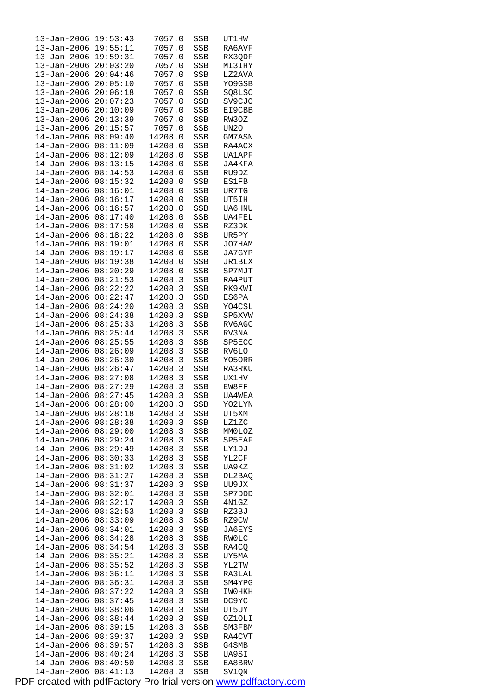| 13-Jan-2006                      | 19:53:43             | 7057.0             | SSB               | UT1HW            |
|----------------------------------|----------------------|--------------------|-------------------|------------------|
| $13 - Jan - 2006$                | 19:55:11             | 7057.0             | SSB               | RA6AVF           |
| $13 - Jan - 2006$                | 19:59:31             | 7057.0             | SSB               | RX3QDF           |
| $13 - Jan - 2006$                | 20:03:20             | 7057.0             | SSB               | MI3IHY           |
| $13 - Jan - 2006$                | 20:04:46             | 7057.0             | SSB               | LZ2AVA           |
| $13 - Jan - 2006$                | 20:05:10             | 7057.0             | <b>SSB</b>        | YO9GSB           |
| $13 - Jan - 2006$                | 20:06:18             | 7057.0             | SSB               | SQ8LSC           |
| 13-Jan-2006                      | 20:07:23             | 7057.0             | SSB               | SV9CJO           |
| 13-Jan-2006                      | 20:10:09             | 7057.0             | SSB               | EI9CBB           |
| 13-Jan-2006                      | 20:13:39             | 7057.0             | SSB               | RW3OZ            |
| $13 - Jan - 2006$                | 20:15:57             | 7057.0             | SSB               | UN <sub>20</sub> |
| $14 - Jan - 2006$                | 08:09:40             | 14208.0            | SSB               | GM7ASN           |
| 14-Jan-2006                      | 08:11:09             | 14208.0            | SSB               | RA4ACX           |
| $14 - Jan - 2006$                | 08:12:09             | 14208.0            | SSB               | <b>UA1APF</b>    |
| $14 - Jan - 2006$                | 08:13:15             | 14208.0            | SSB               | JA4KFA           |
| $14 - Jan - 2006$                | 08:14:53             | 14208.0            | SSB               | RU9DZ            |
|                                  |                      |                    |                   |                  |
| $14 - Jan - 2006$                | 08:15:32             | 14208.0            | SSB               | <b>ES1FB</b>     |
| 14-Jan-2006                      | 08:16:01             | 14208.0            | SSB               | UR7TG            |
| 14-Jan-2006                      | 08:16:17             | 14208.0            | SSB               | UT5IH            |
| $14 - Jan - 2006$                | 08:16:57             | 14208.0            | SSB               | <b>UA6HNU</b>    |
| $14 - Jan - 2006$                | 08:17:40             | 14208.0            | SSB               | <b>UA4FEL</b>    |
| $14 - Jan - 2006$                | 08:17:58             | 14208.0            | <b>SSB</b>        | RZ3DK            |
| 14-Jan-2006                      | 08:18:22             | 14208.0            | SSB               | UR5PY            |
| $14 - Jan - 2006$                | 08:19:01             | 14208.0            | SSB               | JO7HAM           |
| $14 - Jan - 2006$                | 08:19:17             | 14208.0            | SSB               | JA7GYP           |
| $14 - Jan - 2006$                | 08:19:38             | 14208.0            | SSB               | <b>JR1BLX</b>    |
| $14 - Jan - 2006$                | 08:20:29             | 14208.0            | SSB               | SP7MJT           |
| 14-Jan-2006                      | 08:21:53             | 14208.3            | SSB               | RA4PUT           |
| 14-Jan-2006                      | 08:22:22             | 14208.3            | SSB               | RK9KWI           |
| 14-Jan-2006                      | 08:22:47             | 14208.3            | SSB               | ES6PA            |
| $14 - Jan - 2006$                | 08:24:20             | 14208.3            | SSB               | YO4CSL           |
| $14 - Jan - 2006$                | 08:24:38             | 14208.3            | SSB               | SP5XVW           |
| $14 - Jan - 2006$                | 08:25:33             | 14208.3            | SSB               | RV6AGC           |
| 14-Jan-2006                      | 08:25:44             | 14208.3            | SSB               | RV3NA            |
| 14-Jan-2006                      | 08:25:55             | 14208.3            | SSB               | SP5ECC           |
| $14 - Jan - 2006$                | 08:26:09             | 14208.3            | SSB               | RV6LO            |
| $14 - Jan - 2006$                | 08:26:30             | 14208.3            | <b>SSB</b>        | YO5ORR           |
| $14 - Jan - 2006$                | 08:26:47             | 14208.3            | SSB               | RA3RKU           |
| 14-Jan-2006                      | 08:27:08             | 14208.3            | SSB               | UX1HV            |
| 14-Jan-2006                      | 08:27:29             | 14208.3            | SSB               | EW8FF            |
| $14 - Jan - 2006$                | 08:27:45             | 14208.3            | <b>SSB</b>        | UA4WEA           |
| 14-Jan-2006 08:28:00             |                      | 14208.3            | SSB               | YO2LYN           |
| 14-Jan-2006                      | 08:28:18             | 14208.3            | SSB               | UT5XM            |
| $14 - Jan - 2006$                | 08:28:38             | 14208.3            | SSB               | LZ1ZC            |
| 14-Jan-2006                      | 08:29:00             | 14208.3            | SSB               | MMOLOZ           |
| 14-Jan-2006                      | 08:29:24             | 14208.3            | SSB               | SP5EAF           |
| $14 - Jan - 2006$                | 08:29:49             | 14208.3            | SSB               | LY1DJ            |
| 14-Jan-2006                      | 08:30:33             | 14208.3            | SSB               | YL2CF            |
| $14 - Jan - 2006$                | 08:31:02             | 14208.3            | SSB               | UA9KZ            |
| 14-Jan-2006                      | 08:31:27             | 14208.3            | SSB               | DL2BAQ           |
| 14-Jan-2006                      | 08:31:37             | 14208.3            | SSB               | UU9JX            |
| 14-Jan-2006                      | 08:32:01             | 14208.3            | SSB               | SP7DDD           |
| 14-Jan-2006                      | 08:32:17             | 14208.3            | <b>SSB</b>        | 4N1GZ            |
|                                  | 08:32:53             |                    |                   | RZ3BJ            |
| $14 - Jan - 2006$                | 08:33:09             | 14208.3            | SSB               |                  |
| 14-Jan-2006                      |                      | 14208.3            | SSB               | RZ9CW            |
| 14-Jan-2006                      | 08:34:01             | 14208.3            | SSB               | JA6EYS           |
| 14-Jan-2006                      | 08:34:28             | 14208.3            | SSB               | RW0LC            |
| 14-Jan-2006                      | 08:34:54             | 14208.3            | SSB               | RA4CQ            |
| $14 - Jan - 2006$                | 08:35:21             | 14208.3            | SSB               | UY5MA            |
| 14-Jan-2006                      |                      |                    |                   |                  |
|                                  | 08:35:52             | 14208.3            | SSB               | YL2TW            |
| 14-Jan-2006                      | 08:36:11             | 14208.3            | SSB               | RA3LAL           |
| 14-Jan-2006                      | 08:36:31             | 14208.3            | SSB               | SM4YPG           |
| 14-Jan-2006                      | 08:37:22             | 14208.3            | SSB               | IW0HKH           |
| $14 - Jan - 2006$                | 08:37:45             | 14208.3            | SSB               | DC9YC            |
| 14-Jan-2006                      | 08:38:06             | 14208.3            | SSB               | UT5UY            |
| $14 - Jan - 2006$                | 08:38:44             | 14208.3            | SSB               | OZ1OLI           |
| 14-Jan-2006                      | 08:39:15             | 14208.3            | SSB               | SM3FBM           |
| 14-Jan-2006                      | 08:39:37             | 14208.3            | SSB               | RA4CVT           |
| $14 - Jan - 2006$                | 08:39:57             | 14208.3            | SSB               | G4SMB            |
| 14-Jan-2006                      | 08:40:24             | 14208.3            | SSB               | UA9SI            |
| $14 - Jan - 2006$<br>14-Jan-2006 | 08:40:50<br>08:41:13 | 14208.3<br>14208.3 | SSB<br><b>SSB</b> | EA8BRW<br>SV1QN  |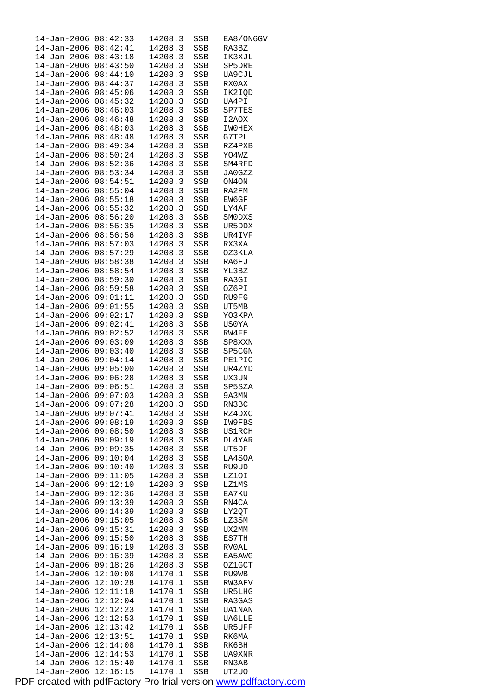| 14-Jan-2006                            | 08:42:33             | 14208.3            | SSB        | EA8/ON6GV               |
|----------------------------------------|----------------------|--------------------|------------|-------------------------|
| $14 - Jan - 2006$<br>$14 - Jan - 2006$ | 08:42:41<br>08:43:18 | 14208.3<br>14208.3 | SSB<br>SSB | RA3BZ<br>IK3XJL         |
| 14-Jan-2006                            | 08:43:50             | 14208.3            | SSB        | SP5DRE                  |
| 14-Jan-2006                            | 08:44:10             | 14208.3            | SSB        | UA9CJL                  |
| $14 - Jan - 2006$                      | 08:44:37             | 14208.3            | SSB        | RX0AX                   |
| $14 - Jan - 2006$                      | 08:45:06             | 14208.3            | SSB        | IK2IQD                  |
| $14 - Jan - 2006$                      | 08:45:32             | 14208.3            | SSB        | UA4PI                   |
| 14-Jan-2006<br>14-Jan-2006             | 08:46:03<br>08:46:48 | 14208.3<br>14208.3 | SSB<br>SSB | SP7TES<br>I2AOX         |
| $14 - Jan - 2006$                      | 08:48:03             | 14208.3            | SSB        | IW0HEX                  |
| 14-Jan-2006                            | 08:48:48             | 14208.3            | SSB        | G7TPL                   |
| 14-Jan-2006                            | 08:49:34             | 14208.3            | SSB        | RZ4PXB                  |
| 14-Jan-2006                            | 08:50:24             | 14208.3            | SSB        | YO4WZ                   |
| 14-Jan-2006<br>14-Jan-2006             | 08:52:36<br>08:53:34 | 14208.3<br>14208.3 | SSB        | SM4RFD<br>JA0GZZ        |
| $14 - Jan - 2006$                      | 08:54:51             | 14208.3            | SSB<br>SSB | ON4ON                   |
| $14 - Jan - 2006$                      | 08:55:04             | 14208.3            | SSB        | RA2FM                   |
| 14-Jan-2006                            | 08:55:18             | 14208.3            | SSB        | EW6GF                   |
| 14-Jan-2006                            | 08:55:32             | 14208.3            | SSB        | LY4AF                   |
| 14-Jan-2006                            | 08:56:20             | 14208.3            | SSB        | SM0DXS                  |
| $14 - Jan - 2006$<br>14-Jan-2006       | 08:56:35<br>08:56:56 | 14208.3<br>14208.3 | SSB<br>SSB | UR5DDX<br>UR4IVF        |
| 14-Jan-2006                            | 08:57:03             | 14208.3            | SSB        | RX3XA                   |
| $14 - Jan - 2006$                      | 08:57:29             | 14208.3            | SSB        | OZ3KLA                  |
| 14-Jan-2006                            | 08:58:38             | 14208.3            | SSB        | RA6FJ                   |
| $14 - Jan - 2006$                      | 08:58:54             | 14208.3            | SSB        | YL3BZ                   |
| $14 - Jan - 2006$                      | 08:59:30             | 14208.3            | SSB        | RA3GI                   |
| 14-Jan-2006<br>14-Jan-2006             | 08:59:58<br>09:01:11 | 14208.3<br>14208.3 | SSB<br>SSB | OZ6PI<br>RU9FG          |
| 14-Jan-2006                            | 09:01:55             | 14208.3            | SSB        | UT5MB                   |
| 14-Jan-2006                            | 09:02:17             | 14208.3            | SSB        | YO3KPA                  |
| 14-Jan-2006                            | 09:02:41             | 14208.3            | SSB        | US0YA                   |
| 14-Jan-2006                            | 09:02:52             | 14208.3            | SSB        | RW4FE                   |
| $14 - Jan - 2006$                      | 09:03:09             | 14208.3            | SSB        | SP8XXN                  |
| 14-Jan-2006<br>$14 - Jan - 2006$       | 09:03:40<br>09:04:14 | 14208.3<br>14208.3 | SSB<br>SSB | SP5CGN<br><b>PE1PIC</b> |
| $14 - Jan - 2006$                      | 09:05:00             | 14208.3            | SSB        | UR4ZYD                  |
| 14-Jan-2006                            | 09:06:28             | 14208.3            | SSB        | UX3UN                   |
| 14-Jan-2006                            | 09:06:51             | 14208.3            | SSB        | SP5SZA                  |
| 14-Jan-2006                            | 09:07:03             | 14208.3            | SSB        | 9A3MN                   |
| 14-Jan-2006 09:07:28<br>14-Jan-2006    | 09:07:41             | 14208.3<br>14208.3 | SSB        | RN3BC<br>RZ4DXC         |
| 14-Jan-2006                            | 09:08:19             | 14208.3            | SSB<br>SSB | IW9FBS                  |
| 14–Jan–2006                            | 09:08:50             | 14208.3            | SSB        | US1RCH                  |
| 14-Jan-2006                            | 09:09:19             | 14208.3            | SSB        | DL4YAR                  |
| 14-Jan-2006                            | 09:09:35             | 14208.3            | SSB        | UT5DF                   |
| 14-Jan-2006                            | 09:10:04             | 14208.3            | SSB        | LA4SOA                  |
| 14-Jan-2006<br>14-Jan-2006             | 09:10:40<br>09:11:05 | 14208.3<br>14208.3 | SSB<br>SSB | RU9UD<br>LZ1OI          |
| 14-Jan-2006                            | 09:12:10             | 14208.3            | SSB        | LZ1MS                   |
| $14 - Jan - 2006$                      | 09:12:36             | 14208.3            | SSB        | EA7KU                   |
| 14-Jan-2006                            | 09:13:39             | 14208.3            | SSB        | RN4CA                   |
| 14-Jan-2006                            | 09:14:39             | 14208.3            | SSB        | LY2QT                   |
| $14 - Jan - 2006$                      | 09:15:05<br>09:15:31 | 14208.3<br>14208.3 | SSB        | LZ3SM                   |
| 14-Jan-2006<br>14-Jan-2006             | 09:15:50             | 14208.3            | SSB<br>SSB | UX2MM<br>ES7TH          |
| 14-Jan-2006                            | 09:16:19             | 14208.3            | SSB        | RV0AL                   |
| 14-Jan-2006                            | 09:16:39             | 14208.3            | SSB        | EA5AWG                  |
| 14-Jan-2006                            | 09:18:26             | 14208.3            | SSB        | OZ1GCT                  |
| 14-Jan-2006                            | 12:10:08             | 14170.1            | SSB        | RU9WB                   |
| 14-Jan-2006<br>14-Jan-2006             | 12:10:28<br>12:11:18 | 14170.1<br>14170.1 | SSB<br>SSB | RW3AFV<br>UR5LHG        |
| 14-Jan-2006                            | 12:12:04             | 14170.1            | SSB        | RA3GAS                  |
| $14 - Jan - 2006$                      | 12:12:23             | 14170.1            | SSB        | UA1NAN                  |
| $14 - Jan - 2006$                      | 12:12:53             | 14170.1            | SSB        | <b>UA6LLE</b>           |
| 14-Jan-2006                            | 12:13:42             | 14170.1            | SSB        | UR5UFF                  |
| 14-Jan-2006                            | 12:13:51             | 14170.1            | SSB        | RK6MA                   |
| 14-Jan-2006<br>14-Jan-2006             | 12:14:08<br>12:14:53 | 14170.1<br>14170.1 | SSB<br>SSB | RK6BH<br>UA9XNR         |
| 14-Jan-2006                            | 12:15:40             | 14170.1            | SSB        | RN3AB                   |
| 14-Jan-2006                            | 12:16:15             | 14170.1            | <b>SSB</b> | UT2U0                   |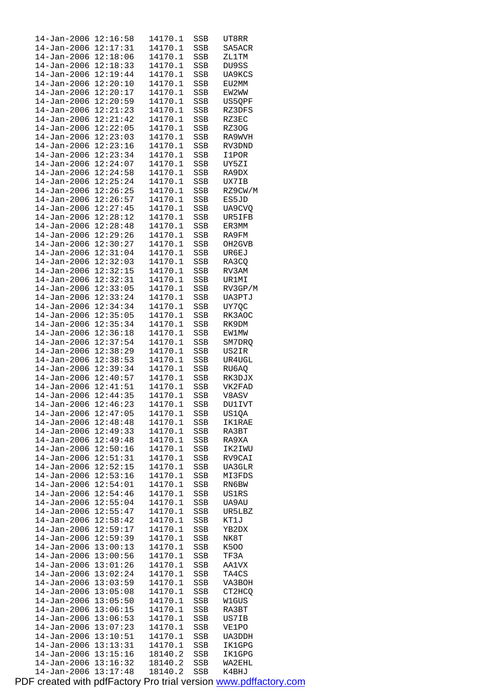| $14 - Jan - 2006$    | 12:16:58 | 14170.1 | SSB        | UT8RR         |  |
|----------------------|----------|---------|------------|---------------|--|
| 14-Jan-2006          | 12:17:31 | 14170.1 | SSB        | SA5ACR        |  |
| $14 - Jan - 2006$    | 12:18:06 | 14170.1 | SSB        | ZL1TM         |  |
| $14 - Jan - 2006$    | 12:18:33 | 14170.1 | <b>SSB</b> | DU9SS         |  |
| $14 - Jan - 2006$    | 12:19:44 | 14170.1 | SSB        | UA9KCS        |  |
|                      |          |         |            |               |  |
| $14 - Jan - 2006$    | 12:20:10 | 14170.1 | SSB        | EU2MM         |  |
| 14-Jan-2006          | 12:20:17 | 14170.1 | SSB        | EW2WW         |  |
| $14 - Jan - 2006$    | 12:20:59 | 14170.1 | SSB        | US5QPF        |  |
| $14 - Jan - 2006$    | 12:21:23 | 14170.1 | SSB        | RZ3DFS        |  |
| $14 - Jan - 2006$    | 12:21:42 | 14170.1 | <b>SSB</b> | RZ3EC         |  |
| $14 - Jan - 2006$    | 12:22:05 | 14170.1 | SSB        | RZ30G         |  |
| 14-Jan-2006          | 12:23:03 | 14170.1 | SSB        | RA9WVH        |  |
| $14 - Jan - 2006$    | 12:23:16 | 14170.1 | SSB        | RV3DND        |  |
| $14 - Jan - 2006$    | 12:23:34 | 14170.1 | SSB        | I1POR         |  |
|                      |          |         |            |               |  |
| $14 - Jan - 2006$    | 12:24:07 | 14170.1 | SSB        | UY5ZI         |  |
| $14 - Jan - 2006$    | 12:24:58 | 14170.1 | SSB        | RA9DX         |  |
| $14 - Jan - 2006$    | 12:25:24 | 14170.1 | SSB        | UX7IB         |  |
| $14 - Jan - 2006$    | 12:26:25 | 14170.1 | SSB        | RZ9CW/M       |  |
| $14 - Jan - 2006$    | 12:26:57 | 14170.1 | SSB        | ES5JD         |  |
| $14 - Jan - 2006$    | 12:27:45 | 14170.1 | <b>SSB</b> | UA9CVQ        |  |
| $14 - Jan - 2006$    | 12:28:12 | 14170.1 | SSB        | UR5IFB        |  |
| $14 - Jan - 2006$    | 12:28:48 | 14170.1 | SSB        | ER3MM         |  |
| $14 - Jan - 2006$    | 12:29:26 | 14170.1 | SSB        | RA9FM         |  |
|                      | 12:30:27 |         |            |               |  |
| $14 - Jan - 2006$    |          | 14170.1 | SSB        | OH2GVB        |  |
| $14 - Jan - 2006$    | 12:31:04 | 14170.1 | <b>SSB</b> | UR6EJ         |  |
| $14 - Jan - 2006$    | 12:32:03 | 14170.1 | SSB        | RA3CQ         |  |
| $14 - Jan - 2006$    | 12:32:15 | 14170.1 | SSB        | RV3AM         |  |
| $14 - Jan - 2006$    | 12:32:31 | 14170.1 | SSB        | UR1MI         |  |
| $14 - Jan - 2006$    | 12:33:05 | 14170.1 | SSB        | RV3GP/M       |  |
| 14-Jan-2006          | 12:33:24 | 14170.1 | SSB        | UA3PTJ        |  |
| $14 - Jan - 2006$    | 12:34:34 | 14170.1 | SSB        | UY7QC         |  |
| $14 - Jan - 2006$    | 12:35:05 | 14170.1 | SSB        | RK3AOC        |  |
| 14-Jan-2006          | 12:35:34 | 14170.1 | SSB        | RK9DM         |  |
| $14 - Jan - 2006$    | 12:36:18 | 14170.1 | SSB        | <b>EW1MW</b>  |  |
|                      |          |         |            |               |  |
| $14 - Jan - 2006$    | 12:37:54 | 14170.1 | SSB        | SM7DRQ        |  |
| $14 - Jan - 2006$    | 12:38:29 | 14170.1 | SSB        | US2IR         |  |
| $14 - Jan - 2006$    | 12:38:53 | 14170.1 | SSB        | UR4UGL        |  |
| $14 - Jan - 2006$    | 12:39:34 | 14170.1 | SSB        | RU6AQ         |  |
| $14 - Jan - 2006$    | 12:40:57 | 14170.1 | SSB        | RK3DJX        |  |
| $14 - Jan - 2006$    | 12:41:51 | 14170.1 | SSB        | VK2FAD        |  |
| $14 - Jan - 2006$    | 12:44:35 | 14170.1 | SSB        | V8ASV         |  |
| 14-Jan-2006 12:46:23 |          | 14170.1 | SSB        | <b>DU1IVT</b> |  |
| 14-Jan-2006          | 12:47:05 | 14170.1 | SSB        | US1QA         |  |
| 14-Jan-2006          | 12:48:48 | 14170.1 | SSB        | <b>IK1RAE</b> |  |
| 14-Jan-2006          | 12:49:33 | 14170.1 | SSB        | RA3BT         |  |
| 14-Jan-2006          | 12:49:48 | 14170.1 | SSB        | RA9XA         |  |
| $14 - Jan - 2006$    | 12:50:16 | 14170.1 | SSB        | IK2IWU        |  |
| $14 - Jan - 2006$    | 12:51:31 | 14170.1 | SSB        | RV9CAI        |  |
|                      | 12:52:15 |         |            |               |  |
| 14-Jan-2006          |          | 14170.1 | SSB        | UA3GLR        |  |
| 14-Jan-2006          | 12:53:16 | 14170.1 | SSB        | MI3FDS        |  |
| $14 - Jan - 2006$    | 12:54:01 | 14170.1 | SSB        | RN6BW         |  |
| $14 - Jan - 2006$    | 12:54:46 | 14170.1 | SSB        | US1RS         |  |
| 14-Jan-2006          | 12:55:04 | 14170.1 | SSB        | UA9AU         |  |
| $14 - Jan - 2006$    | 12:55:47 | 14170.1 | SSB        | UR5LBZ        |  |
| 14-Jan-2006          | 12:58:42 | 14170.1 | SSB        | KT1J          |  |
| $14 - Jan - 2006$    | 12:59:17 | 14170.1 | SSB        | YB2DX         |  |
| 14-Jan-2006          | 12:59:39 | 14170.1 | SSB        | NK8T          |  |
| 14-Jan-2006          | 13:00:13 | 14170.1 | SSB        | K500          |  |
| $14 - Jan - 2006$    | 13:00:56 | 14170.1 | SSB        | TF3A          |  |
| 14-Jan-2006          | 13:01:26 | 14170.1 | SSB        | AA1VX         |  |
|                      |          |         |            |               |  |
| $14 - Jan - 2006$    | 13:02:24 | 14170.1 | SSB        | TA4CS         |  |
| 14-Jan-2006          | 13:03:59 | 14170.1 | SSB        | VA3BOH        |  |
| 14-Jan-2006          | 13:05:08 | 14170.1 | SSB        | CT2HCQ        |  |
| 14-Jan-2006          | 13:05:50 | 14170.1 | SSB        | W1GUS         |  |
|                      |          |         |            | RA3BT         |  |
| 14-Jan-2006          | 13:06:15 | 14170.1 | SSB        |               |  |
| $14 - Jan - 2006$    | 13:06:53 | 14170.1 | SSB        | US7IB         |  |
| 14-Jan-2006          | 13:07:23 | 14170.1 | SSB        | VE1PO         |  |
| 14-Jan-2006          | 13:10:51 | 14170.1 | SSB        | UA3DDH        |  |
| $14 - Jan - 2006$    | 13:13:31 | 14170.1 | SSB        | IK1GPG        |  |
| 14-Jan-2006          | 13:15:16 | 18140.2 | SSB        | IK1GPG        |  |
| $14 - Jan - 2006$    | 13:16:32 | 18140.2 | SSB        | WA2EHL        |  |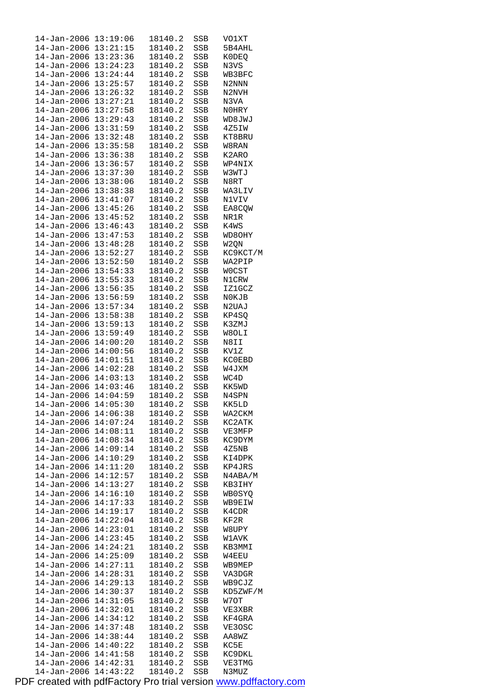| 14-Jan-2006                  | 13:19:06 | 18140.2 | SSB | VO1XT                          |
|------------------------------|----------|---------|-----|--------------------------------|
| 14–Jan–2006                  | 13:21:15 | 18140.2 | SSB | 5B4AHL                         |
| $14 - Jan - 2006$            | 13:23:36 | 18140.2 | SSB | K0DEQ                          |
| $14 - Jan - 2006$ $13:24:23$ |          | 18140.2 | SSB | N3VS                           |
| 14-Jan-2006 13:24:44         |          | 18140.2 | SSB | WB3BFC                         |
| 14-Jan-2006                  | 13:25:57 | 18140.2 | SSB | N2NNN                          |
|                              |          |         |     |                                |
| $14 - Jan - 2006$            | 13:26:32 | 18140.2 | SSB | N <sub>2</sub> N <sub>VH</sub> |
| 14-Jan-2006                  | 13:27:21 | 18140.2 | SSB | N3VA                           |
| 14-Jan-2006                  | 13:27:58 | 18140.2 | SSB | N0HRY                          |
| 14-Jan-2006 13:29:43         |          | 18140.2 | SSB | WD8JWJ                         |
| $14 - Jan - 2006$            | 13:31:59 | 18140.2 | SSB | 4Z5IW                          |
| 14-Jan-2006                  | 13:32:48 | 18140.2 | SSB | KT8BRU                         |
| 14–Jan–2006                  | 13:35:58 | 18140.2 | SSB | W8RAN                          |
| 14-Jan-2006 13:36:38         |          | 18140.2 | SSB | K2ARO                          |
| 14-Jan-2006 13:36:57         |          | 18140.2 | SSB | WP4NIX                         |
|                              |          |         |     |                                |
| 14-Jan-2006                  | 13:37:30 | 18140.2 | SSB | W3WTJ                          |
| 14-Jan-2006                  | 13:38:06 | 18140.2 | SSB | N8RT                           |
| 14–Jan–2006                  | 13:38:38 | 18140.2 | SSB | WA3LIV                         |
| 14-Jan-2006                  | 13:41:07 | 18140.2 | SSB | N1VIV                          |
| 14-Jan-2006 13:45:26         |          | 18140.2 | SSB | EA8CQW                         |
| 14-Jan-2006                  | 13:45:52 | 18140.2 | SSB | NR1R                           |
| $14 - Jan - 2006$            | 13:46:43 | 18140.2 | SSB | K4WS                           |
| 14–Jan–2006                  | 13:47:53 | 18140.2 | SSB | WD8OHY                         |
|                              |          |         |     |                                |
| 14-Jan-2006 13:48:28         |          | 18140.2 | SSB | W2QN                           |
| 14-Jan-2006 13:52:27         |          | 18140.2 | SSB | KC9KCT/M                       |
| 14-Jan-2006                  | 13:52:50 | 18140.2 | SSB | WA2PIP                         |
| $14 - Jan - 2006$            | 13:54:33 | 18140.2 | SSB | WOCST                          |
| 14–Jan–2006                  | 13:55:33 | 18140.2 | SSB | N1CRW                          |
| 14-Jan-2006                  | 13:56:35 | 18140.2 | SSB | IZ1GCZ                         |
| 14-Jan-2006 13:56:59         |          | 18140.2 | SSB | N0KJB                          |
| $14 - Jan - 2006$            | 13:57:34 | 18140.2 | SSB | N2UAJ                          |
| 14-Jan-2006                  | 13:58:38 | 18140.2 | SSB | KP4SQ                          |
|                              |          |         |     |                                |
| 14-Jan-2006                  | 13:59:13 | 18140.2 | SSB | K3ZMJ                          |
| 14-Jan-2006                  | 13:59:49 | 18140.2 | SSB | W8OLI                          |
| 14-Jan-2006                  | 14:00:20 | 18140.2 | SSB | N8II                           |
| 14-Jan-2006                  | 14:00:56 | 18140.2 | SSB | KV1Z                           |
| 14-Jan-2006                  | 14:01:51 | 18140.2 | SSB | KC0EBD                         |
| 14-Jan-2006                  | 14:02:28 | 18140.2 | SSB | W4JXM                          |
| $14 - Jan - 2006$ $14:03:13$ |          | 18140.2 | SSB | WC4D                           |
| 14-Jan-2006 14:03:46         |          | 18140.2 | SSB | KK5WD                          |
| $14 - Jan - 2006$            | 14:04:59 | 18140.2 | SSB | N4SPN                          |
| $14 - Jan - 2006$ $14:05:30$ |          | 18140.2 | SSB | KK5LD                          |
| 14-Jan-2006                  | 14:06:38 | 18140.2 | SSB | WA2CKM                         |
| $14 - Jan - 2006$            | 14:07:24 | 18140.2 | SSB | KC2ATK                         |
| $14 - Jan - 2006$            | 14:08:11 | 18140.2 | SSB | VE3MFP                         |
|                              |          |         |     |                                |
| $14 - Jan - 2006$            | 14:08:34 | 18140.2 | SSB | KC9DYM                         |
| $14 - Jan - 2006$            | 14:09:14 | 18140.2 | SSB | 4Z5NB                          |
| 14-Jan-2006                  | 14:10:29 | 18140.2 | SSB | KI4DPK                         |
| $14 - Jan - 2006$            | 14:11:20 | 18140.2 | SSB | KP4JRS                         |
| 14-Jan-2006                  | 14:12:57 | 18140.2 | SSB | N4ABA/M                        |
| 14-Jan-2006                  | 14:13:27 | 18140.2 | SSB | KB3IHY                         |
| 14-Jan-2006                  | 14:16:10 | 18140.2 | SSB | <b>WBOSYQ</b>                  |
| $14 - Jan - 2006$            | 14:17:33 | 18140.2 | SSB | WB9EIW                         |
| $14 - Jan - 2006$            | 14:19:17 | 18140.2 | SSB | K4CDR                          |
| 14-Jan-2006                  | 14:22:04 | 18140.2 | SSB | KF2R                           |
|                              |          |         |     |                                |
| 14-Jan-2006                  | 14:23:01 | 18140.2 | SSB | W8UPY                          |
| 14-Jan-2006                  | 14:23:45 | 18140.2 | SSB | W1AVK                          |
| 14-Jan-2006                  | 14:24:21 | 18140.2 | SSB | KB3MMI                         |
| $14 - Jan - 2006$            | 14:25:09 | 18140.2 | SSB | W4EEU                          |
| 14-Jan-2006                  | 14:27:11 | 18140.2 | SSB | WB9MEP                         |
| 14-Jan-2006                  | 14:28:31 | 18140.2 | SSB | VA3DGR                         |
| 14-Jan-2006                  | 14:29:13 | 18140.2 | SSB | WB9CJZ                         |
| 14-Jan-2006                  | 14:30:37 | 18140.2 | SSB | KD5ZWF/M                       |
| $14 - Jan - 2006$            | 14:31:05 | 18140.2 | SSB | W7OT                           |
| 14-Jan-2006                  | 14:32:01 | 18140.2 | SSB | VE3XBR                         |
| 14-Jan-2006                  |          | 18140.2 |     |                                |
|                              |          |         | SSB | KF4GRA                         |
|                              | 14:34:12 |         |     |                                |
| 14-Jan-2006                  | 14:37:48 | 18140.2 | SSB | VE3OSC                         |
| 14-Jan-2006                  | 14:38:44 | 18140.2 | SSB | AA8WZ                          |
| $14 - Jan - 2006$            | 14:40:22 | 18140.2 | SSB | KC5E                           |
| 14–Jan–2006                  | 14:41:58 | 18140.2 | SSB | KC9DKL                         |
| 14-Jan-2006                  | 14:42:31 | 18140.2 | SSB | VE3TMG                         |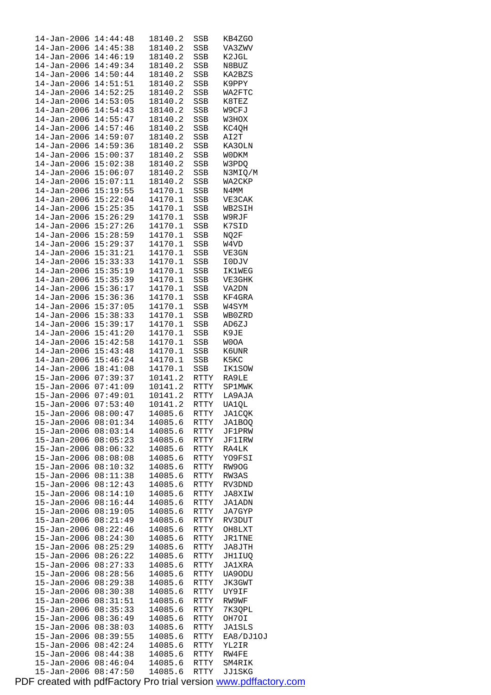| 14-Jan-2006                      | 14:44:48             | 18140.2            | SSB          | KB4ZGO           |
|----------------------------------|----------------------|--------------------|--------------|------------------|
| 14-Jan-2006                      | 14:45:38             | 18140.2            | SSB          | VA3ZWV           |
| $14 - Jan - 2006$                | 14:46:19             | 18140.2            | SSB          | K2JGL            |
| 14-Jan-2006 14:49:34             |                      | 18140.2            | SSB          | N8BUZ            |
| 14-Jan-2006                      | 14:50:44             | 18140.2            | SSB          | KA2BZS           |
| 14-Jan-2006                      | 14:51:51             | 18140.2            | SSB          | K9PPY            |
|                                  | 14:52:25             |                    |              | WA2FTC           |
| 14-Jan-2006                      |                      | 18140.2            | SSB          |                  |
| 14-Jan-2006                      | 14:53:05             | 18140.2            | SSB          | K8TEZ            |
| 14-Jan-2006 14:54:43             |                      | 18140.2            | SSB          | W9CFJ            |
| 14-Jan-2006                      | 14:55:47             | 18140.2            | SSB          | W3HOX            |
| $14 - Jan - 2006$                | 14:57:46             | 18140.2            | SSB          | KC4QH            |
| $14 - Jan - 2006$                | 14:59:07             | 18140.2            | SSB          | AI2T             |
| $14 - Jan - 2006$                | 14:59:36             | 18140.2            | SSB          | KA3OLN           |
| $14 - Jan - 2006$ $15:00:37$     |                      | 18140.2            | SSB          | <b>WODKM</b>     |
| $14 - Jan - 2006$ $15:02:38$     |                      | 18140.2            | SSB          | W3PDQ            |
| 14-Jan-2006 15:06:07             |                      | 18140.2            | SSB          | N3MIQ/M          |
|                                  |                      |                    |              |                  |
| $14 - Jan - 2006$ $15:07:11$     |                      | 18140.2            | SSB          | WA2CKP           |
| 14-Jan-2006 15:19:55             |                      | 14170.1            | SSB          | N4MM             |
| 14-Jan-2006 15:22:04             |                      | 14170.1            | SSB          | VE3CAK           |
| 14-Jan-2006 15:25:35             |                      | 14170.1            | SSB          | WB2SIH           |
| 14-Jan-2006 15:26:29             |                      | 14170.1            | SSB          | W9RJF            |
| 14-Jan-2006 15:27:26             |                      | 14170.1            | SSB          | K7SID            |
| 14-Jan-2006 15:28:59             |                      | 14170.1            | SSB          | NQ2F             |
| 14-Jan-2006 15:29:37             |                      | 14170.1            | SSB          | W4VD             |
| $14 - Jan - 2006$ $15:31:21$     |                      | 14170.1            | SSB          | VE3GN            |
| 14-Jan-2006 15:33:33             |                      | 14170.1            | SSB          | I0DJV            |
| $14 - Jan - 2006$ $15:35:19$     |                      | 14170.1            | SSB          | <b>IK1WEG</b>    |
| 14-Jan-2006 15:35:39             |                      | 14170.1            | SSB          | VE3GHK           |
|                                  |                      |                    |              |                  |
| 14-Jan-2006 15:36:17             |                      | 14170.1            | SSB          | VA2DN            |
| 14-Jan-2006 15:36:36             |                      | 14170.1            | SSB          | KF4GRA           |
| 14-Jan-2006                      | 15:37:05             | 14170.1            | SSB          | W4SYM            |
| 14-Jan-2006                      | 15:38:33             | 14170.1            | SSB          | WB0ZRD           |
| 14-Jan-2006 15:39:17             |                      | 14170.1            | SSB          | AD6ZJ            |
| 14-Jan-2006 15:41:20             |                      | 14170.1            | SSB          | K9JE             |
| $14 - Jan - 2006$ $15:42:58$     |                      | 14170.1            | SSB          | <b>WOOA</b>      |
| $14 - Jan - 2006$ $15:43:48$     |                      | 14170.1            | SSB          | K6UNR            |
| 14-Jan-2006 15:46:24             |                      | 14170.1            | SSB          | K5KC             |
| $14 - Jan - 2006$ $18:41:08$     |                      | 14170.1            | SSB          | IK1SOW           |
| 15-Jan-2006 07:39:37             |                      | 10141.2            | RTTY         | RA9LE            |
| 15-Jan-2006 07:41:09             |                      | 10141.2            | RTTY         | SP1MWK           |
| 15-Jan-2006 07:49:01             |                      | 10141.2            | RTTY         | LA9AJA           |
| 15-Jan-2006 07:53:40             |                      | 10141.2            | RTTY         | UA1QL            |
| 15-Jan-2006                      | 08:00:47             | 14085.6            | RTTY         | <b>JA1CQK</b>    |
| 15-Jan-2006                      | 08:01:34             | 14085.6            | RTTY         | JA1BOQ           |
| $15 - Jan - 2006$                | 08:03:14             | 14085.6            | RTTY         | JF1PRW           |
| $15 - Jan - 2006$                | 08:05:23             | 14085.6            | RTTY         | JF1IRW           |
| 15-Jan-2006                      | 08:06:32             | 14085.6            |              | RA4LK            |
|                                  | 08:08:08             |                    | RTTY         |                  |
| 15-Jan-2006                      |                      | 14085.6            | RTTY         | YO9FSI           |
| 15-Jan-2006                      | 08:10:32             | 14085.6            | RTTY         | RW9OG            |
| 15-Jan-2006                      | 08:11:38             | 14085.6            | RTTY         | RW3AS            |
| $15 - Jan - 2006$                | 08:12:43             | 14085.6            | RTTY         | RV3DND           |
| 15-Jan-2006                      | 08:14:10             | 14085.6            | RTTY         | JA8XIW           |
| $15 - Jan - 2006$                | 08:16:44             | 14085.6            | RTTY         | JA1ADN           |
| $15 - Jan - 2006$                | 08:19:05             | 14085.6            | RTTY         | JA7GYP           |
| 15-Jan-2006                      | 08:21:49             | 14085.6            | RTTY         | RV3DUT           |
| 15-Jan-2006                      | 08:22:46             | 14085.6            | RTTY         | OH8LXT           |
| 15-Jan-2006                      | 08:24:30             | 14085.6            | RTTY         | JR1TNE           |
| 15-Jan-2006                      | 08:25:29             | 14085.6            | RTTY         | JA8JTH           |
| $15 - Jan - 2006$                | 08:26:22             | 14085.6            | RTTY         | JH1IUQ           |
| 15-Jan-2006                      | 08:27:33             | 14085.6            | RTTY         | JA1XRA           |
| 15-Jan-2006                      | 08:28:56             | 14085.6            | RTTY         | UA90DU           |
| 15-Jan-2006                      | 08:29:38             | 14085.6            | RTTY         | JK3GWT           |
| 15-Jan-2006                      | 08:30:38             | 14085.6            | RTTY         | UY9IF            |
| 15-Jan-2006                      | 08:31:51             | 14085.6            |              | RW9WF            |
|                                  |                      |                    | RTTY         |                  |
| 15-Jan-2006                      | 08:35:33             | 14085.6            | RTTY         | 7K3QPL           |
| 15-Jan-2006                      | 08:36:49             | 14085.6            | RTTY         | OH7OI            |
| 15-Jan-2006                      | 08:38:03             | 14085.6            | RTTY         | JA1SLS           |
| 15-Jan-2006                      |                      |                    | RTTY         | EA8/DJ10J        |
|                                  | 08:39:55             | 14085.6            |              |                  |
| $15 - Jan - 2006$                | 08:42:24             | 14085.6            | RTTY         | YL2IR            |
| 15-Jan-2006                      | 08:44:38             | 14085.6            | RTTY         | RW4FE            |
| 15-Jan-2006<br>$15 - Jan - 2006$ | 08:46:04<br>08:47:50 | 14085.6<br>14085.6 | RTTY<br>RTTY | SM4RIK<br>JJ1SKG |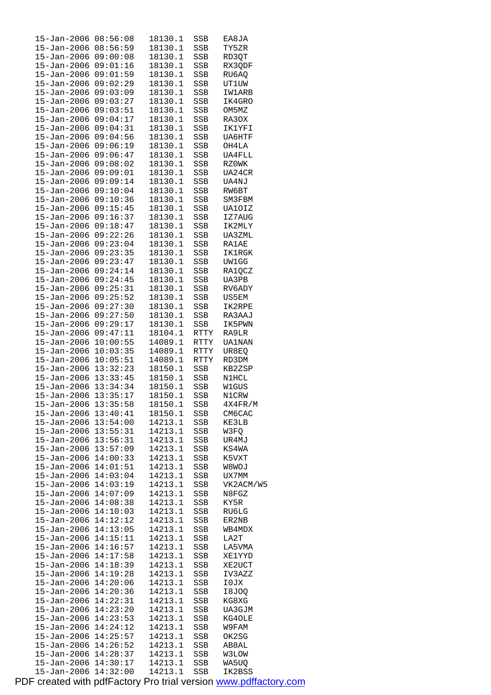| 15-Jan-2006                  | 08:56:08             | 18130.1 | SSB  | EA8JA         |
|------------------------------|----------------------|---------|------|---------------|
| 15-Jan-2006                  | 08:56:59             | 18130.1 | SSB  | TY5ZR         |
| 15-Jan-2006 09:00:08         |                      | 18130.1 | SSB  | RD3QT         |
| 15-Jan-2006 09:01:16         |                      | 18130.1 | SSB  | RX3QDF        |
| 15-Jan-2006                  | 09:01:59             | 18130.1 | SSB  | RU6AQ         |
| $15 - Jan - 2006$            | 09:02:29             | 18130.1 | SSB  | <b>UT1UW</b>  |
| 15-Jan-2006                  | 09:03:09             | 18130.1 | SSB  | IW1ARB        |
| $15 - Jan - 2006$            | 09:03:27             | 18130.1 | SSB  | IK4GRO        |
| 15-Jan-2006 09:03:51         |                      | 18130.1 | SSB  | OM5MZ         |
| 15-Jan-2006                  | 09:04:17             | 18130.1 | SSB  | RA30X         |
| 15-Jan-2006                  | 09:04:31             | 18130.1 | SSB  | IK1YFI        |
| 15-Jan-2006                  | 09:04:56             | 18130.1 | SSB  | <b>UA6HTF</b> |
| $15 - Jan - 2006$            | 09:06:19             | 18130.1 | SSB  | OH4LA         |
| 15-Jan-2006 09:06:47         |                      | 18130.1 | SSB  | UA4FLL        |
| 15-Jan-2006 09:08:02         |                      | 18130.1 | SSB  | RZ0WK         |
| $15 - Jan - 2006$            | 09:09:01             | 18130.1 | SSB  | UA24CR        |
| 15-Jan-2006                  | 09:09:14             | 18130.1 | SSB  | UA4NJ         |
| $15 - Jan - 2006 09:10:04$   |                      | 18130.1 | SSB  | RW6BT         |
| 15-Jan-2006 09:10:36         |                      | 18130.1 | SSB  | SM3FBM        |
| 15-Jan-2006                  | 09:15:45             | 18130.1 | SSB  | UA10IZ        |
|                              | 09:16:37             |         |      |               |
| 15-Jan-2006                  |                      | 18130.1 | SSB  | IZ7AUG        |
| 15-Jan-2006                  | 09:18:47<br>09:22:26 | 18130.1 | SSB  | IK2MLY        |
| 15-Jan-2006                  |                      | 18130.1 | SSB  | UA3ZML        |
| 15-Jan-2006 09:23:04         |                      | 18130.1 | SSB  | <b>RA1AE</b>  |
| $15 - Jan - 2006 09:23:35$   |                      | 18130.1 | SSB  | <b>IK1RGK</b> |
| $15 - Jan - 2006$            | 09:23:47             | 18130.1 | SSB  | UW1GG         |
| 15-Jan-2006                  | 09:24:14             | 18130.1 | SSB  | RA1QCZ        |
| $15 - Jan - 2006$            | 09:24:45             | 18130.1 | SSB  | UA3PB         |
| 15-Jan-2006 09:25:31         |                      | 18130.1 | SSB  | RV6ADY        |
| 15-Jan-2006                  | 09:25:52             | 18130.1 | SSB  | US5EM         |
| 15-Jan-2006                  | 09:27:30             | 18130.1 | SSB  | IK2RPE        |
| 15-Jan-2006                  | 09:27:50             | 18130.1 | SSB  | RA3AAJ        |
| $15 - Jan - 2006$            | 09:29:17             | 18130.1 | SSB  | IK5PWN        |
| 15-Jan-2006 09:47:11         |                      | 18104.1 | RTTY | RA9LR         |
| 15-Jan-2006                  | 10:00:55             | 14089.1 | RTTY | <b>UA1NAN</b> |
| 15-Jan-2006                  | 10:03:35             | 14089.1 | RTTY | UR8EQ         |
| 15-Jan-2006                  | 10:05:51             | 14089.1 | RTTY | RD3DM         |
| $15 - Jan - 2006$ $13:32:23$ |                      | 18150.1 | SSB  | KB2ZSP        |
| 15-Jan-2006 13:33:45         |                      | 18150.1 | SSB  | N1HCL         |
| 15-Jan-2006 13:34:34         |                      | 18150.1 | SSB  | W1GUS         |
| 15-Jan-2006 13:35:17         |                      | 18150.1 | SSB  | N1CRW         |
| 15-Jan-2006 13:35:58         |                      | 18150.1 | SSB  | 4X4FR/M       |
| 15-Jan-2006                  | 13:40:41             | 18150.1 | SSB  | CM6CAC        |
| 15-Jan-2006 13:54:00         |                      | 14213.1 | SSB  | KE3LB         |
| 15-Jan-2006                  | 13:55:31             | 14213.1 | SSB  | W3FQ          |
| 15-Jan-2006                  | 13:56:31             | 14213.1 | SSB  | UR4MJ         |
| 15-Jan-2006                  | 13:57:09             | 14213.1 | SSB  | KS4WA         |
| 15-Jan-2006                  | 14:00:33             | 14213.1 | SSB  | K5VXT         |
| 15-Jan-2006                  | 14:01:51             | 14213.1 | SSB  | W8WOJ         |
| 15-Jan-2006                  | 14:03:04             | 14213.1 | SSB  | UX7MM         |
| $15 - Jan - 2006$            | 14:03:19             | 14213.1 | SSB  | VK2ACM/W5     |
| 15-Jan-2006                  | 14:07:09             | 14213.1 | SSB  | N8FGZ         |
| 15-Jan-2006                  | 14:08:38             | 14213.1 | SSB  | KY5R          |
| 15-Jan-2006                  | 14:10:03             | 14213.1 | SSB  | RU6LG         |
| 15-Jan-2006                  | 14:12:12             | 14213.1 | SSB  | ER2NB         |
| 15-Jan-2006                  | 14:13:05             | 14213.1 | SSB  | WB4MDX        |
| 15-Jan-2006                  | 14:15:11             | 14213.1 | SSB  | LA2T          |
| 15-Jan-2006                  | 14:16:57             | 14213.1 | SSB  | LA5VMA        |
| $15 - Jan - 2006$            | 14:17:58             | 14213.1 | SSB  | XElYYD        |
| 15-Jan-2006                  | 14:18:39             | 14213.1 | SSB  | XE2UCT        |
| 15-Jan-2006                  | 14:19:28             | 14213.1 | SSB  | IV3AZZ        |
| 15-Jan-2006                  | 14:20:06             | 14213.1 | SSB  | I0JX          |
| $15 - Jan - 2006$            | 14:20:36             | 14213.1 | SSB  | I8JOQ         |
| 15-Jan-2006                  | 14:22:31             | 14213.1 | SSB  | KG8XG         |
| 15-Jan-2006                  | 14:23:20             | 14213.1 | SSB  | UA3GJM        |
| 15-Jan-2006                  | 14:23:53             | 14213.1 | SSB  | KG4OLE        |
| 15-Jan-2006                  | 14:24:12             | 14213.1 | SSB  | W9FAM         |
| 15-Jan-2006                  | 14:25:57             | 14213.1 | SSB  | OK2SG         |
| $15 - Jan - 2006$            | 14:26:52             | 14213.1 | SSB  | AB8AL         |
| 15-Jan-2006                  | 14:28:37             | 14213.1 | SSB  | <b>W3LOW</b>  |
| 15-Jan-2006                  | 14:30:17             | 14213.1 | SSB  | WA5UQ         |
| 15-Jan-2006                  | 14:32:00             | 14213.1 | SSB  | IK2BSS        |
|                              |                      |         |      |               |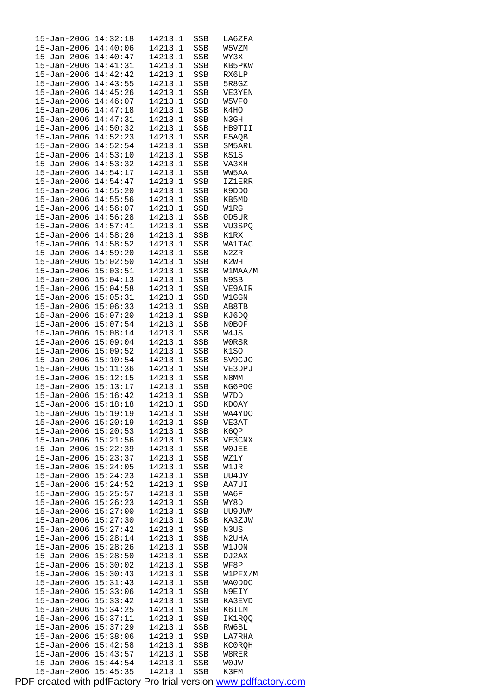| $15 - Jan - 2006$    | 14:32:18 | 14213.1 | SSB          | LA6ZFA        |
|----------------------|----------|---------|--------------|---------------|
| $15 - Jan - 2006$    | 14:40:06 | 14213.1 | SSB          | W5VZM         |
| $15 - Jan - 2006$    | 14:40:47 | 14213.1 | SSB          | WY3X          |
| $15 - Jan - 2006$    | 14:41:31 | 14213.1 | SSB          | KB5PKW        |
| 15-Jan-2006          | 14:42:42 | 14213.1 | SSB          | RX6LP         |
| $15 - Jan - 2006$    | 14:43:55 | 14213.1 |              | 5R8GZ         |
|                      |          |         | SSB          |               |
| 15-Jan-2006          | 14:45:26 | 14213.1 | SSB          | VE3YEN        |
| $15 - Jan - 2006$    | 14:46:07 | 14213.1 | SSB          | W5VFO         |
| 15-Jan-2006          | 14:47:18 | 14213.1 | SSB          | K4HO          |
| 15-Jan-2006          | 14:47:31 | 14213.1 | SSB          | N3GH          |
| $15 - Jan - 2006$    | 14:50:32 | 14213.1 | SSB          | HB9TII        |
| 15-Jan-2006          | 14:52:23 | 14213.1 | SSB          | F5AQB         |
| $15 - Jan - 2006$    | 14:52:54 | 14213.1 | SSB          | SM5ARL        |
| $15 - Jan - 2006$    | 14:53:10 | 14213.1 | SSB          | KS1S          |
|                      | 14:53:32 |         |              |               |
| 15-Jan-2006          |          | 14213.1 | SSB          | VA3XH         |
| $15 - Jan - 2006$    | 14:54:17 | 14213.1 | SSB          | WW5AA         |
| $15 - Jan - 2006$    | 14:54:47 | 14213.1 | SSB          | <b>IZ1ERR</b> |
| $15 - Jan - 2006$    | 14:55:20 | 14213.1 | SSB          | K9DDO         |
| 15-Jan-2006          | 14:55:56 | 14213.1 | SSB          | KB5MD         |
| 15-Jan-2006          | 14:56:07 | 14213.1 | SSB          | W1RG          |
| $15 - Jan - 2006$    | 14:56:28 | 14213.1 | SSB          | OD5UR         |
| 15-Jan-2006          | 14:57:41 | 14213.1 | SSB          | VU3SPQ        |
| $15 - Jan - 2006$    | 14:58:26 | 14213.1 | SSB          | K1RX          |
|                      |          |         |              |               |
| $15 - Jan - 2006$    | 14:58:52 | 14213.1 | SSB          | WA1TAC        |
| $15 - Jan - 2006$    | 14:59:20 | 14213.1 | SSB          | N2ZR          |
| $15 - Jan - 2006$    | 15:02:50 | 14213.1 | SSB          | K2WH          |
| $15 - Jan - 2006$    | 15:03:51 | 14213.1 | SSB          | W1MAA/M       |
| $15 - Jan - 2006$    | 15:04:13 | 14213.1 | SSB          | N9SB          |
| 15-Jan-2006          | 15:04:58 | 14213.1 | SSB          | VE9AIR        |
| 15-Jan-2006          | 15:05:31 | 14213.1 | SSB          | W1GGN         |
| $15 - Jan - 2006$    | 15:06:33 | 14213.1 | SSB          | AB8TB         |
| 15-Jan-2006          | 15:07:20 | 14213.1 |              |               |
|                      |          |         | SSB          | KJ6DQ         |
| 15-Jan-2006          | 15:07:54 | 14213.1 | SSB          | N0BOF         |
| $15 - Jan - 2006$    | 15:08:14 | 14213.1 | SSB          | W4JS          |
| 15-Jan-2006          | 15:09:04 | 14213.1 | SSB          | W0RSR         |
| $15 - Jan - 2006$    | 15:09:52 | 14213.1 | SSB          | K1SO          |
| $15 - Jan - 2006$    | 15:10:54 | 14213.1 | SSB          | SV9CJO        |
| 15-Jan-2006          | 15:11:36 | 14213.1 | SSB          | VE3DPJ        |
| 15-Jan-2006 15:12:15 |          | 14213.1 | SSB          | N8MM          |
| 15-Jan-2006          | 15:13:17 | 14213.1 | $_{\rm SSB}$ | KG6POG        |
| $15 - Jan - 2006$    | 15:16:42 | 14213.1 | SSB          | W7DD          |
| 15-Jan-2006 15:18:18 |          | 14213.1 | SSB          | KD0AY         |
| 15-Jan-2006          | 15:19:19 | 14213.1 | SSB          | WA4YDO        |
|                      |          |         |              |               |
|                      |          |         |              |               |
| $15 - Jan - 2006$    | 15:20:19 | 14213.1 | SSB          | VE3AT         |
| 15-Jan-2006          | 15:20:53 | 14213.1 | SSB          | K6QP          |
| 15-Jan-2006          | 15:21:56 | 14213.1 | SSB          | VE3CNX        |
| 15-Jan-2006          | 15:22:39 | 14213.1 | SSB          | <b>WOJEE</b>  |
| $15 - Jan - 2006$    | 15:23:37 | 14213.1 | SSB          | WZ1Y          |
| 15-Jan-2006          | 15:24:05 | 14213.1 | SSB          | W1JR          |
| $15 - Jan - 2006$    | 15:24:23 | 14213.1 | SSB          | UU4JV         |
|                      |          |         |              |               |
| $15 - Jan - 2006$    | 15:24:52 | 14213.1 | SSB          | AA7UI         |
| $15 - Jan - 2006$    | 15:25:57 | 14213.1 | SSB          | WA6F          |
| 15-Jan-2006          | 15:26:23 | 14213.1 | SSB          | WY8D          |
| $15 - Jan - 2006$    | 15:27:00 | 14213.1 | SSB          | UU9JWM        |
| 15-Jan-2006          | 15:27:30 | 14213.1 | SSB          | KA3ZJW        |
| $15 - Jan - 2006$    | 15:27:42 | 14213.1 | SSB          | N3US          |
| 15-Jan-2006          | 15:28:14 | 14213.1 | SSB          | N2UHA         |
| 15-Jan-2006          | 15:28:26 | 14213.1 | SSB          | W1JON         |
| $15 - Jan - 2006$    | 15:28:50 | 14213.1 | SSB          | DJ 2AX        |
|                      |          |         | SSB          | WF8P          |
| 15-Jan-2006          | 15:30:02 | 14213.1 |              |               |
| $15 - Jan - 2006$    | 15:30:43 | 14213.1 | SSB          | W1PFX/M       |
| 15-Jan-2006          | 15:31:43 | 14213.1 | SSB          | WA0DDC        |
| 15-Jan-2006          | 15:33:06 | 14213.1 | SSB          | N9EIY         |
| 15-Jan-2006          | 15:33:42 | 14213.1 | SSB          | KA3EVD        |
| 15-Jan-2006          | 15:34:25 | 14213.1 | SSB          | K6ILM         |
| $15 - Jan - 2006$    | 15:37:11 | 14213.1 | SSB          | IK1RQQ        |
| 15-Jan-2006          | 15:37:29 | 14213.1 | SSB          | RW6BL         |
| 15-Jan-2006          | 15:38:06 | 14213.1 | SSB          | LA7RHA        |
| $15 - Jan - 2006$    | 15:42:58 | 14213.1 | SSB          | KC0RQH        |
| 15-Jan-2006          | 15:43:57 | 14213.1 | SSB          | W8RER         |
| $15 - Jan - 2006$    | 15:44:54 | 14213.1 | SSB          | <b>WOJM</b>   |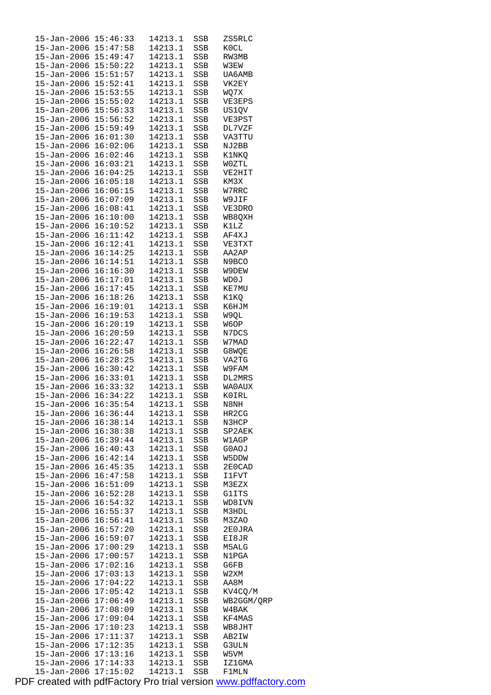| 15-Jan-2006 15:46:33         |          | 14213.1 | SSB | ZS5RLC       |
|------------------------------|----------|---------|-----|--------------|
| 15-Jan-2006 15:47:58         |          | 14213.1 | SSB | K0CL         |
| 15-Jan-2006 15:49:47         |          | 14213.1 | SSB | RW3MB        |
| 15-Jan-2006 15:50:22         |          | 14213.1 | SSB | W3EW         |
| 15-Jan-2006 15:51:57         |          | 14213.1 | SSB | UA6AMB       |
| $15 - Jan - 2006$ $15:52:41$ |          | 14213.1 | SSB | VK2EY        |
|                              |          |         |     |              |
| $15 - Jan - 2006$ $15:53:55$ |          | 14213.1 | SSB | WQ7X         |
| 15-Jan-2006                  | 15:55:02 | 14213.1 | SSB | VE3EPS       |
| 15-Jan-2006 15:56:33         |          | 14213.1 | SSB | US1QV        |
| 15-Jan-2006 15:56:52         |          | 14213.1 | SSB | VE3PST       |
| 15-Jan-2006 15:59:49         |          | 14213.1 | SSB | DL7VZF       |
| $15 - Jan - 2006$            | 16:01:30 | 14213.1 | SSB | VA3TTU       |
| $15 - Jan - 2006$            | 16:02:06 | 14213.1 | SSB | NJ2BB        |
| 15-Jan-2006 16:02:46         |          | 14213.1 | SSB | K1NKQ        |
| 15-Jan-2006 16:03:21         |          | 14213.1 |     |              |
|                              |          |         | SSB | W0ZTL        |
| 15-Jan-2006 16:04:25         |          | 14213.1 | SSB | VE2HIT       |
| 15-Jan-2006                  | 16:05:18 | 14213.1 | SSB | KM3X         |
| 15-Jan-2006                  | 16:06:15 | 14213.1 | SSB | W7RRC        |
| 15-Jan-2006 16:07:09         |          | 14213.1 | SSB | W9JIF        |
| 15-Jan-2006 16:08:41         |          | 14213.1 | SSB | VE3DRO       |
| 15-Jan-2006 16:10:00         |          | 14213.1 | SSB | WB8QXH       |
| 15-Jan-2006                  | 16:10:52 | 14213.1 | SSB | K1LZ         |
| $15 - Jan - 2006$            | 16:11:42 | 14213.1 | SSB | AF4XJ        |
|                              |          |         |     |              |
| $15 - Jan - 2006$ $16:12:41$ |          | 14213.1 | SSB | VE3TXT       |
| 15-Jan-2006 16:14:25         |          | 14213.1 | SSB | AA2AP        |
| 15-Jan-2006 16:14:51         |          | 14213.1 | SSB | N9BCO        |
| $15 - Jan - 2006$            | 16:16:30 | 14213.1 | SSB | W9DEW        |
| 15-Jan-2006                  | 16:17:01 | 14213.1 | SSB | WD0J         |
| 15-Jan-2006 16:17:45         |          | 14213.1 | SSB | KE7MU        |
| 15-Jan-2006 16:18:26         |          | 14213.1 | SSB | K1KQ         |
| 15-Jan-2006                  | 16:19:01 | 14213.1 | SSB | К6НЈМ        |
|                              | 16:19:53 |         |     |              |
| 15-Jan-2006                  |          | 14213.1 | SSB | W9QL         |
| 15-Jan-2006                  | 16:20:19 | 14213.1 | SSB | W6OP         |
| 15-Jan-2006 16:20:59         |          | 14213.1 | SSB | N7DCS        |
| 15-Jan-2006 16:22:47         |          | 14213.1 | SSB | W7MAD        |
| 15-Jan-2006 16:26:58         |          | 14213.1 | SSB | G8WQE        |
| 15-Jan-2006 16:28:25         |          | 14213.1 | SSB | VA2TG        |
| $15 - Jan - 2006$            | 16:30:42 | 14213.1 | SSB | W9FAM        |
| $15 - Jan - 2006$ $16:33:01$ |          | 14213.1 | SSB | DL2MRS       |
| 15-Jan-2006 16:33:32         |          | 14213.1 | SSB | WA0AUX       |
| $15 - Jan - 2006$ $16:34:22$ |          | 14213.1 | SSB | KOIRL        |
| 15-Jan-2006 16:35:54         |          | 14213.1 | SSB |              |
|                              |          |         |     | N8NH         |
| 15-Jan-2006                  | 16:36:44 | 14213.1 | SSB | HR2CG        |
| 15-Jan-2006                  | 16:38:14 | 14213.1 | SSB | N3HCP        |
| 15-Jan-2006                  | 16:38:38 | 14213.1 | SSB | SP2AEK       |
| 15-Jan-2006                  | 16:39:44 | 14213.1 | SSB | W1AGP        |
| $15 - Jan - 2006$            | 16:40:43 | 14213.1 | SSB | G0AOJ        |
| $15 - Jan - 2006$            | 16:42:14 | 14213.1 | SSB | W5DDW        |
| 15-Jan-2006                  | 16:45:35 | 14213.1 | SSB | 2E0CAD       |
| 15-Jan-2006                  | 16:47:58 | 14213.1 | SSB | <b>IlFVT</b> |
| $15 - Jan - 2006$            | 16:51:09 | 14213.1 | SSB | M3EZX        |
|                              | 16:52:28 | 14213.1 | SSB |              |
| 15-Jan-2006                  |          |         |     | G1ITS        |
| $15 - Jan - 2006$            | 16:54:32 | 14213.1 | SSB | WD8IVN       |
| 15-Jan-2006                  | 16:55:37 | 14213.1 | SSB | M3HDL        |
| 15-Jan-2006                  | 16:56:41 | 14213.1 | SSB | M3ZAO        |
| 15-Jan-2006                  | 16:57:20 | 14213.1 | SSB | 2E0JRA       |
| 15-Jan-2006                  | 16:59:07 | 14213.1 | SSB | EI8JR        |
| 15-Jan-2006                  | 17:00:29 | 14213.1 | SSB | M5ALG        |
| 15-Jan-2006                  | 17:00:57 | 14213.1 | SSB | N1PGA        |
| 15-Jan-2006                  | 17:02:16 | 14213.1 | SSB | G6FB         |
| 15-Jan-2006                  | 17:03:13 | 14213.1 | SSB | W2XM         |
|                              | 17:04:22 | 14213.1 |     | AA8M         |
| 15-Jan-2006                  |          |         | SSB |              |
| $15 - Jan - 2006$            | 17:05:42 | 14213.1 | SSB | KV4CQ/M      |
| 15-Jan-2006                  | 17:06:49 | 14213.1 | SSB | WB2GGM/QRP   |
| 15-Jan-2006                  | 17:08:09 | 14213.1 | SSB | W4BAK        |
| 15-Jan-2006                  | 17:09:04 | 14213.1 | SSB | KF4MAS       |
| 15-Jan-2006                  | 17:10:23 | 14213.1 | SSB | WB8JHT       |
| 15-Jan-2006                  | 17:11:37 | 14213.1 | SSB | AB2IW        |
| $15 - Jan - 2006$            | 17:12:35 | 14213.1 | SSB | G3ULN        |
| 15-Jan-2006 17:13:16         |          | 14213.1 | SSB | W5VM         |
| 15-Jan-2006 17:14:33         |          | 14213.1 | SSB | IZ1GMA       |
| 15-Jan-2006 17:15:02         |          | 14213.1 | SSB | F1MLN        |
|                              |          |         |     |              |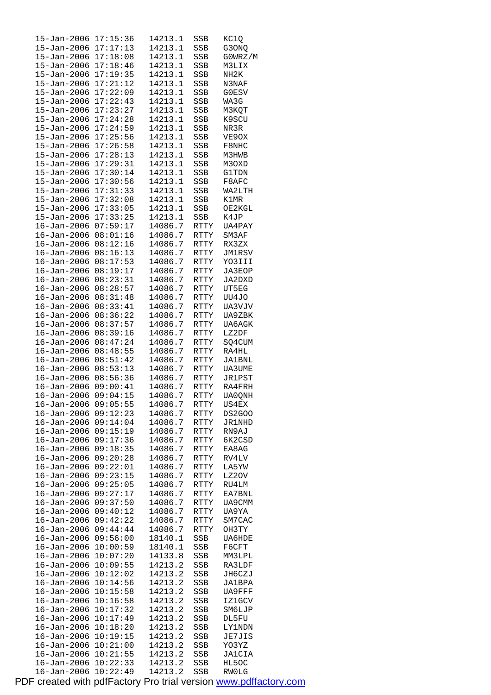| 15-Jan-2006          | 17:15:36             | 14213.1 | SSB               | KC1Q                  |
|----------------------|----------------------|---------|-------------------|-----------------------|
| $15 - Jan - 2006$    | 17:17:13             | 14213.1 | SSB               | G3ONQ                 |
| $15 - Jan - 2006$    | 17:18:08             | 14213.1 | SSB               | GOWRZ/M               |
| $15 - Jan - 2006$    | 17:18:46             | 14213.1 | SSB               | M3LIX                 |
| 15-Jan-2006          | 17:19:35             | 14213.1 | SSB               | NH <sub>2</sub> K     |
| $15 - Jan - 2006$    | 17:21:12             | 14213.1 |                   | N3NAF                 |
|                      |                      |         | SSB               |                       |
| 15-Jan-2006          | 17:22:09             | 14213.1 | SSB               | G0ESV                 |
| $15 - Jan - 2006$    | 17:22:43             | 14213.1 | SSB               | WA3G                  |
| 15-Jan-2006          | 17:23:27             | 14213.1 | SSB               | МЗКОТ                 |
| $15 - Jan - 2006$    | 17:24:28             | 14213.1 | SSB               | K9SCU                 |
| 15-Jan-2006          | 17:24:59             | 14213.1 | SSB               | NR3R                  |
| 15-Jan-2006          | 17:25:56             | 14213.1 | SSB               | VE9OX                 |
| $15 - Jan - 2006$    | 17:26:58             | 14213.1 | SSB               | F8NHC                 |
| $15 - Jan - 2006$    | 17:28:13             | 14213.1 | SSB               | M3HWB                 |
|                      | 17:29:31             | 14213.1 |                   |                       |
| 15-Jan-2006          |                      |         | SSB               | M30XD                 |
| 15-Jan-2006          | 17:30:14             | 14213.1 | SSB               | <b>G1TDN</b>          |
| 15-Jan-2006          | 17:30:56             | 14213.1 | SSB               | F8AFC                 |
| $15 - Jan - 2006$    | 17:31:33             | 14213.1 | SSB               | WA2LTH                |
| $15 - Jan - 2006$    | 17:32:08             | 14213.1 | SSB               | K1MR                  |
| $15 - Jan - 2006$    | 17:33:05             | 14213.1 | SSB               | OE2KGL                |
| $15 - Jan - 2006$    | 17:33:25             | 14213.1 | SSB               | K4JP                  |
| $16 - Jan - 2006$    | 07:59:17             | 14086.7 | <b>RTTY</b>       | UA4PAY                |
| $16 - Jan - 2006$    | 08:01:16             | 14086.7 | RTTY              | SM3AF                 |
| $16 - Jan - 2006$    | 08:12:16             |         |                   |                       |
|                      |                      | 14086.7 | RTTY              | RX3ZX                 |
| $16 - Jan - 2006$    | 08:16:13             | 14086.7 | <b>RTTY</b>       | <b>JM1RSV</b>         |
| $16 - Jan - 2006$    | 08:17:53             | 14086.7 | RTTY              | YO3III                |
| $16 - Jan - 2006$    | 08:19:17             | 14086.7 | RTTY              | JA3EOP                |
| $16 - Jan - 2006$    | 08:23:31             | 14086.7 | RTTY              | JA2DXD                |
| 16-Jan-2006          | 08:28:57             | 14086.7 | RTTY              | UT5EG                 |
| $16 - Jan - 2006$    | 08:31:48             | 14086.7 | RTTY              | UU4JO                 |
| $16 - Jan - 2006$    | 08:33:41             | 14086.7 | RTTY              | UA3VJV                |
| $16 - Jan - 2006$    | 08:36:22             | 14086.7 | RTTY              | UA9ZBK                |
|                      | 08:37:57             |         |                   |                       |
| $16 - Jan - 2006$    |                      | 14086.7 | RTTY              | <b>UA6AGK</b>         |
| $16 - Jan - 2006$    | 08:39:16             | 14086.7 | RTTY              | LZ2DF                 |
| $16 - Jan - 2006$    | 08:47:24             | 14086.7 | RTTY              | SQ4CUM                |
| $16 - Jan - 2006$    | 08:48:55             | 14086.7 | RTTY              | RA4HL                 |
| $16 - Jan - 2006$    | 08:51:42             | 14086.7 | RTTY              | JA1BNL                |
| $16 - Jan - 2006$    | 08:53:13             | 14086.7 | RTTY              | UA3UME                |
| $16 - Jan - 2006$    | 08:56:36             | 14086.7 | RTTY              | JR1PST                |
| $16 - Jan - 2006$    | 09:00:41             | 14086.7 | RTTY              | RA4FRH                |
| $16 - Jan - 2006$    | 09:04:15             | 14086.7 | RTTY              | UA0QNH                |
| 16-Jan-2006 09:05:55 |                      | 14086.7 | RTTY              | US4EX                 |
| 16-Jan-2006          | 09:12:23             | 14086.7 | RTTY              | <b>DS2G00</b>         |
| $16 - Jan - 2006$    | 09:14:04             | 14086.7 | RTTY              | <b>JR1NHD</b>         |
| 16-Jan-2006          | 09:15:19             | 14086.7 | RTTY              | RN9AJ                 |
|                      |                      |         |                   |                       |
| $16 - Jan - 2006$    | 09:17:36             | 14086.7 | RTTY              | 6K2CSD                |
| $16 - Jan - 2006$    | 09:18:35             | 14086.7 | RTTY              | EA8AG                 |
| $16 - Jan - 2006$    | 09:20:28             | 14086.7 | RTTY              | RV4LV                 |
| $16 - Jan - 2006$    | 09:22:01             | 14086.7 | RTTY              | LA5YW                 |
| 16-Jan-2006          | 09:23:15             | 14086.7 | RTTY              | LZ2OV                 |
| $16 - Jan - 2006$    | 09:25:05             | 14086.7 | RTTY              | RU4LM                 |
| $16 - Jan - 2006$    | 09:27:17             | 14086.7 | RTTY              | EA7BNL                |
| $16 - Jan - 2006$    | 09:37:50             | 14086.7 | RTTY              | UA9CMM                |
| $16 - Jan - 2006$    | 09:40:12             | 14086.7 | RTTY              | UA9YA                 |
| 16-Jan-2006          | 09:42:22             | 14086.7 | RTTY              | SM7CAC                |
|                      |                      |         |                   |                       |
| $16 - Jan - 2006$    | 09:44:44             | 14086.7 | RTTY              | ОНЗТҮ                 |
| $16 - Jan - 2006$    | 09:56:00             | 18140.1 | SSB               | UA6HDE                |
| $16 - Jan - 2006$    | 10:00:59             | 18140.1 | SSB               | F6CFT                 |
| $16 - Jan - 2006$    | 10:07:20             | 14133.8 | SSB               | MM3LPL                |
| 16-Jan-2006          | 10:09:55             | 14213.2 | SSB               | RA3LDF                |
| $16 - Jan - 2006$    | 10:12:02             | 14213.2 | SSB               | JH6CZJ                |
| $16 - Jan - 2006$    | 10:14:56             | 14213.2 | SSB               | JA1BPA                |
| $16 - Jan - 2006$    | 10:15:58             | 14213.2 | SSB               | UA9FFF                |
| $16 - Jan - 2006$    | 10:16:58             | 14213.2 | SSB               | <b>IZ1GCV</b>         |
| 16-Jan-2006          | 10:17:32             | 14213.2 | SSB               | SM6LJP                |
|                      |                      |         |                   |                       |
| $16 - Jan - 2006$    | 10:17:49             | 14213.2 | SSB               | DL5FU                 |
| $16 - Jan - 2006$    | 10:18:20             | 14213.2 | SSB               | LY1NDN                |
| $16 - Jan - 2006$    | 10:19:15             | 14213.2 | SSB               | JE7JIS                |
| $16 - Jan - 2006$    | 10:21:00             | 14213.2 | SSB               | YO3YZ                 |
| 16-Jan-2006          | 10:21:55             | 14213.2 | SSB               | JA1CIA                |
| $16 - Jan - 2006$    |                      | 14213.2 |                   |                       |
| $16 - Jan - 2006$    | 10:22:33<br>10:22:49 | 14213.2 | SSB<br><b>SSB</b> | HL5OC<br><b>RWOLG</b> |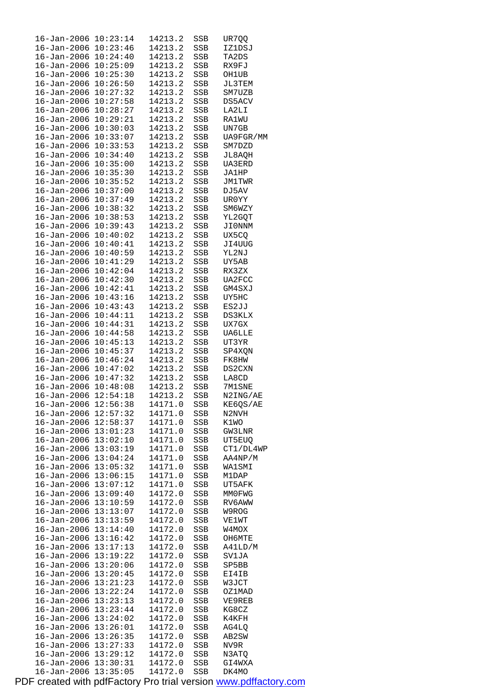| $16 - Jan - 2006$                      | 10:23:14             | 14213.2            | SSB        | UR7QQ           |
|----------------------------------------|----------------------|--------------------|------------|-----------------|
| 16-Jan-2006                            | 10:23:46             | 14213.2            | SSB        | IZ1DSJ          |
| 16-Jan-2006                            | 10:24:40             | 14213.2            | SSB        | TA2DS           |
| 16-Jan-2006                            | 10:25:09             | 14213.2            | SSB        | RX9FJ           |
| 16-Jan-2006                            | 10:25:30             | 14213.2            | SSB        | OH1UB           |
| $16 - Jan - 2006$                      | 10:26:50             | 14213.2            | SSB        | JL3TEM          |
| $16 - Jan - 2006$                      | 10:27:32             | 14213.2            | SSB        | SM7UZB          |
| 16-Jan-2006                            | 10:27:58             | 14213.2            | SSB        | DS5ACV          |
| 16-Jan-2006                            | 10:28:27             | 14213.2            | SSB        | LA2LI           |
| $16 - Jan - 2006$                      | 10:29:21             | 14213.2            | SSB        | <b>RA1WU</b>    |
| 16-Jan-2006                            | 10:30:03             | 14213.2            | SSB        | UN7GB           |
| 16-Jan-2006                            | 10:33:07             | 14213.2            | SSB        | UA9FGR/MM       |
| 16-Jan-2006                            | 10:33:53             | 14213.2            | SSB        | SM7DZD          |
| 16-Jan-2006                            | 10:34:40             | 14213.2            | SSB        | JL8AQH          |
| 16-Jan-2006                            | 10:35:00             | 14213.2            | SSB        | UA3ERD          |
| 16-Jan-2006                            | 10:35:30             | 14213.2            | SSB        | JA1HP           |
| 16-Jan-2006                            | 10:35:52             | 14213.2            | SSB        | JM1TWR          |
| 16-Jan-2006                            | 10:37:00             | 14213.2            | SSB        | DJ5AV           |
| 16-Jan-2006                            | 10:37:49             | 14213.2            | SSB        | UR0YY           |
| 16-Jan-2006                            | 10:38:32             | 14213.2            | SSB        | SM6WZY          |
| 16-Jan-2006                            | 10:38:53             | 14213.2            | SSB        | YL2GQT          |
| 16-Jan-2006                            | 10:39:43             | 14213.2            | SSB        | JI0NNM          |
| 16-Jan-2006                            | 10:40:02             | 14213.2            | SSB        | UX5CQ           |
| 16-Jan-2006                            | 10:40:41             | 14213.2            | SSB        | JI4UUG          |
| 16-Jan-2006                            | 10:40:59             | 14213.2            | SSB        | YL2NJ           |
| $16 - Jan - 2006$                      | 10:41:29             | 14213.2            | SSB        | UY5AB           |
| $16 - Jan - 2006$                      | 10:42:04             | 14213.2            | SSB        | RX3ZX           |
| 16-Jan-2006                            | 10:42:30             | 14213.2            | SSB        | UA2FCC          |
| 16-Jan-2006                            | 10:42:41             | 14213.2            | SSB        | GM4SXJ          |
| 16-Jan-2006                            | 10:43:16             | 14213.2            | SSB        | UY5HC           |
| 16-Jan-2006                            | 10:43:43             | 14213.2            | SSB        | ES2JJ           |
| 16-Jan-2006                            | 10:44:11             | 14213.2            | SSB        | DS3KLX          |
| $16 - Jan - 2006$                      | 10:44:31             | 14213.2            | SSB        | UX7GX           |
| 16-Jan-2006                            | 10:44:58             | 14213.2            | SSB        | UA6LLE          |
| 16-Jan-2006                            | 10:45:13<br>10:45:37 | 14213.2            | SSB        | UT3YR           |
| $16 - Jan - 2006$<br>$16 - Jan - 2006$ |                      | 14213.2<br>14213.2 | SSB        | SP4XQN          |
| $16 - Jan - 2006$                      | 10:46:24<br>10:47:02 | 14213.2            | SSB<br>SSB | FK8HW<br>DS2CXN |
| 16-Jan-2006                            | 10:47:32             | 14213.2            | SSB        | LA8CD           |
| $16 - Jan - 2006$                      | 10:48:08             | 14213.2            | SSB        | 7M1SNE          |
| $16 - Jan - 2006$                      | 12:54:18             | 14213.2            | SSB        | N2ING/AE        |
| $16 - Jan - 2006$ $12:56:38$           |                      | 14171.0            | SSB        | KE6QS/AE        |
| 16-Jan-2006                            | 12:57:32             | 14171.0            | SSB        | N2NVH           |
| $16 - Jan - 2006$                      | 12:58:37             | 14171.0            | SSB        | K1WO            |
| $16 - Jan - 2006$                      | 13:01:23             | 14171.0            | SSB        | GW3LNR          |
| 16-Jan-2006                            | 13:02:10             | 14171.0            | SSB        | UT5EUQ          |
| $16 - Jan - 2006$                      | 13:03:19             | 14171.0            | SSB        | CT1/DL4WP       |
| $16 - Jan - 2006$                      | 13:04:24             | 14171.0            | SSB        | AA4NP/M         |
| 16-Jan-2006                            | 13:05:32             | 14171.0            | SSB        | WA1SMI          |
| $16 - Jan - 2006$                      | 13:06:15             | 14171.0            | SSB        | M1DAP           |
| 16-Jan-2006                            | 13:07:12             | 14171.0            | SSB        | UT5AFK          |
| 16-Jan-2006                            | 13:09:40             | 14172.0            | SSB        | MMOFWG          |
| 16-Jan-2006                            | 13:10:59             | 14172.0            | SSB        | RV6AWW          |
| $16 - Jan - 2006$                      | 13:13:07             | 14172.0            | SSB        | W9ROG           |
| $16 - Jan - 2006$                      | 13:13:59             | 14172.0            | SSB        | VE1WT           |
| 16-Jan-2006                            | 13:14:40             | 14172.0            | SSB        | W4MOX           |
| 16-Jan-2006                            | 13:16:42             | 14172.0            | SSB        | OH6MTE          |
| $16 - Jan - 2006$                      | 13:17:13             | 14172.0            | SSB        | A41LD/M         |
| 16-Jan-2006                            | 13:19:22             | 14172.0            | SSB        | SV1JA           |
| $16 - Jan - 2006$                      | 13:20:06             | 14172.0            | SSB        | SP5BB           |
| 16-Jan-2006                            | 13:20:45             | 14172.0            | SSB        | EI4IB           |
| 16-Jan-2006                            | 13:21:23             | 14172.0            | SSB        | W3JCT           |
| 16-Jan-2006                            | 13:22:24             | 14172.0            | SSB        | OZ1MAD          |
| 16-Jan-2006                            | 13:23:13             | 14172.0            | SSB        | VE9REB          |
| $16 - Jan - 2006$                      | 13:23:44             | 14172.0            | SSB        | KG8CZ           |
| 16-Jan-2006                            | 13:24:02             | 14172.0            | SSB        | K4KFH           |
| 16-Jan-2006                            | 13:26:01             | 14172.0            | SSB        | AG4LQ           |
| $16 - Jan - 2006$                      | 13:26:35             | 14172.0            | SSB        | AB2SW           |
| $16 - Jan - 2006$                      | 13:27:33             | 14172.0            | SSB        | NV9R            |
| $16 - Jan - 2006$                      | 13:29:12             | 14172.0            | SSB        | N3ATQ           |
| $16 - Jan - 2006$                      | 13:30:31             | 14172.0            | SSB        | GI4WXA          |
| 16-Jan-2006                            | 13:35:05             | 14172.0            | SSB        | DK4MO           |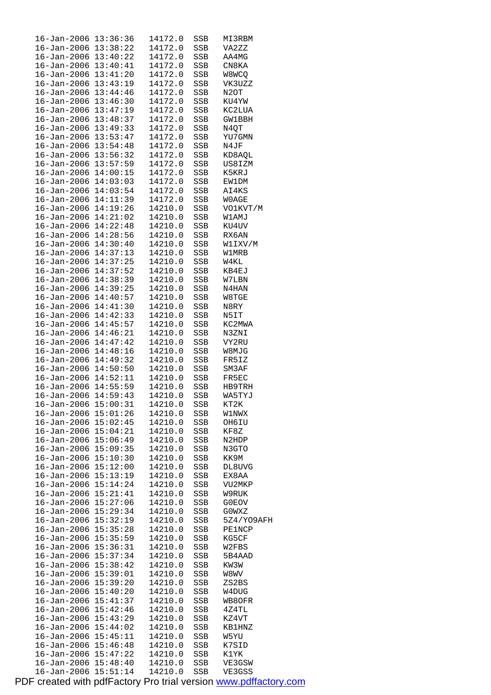| $16 - Jan - 2006$            | 13:36:36 | 14172.0 | SSB        | MI3RBM            |
|------------------------------|----------|---------|------------|-------------------|
| $16 - Jan - 2006$            | 13:38:22 | 14172.0 | SSB        | VA2ZZ             |
| $16 - Jan - 2006$            | 13:40:22 | 14172.0 | SSB        | AA4MG             |
| 16-Jan-2006                  | 13:40:41 | 14172.0 | SSB        | CN8KA             |
| $16 - Jan - 2006$            | 13:41:20 | 14172.0 | SSB        | W8WCQ             |
| $16 - Jan - 2006$            | 13:43:19 | 14172.0 | SSB        | VK3UZZ            |
| $16 - Jan - 2006$            | 13:44:46 | 14172.0 | SSB        | N <sub>2</sub> OT |
| $16 - Jan - 2006$            | 13:46:30 | 14172.0 | SSB        | KU4YW             |
| 16-Jan-2006                  | 13:47:19 | 14172.0 | SSB        | KC2LUA            |
| $16 - Jan - 2006$            | 13:48:37 | 14172.0 | SSB        | GW1BBH            |
| $16 - Jan - 2006$            | 13:49:33 | 14172.0 |            |                   |
|                              | 13:53:47 |         | SSB        | N4QT              |
| $16 - Jan - 2006$            |          | 14172.0 | SSB        | YU7GMN            |
| $16 - Jan - 2006$            | 13:54:48 | 14172.0 | SSB        | N4JF              |
| 16-Jan-2006                  | 13:56:32 | 14172.0 | SSB        | KD8AQL            |
| $16 - Jan - 2006$            | 13:57:59 | 14172.0 | SSB        | US8IZM            |
| $16 - Jan - 2006$            | 14:00:15 | 14172.0 | SSB        | K5KRJ             |
| $16 - Jan - 2006$            | 14:03:03 | 14172.0 | SSB        | EW1DM             |
| $16 - Jan - 2006$            | 14:03:54 | 14172.0 | SSB        | AI4KS             |
| 16-Jan-2006                  | 14:11:39 | 14172.0 | SSB        | W0AGE             |
| $16 - Jan - 2006$            | 14:19:26 | 14210.0 | SSB        | VO1KVT/M          |
| $16 - Jan - 2006$            | 14:21:02 | 14210.0 | SSB        | W1AMJ             |
| $16 - Jan - 2006$            | 14:22:48 | 14210.0 | SSB        | KU4UV             |
| $16 - Jan - 2006$            | 14:28:56 | 14210.0 | SSB        | RX6AN             |
| 16-Jan-2006                  | 14:30:40 | 14210.0 | SSB        | W1IXV/M           |
| $16 - Jan - 2006$            | 14:37:13 | 14210.0 | SSB        | W1MRB             |
| $16 - Jan - 2006$            | 14:37:25 | 14210.0 | SSB        | W4KL              |
| $16 - Jan - 2006$            | 14:37:52 | 14210.0 | SSB        | KB4EJ             |
| $16 - Jan - 2006$            | 14:38:39 | 14210.0 | SSB        | W7LBN             |
| 16-Jan-2006                  | 14:39:25 | 14210.0 | SSB        | N4HAN             |
| $16 - Jan - 2006$            | 14:40:57 | 14210.0 |            |                   |
|                              |          |         | SSB        | W8TGE             |
| $16 - Jan - 2006$            | 14:41:30 | 14210.0 | SSB        | N8RY              |
| $16 - Jan - 2006$            | 14:42:33 | 14210.0 | SSB        | N5IT              |
| $16 - Jan - 2006$            | 14:45:57 | 14210.0 | SSB        | KC2MWA            |
| $16 - Jan - 2006$            | 14:46:21 | 14210.0 | SSB        | N3ZNI             |
| $16 - Jan - 2006$            | 14:47:42 | 14210.0 | SSB        | VY2RU             |
| $16 - Jan - 2006$            | 14:48:16 | 14210.0 | SSB        | W8MJG             |
| $16 - Jan - 2006$            | 14:49:32 | 14210.0 | SSB        | FR5IZ             |
| $16 - Jan - 2006$            | 14:50:50 | 14210.0 | SSB        | SM3AF             |
| $16 - Jan - 2006$            | 14:52:11 | 14210.0 | SSB        | FR5EC             |
| 16-Jan-2006 14:55:59         |          | 14210.0 | SSB        | HB9TRH            |
| $16 - Jan - 2006$            | 14:59:43 | 14210.0 | <b>SSB</b> | WA5TYJ            |
| $16 - Jan - 2006$ $15:00:31$ |          | 14210.0 | SSB        | KT2K              |
| $16 - Jan - 2006$ $15:01:26$ |          | 14210.0 | SSB        | W1NWX             |
| $16 - Jan - 2006$            | 15:02:45 | 14210.0 | SSB        | OH6IU             |
| 16-Jan-2006                  | 15:04:21 | 14210.0 | SSB        | KF8Z              |
| $16 - Jan - 2006$            | 15:06:49 | 14210.0 | SSB        | N2HDP             |
| $16 - Jan - 2006$            | 15:09:35 | 14210.0 | SSB        | N3GTO             |
| $16 - Jan - 2006$            | 15:10:30 | 14210.0 | SSB        | KK9M              |
| $16 - Jan - 2006$            | 15:12:00 | 14210.0 | SSB        | DL8UVG            |
| $16 - Jan - 2006$            | 15:13:19 | 14210.0 | SSB        | EX8AA             |
| $16 - Jan - 2006$            | 15:14:24 | 14210.0 | SSB        | VU2MKP            |
| $16 - Jan - 2006$            | 15:21:41 | 14210.0 | SSB        | W9RUK             |
| $16 - Jan - 2006$            | 15:27:06 | 14210.0 |            |                   |
| $16 - Jan - 2006$            |          |         | SSB        | G0EOV             |
|                              | 15:29:34 | 14210.0 | SSB        | GOWXZ             |
| $16 - Jan - 2006$            | 15:32:19 | 14210.0 | SSB        | 5Z4/YO9AFH        |
| 16-Jan-2006                  | 15:35:28 | 14210.0 | SSB        | <b>PE1NCP</b>     |
| $16 - Jan - 2006$            | 15:35:59 | 14210.0 | SSB        | KG5CF             |
| $16 - Jan - 2006$            | 15:36:31 | 14210.0 | SSB        | W2FBS             |
| $16 - Jan - 2006$            | 15:37:34 | 14210.0 | SSB        | 5B4AAD            |
| $16 - Jan - 2006$            | 15:38:42 | 14210.0 | SSB        | KW3W              |
| $16 - Jan - 2006$            | 15:39:01 | 14210.0 | SSB        | W8WV              |
| 16-Jan-2006                  | 15:39:20 | 14210.0 | SSB        | ZS2BS             |
| $16 - Jan - 2006$            | 15:40:20 | 14210.0 | SSB        | W4DUG             |
| $16 - Jan - 2006$            | 15:41:37 | 14210.0 | SSB        | WB8OFR            |
| $16 - Jan - 2006$            | 15:42:46 | 14210.0 | SSB        | 4Z4TL             |
| 16-Jan-2006                  | 15:43:29 | 14210.0 | SSB        | KZ4VT             |
| $16 - Jan - 2006$            | 15:44:02 | 14210.0 | SSB        | <b>KB1HNZ</b>     |
| $16 - Jan - 2006$            | 15:45:11 | 14210.0 | SSB        | W5YU              |
| $16 - Jan - 2006$            | 15:46:48 | 14210.0 | SSB        | K7SID             |
| $16 - Jan - 2006$            | 15:47:22 | 14210.0 | SSB        | K1YK              |
| $16 - Jan - 2006$            | 15:48:40 | 14210.0 | SSB        | VE3GSW            |
| $16 - Jan - 2006$            | 15:51:14 | 14210.0 | SSB        | VE3GSS            |
|                              |          |         |            |                   |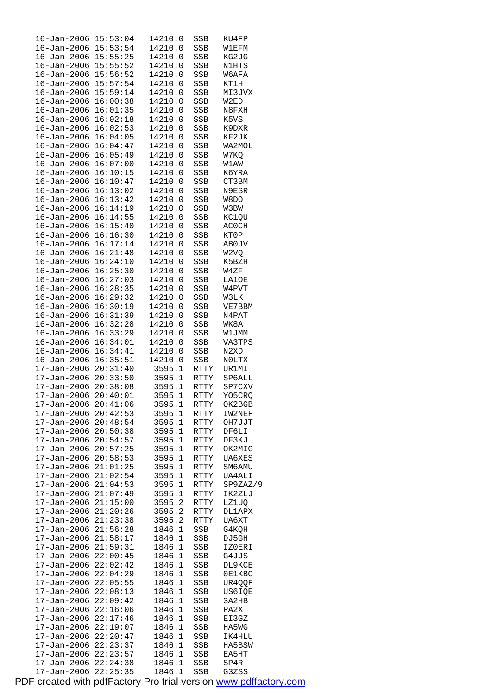| $16 - Jan - 2006$                      | 15:53:04             | 14210.0            | SSB                   | KU4FP             |
|----------------------------------------|----------------------|--------------------|-----------------------|-------------------|
| $16 - Jan - 2006$                      | 15:53:54             | 14210.0            | SSB                   | W1EFM             |
| 16-Jan-2006                            | 15:55:25             | 14210.0            | SSB                   | KG2JG             |
| $16 - Jan - 2006$                      | 15:55:52             | 14210.0            | SSB                   | N1HTS             |
| 16-Jan-2006                            | 15:56:52             | 14210.0            | SSB                   | W6AFA             |
| $16 - Jan - 2006$                      | 15:57:54             | 14210.0            | SSB                   | KT1H              |
| 16-Jan-2006                            | 15:59:14             | 14210.0            | SSB                   | MI3JVX            |
| $16 - Jan - 2006$                      | 16:00:38             | 14210.0            | SSB                   | W2ED              |
| $16 - Jan - 2006$                      | 16:01:35             | 14210.0            | SSB                   | N8FXH             |
| $16 - Jan - 2006$                      | 16:02:18             | 14210.0            | SSB                   | K5VS              |
| $16 - Jan - 2006$                      | 16:02:53             | 14210.0            | SSB                   | K9DXR             |
| $16 - Jan - 2006$                      | 16:04:05<br>16:04:47 | 14210.0<br>14210.0 | SSB                   | KF2JK             |
| $16 - Jan - 2006$<br>$16 - Jan - 2006$ | 16:05:49             | 14210.0            | SSB                   | WA2MOL            |
| 16-Jan-2006                            | 16:07:00             | 14210.0            | SSB                   | W7KQ<br>W1AW      |
| $16 - Jan - 2006$                      | 16:10:15             | 14210.0            | SSB<br>SSB            | K6YRA             |
| $16 - Jan - 2006$                      | 16:10:47             | 14210.0            | SSB                   | CT3BM             |
| $16 - Jan - 2006$                      | 16:13:02             | 14210.0            | SSB                   | N9ESR             |
| $16 - Jan - 2006$                      | 16:13:42             | 14210.0            | SSB                   | W8DO              |
| 16-Jan-2006                            | 16:14:19             | 14210.0            | SSB                   | W3BW              |
| $16 - Jan - 2006$                      | 16:14:55             | 14210.0            | SSB                   | KC1QU             |
| $16 - Jan - 2006$                      | 16:15:40             | 14210.0            | SSB                   | AC0CH             |
| 16-Jan-2006                            | 16:16:30             | 14210.0            | SSB                   | KT0P              |
| $16 - Jan - 2006$                      | 16:17:14             | 14210.0            | SSB                   | AB0JV             |
| 16-Jan-2006                            | 16:21:48             | 14210.0            | SSB                   | W <sub>2</sub> VQ |
| $16 - Jan - 2006$                      | 16:24:10             | 14210.0            | SSB                   | K5BZH             |
| $16 - Jan - 2006$                      | 16:25:30             | 14210.0            | SSB                   | W4ZF              |
| $16 - Jan - 2006$                      | 16:27:03             | 14210.0            | SSB                   | LA10E             |
| $16 - Jan - 2006$                      | 16:28:35             | 14210.0            | SSB                   | W4PVT             |
| $16 - Jan - 2006$                      | 16:29:32             | 14210.0            | SSB                   | W3LK              |
| $16 - Jan - 2006$                      | 16:30:19             | 14210.0            | SSB                   | VE7BBM            |
| $16 - Jan - 2006$                      | 16:31:39             | 14210.0            | SSB                   | N4PAT             |
| $16 - Jan - 2006$                      | 16:32:28             | 14210.0            | SSB                   | WK8A              |
| $16 - Jan - 2006$                      | 16:33:29             | 14210.0            | SSB                   | W1JMM             |
| 16-Jan-2006                            | 16:34:01             | 14210.0            | SSB                   | VA3TPS            |
| $16 - Jan - 2006$                      | 16:34:41             | 14210.0            | SSB                   | N2XD              |
| $16 - Jan - 2006$                      | 16:35:51             | 14210.0            | SSB                   | NOLTX             |
| 17-Jan-2006                            | 20:31:40             | 3595.1             | RTTY                  | UR1MI             |
| $17 - Jan - 2006$                      | 20:33:50             | 3595.1             | RTTY                  | SP6ALL            |
| $17 - Jan - 2006$                      | 20:38:08             | 3595.1             | RTTY                  | SP7CXV            |
| $17 - Jan - 2006$                      | 20:40:01             | 3595.1             | <b>RTTY</b>           | YO5CRQ            |
| $17 - Jan - 2006$                      | 20:41:06             | 3595.1             | RTTY                  | OK2BGB            |
| 17-Jan-2006                            | 20:42:53             | 3595.1             | $\operatorname{RTTY}$ | IW2NEF            |
| $17 - Jan - 2006$                      | 20:48:54             | 3595.1<br>3595.1   | RTTY                  | OH7JJT            |
| 17-Jan-2006<br>17-Jan-2006             | 20:50:38<br>20:54:57 | 3595.1             | RTTY<br>RTTY          | DF6LI<br>DF3KJ    |
| $17 - Jan - 2006$                      | 20:57:25             | 3595.1             | RTTY                  | OK2MIG            |
| 17-Jan-2006                            | 20:58:53             | 3595.1             | RTTY                  | <b>UA6XES</b>     |
| $17 - Jan - 2006$                      | 21:01:25             | 3595.1             | RTTY                  | SM6AMU            |
| 17-Jan-2006                            | 21:02:54             | 3595.1             | RTTY                  | UA4ALI            |
| $17 - Jan - 2006$                      | 21:04:53             | 3595.1             | RTTY                  | SP9ZAZ/9          |
| $17 - Jan - 2006$                      | 21:07:49             | 3595.1             | RTTY                  | IK2ZLJ            |
| 17-Jan-2006                            | 21:15:00             | 3595.2             | RTTY                  | LZ1UQ             |
| $17 - Jan - 2006$                      | 21:20:26             | 3595.2             | RTTY                  | <b>DL1APX</b>     |
| 17-Jan-2006                            | 21:23:38             | 3595.2             | $\operatorname{RTTY}$ | UA6XT             |
| $17 - Jan - 2006$                      | 21:56:28             | 1846.1             | SSB                   | G4KQH             |
| 17-Jan-2006                            | 21:58:17             | 1846.1             | SSB                   | DJ5GH             |
| 17-Jan-2006                            | 21:59:31             | 1846.1             | SSB                   | IZ0ERI            |
| $17 - Jan - 2006$                      | 22:00:45             | 1846.1             | SSB                   | G4JJS             |
| 17-Jan-2006                            | 22:02:42             | 1846.1             | SSB                   | DL9KCE            |
| $17 - Jan - 2006$                      | 22:04:29             | 1846.1             | SSB                   | 0E1KBC            |
| 17-Jan-2006                            | 22:05:55             | 1846.1             | SSB                   | UR4QQF            |
| 17-Jan-2006                            | 22:08:13             | 1846.1             | SSB                   | US6IQE            |
| $17 - Jan - 2006$                      | 22:09:42             | 1846.1             | SSB                   | 3A2HB             |
| 17-Jan-2006                            | 22:16:06             | 1846.1             | SSB                   | PA2X              |
| $17 - Jan - 2006$                      | 22:17:46             | 1846.1             | SSB                   | EI3GZ             |
| 17-Jan-2006<br>17-Jan-2006             | 22:19:07<br>22:20:47 | 1846.1<br>1846.1   | SSB<br>SSB            | HA5WG<br>IK4HLU   |
| $17 - Jan - 2006$                      | 22:23:37             | 1846.1             | SSB                   | HA5BSW            |
| 17-Jan-2006                            | 22:23:57             | 1846.1             | SSB                   | EA5HT             |
| $17 - Jan - 2006$                      | 22:24:38             | 1846.1             | SSB                   | SP4R              |
| 17-Jan-2006                            | 22:25:35             | 1846.1             | SSB                   | G3ZSS             |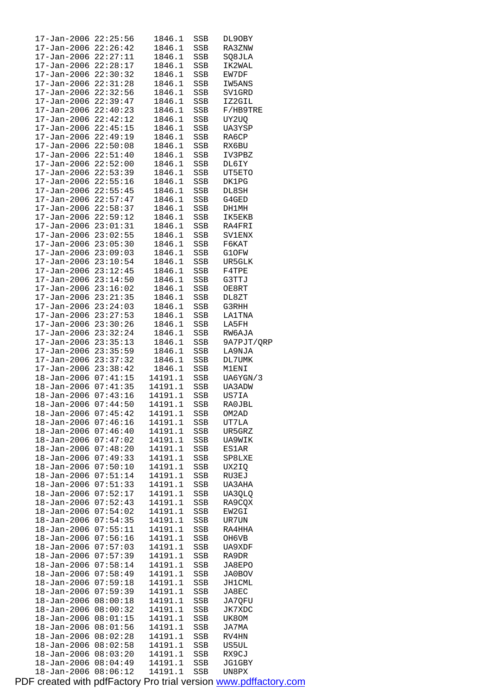| 17-Jan-2006                      | 22:25:56 | 1846.1           | SSB | DL9OBY          |
|----------------------------------|----------|------------------|-----|-----------------|
| 17-Jan-2006                      | 22:26:42 | 1846.1           | SSB | RA3ZNW          |
| $17 - Jan - 2006$ $22:27:11$     |          | 1846.1           | SSB | SQ8JLA          |
| $17 - Jan - 2006$ $22:28:17$     |          | 1846.1           | SSB | IK2WAL          |
| 17-Jan-2006                      | 22:30:32 | 1846.1           | SSB | EW7DF           |
| 17-Jan-2006                      | 22:31:28 | 1846.1           | SSB | IW5ANS          |
| 17-Jan-2006                      | 22:32:56 | 1846.1           | SSB | SV1GRD          |
| 17-Jan-2006                      | 22:39:47 | 1846.1           | SSB | IZ2GIL          |
| 17-Jan-2006                      | 22:40:23 | 1846.1           | SSB | F/HB9TRE        |
| 17-Jan-2006                      | 22:42:12 | 1846.1           | SSB | UY2UQ           |
| $17 - Jan - 2006$                | 22:45:15 | 1846.1           | SSB | UA3YSP          |
| 17-Jan-2006                      | 22:49:19 | 1846.1           | SSB | RA6CP           |
| $17 - Jan - 2006$ $22:50:08$     |          | 1846.1           | SSB | RX6BU           |
| $17 - Jan - 2006$ $22:51:40$     |          | 1846.1           | SSB | IV3PBZ          |
| 17-Jan-2006 22:52:00             |          | 1846.1           | SSB | DL6IY           |
| $17 - Jan - 2006$ $22:53:39$     |          | 1846.1           | SSB | UT5ETO          |
| $17 - Jan - 2006$ $22:55:16$     |          | 1846.1           | SSB | DK1PG           |
| 17-Jan-2006 22:55:45             |          | 1846.1           |     | DL8SH           |
|                                  |          | 1846.1           | SSB | G4GED           |
| 17-Jan-2006 22:57:47             |          |                  | SSB |                 |
| 17-Jan-2006<br>$17 - Jan - 2006$ | 22:58:37 | 1846.1<br>1846.1 | SSB | DH1MH<br>IK5EKB |
|                                  | 22:59:12 |                  | SSB |                 |
| $17 - Jan - 2006$ $23:01:31$     |          | 1846.1           | SSB | RA4FRI          |
| 17-Jan-2006 23:02:55             |          | 1846.1           | SSB | <b>SV1ENX</b>   |
| $17 - Jan - 2006$ $23:05:30$     |          | 1846.1           | SSB | F6KAT           |
| $17 - Jan - 2006$ $23:09:03$     |          | 1846.1           | SSB | G1OFW           |
| $17 - Jan - 2006$ $23:10:54$     |          | 1846.1           | SSB | UR5GLK          |
| $17 - Jan - 2006$ $23:12:45$     |          | 1846.1           | SSB | F4TPE           |
| $17 - Jan - 2006$ $23:14:50$     |          | 1846.1           | SSB | G3TTJ           |
| 17-Jan-2006 23:16:02             |          | 1846.1           | SSB | OE8RT           |
| 17-Jan-2006                      | 23:21:35 | 1846.1           | SSB | DL8ZT           |
| 17-Jan-2006                      | 23:24:03 | 1846.1           | SSB | G3RHH           |
| 17-Jan-2006                      | 23:27:53 | 1846.1           | SSB | LA1TNA          |
| 17-Jan-2006 23:30:26             |          | 1846.1           | SSB | LA5FH           |
| $17 - Jan - 2006$ $23:32:24$     |          | 1846.1           | SSB | RW6AJA          |
| $17 - Jan - 2006$ $23:35:13$     |          | 1846.1           | SSB | 9A7PJT/QRP      |
| $17 - Jan - 2006$ $23:35:59$     |          | 1846.1           | SSB | LA9NJA          |
| $17 - Jan - 2006$ $23:37:32$     |          | 1846.1           | SSB | DL7UMK          |
| $17 - Jan - 2006$ $23:38:42$     |          | 1846.1           | SSB | M1ENI           |
| 18-Jan-2006 07:41:15             |          | 14191.1          | SSB | UA6YGN/3        |
| 18-Jan-2006 07:41:35             |          | 14191.1          | SSB | UA3ADW          |
| 18-Jan-2006 07:43:16             |          | 14191.1          | SSB | US7IA           |
| 18-Jan-2006 07:44:50             |          | 14191.1          | SSB | RA0JBL          |
| 18-Jan-2006                      | 07:45:42 | 14191.1          | SSB | OM2AD           |
| 18-Jan-2006                      | 07:46:16 | 14191.1          | SSB | UT7LA           |
| $18 - Jan - 2006$                | 07:46:40 | 14191.1          | SSB | UR5GRZ          |
| 18-Jan-2006                      | 07:47:02 | 14191.1          | SSB | UA9WIK          |
| 18-Jan-2006                      | 07:48:20 | 14191.1          | SSB | ES1AR           |
| $18 - Jan - 2006$                | 07:49:33 | 14191.1          | SSB | SP8LXE          |
| 18-Jan-2006                      | 07:50:10 | 14191.1          | SSB | UX2IQ           |
| $18 - Jan - 2006$                | 07:51:14 | 14191.1          | SSB | RU3EJ           |
| 18-Jan-2006                      | 07:51:33 | 14191.1          | SSB | UA3AHA          |
| 18-Jan-2006                      | 07:52:17 | 14191.1          | SSB | UA3QLQ          |
| $18 - Jan - 2006$                | 07:52:43 | 14191.1          | SSB | RA9CQX          |
| $18 - Jan - 2006$                | 07:54:02 | 14191.1          | SSB | EW2GI           |
| 18-Jan-2006                      | 07:54:35 | 14191.1          | SSB | UR7UN           |
| 18-Jan-2006                      | 07:55:11 | 14191.1          | SSB | RA4HHA          |
| 18-Jan-2006                      | 07:56:16 | 14191.1          | SSB | OH6VB           |
| $18 - Jan - 2006$                | 07:57:03 | 14191.1          | SSB | UA9XDF          |
| 18-Jan-2006                      | 07:57:39 | 14191.1          | SSB | RA9DR           |
| $18 - Jan - 2006$                | 07:58:14 | 14191.1          | SSB | JA8EPO          |
| 18-Jan-2006                      | 07:58:49 | 14191.1          | SSB | JA0BOV          |
| 18-Jan-2006                      | 07:59:18 | 14191.1          | SSB | JH1CML          |
| 18-Jan-2006                      | 07:59:39 | 14191.1          | SSB | JA8EC           |
| 18-Jan-2006                      | 08:00:18 | 14191.1          | SSB | JA7QFU          |
| 18-Jan-2006                      | 08:00:32 | 14191.1          | SSB | JK7XDC          |
| 18-Jan-2006                      | 08:01:15 | 14191.1          | SSB | UK8OM           |
| 18-Jan-2006                      | 08:01:56 | 14191.1          | SSB | JA7MA           |
| $18 - Jan - 2006$                | 08:02:28 | 14191.1          | SSB | RV4HN           |
| $18 - Jan - 2006$                | 08:02:58 | 14191.1          | SSB | US5UL           |
| $18 - Jan - 2006$                | 08:03:20 | 14191.1          | SSB | RX9CJ           |
| $18 - Jan - 2006$                | 08:04:49 | 14191.1          | SSB | JG1GBY          |
|                                  | 08:06:12 | 14191.1          | SSB | UN8PX           |
| 18-Jan-2006                      |          |                  |     |                 |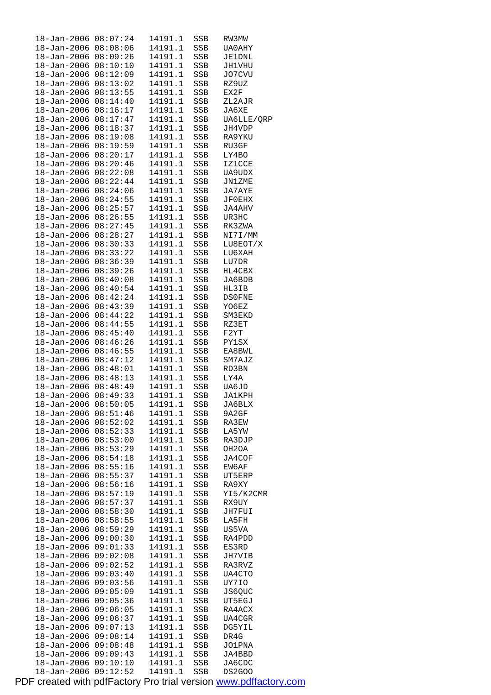| $18 - Jan - 2006$          | 08:07:24 | 14191.1 | SSB | RW3MW         |
|----------------------------|----------|---------|-----|---------------|
| 18-Jan-2006                | 08:08:06 | 14191.1 | SSB | UA0AHY        |
| $18 - Jan - 2006$          | 08:09:26 | 14191.1 | SSB | <b>JE1DNL</b> |
| $18 - Jan - 2006$          | 08:10:10 | 14191.1 | SSB | JH1VHU        |
| 18-Jan-2006                | 08:12:09 | 14191.1 | SSB | J07CVU        |
| $18 - Jan - 2006$          | 08:13:02 | 14191.1 | SSB | RZ9UZ         |
| 18-Jan-2006                | 08:13:55 | 14191.1 | SSB | EX2F          |
| $18 - Jan - 2006$          | 08:14:40 | 14191.1 | SSB | ZL2AJR        |
| 18-Jan-2006                | 08:16:17 | 14191.1 | SSB | JA6XE         |
| 18-Jan-2006                | 08:17:47 | 14191.1 | SSB | UA6LLE/QRP    |
| $18 - Jan - 2006$          | 08:18:37 | 14191.1 | SSB | JH4VDP        |
| 18-Jan-2006                | 08:19:08 | 14191.1 | SSB | RA9YKU        |
| $18 - Jan - 2006$          | 08:19:59 | 14191.1 | SSB | RU3GF         |
| $18 - Jan - 2006$          | 08:20:17 | 14191.1 | SSB | LY4BO         |
| 18-Jan-2006                | 08:20:46 | 14191.1 | SSB | <b>IZ1CCE</b> |
| 18-Jan-2006                | 08:22:08 | 14191.1 | SSB | UA9UDX        |
| 18-Jan-2006                | 08:22:44 | 14191.1 |     | JN1ZME        |
| $18 - Jan - 2006$          | 08:24:06 | 14191.1 | SSB |               |
|                            |          |         | SSB | JA7AYE        |
| 18-Jan-2006                | 08:24:55 | 14191.1 | SSB | JF0EHX        |
| 18-Jan-2006                | 08:25:57 | 14191.1 | SSB | JA4AHV        |
| $18 - Jan - 2006$          | 08:26:55 | 14191.1 | SSB | UR3HC         |
| 18-Jan-2006                | 08:27:45 | 14191.1 | SSB | RK3ZWA        |
| $18 - Jan - 2006$          | 08:28:27 | 14191.1 | SSB | NI7I/MM       |
| $18 - Jan - 2006$          | 08:30:33 | 14191.1 | SSB | LU8EOT/X      |
| 18-Jan-2006                | 08:33:22 | 14191.1 | SSB | LU6XAH        |
| $18 - Jan - 2006$          | 08:36:39 | 14191.1 | SSB | LU7DR         |
| $18 - Jan - 2006$          | 08:39:26 | 14191.1 | SSB | HL4CBX        |
| $18 - Jan - 2006$          | 08:40:08 | 14191.1 | SSB | JA6BDB        |
| 18-Jan-2006                | 08:40:54 | 14191.1 | SSB | HL3IB         |
| 18-Jan-2006                | 08:42:24 | 14191.1 | SSB | <b>DSOFNE</b> |
| 18-Jan-2006                | 08:43:39 | 14191.1 | SSB | YO6EZ         |
| 18-Jan-2006                | 08:44:22 | 14191.1 | SSB | SM3EKD        |
| 18-Jan-2006                | 08:44:55 | 14191.1 | SSB | RZ3ET         |
| $18 - Jan - 2006$          | 08:45:40 | 14191.1 | SSB | F2YT          |
| 18-Jan-2006                | 08:46:26 | 14191.1 | SSB | PY1SX         |
| 18-Jan-2006                | 08:46:55 | 14191.1 | SSB | EA8BWL        |
| $18 - Jan - 2006$          | 08:47:12 | 14191.1 | SSB | SM7AJZ        |
| $18 - Jan - 2006$          | 08:48:01 | 14191.1 | SSB | RD3BN         |
| 18-Jan-2006 08:48:13       |          | 14191.1 | SSB | LY4A          |
| 18-Jan-2006 08:48:49       |          | 14191.1 | SSB | UA6JD         |
| 18-Jan-2006                | 08:49:33 | 14191.1 | SSB | JA1KPH        |
| $18 - Jan - 2006 08:50:05$ |          | 14191.1 | SSB | JA6BLX        |
| 18-Jan-2006                | 08:51:46 | 14191.1 | SSB | 9A2GF         |
| 18-Jan-2006                | 08:52:02 | 14191.1 | SSB | RA3EW         |
| 18-Jan-2006                | 08:52:33 | 14191.1 | SSB | LA5YW         |
|                            |          | 14191.1 |     |               |
| 18-Jan-2006                | 08:53:00 |         | SSB | RA3DJP        |
| 18-Jan-2006                | 08:53:29 | 14191.1 | SSB | OH2OA         |
| 18-Jan-2006                | 08:54:18 | 14191.1 | SSB | JA4COF        |
| $18 - Jan - 2006$          | 08:55:16 | 14191.1 | SSB | EW6AF         |
| $18 - Jan - 2006$          | 08:55:37 | 14191.1 | SSB | UT5ERP        |
| $18 - Jan - 2006$          | 08:56:16 | 14191.1 | SSB | RA9XY         |
| 18-Jan-2006                | 08:57:19 | 14191.1 | SSB | YI5/K2CMR     |
| 18-Jan-2006                | 08:57:37 | 14191.1 | SSB | RX9UY         |
| $18 - Jan - 2006$          | 08:58:30 | 14191.1 | SSB | JH7FUI        |
| 18-Jan-2006                | 08:58:55 | 14191.1 | SSB | LA5FH         |
| $18 - Jan - 2006$          | 08:59:29 | 14191.1 | SSB | US5VA         |
| 18-Jan-2006                | 09:00:30 | 14191.1 | SSB | RA4PDD        |
| 18-Jan-2006                | 09:01:33 | 14191.1 | SSB | ES3RD         |
| $18 - Jan - 2006$          | 09:02:08 | 14191.1 | SSB | JH7VIB        |
| $18 - Jan - 2006$          | 09:02:52 | 14191.1 | SSB | RA3RVZ        |
| $18 - Jan - 2006$          | 09:03:40 | 14191.1 | SSB | UA4CTO        |
| 18-Jan-2006                | 09:03:56 | 14191.1 | SSB | UY7IO         |
| $18 - Jan - 2006$          | 09:05:09 | 14191.1 | SSB | JS6QUC        |
| $18 - Jan - 2006$          | 09:05:36 | 14191.1 | SSB | UT5EGJ        |
| 18-Jan-2006                | 09:06:05 | 14191.1 | SSB | RA4ACX        |
| $18 - Jan - 2006$          | 09:06:37 | 14191.1 | SSB | UA4CGR        |
| 18-Jan-2006                | 09:07:13 | 14191.1 | SSB | DG5YIL        |
| 18-Jan-2006                | 09:08:14 | 14191.1 | SSB | DR4G          |
| $18 - Jan - 2006$          | 09:08:48 | 14191.1 | SSB | JO1PNA        |
| $18 - Jan - 2006$          | 09:09:43 | 14191.1 | SSB | JA4BBD        |
| 18-Jan-2006                | 09:10:10 | 14191.1 | SSB | JA6CDC        |
| $18 - Jan - 2006$          | 09:12:52 | 14191.1 | SSB | <b>DS2G00</b> |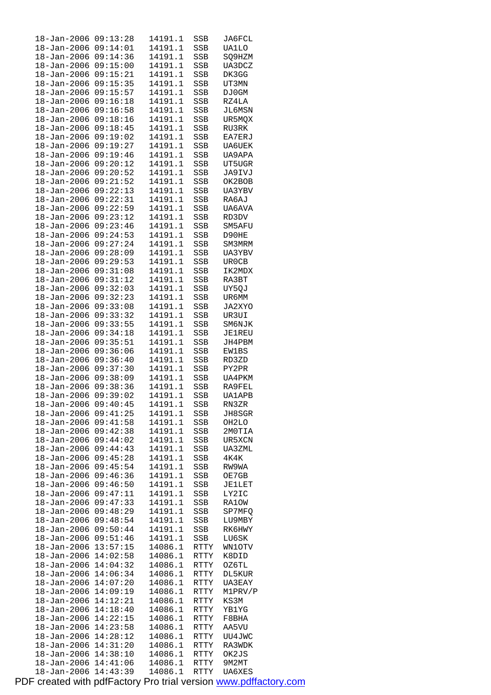| $18 - Jan - 2006$                | 09:13:28             | 14191.1            | SSB          | JA6FCL          |  |
|----------------------------------|----------------------|--------------------|--------------|-----------------|--|
| 18-Jan-2006                      | 09:14:01             | 14191.1            | SSB          | <b>UA1LO</b>    |  |
| $18 - Jan - 2006$                | 09:14:36             | 14191.1            | SSB          | SQ9HZM          |  |
|                                  | 09:15:00             | 14191.1            |              |                 |  |
| $18 - Jan - 2006$                |                      |                    | SSB          | UA3DCZ          |  |
| $18 - Jan - 2006$                | 09:15:21             | 14191.1            | SSB          | DK3GG           |  |
| $18 - Jan - 2006$                | 09:15:35             | 14191.1            | SSB          | UT3MN           |  |
| 18-Jan-2006                      | 09:15:57             | 14191.1            | SSB          | DJ0GM           |  |
| $18 - Jan - 2006$                | 09:16:18             | 14191.1            | SSB          | RZ4LA           |  |
| $18 - Jan - 2006$                | 09:16:58             | 14191.1            | SSB          | JL6MSN          |  |
|                                  |                      |                    |              |                 |  |
| $18 - Jan - 2006$                | 09:18:16             | 14191.1            | <b>SSB</b>   | UR5MQX          |  |
| $18 - Jan - 2006$                | 09:18:45             | 14191.1            | SSB          | RU3RK           |  |
| 18-Jan-2006                      | 09:19:02             | 14191.1            | SSB          | EA7ERJ          |  |
| $18 - Jan - 2006$                | 09:19:27             | 14191.1            | SSB          | <b>UA6UEK</b>   |  |
| $18 - Jan - 2006$                | 09:19:46             | 14191.1            | SSB          | UA9APA          |  |
|                                  |                      |                    |              |                 |  |
| $18 - Jan - 2006$                | 09:20:12             | 14191.1            | SSB          | UT5UGR          |  |
| $18 - Jan - 2006$                | 09:20:52             | 14191.1            | SSB          | JA9IVJ          |  |
| $18 - Jan - 2006$                | 09:21:52             | 14191.1            | SSB          | OK2BOB          |  |
| $18 - Jan - 2006$                | 09:22:13             | 14191.1            | SSB          | UA3YBV          |  |
| $18 - Jan - 2006$                | 09:22:31             | 14191.1            | SSB          | RA6AJ           |  |
| $18 - Jan - 2006$                | 09:22:59             |                    |              |                 |  |
|                                  |                      | 14191.1            | SSB          | UA6AVA          |  |
| $18 - Jan - 2006$                | 09:23:12             | 14191.1            | SSB          | RD3DV           |  |
| 18-Jan-2006                      | 09:23:46             | 14191.1            | SSB          | SM5AFU          |  |
| $18 - Jan - 2006$                | 09:24:53             | 14191.1            | SSB          | D90HE           |  |
| $18 - Jan - 2006$                | 09:27:24             | 14191.1            | SSB          | SM3MRM          |  |
| $18 - Jan - 2006$                | 09:28:09             | 14191.1            | SSB          | UA3YBV          |  |
|                                  |                      |                    |              |                 |  |
| $18 - Jan - 2006$                | 09:29:53             | 14191.1            | SSB          | UR0CB           |  |
| $18 - Jan - 2006$                | 09:31:08             | 14191.1            | SSB          | IK2MDX          |  |
| $18 - Jan - 2006$                | 09:31:12             | 14191.1            | SSB          | RA3BT           |  |
| $18 - Jan - 2006$                | 09:32:03             | 14191.1            | SSB          | UY5QJ           |  |
| $18 - Jan - 2006$                | 09:32:23             | 14191.1            | SSB          | UR6MM           |  |
| $18 - Jan - 2006$                | 09:33:08             | 14191.1            | SSB          | JA2XYO          |  |
|                                  |                      |                    |              |                 |  |
| $18 - Jan - 2006$                | 09:33:32             | 14191.1            | SSB          | UR3UI           |  |
| $18 - Jan - 2006$                | 09:33:55             | 14191.1            | SSB          | SM6NJK          |  |
| $18 - Jan - 2006$                | 09:34:18             | 14191.1            | SSB          | JE1REU          |  |
| 18-Jan-2006                      | 09:35:51             | 14191.1            | SSB          | JH4PBM          |  |
| $18 - Jan - 2006$                | 09:36:06             | 14191.1            | SSB          | <b>EW1BS</b>    |  |
| $18 - Jan - 2006$                | 09:36:40             | 14191.1            | SSB          | RD3ZD           |  |
| $18 - Jan - 2006$                | 09:37:30             | 14191.1            |              |                 |  |
|                                  |                      |                    | SSB          | PY2PR           |  |
| $18 - Jan - 2006$                | 09:38:09             | 14191.1            | SSB          | UA4PKM          |  |
| $18 - Jan - 2006$                | 09:38:36             | 14191.1            | SSB          | RA9FEL          |  |
| $18 - Jan - 2006$                | 09:39:02             | 14191.1            | SSB          | <b>UA1APB</b>   |  |
| 18-Jan-2006 09:40:45             |                      | 14191.1            | SSB          | RN3ZR           |  |
| $18 - Jan - 2006$                | 09:41:25             | 14191.1            | SSB          | JH8SGR          |  |
| $18 - Jan - 2006$                | 09:41:58             | 14191.1            | SSB          | OH2LO           |  |
|                                  |                      |                    |              |                 |  |
| 18-Jan-2006                      | 09:42:38             | 14191.1            | SSB          | 2MOTIA          |  |
| 18-Jan-2006                      | 09:44:02             | 14191.1            | SSB          | UR5XCN          |  |
| 18-Jan-2006                      | 09:44:43             | 14191.1            | SSB          | UA3ZML          |  |
| 18-Jan-2006                      | 09:45:28             | 14191.1            | SSB          | 4K4K            |  |
| 18-Jan-2006                      | 09:45:54             | 14191.1            | SSB          | RW9WA           |  |
| 18-Jan-2006                      | 09:46:36             | 14191.1            | SSB          | OE7GB           |  |
| 18-Jan-2006                      | 09:46:50             | 14191.1            | SSB          | JE1LET          |  |
|                                  |                      |                    |              |                 |  |
| 18-Jan-2006                      | 09:47:11             | 14191.1            | SSB          | LY2IC           |  |
| 18-Jan-2006                      | 09:47:33             | 14191.1            | SSB          | RA1OW           |  |
| $18 - Jan - 2006$                | 09:48:29             | 14191.1            | SSB          | SP7MFQ          |  |
| 18-Jan-2006                      | 09:48:54             | 14191.1            | SSB          | LU9MBY          |  |
| $18 - Jan - 2006$                | 09:50:44             | 14191.1            | SSB          | RK6HWY          |  |
| 18-Jan-2006                      | 09:51:46             | 14191.1            |              |                 |  |
|                                  |                      |                    | SSB          | LU6SK           |  |
| 18-Jan-2006                      | 13:57:15             | 14086.1            | RTTY         | WN1OTV          |  |
| $18 - Jan - 2006$                | 14:02:58             | 14086.1            | RTTY         | K8DID           |  |
| 18-Jan-2006                      | 14:04:32             | 14086.1            | RTTY         | OZ6TL           |  |
| $18 - Jan - 2006$                | 14:06:34             | 14086.1            | RTTY         | DL5KUR          |  |
| 18-Jan-2006                      | 14:07:20             | 14086.1            | RTTY         | <b>UA3EAY</b>   |  |
| 18-Jan-2006                      |                      | 14086.1            | RTTY         | M1PRV/P         |  |
|                                  |                      |                    |              |                 |  |
|                                  | 14:09:19             |                    |              |                 |  |
| $18 - Jan - 2006$                | 14:12:21             | 14086.1            | RTTY         | KS3M            |  |
| 18-Jan-2006                      | 14:18:40             | 14086.1            | RTTY         | YB1YG           |  |
| $18 - Jan - 2006$                | 14:22:15             | 14086.1            | RTTY         | F8BHA           |  |
| 18-Jan-2006                      | 14:23:58             | 14086.1            | RTTY         | AA5VU           |  |
|                                  |                      |                    |              |                 |  |
| 18-Jan-2006                      | 14:28:12             | 14086.1            | RTTY         | UU4JWC          |  |
| $18 - Jan - 2006$                | 14:31:20             | 14086.1            | RTTY         | RA3WDK          |  |
| $18 - Jan - 2006$                | 14:38:10             | 14086.1            | RTTY         | OK2JS           |  |
| $18 - Jan - 2006$<br>18-Jan-2006 | 14:41:06<br>14:43:39 | 14086.1<br>14086.1 | RTTY<br>RTTY | 9M2MT<br>UA6XES |  |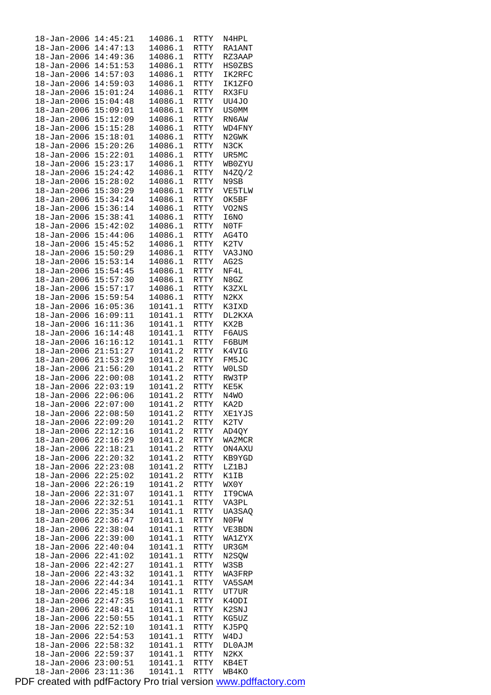| 18-Jan-2006                | 14:45:21             | 14086.1            | RTTY         | N4HPL          |
|----------------------------|----------------------|--------------------|--------------|----------------|
| $18 - Jan - 2006$          | 14:47:13             | 14086.1            | RTTY         | <b>RA1ANT</b>  |
| $18 - Jan - 2006$          | 14:49:36             | 14086.1            | RTTY         | RZ3AAP         |
|                            |                      |                    |              |                |
| 18-Jan-2006                | 14:51:53             | 14086.1            | RTTY         | <b>HSOZBS</b>  |
| $18 - Jan - 2006$          | 14:57:03             | 14086.1            | <b>RTTY</b>  | IK2RFC         |
| $18 - Jan - 2006$          | 14:59:03             | 14086.1            | <b>RTTY</b>  | <b>IK1ZFO</b>  |
| 18-Jan-2006                | 15:01:24             | 14086.1            |              |                |
|                            |                      |                    | RTTY         | RX3FU          |
| $18 - Jan - 2006$          | 15:04:48             | 14086.1            | RTTY         | UU4JO          |
| 18-Jan-2006                | 15:09:01             | 14086.1            | RTTY         | <b>US0MM</b>   |
| $18 - Jan - 2006$          | 15:12:09             | 14086.1            | <b>RTTY</b>  | RN6AW          |
|                            |                      |                    |              |                |
| $18 - Jan - 2006$          | 15:15:28             | 14086.1            | <b>RTTY</b>  | WD4FNY         |
| $18 - Jan - 2006$          | 15:18:01             | 14086.1            | RTTY         | N2GWK          |
| $18 - Jan - 2006$          | 15:20:26             | 14086.1            | RTTY         | N3CK           |
| 18-Jan-2006                | 15:22:01             | 14086.1            | RTTY         | UR5MC          |
|                            |                      |                    |              |                |
| $18 - Jan - 2006$          | 15:23:17             | 14086.1            | RTTY         | WBOZYU         |
| $18 - Jan - 2006$          | 15:24:42             | 14086.1            | RTTY         | N4ZQ/2         |
| 18-Jan-2006                | 15:28:02             | 14086.1            | RTTY         | N9SB           |
|                            |                      |                    |              |                |
| $18 - Jan - 2006$          | 15:30:29             | 14086.1            | RTTY         | VE5TLW         |
| 18-Jan-2006                | 15:34:24             | 14086.1            | RTTY         | OK5BF          |
| $18 - Jan - 2006$          | 15:36:14             | 14086.1            | <b>RTTY</b>  | VO2NS          |
| $18 - Jan - 2006$          | 15:38:41             | 14086.1            | <b>RTTY</b>  | I6NO           |
|                            |                      |                    |              |                |
| $18 - Jan - 2006$          | 15:42:02             | 14086.1            | <b>RTTY</b>  | NOTF           |
| $18 - Jan - 2006$          | 15:44:06             | 14086.1            | RTTY         | AG4TO          |
| $18 - Jan - 2006$          | 15:45:52             | 14086.1            | RTTY         | K2TV           |
| $18 - Jan - 2006$          | 15:50:29             | 14086.1            | RTTY         | VA3JNO         |
| $18 - Jan - 2006$          | 15:53:14             | 14086.1            | <b>RTTY</b>  | AG2S           |
|                            |                      |                    |              |                |
| 18-Jan-2006                | 15:54:45             | 14086.1            | RTTY         | NF4L           |
| $18 - Jan - 2006$          | 15:57:30             | 14086.1            | RTTY         | N8GZ           |
| 18-Jan-2006                | 15:57:17             | 14086.1            | RTTY         | K3ZXL          |
| $18 - Jan - 2006$          | 15:59:54             | 14086.1            | RTTY         | N2KX           |
| $18 - Jan - 2006$          | 16:05:36             | 10141.1            |              |                |
|                            |                      |                    | <b>RTTY</b>  | K3IXD          |
| $18 - Jan - 2006$          | 16:09:11             | 10141.1            | RTTY         | DL2KXA         |
| $18 - Jan - 2006$          | 16:11:36             | 10141.1            | <b>RTTY</b>  | KX2B           |
| $18 - Jan - 2006$          | 16:14:48             | 10141.1            | RTTY         | F6AUS          |
| $18 - Jan - 2006$          | 16:16:12             | 10141.1            | RTTY         | F6BUM          |
| $18 - Jan - 2006$          | 21:51:27             | 10141.2            | RTTY         | K4VIG          |
|                            |                      |                    |              |                |
| 18-Jan-2006                | 21:53:29             | 10141.2            | RTTY         | FM5JC          |
| $18 - Jan - 2006$          | 21:56:20             | 10141.2            | <b>RTTY</b>  | WOLSD          |
| 18-Jan-2006                | 22:00:08             | 10141.2            | RTTY         | RW3TP          |
| $18 - Jan - 2006$          | 22:03:19             | 10141.2            | RTTY         | KE5K           |
| $18 - Jan - 2006$          | 22:06:06             | 10141.2            | <b>RTTY</b>  | N4WO           |
|                            |                      |                    |              |                |
| $18 - Jan - 2006$          | 22:07:00             | 10141.2            | RTTY         | KA2D           |
| 18-Jan-2006                | 22:08:50             | 10141.2            | RTTY         | XE1YJS         |
| $18 - Jan - 2006$          | 22:09:20             | 10141.2            | RTTY         | K2TV           |
| 18-Jan-2006                | 22:12:16             | 10141.2            | <b>RTTY</b>  | AD4QY          |
|                            |                      |                    |              |                |
| 18-Jan-2006                | 22:16:29             | 10141.2            | RTTY         | WA2MCR         |
| 18-Jan-2006                | 22:18:21             | 10141.2            | RTTY         | ON4AXU         |
| $18 - Jan - 2006$          | 22:20:32             | 10141.2            | RTTY         | KB9YGD         |
| 18-Jan-2006                | 22:23:08             | 10141.2            | RTTY         | LZ1BJ          |
| $18 - Jan - 2006$          | 22:25:02             | 10141.2            | RTTY         | K1IB           |
|                            |                      |                    |              |                |
| 18-Jan-2006                | 22:26:19             | 10141.2            | RTTY         | WX0Y           |
| 18-Jan-2006                | 22:31:07             | 10141.1            | RTTY         | IT9CWA         |
| $18 - Jan - 2006$          | 22:32:51             | 10141.1            | RTTY         | VA3PL          |
| 18-Jan-2006                | 22:35:34             | 10141.1            | RTTY         | UA3SAQ         |
| $18 - Jan - 2006$          | 22:36:47             | 10141.1            | RTTY         | N0FW           |
|                            |                      |                    |              |                |
| $18 - Jan - 2006$          | 22:38:04             | 10141.1            | RTTY         | VE3BDN         |
| 18-Jan-2006                | 22:39:00             | 10141.1            | RTTY         | WA1ZYX         |
| 18-Jan-2006                | 22:40:04             | 10141.1            | RTTY         | UR3GM          |
| $18 - Jan - 2006$          | 22:41:02             | 10141.1            | RTTY         | N2SQW          |
| $18 - Jan - 2006$          | 22:42:27             | 10141.1            | RTTY         | W3SB           |
|                            |                      |                    |              |                |
| $18 - Jan - 2006$          | 22:43:32             | 10141.1            | RTTY         | WA3FRP         |
| 18-Jan-2006                | 22:44:34             | 10141.1            | RTTY         | VA5SAM         |
| 18-Jan-2006                | 22:45:18             | 10141.1            | RTTY         | UT7UR          |
| $18 - Jan - 2006$          | 22:47:35             | 10141.1            | RTTY         | K4ODI          |
| $18 - Jan - 2006$          | 22:48:41             | 10141.1            | RTTY         | K2SNJ          |
|                            |                      | 10141.1            |              |                |
| $18 - Jan - 2006$          |                      |                    | RTTY         | KG5UZ          |
|                            | 22:50:55             |                    |              |                |
| 18-Jan-2006                | 22:52:10             | 10141.1            | RTTY         | KJ5PQ          |
| 18-Jan-2006                | 22:54:53             | 10141.1            | RTTY         | W4DJ           |
|                            |                      |                    |              |                |
| $18 - Jan - 2006$          | 22:58:32             | 10141.1            | RTTY         | DL0AJM         |
| $18 - Jan - 2006$          | 22:59:37             | 10141.1            | RTTY         | N2KX           |
| 18-Jan-2006<br>18-Jan-2006 | 23:00:51<br>23:11:36 | 10141.1<br>10141.1 | RTTY<br>RTTY | KB4ET<br>WB4KO |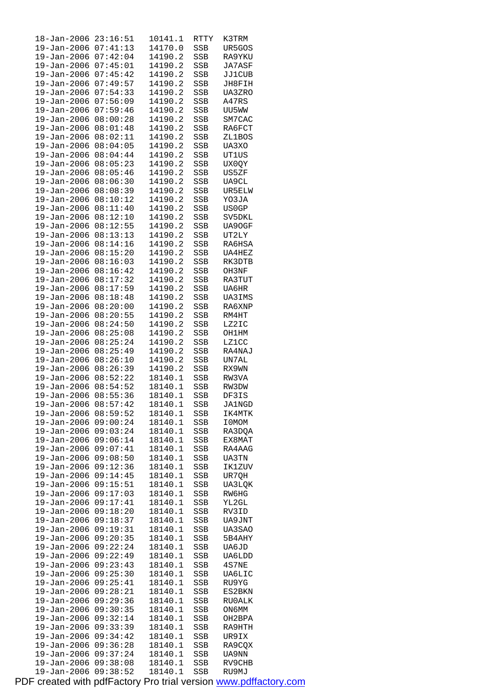| 18-Jan-2006       | 23:16:51 | 10141.1 | RTTY         | K3TRM  |
|-------------------|----------|---------|--------------|--------|
| 19-Jan-2006       | 07:41:13 | 14170.0 | <b>SSB</b>   | UR5GOS |
| 19-Jan-2006       | 07:42:04 | 14190.2 | SSB          | RA9YKU |
| $19 - Jan - 2006$ | 07:45:01 | 14190.2 | SSB          | JA7ASF |
| 19-Jan-2006       | 07:45:42 | 14190.2 | SSB          | JJ1CUB |
| 19-Jan-2006       | 07:49:57 | 14190.2 | SSB          | JH8FIH |
|                   |          |         |              |        |
| 19-Jan-2006       | 07:54:33 | 14190.2 | SSB          | UA3ZRO |
| $19 - Jan - 2006$ | 07:56:09 | 14190.2 | SSB          | A47RS  |
| $19 - Jan - 2006$ | 07:59:46 | 14190.2 | SSB          | UU5WW  |
| 19-Jan-2006       | 08:00:28 | 14190.2 | SSB          | SM7CAC |
| 19-Jan-2006       | 08:01:48 | 14190.2 | SSB          | RA6FCT |
| 19-Jan-2006       | 08:02:11 | 14190.2 | SSB          | ZL1BOS |
| $19 - Jan - 2006$ | 08:04:05 | 14190.2 | SSB          | UA3XO  |
| 19-Jan-2006       | 08:04:44 | 14190.2 | SSB          | UT1US  |
| 19-Jan-2006       | 08:05:23 | 14190.2 | SSB          | UX0QY  |
|                   |          |         |              |        |
| 19-Jan-2006       | 08:05:46 | 14190.2 | SSB          | US5ZF  |
| 19-Jan-2006       | 08:06:30 | 14190.2 | SSB          | UA9CL  |
| $19 - Jan - 2006$ | 08:08:39 | 14190.2 | SSB          | UR5ELW |
| 19-Jan-2006       | 08:10:12 | 14190.2 | SSB          | YO3JA  |
| 19-Jan-2006       | 08:11:40 | 14190.2 | SSB          | US0GP  |
| 19-Jan-2006       | 08:12:10 | 14190.2 | SSB          | SV5DKL |
| 19-Jan-2006       | 08:12:55 | 14190.2 | SSB          | UA90GF |
| $19 - Jan - 2006$ | 08:13:13 | 14190.2 | SSB          | UT2LY  |
| 19-Jan-2006       | 08:14:16 | 14190.2 | SSB          | RA6HSA |
| 19-Jan-2006       | 08:15:20 | 14190.2 | SSB          | UA4HEZ |
| 19-Jan-2006       | 08:16:03 | 14190.2 | SSB          | RK3DTB |
|                   |          |         |              |        |
| 19-Jan-2006       | 08:16:42 | 14190.2 | SSB          | OH3NF  |
| $19 - Jan - 2006$ | 08:17:32 | 14190.2 | SSB          | RA3TUT |
| 19-Jan-2006       | 08:17:59 | 14190.2 | SSB          | UA6HR  |
| 19-Jan-2006       | 08:18:48 | 14190.2 | SSB          | UA3IMS |
| 19-Jan-2006       | 08:20:00 | 14190.2 | SSB          | RA6XNP |
| 19-Jan-2006       | 08:20:55 | 14190.2 | SSB          | RM4HT  |
| 19-Jan-2006       | 08:24:50 | 14190.2 | SSB          | LZ2IC  |
| 19-Jan-2006       | 08:25:08 | 14190.2 | SSB          | OH1HM  |
| 19-Jan-2006       | 08:25:24 | 14190.2 | SSB          | LZ1CC  |
| 19-Jan-2006       | 08:25:49 | 14190.2 | SSB          | RA4NAJ |
| 19-Jan-2006       | 08:26:10 | 14190.2 | SSB          | UN7AL  |
| 19-Jan-2006       | 08:26:39 | 14190.2 | SSB          | RX9WN  |
|                   | 08:52:22 | 18140.1 |              | RW3VA  |
| 19-Jan-2006       |          |         | SSB          |        |
| 19-Jan-2006       | 08:54:52 | 18140.1 | <b>SSB</b>   | RW3DW  |
| $19 - Jan - 2006$ | 08:55:36 | 18140.1 | SSB          | DF3IS  |
| $19 - Jan - 2006$ | 08:57:42 | 18140.1 | SSB          | JA1NGD |
| 19-Jan-2006       | 08:59:52 | 18140.1 | SSB          | IK4MTK |
| 19-Jan-2006       | 09:00:24 | 18140.1 | $_{\rm SSB}$ | I0MOM  |
| 19-Jan-2006       | 09:03:24 | 18140.1 | SSB          | RA3DQA |
| 19-Jan-2006       | 09:06:14 | 18140.1 | SSB          | EX8MAT |
| 19-Jan-2006       | 09:07:41 | 18140.1 | SSB          | RA4AAG |
| 19-Jan-2006       | 09:08:50 | 18140.1 | <b>SSB</b>   | UA3TN  |
| 19-Jan-2006       | 09:12:36 | 18140.1 | SSB          | IK1ZUV |
| 19-Jan-2006       | 09:14:45 | 18140.1 | SSB          | UR7QH  |
| $19 - Jan - 2006$ | 09:15:51 | 18140.1 | SSB          | UA3LQK |
| 19-Jan-2006       | 09:17:03 | 18140.1 | SSB          | RW6HG  |
| 19-Jan-2006       | 09:17:41 | 18140.1 |              |        |
|                   |          |         | SSB          | YL2GL  |
| 19-Jan-2006       | 09:18:20 | 18140.1 | SSB          | RV3ID  |
| 19-Jan-2006       | 09:18:37 | 18140.1 | SSB          | UA9JNT |
| 19-Jan-2006       | 09:19:31 | 18140.1 | SSB          | UA3SAO |
| 19-Jan-2006       | 09:20:35 | 18140.1 | SSB          | 5B4AHY |
| 19-Jan-2006       | 09:22:24 | 18140.1 | SSB          | UA6JD  |
| 19-Jan-2006       | 09:22:49 | 18140.1 | SSB          | UA6LDD |
| 19-Jan-2006       | 09:23:43 | 18140.1 | SSB          | 4S7NE  |
| 19-Jan-2006       | 09:25:30 | 18140.1 | SSB          | UA6LIC |
| 19-Jan-2006       | 09:25:41 | 18140.1 | SSB          | RU9YG  |
| 19-Jan-2006       | 09:28:21 | 18140.1 | SSB          | ES2BKN |
| $19 - Jan - 2006$ | 09:29:36 | 18140.1 | SSB          | RU0ALK |
| 19-Jan-2006       | 09:30:35 | 18140.1 | SSB          | ON6MM  |
| 19-Jan-2006       | 09:32:14 | 18140.1 | SSB          | OH2BPA |
| 19-Jan-2006       | 09:33:39 | 18140.1 | SSB          | RA9HTH |
|                   |          |         |              |        |
| 19-Jan-2006       | 09:34:42 | 18140.1 | SSB          | UR9IX  |
| 19-Jan-2006       | 09:36:28 | 18140.1 | SSB          | RA9CQX |
| 19-Jan-2006       | 09:37:24 | 18140.1 | SSB          | UA9NN  |
| 19-Jan-2006       | 09:38:08 | 18140.1 | SSB          | RV9CHB |
| 19-Jan-2006       | 09:38:52 | 18140.1 | <b>SSB</b>   | RU9MJ  |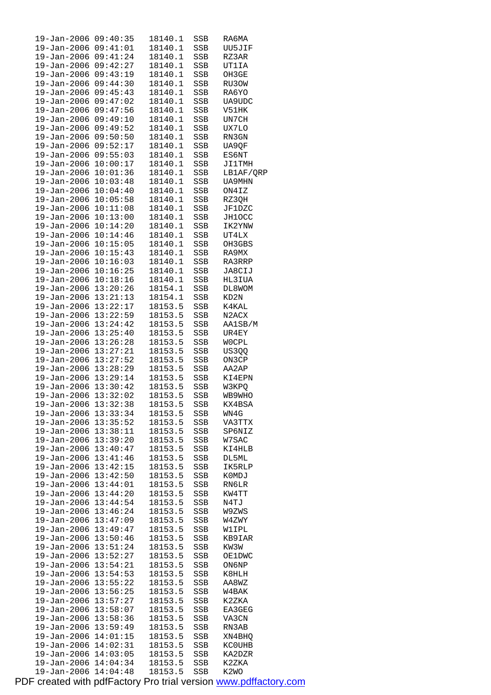| $19 - Jan - 2006$            | 09:40:35 | 18140.1            | SSB        | RA6MA                         |
|------------------------------|----------|--------------------|------------|-------------------------------|
| 19-Jan-2006                  | 09:41:01 | 18140.1            | SSB        | UU5JIF                        |
| 19-Jan-2006                  | 09:41:24 | 18140.1            | SSB        | RZ3AR                         |
| 19-Jan-2006                  | 09:42:27 | 18140.1            | SSB        | UT1IA                         |
| 19-Jan-2006                  | 09:43:19 | 18140.1            | SSB        | OH3GE                         |
| $19 - Jan - 2006$            | 09:44:30 | 18140.1            | SSB        | RU3OW                         |
| $19 - Jan - 2006$            | 09:45:43 | 18140.1            | SSB        | RA6YO                         |
| 19-Jan-2006                  | 09:47:02 | 18140.1            | SSB        | UA9UDC                        |
| 19-Jan-2006                  | 09:47:56 | 18140.1            | SSB        | V51HK                         |
| 19-Jan-2006                  | 09:49:10 | 18140.1            | SSB        | UN7CH                         |
| $19 - Jan - 2006$            | 09:49:52 | 18140.1            | SSB        | UX7LO                         |
| 19-Jan-2006                  | 09:50:50 | 18140.1            | SSB        | RN3GN                         |
| 19-Jan-2006                  | 09:52:17 | 18140.1            | SSB        | UA9QF                         |
| 19-Jan-2006                  | 09:55:03 | 18140.1            | SSB        | ES6NT                         |
| 19-Jan-2006                  | 10:00:17 | 18140.1            | SSB        | <b>JI1TMH</b>                 |
| 19-Jan-2006                  | 10:01:36 | 18140.1            | SSB        | LB1AF/QRP                     |
| 19-Jan-2006                  | 10:03:48 | 18140.1            | SSB        | UA9MHN                        |
| 19-Jan-2006                  | 10:04:40 | 18140.1            | SSB        | ON4IZ                         |
|                              | 10:05:58 | 18140.1            |            | RZ3QH                         |
| 19-Jan-2006                  | 10:11:08 |                    | SSB        |                               |
| 19-Jan-2006                  | 10:13:00 | 18140.1            | SSB        | <b>JF1DZC</b>                 |
| 19-Jan-2006                  |          | 18140.1            | SSB        | JH1OCC                        |
| 19-Jan-2006                  | 10:14:20 | 18140.1            | SSB        | IK2YNW                        |
| 19-Jan-2006                  | 10:14:46 | 18140.1            | SSB        | UT4LX                         |
| 19-Jan-2006 10:15:05         |          | 18140.1            | SSB        | OH3GBS                        |
| 19-Jan-2006                  | 10:15:43 | 18140.1            | SSB        | RA9MX                         |
| $19 - Jan - 2006$            | 10:16:03 | 18140.1            | SSB        | RA3RRP                        |
| 19-Jan-2006                  | 10:16:25 | 18140.1            | SSB        | JA8CIJ                        |
| 19-Jan-2006                  | 10:18:16 | 18140.1            | SSB        | HL3IUA                        |
| 19-Jan-2006 13:20:26         |          | 18154.1            | SSB        | DL8WOM                        |
| 19-Jan-2006                  | 13:21:13 | 18154.1            | SSB        | KD2N                          |
| $19 - Jan - 2006$            | 13:22:17 | 18153.5            | SSB        | K4KAL                         |
| 19-Jan-2006                  | 13:22:59 | 18153.5            | SSB        | N2ACX                         |
| 19-Jan-2006                  | 13:24:42 | 18153.5            | SSB        | AA1SB/M                       |
| 19-Jan-2006 13:25:40         |          | 18153.5            | SSB        | UR4EY                         |
| 19-Jan-2006 13:26:28         |          | 18153.5            | SSB        | WOCPL                         |
| 19-Jan-2006 13:27:21         |          | 18153.5            | SSB        | US3QQ                         |
| 19-Jan-2006 13:27:52         |          | 18153.5            | SSB        | ON3CP                         |
| 19-Jan-2006 13:28:29         |          | 18153.5            | SSB        | AA2AP                         |
| 19-Jan-2006 13:29:14         |          | 18153.5            | SSB        | KI4EPN                        |
| $19 - Jan - 2006$ $13:30:42$ |          | 18153.5            | SSB        | W3KPO                         |
| 19-Jan-2006 13:32:02         |          | 18153.5            | SSB        | WB9WHO                        |
| 19-Jan-2006 13:32:38         |          | 18153.5            | SSB        | KX4BSA                        |
| 19-Jan-2006                  | 13:33:34 | 18153.5            | SSB        | WN4G                          |
| 19-Jan-2006 13:35:52         |          | 18153.5            | SSB        | VA3TTX                        |
| 19-Jan-2006                  | 13:38:11 | 18153.5            | SSB        | SP6NIZ                        |
| 19-Jan-2006                  | 13:39:20 | 18153.5            | SSB        | W7SAC                         |
| 19-Jan-2006                  | 13:40:47 | 18153.5            | SSB        | KI4HLB                        |
| 19-Jan-2006                  | 13:41:46 | 18153.5            | SSB        | DL5ML                         |
| 19-Jan-2006                  | 13:42:15 | 18153.5            | SSB        | IK5RLP                        |
| 19-Jan-2006                  | 13:42:50 | 18153.5            | SSB        | K0MDJ                         |
| 19-Jan-2006                  | 13:44:01 | 18153.5            | SSB        | RN6LR                         |
| 19-Jan-2006                  | 13:44:20 | 18153.5            | SSB        | KW4TT                         |
| 19-Jan-2006                  | 13:44:54 | 18153.5            | SSB        | N4TJ                          |
| $19 - Jan - 2006$            | 13:46:24 | 18153.5            | SSB        | W9ZWS                         |
| 19-Jan-2006                  | 13:47:09 | 18153.5            | SSB        | W4ZWY                         |
| 19-Jan-2006                  | 13:49:47 | 18153.5            | SSB        | W1IPL                         |
| 19-Jan-2006                  | 13:50:46 | 18153.5            | SSB        | KB9IAR                        |
| 19-Jan-2006                  | 13:51:24 | 18153.5            | SSB        | KW3W                          |
| 19-Jan-2006                  | 13:52:27 | 18153.5            | SSB        | OE1DWC                        |
| 19-Jan-2006                  | 13:54:21 | 18153.5            | SSB        | ON6NP                         |
| 19-Jan-2006                  | 13:54:53 | 18153.5            | SSB        | K8HLH                         |
| 19-Jan-2006                  | 13:55:22 | 18153.5            |            |                               |
| 19-Jan-2006                  | 13:56:25 | 18153.5            | SSB        | AA8WZ<br>W4BAK                |
| 19-Jan-2006                  | 13:57:27 | 18153.5            | SSB        | K2ZKA                         |
| 19-Jan-2006                  | 13:58:07 |                    | SSB        |                               |
|                              |          | 18153.5<br>18153.5 | SSB        | EA3GEG                        |
| 19-Jan-2006                  | 13:58:36 | 18153.5            | SSB        | VA3CN                         |
| 19-Jan-2006                  | 13:59:49 |                    | SSB        | RN3AB                         |
| 19-Jan-2006                  | 14:01:15 | 18153.5            | SSB        | XN4BHQ                        |
| 19-Jan-2006                  | 14:02:31 | 18153.5            | SSB        | KC0UHB                        |
| 19-Jan-2006                  | 14:03:05 | 18153.5            | SSB        | KA2DZR                        |
| 19-Jan-2006                  | 14:04:34 | 18153.5            | SSB        | K2ZKA                         |
| 19-Jan-2006                  | 14:04:48 | 18153.5            | <b>SSB</b> | K <sub>2</sub> W <sub>O</sub> |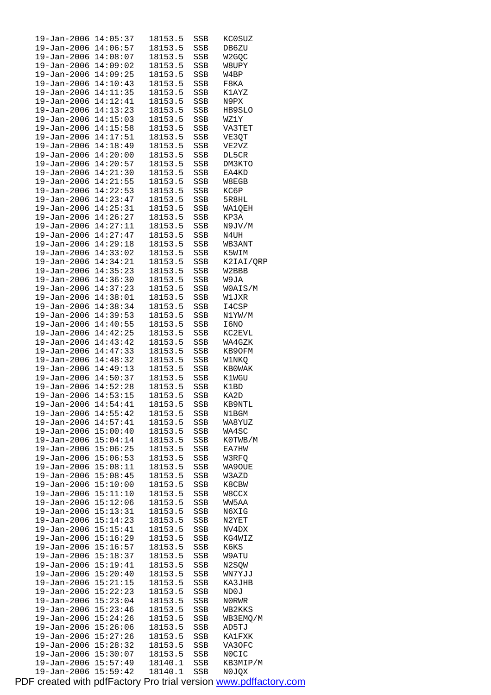| 19-Jan-2006                  | 14:05:37             | 18153.5            | SSB        | KCOSUZ            |
|------------------------------|----------------------|--------------------|------------|-------------------|
| 19-Jan-2006 14:06:57         |                      | 18153.5            | SSB        | DB6ZU             |
| 19-Jan-2006 14:08:07         |                      | 18153.5            | SSB        | W2GQC             |
| 19-Jan-2006 14:09:02         |                      | 18153.5            | SSB        | W8UPY             |
| 19-Jan-2006 14:09:25         |                      | 18153.5            | SSB        | W4BP              |
| 19-Jan-2006                  | 14:10:43             | 18153.5            | SSB        | F8KA              |
| 19-Jan-2006                  | 14:11:35             | 18153.5            | SSB        | K1AYZ             |
| 19-Jan-2006 14:12:41         |                      | 18153.5            | SSB        | N9PX              |
| 19-Jan-2006 14:13:23         |                      | 18153.5            | SSB        | HB9SLO            |
| 19-Jan-2006                  | 14:15:03             | 18153.5            | SSB        | WZ1Y              |
| 19-Jan-2006                  | 14:15:58             | 18153.5            | SSB        | VA3TET            |
| $19 - Jan - 2006$            | 14:17:51             | 18153.5            | SSB        | VE3QT             |
| 19-Jan-2006 14:18:49         |                      | 18153.5            | SSB        | VE2VZ             |
| 19-Jan-2006 14:20:00         |                      | 18153.5            | SSB        | DL5CR             |
| 19-Jan-2006 14:20:57         |                      | 18153.5            | SSB        | DM3KTO            |
| $19 - Jan - 2006$ $14:21:30$ |                      | 18153.5            | SSB        | EA4KD             |
| 19-Jan-2006                  | 14:21:55             | 18153.5            | SSB        | W8EGB             |
| 19-Jan-2006 14:22:53         |                      | 18153.5            | SSB        | KC6P              |
| 19-Jan-2006 14:23:47         |                      | 18153.5            | SSB        | 5R8HL             |
| 19-Jan-2006                  | 14:25:31             | 18153.5            | SSB        | WA1QEH            |
| 19-Jan-2006                  | 14:26:27             | 18153.5            | SSB        | KP3A              |
| $19 - Jan - 2006$            | 14:27:11             | 18153.5            | SSB        | N9JV/M            |
| 19-Jan-2006 14:27:47         |                      | 18153.5            | SSB        | N4UH              |
| 19-Jan-2006 14:29:18         |                      | 18153.5            | SSB        | WB3ANT            |
| 19-Jan-2006 14:33:02         |                      | 18153.5            | SSB        | K5WIM             |
| 19-Jan-2006 14:34:21         |                      | 18153.5            | SSB        | K2IAI/QRP         |
| 19-Jan-2006                  | 14:35:23             | 18153.5            | SSB        | W2BBB             |
| 19-Jan-2006 14:36:30         |                      | 18153.5            | SSB        | W9JA              |
| 19-Jan-2006 14:37:23         |                      | 18153.5            | SSB        | WOAIS/M           |
| 19-Jan-2006                  | 14:38:01             | 18153.5            | SSB        | W1JXR             |
| 19-Jan-2006                  | 14:38:34             | 18153.5            | SSB        | I4CSP             |
| $19 - Jan - 2006$            | 14:39:53             | 18153.5            | SSB        | N1YW/M            |
| 19-Jan-2006                  | 14:40:55             | 18153.5            | SSB        | I6NO              |
| 19-Jan-2006 14:42:25         |                      | 18153.5            | SSB        | KC2EVL            |
| 19-Jan-2006 14:43:42         |                      | 18153.5            | SSB        | WA4GZK            |
| 19-Jan-2006 14:47:33         |                      | 18153.5            | SSB        | KB90FM            |
| 19-Jan-2006 14:48:32         |                      | 18153.5            | SSB        | W1NKQ             |
| 19-Jan-2006 14:49:13         |                      | 18153.5            | SSB        | KB0WAK            |
| 19-Jan-2006 14:50:37         |                      | 18153.5            | SSB        | K1WGU             |
| 19-Jan-2006 14:52:28         |                      | 18153.5            | SSB        | K1BD              |
| 19-Jan-2006 14:53:15         |                      | 18153.5            | SSB        | KA2D              |
| 19-Jan-2006 14:54:41         |                      | 18153.5            | SSB        | KB9NTL            |
| 19-Jan-2006 14:55:42         |                      | 18153.5            | SSB        | N1BGM             |
| 19-Jan-2006 14:57:41         |                      | 18153.5            | SSB        | WA8YUZ            |
| 19-Jan-2006                  | 15:00:40             | 18153.5            | SSB        | WA4SC             |
| 19-Jan-2006                  | 15:04:14             | 18153.5            | SSB        | K0TWB/M           |
| 19-Jan-2006                  | 15:06:25             | 18153.5            | SSB        | EA7HW             |
| 19-Jan-2006                  | 15:06:53             | 18153.5            | SSB        | W3RFQ             |
| 19-Jan-2006                  | 15:08:11             | 18153.5            | SSB        | WA9OUE            |
| 19-Jan-2006                  | 15:08:45             | 18153.5            | SSB        | W3AZD             |
| 19-Jan-2006                  | 15:10:00             | 18153.5            | SSB        | K8CBW             |
| 19-Jan-2006                  | 15:11:10             | 18153.5            | SSB        | W8CCX             |
| 19-Jan-2006                  | 15:12:06             | 18153.5            | SSB        | WW5AA             |
| 19-Jan-2006                  | 15:13:31             | 18153.5            | SSB        | N6XIG             |
| 19-Jan-2006                  | 15:14:23             | 18153.5            | SSB        | N2YET             |
| 19-Jan-2006                  | 15:15:41             | 18153.5            | SSB        | NV4DX             |
| 19-Jan-2006                  | 15:16:29             | 18153.5            | SSB        | KG4WIZ            |
| 19-Jan-2006                  | 15:16:57             | 18153.5            | SSB        | K6KS              |
| 19-Jan-2006                  | 15:18:37             | 18153.5            | SSB        | W9ATU             |
| 19-Jan-2006                  | 15:19:41             | 18153.5            | SSB        | N2SQW             |
| 19-Jan-2006                  | 15:20:40             | 18153.5            | SSB        | WN7YJJ            |
| 19-Jan-2006                  | 15:21:15             | 18153.5            | SSB        | KA3JHB            |
| 19-Jan-2006                  | 15:22:23             | 18153.5            | SSB        | ND0J              |
| 19-Jan-2006                  | 15:23:04             | 18153.5            | SSB        | N0RWR             |
| 19-Jan-2006                  | 15:23:46             | 18153.5            | SSB        | WB2KKS            |
| 19-Jan-2006                  | 15:24:26             | 18153.5            | SSB        | WB3EMQ/M          |
| 19-Jan-2006                  | 15:26:06             | 18153.5            |            | AD5TJ             |
|                              | 15:27:26             |                    | SSB        |                   |
| 19-Jan-2006                  |                      | 18153.5            | SSB        | KA1FXK            |
| 19-Jan-2006<br>19-Jan-2006   | 15:28:32<br>15:30:07 | 18153.5<br>18153.5 | SSB        | VA3OFC            |
|                              |                      |                    | SSB        | NOCIC             |
| 19-Jan-2006                  | 15:57:49             | 18140.1            | SSB<br>SSB | KB3MIP/M<br>N0JQX |
| 19-Jan-2006                  | 15:59:42             | 18140.1            |            |                   |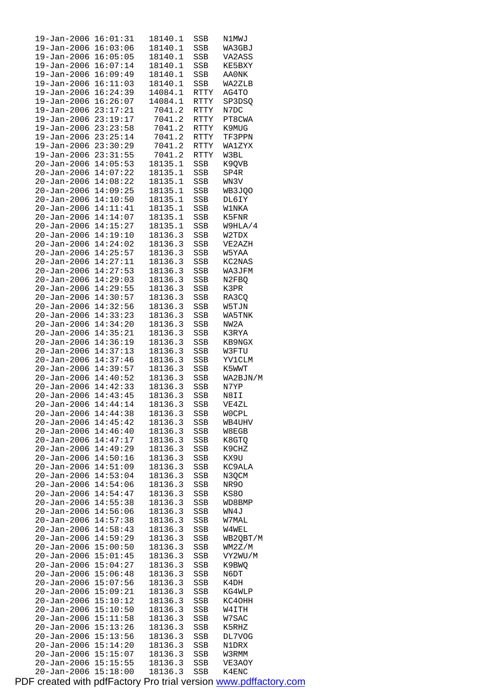| 19-Jan-2006          | 16:01:31 | 18140.1 | SSB          | N1MWJ        |
|----------------------|----------|---------|--------------|--------------|
| 19-Jan-2006          | 16:03:06 | 18140.1 | SSB          | WA3GBJ       |
| 19-Jan-2006          | 16:05:05 | 18140.1 | SSB          | VA2ASS       |
| 19-Jan-2006          | 16:07:14 | 18140.1 | SSB          | KE5BXY       |
| $19 - Jan - 2006$    | 16:09:49 | 18140.1 | SSB          | AA0NK        |
| $19 - Jan - 2006$    | 16:11:03 | 18140.1 | SSB          | WA2ZLB       |
| $19 - Jan - 2006$    | 16:24:39 | 14084.1 | RTTY         | AG4TO        |
| 19-Jan-2006          | 16:26:07 | 14084.1 | RTTY         | SP3DSQ       |
| 19-Jan-2006          | 23:17:21 | 7041.2  | RTTY         | N7DC         |
| $19 - Jan - 2006$    | 23:19:17 | 7041.2  | <b>RTTY</b>  | PT8CWA       |
| 19-Jan-2006          | 23:23:58 | 7041.2  | RTTY         | K9MUG        |
| 19-Jan-2006          | 23:25:14 | 7041.2  | <b>RTTY</b>  | TF3PPN       |
|                      | 23:30:29 |         |              |              |
| 19-Jan-2006          |          | 7041.2  | RTTY         | WA1ZYX       |
| 19-Jan-2006          | 23:31:55 | 7041.2  | RTTY         | W3BL         |
| $20 - Jan - 2006$    | 14:05:53 | 18135.1 | SSB          | K9QVB        |
| $20 - Jan - 2006$    | 14:07:22 | 18135.1 | SSB          | SP4R         |
| 20-Jan-2006          | 14:08:22 | 18135.1 | SSB          | WN3V         |
| $20 - Jan - 2006$    | 14:09:25 | 18135.1 | SSB          | WB3JQO       |
| $20 - Jan - 2006$    | 14:10:50 | 18135.1 | SSB          | DL6IY        |
| $20 - Jan - 2006$    | 14:11:41 | 18135.1 | SSB          | <b>W1NKA</b> |
| $20 - Jan - 2006$    | 14:14:07 | 18135.1 | SSB          | K5FNR        |
| 20-Jan-2006          | 14:15:27 | 18135.1 | SSB          | W9HLA/4      |
| $20 - Jan - 2006$    | 14:19:10 | 18136.3 | SSB          | W2TDX        |
| $20 - Jan - 2006$    | 14:24:02 | 18136.3 | SSB          | VE2AZH       |
| $20 - Jan - 2006$    | 14:25:57 | 18136.3 | SSB          | W5YAA        |
| $20 - Jan - 2006$    | 14:27:11 | 18136.3 | SSB          | KC2NAS       |
| 20-Jan-2006          | 14:27:53 | 18136.3 | SSB          | WA3JFM       |
| $20 - Jan - 2006$    | 14:29:03 | 18136.3 | SSB          | N2FBQ        |
| 20-Jan-2006          | 14:29:55 | 18136.3 | SSB          | K3PR         |
| 20-Jan-2006          | 14:30:57 | 18136.3 | SSB          | RA3CQ        |
|                      | 14:32:56 |         |              |              |
| $20 - Jan - 2006$    |          | 18136.3 | SSB          | W5TJN        |
| 20-Jan-2006          | 14:33:23 | 18136.3 | SSB          | WA5TNK       |
| $20 - Jan - 2006$    | 14:34:20 | 18136.3 | SSB          | NW2A         |
| $20 - Jan - 2006$    | 14:35:21 | 18136.3 | SSB          | K3RYA        |
| 20-Jan-2006          | 14:36:19 | 18136.3 | SSB          | KB9NGX       |
| $20 - Jan - 2006$    | 14:37:13 | 18136.3 | SSB          | W3FTU        |
| $20 - Jan - 2006$    | 14:37:46 | 18136.3 | SSB          | YV1CLM       |
| $20 - Jan - 2006$    | 14:39:57 | 18136.3 | SSB          | K5WWT        |
| 20-Jan-2006          | 14:40:52 | 18136.3 | SSB          | WA2BJN/M     |
| $20 - Jan - 2006$    | 14:42:33 | 18136.3 | SSB          | N7YP         |
| $20 - Jan - 2006$    | 14:43:45 | 18136.3 | SSB          | N8II         |
| 20-Jan-2006 14:44:14 |          | 18136.3 | $_{\rm SSB}$ | VE4ZL        |
| 20-Jan-2006          | 14:44:38 | 18136.3 | SSB          | <b>WOCPL</b> |
| 20-Jan-2006          | 14:45:42 | 18136.3 | SSB          | WB4UHV       |
| $20 - Jan - 2006$    | 14:46:40 | 18136.3 | SSB          | W8EGB        |
| $20 - Jan - 2006$    | 14:47:17 | 18136.3 | SSB          | K8GTQ        |
| 20-Jan-2006          | 14:49:29 | 18136.3 | SSB          | K9CHZ        |
| $20 - Jan - 2006$    | 14:50:16 | 18136.3 | SSB          | KX9U         |
| $20 - Jan - 2006$    | 14:51:09 | 18136.3 | SSB          | KC9ALA       |
| $20 - Jan - 2006$    | 14:53:04 | 18136.3 | SSB          | N3QCM        |
| $20 - Jan - 2006$    | 14:54:06 | 18136.3 | SSB          | NR90         |
| 20-Jan-2006          | 14:54:47 | 18136.3 |              |              |
|                      |          | 18136.3 | SSB          | KS80         |
| $20 - Jan - 2006$    | 14:55:38 |         | SSB          | WD8BMP       |
| $20 - Jan - 2006$    | 14:56:06 | 18136.3 | SSB          | WN4J         |
| $20 - Jan - 2006$    | 14:57:38 | 18136.3 | SSB          | W7MAL        |
| 20-Jan-2006          | 14:58:43 | 18136.3 | SSB          | W4WEL        |
| 20-Jan-2006          | 14:59:29 | 18136.3 | SSB          | WB2QBT/M     |
| 20-Jan-2006          | 15:00:50 | 18136.3 | SSB          | WM2Z/M       |
| $20 - Jan - 2006$    | 15:01:45 | 18136.3 | SSB          | VY2WU/M      |
| $20 - Jan - 2006$    | 15:04:27 | 18136.3 | SSB          | K9BWQ        |
| 20-Jan-2006          | 15:06:48 | 18136.3 | SSB          | N6DT         |
| 20-Jan-2006          | 15:07:56 | 18136.3 | SSB          | K4DH         |
| $20 - Jan - 2006$    | 15:09:21 | 18136.3 | SSB          | KG4WLP       |
| $20 - Jan - 2006$    | 15:10:12 | 18136.3 | SSB          | KC40HH       |
| $20 - Jan - 2006$    | 15:10:50 | 18136.3 | SSB          | W4ITH        |
| 20-Jan-2006          | 15:11:58 | 18136.3 | SSB          | W7SAC        |
| 20-Jan-2006          | 15:13:26 | 18136.3 | SSB          | K5RHZ        |
| $20 - Jan - 2006$    | 15:13:56 | 18136.3 | SSB          | DL7VOG       |
| $20 - Jan - 2006$    | 15:14:20 | 18136.3 | SSB          | N1DRX        |
| $20 - Jan - 2006$    | 15:15:07 | 18136.3 | SSB          | W3RMM        |
| $20 - Jan - 2006$    | 15:15:55 | 18136.3 | SSB          | VE3AOY       |
| 20-Jan-2006          | 15:18:00 | 18136.3 | SSB          | K4ENC        |
|                      |          |         |              |              |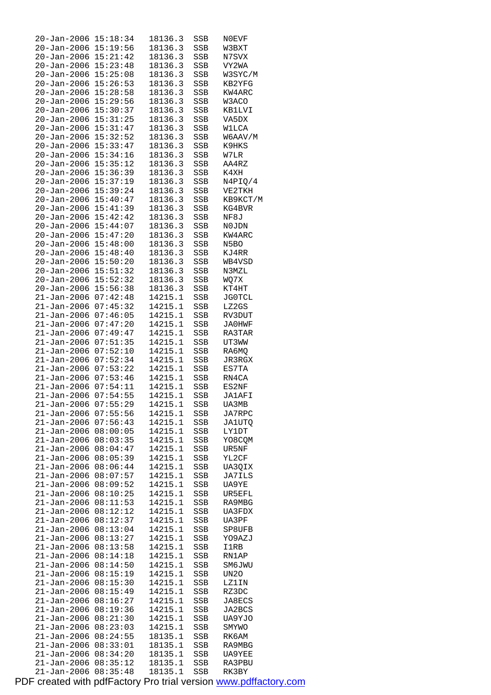| 20-Jan-2006                      | 15:18:34             | 18136.3            | SSB          | N0EVF          |
|----------------------------------|----------------------|--------------------|--------------|----------------|
| 20-Jan-2006                      | 15:19:56             | 18136.3            | SSB          | W3BXT          |
| 20-Jan-2006                      | 15:21:42             | 18136.3            | SSB          | N7SVX          |
| 20-Jan-2006 15:23:48             |                      | 18136.3            | SSB          | VY2WA          |
| 20-Jan-2006                      | 15:25:08             | 18136.3            | SSB          | W3SYC/M        |
| $20 - Jan - 2006$                | 15:26:53             | 18136.3            | SSB          | KB2YFG         |
| $20 - Jan - 2006$                | 15:28:58             | 18136.3            | SSB          | KW4ARC         |
| $20 - Jan - 2006$                | 15:29:56             | 18136.3            | SSB          | W3ACO          |
| 20-Jan-2006                      | 15:30:37             | 18136.3            | SSB          | KB1LVI         |
| 20-Jan-2006                      | 15:31:25             | 18136.3            | SSB          | VA5DX          |
| 20-Jan-2006                      | 15:31:47             | 18136.3            | SSB          | <b>W1LCA</b>   |
| $20 - Jan - 2006$                | 15:32:52             | 18136.3            | SSB          | W6AAV/M        |
| $20 - Jan - 2006$                | 15:33:47             | 18136.3            | SSB          | K9HKS          |
| 20-Jan-2006 15:34:16             |                      | 18136.3            | SSB          | W7LR           |
| 20-Jan-2006                      | 15:35:12             | 18136.3            | SSB          | AA4RZ          |
| $20 - Jan - 2006$                | 15:36:39             | 18136.3            | SSB          | K4XH           |
| 20-Jan-2006                      | 15:37:19             | 18136.3            | SSB          | N4PIQ/4        |
| $20 - Jan - 2006$                | 15:39:24             | 18136.3            | SSB          | VE2TKH         |
|                                  | 15:40:47             | 18136.3            |              | KB9KCT/M       |
| 20-Jan-2006<br>$20 - Jan - 2006$ | 15:41:39             |                    | SSB          |                |
|                                  | 15:42:42             | 18136.3            | SSB          | KG4BVR         |
| 20-Jan-2006                      |                      | 18136.3            | SSB          | NF8J           |
| $20 - Jan - 2006$                | 15:44:07             | 18136.3            | SSB          | N0JDN          |
| $20 - Jan - 2006$                | 15:47:20             | 18136.3            | SSB          | KW4ARC         |
| 20-Jan-2006 15:48:00             |                      | 18136.3            | SSB          | N5BO           |
| $20 - Jan - 2006$                | 15:48:40             | 18136.3            | SSB          | KJ4RR          |
| $20 - Jan - 2006$                | 15:50:20             | 18136.3            | SSB          | WB4VSD         |
| $20 - Jan - 2006$                | 15:51:32             | 18136.3            | SSB          | N3MZL          |
| $20 - Jan - 2006$                | 15:52:32             | 18136.3            | SSB          | WQ7X           |
| 20-Jan-2006                      | 15:56:38             | 18136.3            | SSB          | KT4HT          |
| 21-Jan-2006                      | 07:42:48             | 14215.1            | $_{\rm SSB}$ | JG0TCL         |
| $21 - Jan - 2006$                | 07:45:32             | 14215.1            | SSB          | LZ2GS          |
| $21 - Jan - 2006$                | 07:46:05             | 14215.1            | SSB          | RV3DUT         |
| $21 - Jan - 2006$                | 07:47:20             | 14215.1            | SSB          | JA0HWF         |
| $21 - Jan - 2006$                | 07:49:47             | 14215.1            | SSB          | RA3TAR         |
| 21-Jan-2006                      | 07:51:35             | 14215.1            | SSB          | UT3WW          |
| 21-Jan-2006                      | 07:52:10             | 14215.1            | SSB          | RA6MQ          |
| 21-Jan-2006                      | 07:52:34             | 14215.1            | SSB          | JR3RGX         |
| $21 - Jan - 2006$                | 07:53:22             | 14215.1            | SSB          | ES7TA          |
| 21-Jan-2006                      | 07:53:46             | 14215.1            | SSB          | RN4CA          |
| 21-Jan-2006                      | 07:54:11             | 14215.1            | SSB          | $_{\rm ES2NF}$ |
| 21-Jan-2006                      | 07:54:55             | 14215.1            | SSB          | <b>JA1AFI</b>  |
| $21 - Jan - 2006$ $07:55:29$     |                      | 14215.1            | SSB          | UA3MB          |
| 21-Jan-2006                      | 07:55:56             | 14215.1            | SSB          | JA7RPC         |
| 21-Jan-2006                      | 07:56:43             | 14215.1            | SSB          | <b>JA1UTQ</b>  |
| 21-Jan-2006                      | 08:00:05             | 14215.1            | SSB          | <b>LY1DT</b>   |
| $21 - Jan - 2006$                | 08:03:35             | 14215.1            | SSB          | YO8CQM         |
| $21 - Jan - 2006$                | 08:04:47             | 14215.1            | SSB          | UR5NF          |
| 21-Jan-2006                      | 08:05:39             | 14215.1            | SSB          | YL2CF          |
| 21-Jan-2006                      | 08:06:44             | 14215.1            | SSB          | UA3QIX         |
| 21-Jan-2006                      | 08:07:57             | 14215.1            | SSB          | <b>JA7ILS</b>  |
| $21 - Jan - 2006$                | 08:09:52             | 14215.1            | SSB          | UA9YE          |
| $21 - Jan - 2006$                | 08:10:25             | 14215.1            | SSB          | UR5EFL         |
| $21 - Jan - 2006$                | 08:11:53             | 14215.1            | SSB          | RA9MBG         |
| $21 - Jan - 2006$                | 08:12:12             | 14215.1            | SSB          | UA3FDX         |
| 21-Jan-2006                      | 08:12:37             | 14215.1            | SSB          | UA3PF          |
| 21-Jan-2006                      | 08:13:04             | 14215.1            | SSB          | SP8UFB         |
| $21 - Jan - 2006$                | 08:13:27             | 14215.1            | SSB          | YO9AZJ         |
| 21-Jan-2006                      | 08:13:58             | 14215.1            | SSB          | I1RB           |
| $21 - Jan - 2006$                | 08:14:18             | 14215.1            | SSB          | RN1AP          |
| 21-Jan-2006                      | 08:14:50             | 14215.1            | SSB          | SM6JWU         |
| 21-Jan-2006                      | 08:15:19             | 14215.1            | SSB          | UN20           |
| $21 - Jan - 2006$                | 08:15:30             | 14215.1            | SSB          | LZ1IN          |
| $21 - Jan - 2006$                | 08:15:49             | 14215.1            | SSB          | RZ3DC          |
| $21 - Jan - 2006$                | 08:16:27             | 14215.1            | SSB          | JA8ECS         |
| 21-Jan-2006                      | 08:19:36             | 14215.1            | SSB          | JA2BCS         |
| 21-Jan-2006                      | 08:21:30             | 14215.1            | SSB          | UA9YJO         |
| $21 - Jan - 2006$                | 08:23:03             | 14215.1            | SSB          | SMYWO          |
| 21-Jan-2006                      | 08:24:55             | 18135.1            | SSB          | RK6AM          |
| $21 - Jan - 2006$                | 08:33:01             | 18135.1            | SSB          | RA9MBG         |
| 21-Jan-2006                      | 08:34:20             | 18135.1            | SSB          | UA9YEE         |
| $21 - Jan - 2006$                |                      |                    |              |                |
| $21 - Jan - 2006$                | 08:35:12<br>08:35:48 | 18135.1<br>18135.1 | SSB<br>SSB   | RA3PBU         |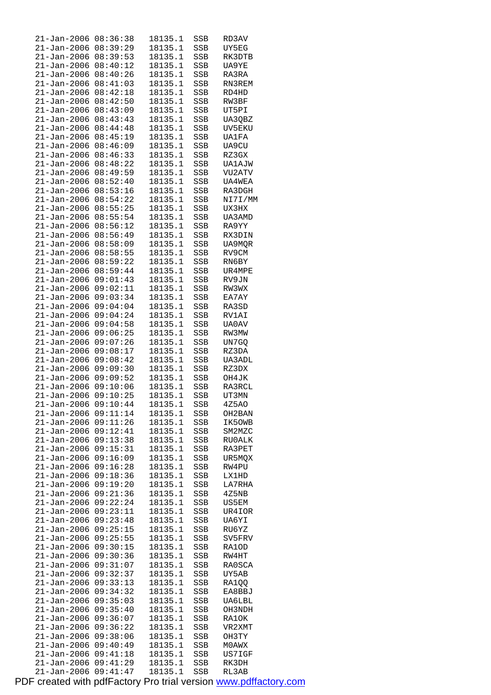| 21-Jan-2006                      | 08:36:38             | 18135.1            | SSB        | RD3AV          |
|----------------------------------|----------------------|--------------------|------------|----------------|
| 21-Jan-2006                      | 08:39:29             | 18135.1            | SSB        | UY5EG          |
| $21 - Jan - 2006$                | 08:39:53             | 18135.1            | SSB        | RK3DTB         |
|                                  | 08:40:12             | 18135.1            |            |                |
| $21 - Jan - 2006$                |                      |                    | SSB        | UA9YE          |
| 21-Jan-2006                      | 08:40:26             | 18135.1            | SSB        | RA3RA          |
| $21 - Jan - 2006$                | 08:41:03             | 18135.1            | SSB        | RN3REM         |
| $21 - Jan - 2006$                | 08:42:18             | 18135.1            | SSB        | RD4HD          |
| $21 - Jan - 2006$                | 08:42:50             | 18135.1            | SSB        | RW3BF          |
|                                  |                      |                    |            |                |
| 21-Jan-2006                      | 08:43:09             | 18135.1            | SSB        | UT5PI          |
| 21-Jan-2006                      | 08:43:43             | 18135.1            | SSB        | UA3QBZ         |
| $21 - Jan - 2006$                | 08:44:48             | 18135.1            | SSB        | UV5EKU         |
| $21 - Jan - 2006$                | 08:45:19             | 18135.1            | SSB        | <b>UA1FA</b>   |
| $21 - Jan - 2006$                | 08:46:09             | 18135.1            | SSB        | UA9CU          |
|                                  |                      |                    |            |                |
| $21 - Jan - 2006$                | 08:46:33             | 18135.1            | SSB        | RZ3GX          |
| 21-Jan-2006                      | 08:48:22             | 18135.1            | SSB        | <b>UA1AJW</b>  |
| $21 - Jan - 2006$                | 08:49:59             | 18135.1            | SSB        | VU2ATV         |
| $21 - Jan - 2006$                | 08:52:40             | 18135.1            | SSB        | UA4WEA         |
| $21 - Jan - 2006$                | 08:53:16             | 18135.1            | SSB        | RA3DGH         |
|                                  |                      |                    |            |                |
| 21-Jan-2006                      | 08:54:22             | 18135.1            | SSB        | NI7I/MM        |
| 21-Jan-2006                      | 08:55:25             | 18135.1            | SSB        | UX3HX          |
| $21 - Jan - 2006$                | 08:55:54             | 18135.1            | SSB        | UA3AMD         |
| $21 - Jan - 2006$                | 08:56:12             | 18135.1            | SSB        | RA9YY          |
| $21 - Jan - 2006$                | 08:56:49             | 18135.1            | SSB        | RX3DIN         |
|                                  | 08:58:09             |                    |            |                |
| $21 - Jan - 2006$                |                      | 18135.1            | SSB        | UA9MQR         |
| 21-Jan-2006                      | 08:58:55             | 18135.1            | SSB        | RV9CM          |
| 21-Jan-2006                      | 08:59:22             | 18135.1            | SSB        | RN6BY          |
| $21 - Jan - 2006$                | 08:59:44             | 18135.1            | SSB        | UR4MPE         |
| $21 - Jan - 2006$                | 09:01:43             | 18135.1            | SSB        | RV9JN          |
| 21-Jan-2006                      | 09:02:11             | 18135.1            | SSB        | RW3WX          |
|                                  |                      |                    |            |                |
| 21-Jan-2006                      | 09:03:34             | 18135.1            | SSB        | EA7AY          |
| $21 - Jan - 2006$                | 09:04:04             | 18135.1            | SSB        | RA3SD          |
| $21 - Jan - 2006$                | 09:04:24             | 18135.1            | SSB        | RV1AI          |
| 21-Jan-2006                      | 09:04:58             | 18135.1            | SSB        | UA0AV          |
| $21 - Jan - 2006$                | 09:06:25             | 18135.1            | SSB        | RW3MW          |
|                                  | 09:07:26             |                    |            |                |
| 21-Jan-2006                      |                      | 18135.1            | SSB        | UN7GQ          |
| $21 - Jan - 2006$                | 09:08:17             | 18135.1            | SSB        | RZ3DA          |
| $21 - Jan - 2006$                | 09:08:42             | 18135.1            | SSB        | UA3ADL         |
| $21 - Jan - 2006$                | 09:09:30             | 18135.1            | SSB        | RZ3DX          |
| $21 - Jan - 2006$                | 09:09:52             | 18135.1            | SSB        | OH4JK          |
| 21-Jan-2006                      | 09:10:06             | 18135.1            | SSB        | RA3RCL         |
| $21 - Jan - 2006$                | 09:10:25             | 18135.1            | SSB        | UT3MN          |
|                                  |                      |                    |            |                |
| 21-Jan-2006 09:10:44             |                      | 18135.1            | SSB        | 4Z5AO          |
| 21–Jan–2006                      | 09:11:14             | 18135.1            | SSB        | OH2BAN         |
| $21 - Jan - 2006$                | 09:11:26             | 18135.1            | SSB        | IK5OWB         |
| 21-Jan-2006                      | 09:12:41             | 18135.1            | SSB        | SM2MZC         |
| $21 - Jan - 2006$                | 09:13:38             | 18135.1            | SSB        | RU0ALK         |
|                                  |                      | 18135.1            |            |                |
| 21-Jan-2006                      | 09:15:31             |                    | SSB        | RA3PET         |
| 21-Jan-2006                      | 09:16:09             | 18135.1            | SSB        | UR5MQX         |
| $21 - Jan - 2006$                | 09:16:28             | 18135.1            | SSB        | RW4PU          |
| $21 - Jan - 2006$                | 09:18:36             | 18135.1            | SSB        | <b>LX1HD</b>   |
| 21-Jan-2006                      | 09:19:20             | 18135.1            | SSB        | LA7RHA         |
| 21-Jan-2006                      | 09:21:36             | 18135.1            | SSB        | 4Z5NB          |
|                                  | 09:22:24             |                    |            |                |
| 21-Jan-2006                      |                      | 18135.1            | SSB        | US5EM          |
| $21 - Jan - 2006$                | 09:23:11             | 18135.1            | SSB        | UR4IOR         |
| 21-Jan-2006                      | 09:23:48             | 18135.1            | SSB        | UA6YI          |
| $21 - Jan - 2006$                | 09:25:15             | 18135.1            | SSB        | RU6YZ          |
| 21-Jan-2006                      | 09:25:55             | 18135.1            | SSB        | SV5FRV         |
|                                  | 09:30:15             |                    |            |                |
| 21-Jan-2006                      |                      | 18135.1            | SSB        | RA1OD          |
| $21 - Jan - 2006$                | 09:30:36             | 18135.1            | SSB        | RW4HT          |
| 21-Jan-2006                      | 09:31:07             | 18135.1            | SSB        | RA0SCA         |
| $21 - Jan - 2006$                | 09:32:37             | 18135.1            | SSB        | UY5AB          |
| 21-Jan-2006                      | 09:33:13             | 18135.1            | SSB        | RA1QQ          |
| 21-Jan-2006                      | 09:34:32             | 18135.1            | SSB        | EA8BBJ         |
|                                  |                      |                    |            |                |
| $21 - Jan - 2006$                | 09:35:03             | 18135.1            | SSB        | UA6LBL         |
| 21-Jan-2006                      | 09:35:40             | 18135.1            | SSB        | OH3NDH         |
| $21 - Jan - 2006$                | 09:36:07             | 18135.1            | SSB        | RA10K          |
| 21-Jan-2006                      | 09:36:22             | 18135.1            | SSB        | VR2XMT         |
| 21-Jan-2006                      | 09:38:06             | 18135.1            | SSB        | OH3TY          |
| $21 - Jan - 2006$                |                      |                    |            |                |
|                                  |                      |                    |            |                |
|                                  | 09:40:49             | 18135.1            | SSB        | M0AWX          |
| $21 - Jan - 2006$                | 09:41:18             | 18135.1            | SSB        | US7IGF         |
| $21 - Jan - 2006$<br>21-Jan-2006 | 09:41:29<br>09:41:47 | 18135.1<br>18135.1 | SSB<br>SSB | RK3DH<br>RL3AB |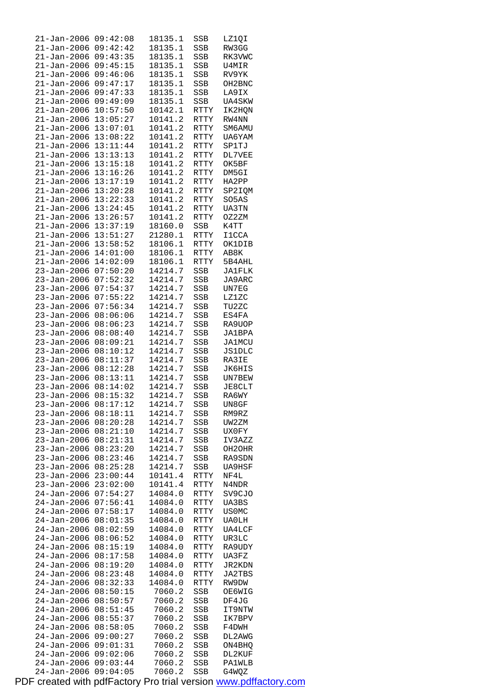| 21-Jan-2006                | 09:42:08             | 18135.1          | SSB         | LZ1QI         |
|----------------------------|----------------------|------------------|-------------|---------------|
| 21-Jan-2006                | 09:42:42             | 18135.1          | SSB         | RW3GG         |
| $21 - Jan - 2006$          | 09:43:35             | 18135.1          | SSB         | RK3VWC        |
| $21 - Jan - 2006$          | 09:45:15             | 18135.1          | SSB         | U4MIR         |
| 21-Jan-2006                | 09:46:06             | 18135.1          | SSB         | RV9YK         |
| $21 - Jan - 2006$          | 09:47:17             | 18135.1          | SSB         | OH2BNC        |
|                            | 09:47:33             |                  |             |               |
| $21 - Jan - 2006$          |                      | 18135.1          | SSB         | LA9IX         |
| $21 - Jan - 2006$          | 09:49:09             | 18135.1          | SSB         | <b>UA4SKW</b> |
| $21 - Jan - 2006$          | 10:57:50             | 10142.1          | RTTY        | IK2HQN        |
| 21-Jan-2006                | 13:05:27             | 10141.2          | RTTY        | RW4NN         |
| $21 - Jan - 2006$          | 13:07:01             | 10141.2          | RTTY        | SM6AMU        |
| $21 - Jan - 2006$          | 13:08:22             | 10141.2          | RTTY        | UA6YAM        |
| $21 - Jan - 2006$          | 13:11:44             | 10141.2          | RTTY        | SP1TJ         |
| $21 - Jan - 2006$          | 13:13:13             | 10141.2          | RTTY        | DL7VEE        |
|                            |                      |                  |             |               |
| 21-Jan-2006                | 13:15:18             | 10141.2          | RTTY        | OK5BF         |
| $21 - Jan - 2006$          | 13:16:26             | 10141.2          | RTTY        | DM5GI         |
| $21 - Jan - 2006$          | 13:17:19             | 10141.2          | RTTY        | HA2PP         |
| $21 - Jan - 2006$          | 13:20:28             | 10141.2          | RTTY        | SP2IQM        |
| $21 - Jan - 2006$          | 13:22:33             | 10141.2          | RTTY        | SO5AS         |
| $21 - Jan - 2006$          | 13:24:45             | 10141.2          | RTTY        | <b>UA3TN</b>  |
| $21 - Jan - 2006$          | 13:26:57             | 10141.2          | <b>RTTY</b> | OZ2ZM         |
| $21 - Jan - 2006$          | 13:37:19             | 18160.0          | SSB         | K4TT          |
|                            | 13:51:27             |                  |             |               |
| $21 - Jan - 2006$          |                      | 21280.1          | RTTY        | I1CCA         |
| $21 - Jan - 2006$          | 13:58:52             | 18106.1          | <b>RTTY</b> | OK1DIB        |
| $21 - Jan - 2006$          | 14:01:00             | 18106.1          | RTTY        | AB8K          |
| $21 - Jan - 2006$          | 14:02:09             | 18106.1          | <b>RTTY</b> | 5B4AHL        |
| $23 - Jan - 2006$          | 07:50:20             | 14214.7          | SSB         | JA1FLK        |
| $23 - Jan - 2006$          | 07:52:32             | 14214.7          | SSB         | JA9ARC        |
| $23 - Jan - 2006$          | 07:54:37             | 14214.7          | SSB         | UN7EG         |
| 23-Jan-2006                | 07:55:22             | 14214.7          | SSB         | LZ1ZC         |
|                            |                      |                  |             |               |
| $23 - Jan - 2006$          | 07:56:34             | 14214.7          | SSB         | TU2ZC         |
| $23 - Jan - 2006$          | 08:06:06             | 14214.7          | SSB         | ES4FA         |
| 23-Jan-2006                | 08:06:23             | 14214.7          | SSB         | RA9UOP        |
| $23 - Jan - 2006$          | 08:08:40             | 14214.7          | SSB         | JA1BPA        |
| 23-Jan-2006                | 08:09:21             | 14214.7          | SSB         | <b>JA1MCU</b> |
| 23-Jan-2006                | 08:10:12             | 14214.7          | SSB         | <b>JS1DLC</b> |
| $23 - Jan - 2006$          | 08:11:37             | 14214.7          | SSB         | RA3IE         |
| 23-Jan-2006                | 08:12:28             | 14214.7          | SSB         | JK6HIS        |
| $23 - Jan - 2006$          | 08:13:11             | 14214.7          | SSB         | UN7BEW        |
|                            |                      | 14214.7          |             |               |
| $23 - Jan - 2006$          | 08:14:02             |                  | SSB         | <b>JE8CLT</b> |
| $23 - Jan - 2006$          | 08:15:32             | 14214.7          | SSB         | RA6WY         |
| 23-Jan-2006 08:17:12       |                      | 14214.7          | SSB         | UN8GF         |
| $23 - Jan - 2006$          | 08:18:11             | 14214.7          | SSB         | RM9RZ         |
| 23-Jan-2006                | 08:20:28             | 14214.7          | SSB         | UW2ZM         |
| 23-Jan-2006                | 08:21:10             | 14214.7          | SSB         | UX0FY         |
| 23-Jan-2006                | 08:21:31             | 14214.7          | SSB         | IV3AZZ        |
| $23 - Jan - 2006$          | 08:23:20             | 14214.7          | SSB         | OH2OHR        |
| $23 - Jan - 2006$          | 08:23:46             | 14214.7          | SSB         | RA9SDN        |
| $23 - Jan - 2006$          | 08:25:28             | 14214.7          |             | UA9HSF        |
|                            |                      |                  | SSB         |               |
| $23 - Jan - 2006$          | 23:00:44             | 10141.4          | RTTY        | NF4L          |
| 23-Jan-2006                | 23:02:00             | 10141.4          | RTTY        | N4NDR         |
| 24-Jan-2006                | 07:54:27             | 14084.0          | <b>RTTY</b> | SV9CJO        |
| 24-Jan-2006                | 07:56:41             | 14084.0          | RTTY        | UA3BS         |
| $24 - Jan - 2006$          | 07:58:17             | 14084.0          | RTTY        | <b>USOMC</b>  |
| 24-Jan-2006                | 08:01:35             | 14084.0          | RTTY        | UA0LH         |
| $24 - Jan - 2006$          | 08:02:59             | 14084.0          | RTTY        | UA4LCF        |
| 24-Jan-2006                | 08:06:52             | 14084.0          | RTTY        | UR3LC         |
| 24-Jan-2006                | 08:15:19             | 14084.0          | RTTY        | RA9UDY        |
|                            |                      |                  |             |               |
| $24 - Jan - 2006$          | 08:17:58             | 14084.0          | RTTY        | UA3FZ         |
| $24 - Jan - 2006$          | 08:19:20             | 14084.0          | RTTY        | JR2KDN        |
| 24-Jan-2006                | 08:23:48             | 14084.0          | RTTY        | JA2TBS        |
| 24-Jan-2006                | 08:32:33             | 14084.0          | RTTY        | RW9DW         |
| 24-Jan-2006                | 08:50:15             | 7060.2           | SSB         | <b>OE6WIG</b> |
| $24 - Jan - 2006$          | 08:50:57             | 7060.2           | SSB         | DF4JG         |
| 24-Jan-2006                | 08:51:45             | 7060.2           | SSB         | IT9NTW        |
| $24 - Jan - 2006$          |                      | 7060.2           | SSB         | IK7BPV        |
|                            |                      |                  |             |               |
|                            | 08:55:37             |                  |             |               |
| 24-Jan-2006                | 08:58:05             | 7060.2           | SSB         | F4DWH         |
| 24-Jan-2006                | 09:00:27             | 7060.2           | SSB         | DL2AWG        |
| $24 - Jan - 2006$          | 09:01:31             | 7060.2           | SSB         | ON4BHQ        |
| 24-Jan-2006                | 09:02:06             | 7060.2           | SSB         | DL2KUF        |
| 24-Jan-2006<br>24-Jan-2006 | 09:03:44<br>09:04:05 | 7060.2<br>7060.2 | SSB         | PA1WLB        |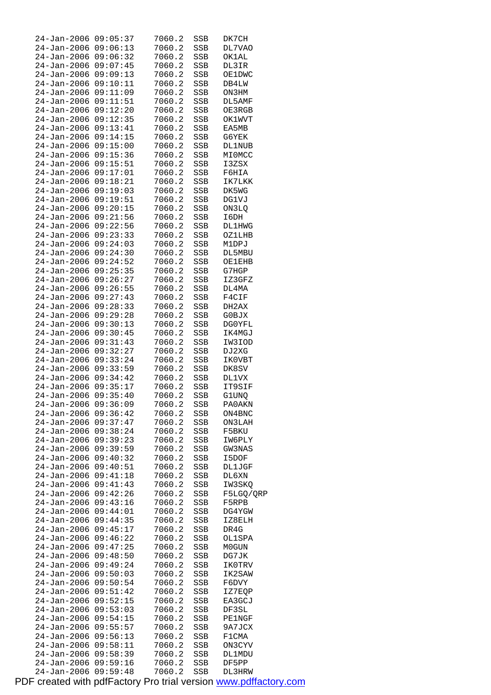| 24-Jan-2006 09:05:37 |          | 7060.2           | SSB        | DK7CH            |
|----------------------|----------|------------------|------------|------------------|
| 24-Jan-2006 09:06:13 |          | 7060.2           | SSB        | DL7VAO           |
| 24-Jan-2006 09:06:32 |          | 7060.2           | SSB        | OK1AL            |
| 24-Jan-2006 09:07:45 |          | 7060.2           | SSB        | DL3IR            |
| 24-Jan-2006 09:09:13 |          | 7060.2           | SSB        | OE1DWC           |
| 24-Jan-2006 09:10:11 |          | 7060.2           | SSB        | DB4LW            |
| 24-Jan-2006 09:11:09 |          | 7060.2           | SSB        | ON3HM            |
| 24-Jan-2006 09:11:51 |          | 7060.2           | SSB        | DL5AMF           |
| 24-Jan-2006 09:12:20 |          | 7060.2           | SSB        | OE3RGB           |
| 24-Jan-2006 09:12:35 |          | 7060.2           | SSB        | <b>OK1WVT</b>    |
| 24-Jan-2006          | 09:13:41 | 7060.2           | SSB        | EA5MB            |
| 24-Jan-2006 09:14:15 |          | 7060.2           | SSB        | G6YEK            |
| 24-Jan-2006 09:15:00 |          | 7060.2           | SSB        | DL1NUB           |
| 24-Jan-2006 09:15:36 |          | 7060.2           | SSB        | MI0MCC           |
| 24-Jan-2006 09:15:51 |          | 7060.2           | SSB        | I3ZSX            |
| 24-Jan-2006 09:17:01 |          | 7060.2           | SSB        | F6HIA            |
| 24-Jan-2006 09:18:21 |          | 7060.2           | SSB        | IK7LKK           |
| 24-Jan-2006 09:19:03 |          | 7060.2           | SSB        | DK5WG            |
| 24-Jan-2006 09:19:51 |          | 7060.2           | SSB        | DG1VJ            |
| 24-Jan-2006 09:20:15 |          | 7060.2           | SSB        | ON3LQ            |
| 24-Jan-2006 09:21:56 |          | 7060.2           | SSB        | I6DH             |
| 24-Jan-2006 09:22:56 |          | 7060.2           | SSB        | <b>DL1HWG</b>    |
| 24-Jan-2006 09:23:33 |          | 7060.2           | SSB        | OZ1LHB           |
| 24-Jan-2006 09:24:03 |          | 7060.2           | SSB        | M1DPJ            |
| 24-Jan-2006 09:24:30 |          | 7060.2           | SSB        | DL5MBU           |
| 24-Jan-2006 09:24:52 |          | 7060.2           | SSB        | <b>OE1EHB</b>    |
| 24-Jan-2006 09:25:35 |          | 7060.2           | SSB        | G7HGP            |
| 24-Jan-2006 09:26:27 |          | 7060.2           | SSB        | IZ3GFZ           |
| 24-Jan-2006 09:26:55 |          | 7060.2           | SSB        | DL4MA            |
| 24-Jan-2006 09:27:43 |          | 7060.2           | SSB        | F4CIF            |
| 24-Jan-2006          | 09:28:33 | 7060.2           | SSB        | DH2AX            |
| 24-Jan-2006          | 09:29:28 | 7060.2           | SSB        | G0BJX            |
| 24-Jan-2006 09:30:13 |          | 7060.2           | SSB        | DG0YFL           |
| 24-Jan-2006 09:30:45 |          | 7060.2           | SSB        | IK4MGJ           |
| 24-Jan-2006 09:31:43 |          | 7060.2           | SSB        | IW3IOD           |
| 24-Jan-2006 09:32:27 |          | 7060.2           | SSB        | DJ2XG            |
| 24-Jan-2006 09:33:24 |          | 7060.2           | SSB        | IK0VBT           |
| 24-Jan-2006 09:33:59 |          | 7060.2           | SSB        | DK8SV            |
| 24-Jan-2006 09:34:42 |          | 7060.2           | SSB        | DL1VX            |
| 24-Jan-2006 09:35:17 |          | 7060.2           | SSB        | IT9SIF           |
| 24-Jan-2006 09:35:40 |          | 7060.2           | SSB        | G1UNQ            |
| 24-Jan-2006 09:36:09 |          | 7060.2           | SSB        | PA0AKN           |
| 24-Jan-2006 09:36:42 |          | 7060.2           | SSB        | ON4BNC           |
| 24-Jan-2006 09:37:47 |          | 7060.2           | SSB        | ON3LAH           |
| 24-Jan-2006 09:38:24 |          | 7060.2           | SSB        | F5BKU            |
| 24-Jan-2006          | 09:39:23 | 7060.2           | SSB        | IW6PLY           |
| $24 - Jan - 2006$    | 09:39:59 | 7060.2           | SSB        | GW3NAS           |
| $24 - Jan - 2006$    | 09:40:32 | 7060.2           | SSB        | I5DOF            |
| 24-Jan-2006          | 09:40:51 | 7060.2           | SSB        | <b>DL1JGF</b>    |
| 24-Jan-2006          | 09:41:18 | 7060.2           | SSB        | DL6XN            |
| 24-Jan-2006          | 09:41:43 | 7060.2           | SSB        | IW3SKQ           |
| $24 - Jan - 2006$    | 09:42:26 | 7060.2           | SSB        | F5LGQ/QRP        |
| 24-Jan-2006          | 09:43:16 | 7060.2           | SSB        | F5RPB            |
| $24 - Jan - 2006$    | 09:44:01 | 7060.2           | SSB        | DG4YGW           |
| 24-Jan-2006          | 09:44:35 | 7060.2           | SSB        | IZ8ELH           |
| 24-Jan-2006          | 09:45:17 | 7060.2           | SSB        | DR4G             |
| 24-Jan-2006          | 09:46:22 | 7060.2           | SSB        | OL1SPA           |
| $24 - Jan - 2006$    | 09:47:25 | 7060.2           | SSB        | M0GUN            |
| 24-Jan-2006          | 09:48:50 | 7060.2           | SSB        | DG7JK            |
| 24-Jan-2006          | 09:49:24 | 7060.2           | SSB        | IK0TRV           |
| 24-Jan-2006          | 09:50:03 | 7060.2           | SSB        | IK2SAW           |
| $24 - Jan - 2006$    | 09:50:54 | 7060.2           | SSB        | F6DVY            |
| 24-Jan-2006          | 09:51:42 | 7060.2           | SSB        | IZ7EQP           |
| $24 - Jan - 2006$    | 09:52:15 | 7060.2           | SSB        | EA3GCJ           |
| 24-Jan-2006          | 09:53:03 | 7060.2           | SSB        | DF3SL            |
| 24-Jan-2006          | 09:54:15 | 7060.2           | SSB        | <b>PE1NGF</b>    |
| 24-Jan-2006          | 09:55:57 | 7060.2           | SSB        | 9A7JCX           |
| 24-Jan-2006          | 09:56:13 | 7060.2           | SSB        | F1CMA            |
| 24-Jan-2006          | 09:58:11 |                  |            |                  |
| 24-Jan-2006          | 09:58:39 | 7060.2<br>7060.2 | SSB<br>SSB | ON3CYV<br>DL1MDU |
| 24-Jan-2006          | 09:59:16 | 7060.2           | SSB        | DF5PP            |
| $24 - Jan - 2006$    | 09:59:48 | 7060.2           | SSB        | DL3HRW           |
|                      |          |                  |            |                  |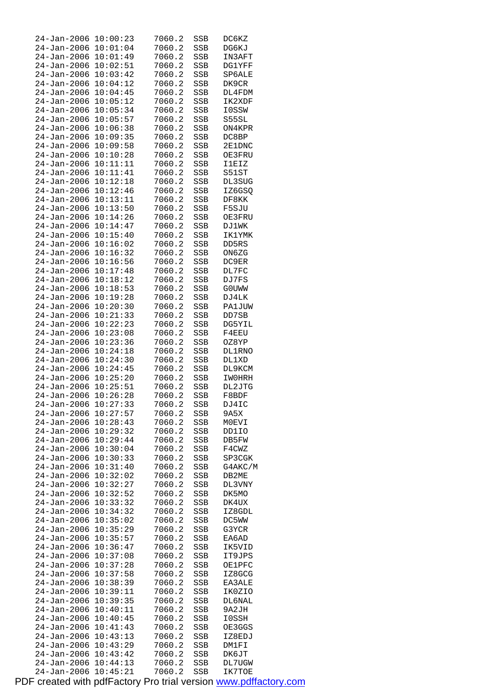| 24-Jan-2006          | 10:00:23 | 7060.2 | SSB        | DC6KZ         |
|----------------------|----------|--------|------------|---------------|
| $24 - Jan - 2006$    | 10:01:04 | 7060.2 | SSB        | DG6KJ         |
| 24-Jan-2006          | 10:01:49 | 7060.2 | SSB        | IN3AFT        |
| 24-Jan-2006          | 10:02:51 | 7060.2 | SSB        | <b>DG1YFF</b> |
| 24-Jan-2006          | 10:03:42 | 7060.2 | SSB        | SP6ALE        |
| $24 - Jan - 2006$    | 10:04:12 | 7060.2 | <b>SSB</b> | DK9CR         |
| 24-Jan-2006          | 10:04:45 | 7060.2 | SSB        | DL4FDM        |
| 24-Jan-2006          | 10:05:12 | 7060.2 | SSB        | IK2XDF        |
| $24 - Jan - 2006$    | 10:05:34 | 7060.2 | SSB        | I0SSW         |
| $24 - Jan - 2006$    | 10:05:57 | 7060.2 | SSB        | S55SL         |
| $24 - Jan - 2006$    | 10:06:38 | 7060.2 | SSB        | ON4KPR        |
|                      | 10:09:35 |        |            |               |
| 24-Jan-2006          |          | 7060.2 | SSB        | DC8BP         |
| 24-Jan-2006          | 10:09:58 | 7060.2 | SSB        | 2E1DNC        |
| 24-Jan-2006          | 10:10:28 | 7060.2 | SSB        | OE3FRU        |
| 24-Jan-2006          | 10:11:11 | 7060.2 | SSB        | I1EIZ         |
| $24 - Jan - 2006$    | 10:11:41 | 7060.2 | SSB        | S51ST         |
| 24-Jan-2006          | 10:12:18 | 7060.2 | SSB        | DL3SUG        |
| 24-Jan-2006          | 10:12:46 | 7060.2 | SSB        | IZ6GSQ        |
| 24-Jan-2006          | 10:13:11 | 7060.2 | SSB        | DF8KK         |
| $24 - Jan - 2006$    | 10:13:50 | 7060.2 | SSB        | F5SJU         |
| $24 - Jan - 2006$    | 10:14:26 | 7060.2 | <b>SSB</b> | OE3FRU        |
| $24 - Jan - 2006$    | 10:14:47 | 7060.2 | <b>SSB</b> | DJ1WK         |
| 24-Jan-2006          | 10:15:40 | 7060.2 | SSB        | IK1YMK        |
| $24 - Jan - 2006$    | 10:16:02 | 7060.2 | SSB        | DD5RS         |
| 24-Jan-2006          | 10:16:32 | 7060.2 | SSB        | ON6ZG         |
| $24 - Jan - 2006$    | 10:16:56 | 7060.2 | SSB        | DC9ER         |
| $24 - Jan - 2006$    | 10:17:48 | 7060.2 | SSB        | DL7FC         |
| 24-Jan-2006          | 10:18:12 | 7060.2 | SSB        | DJ7FS         |
| 24-Jan-2006          | 10:18:53 | 7060.2 | SSB        | G0UWW         |
| 24-Jan-2006          | 10:19:28 | 7060.2 | SSB        | DJ4LK         |
| $24 - Jan - 2006$    | 10:20:30 | 7060.2 | SSB        | <b>PA1JUW</b> |
| 24-Jan-2006          | 10:21:33 | 7060.2 | SSB        | DD7SB         |
|                      |          |        |            |               |
| 24-Jan-2006          | 10:22:23 | 7060.2 | SSB        | DG5YIL        |
| $24 - Jan - 2006$    | 10:23:08 | 7060.2 | SSB        | F4EEU         |
| 24-Jan-2006          | 10:23:36 | 7060.2 | SSB        | OZ8YP         |
| $24 - Jan - 2006$    | 10:24:18 | 7060.2 | SSB        | <b>DL1RNO</b> |
| 24-Jan-2006          | 10:24:30 | 7060.2 | SSB        | DL1XD         |
| 24-Jan-2006          | 10:24:45 | 7060.2 | SSB        | DL9KCM        |
| 24-Jan-2006          | 10:25:20 | 7060.2 | SSB        | IW0HRH        |
| 24-Jan-2006          | 10:25:51 | 7060.2 | SSB        | DL2JTG        |
| $24 - Jan - 2006$    | 10:26:28 | 7060.2 | SSB        | F8BDF         |
| 24-Jan-2006 10:27:33 |          | 7060.2 | SSB        | DJ4IC         |
| 24-Jan-2006          | 10:27:57 | 7060.2 | <b>SSB</b> | 9A5X          |
| $24 - Jan - 2006$    | 10:28:43 | 7060.2 | SSB        | M0EVI         |
| 24-Jan-2006          | 10:29:32 | 7060.2 | SSB        | DD1IO         |
| 24-Jan-2006          | 10:29:44 | 7060.2 | SSB        | DB5FW         |
| 24-Jan-2006          | 10:30:04 | 7060.2 | SSB        | F4CWZ         |
| 24-Jan-2006          | 10:30:33 | 7060.2 | SSB        | SP3CGK        |
| 24-Jan-2006          | 10:31:40 | 7060.2 | SSB        | G4AKC/M       |
| 24-Jan-2006          | 10:32:02 | 7060.2 | SSB        | DB2ME         |
| 24-Jan-2006          | 10:32:27 | 7060.2 | SSB        | DL3VNY        |
| 24-Jan-2006          | 10:32:52 | 7060.2 | SSB        | DK5MO         |
| 24-Jan-2006          | 10:33:32 | 7060.2 | SSB        | DK4UX         |
| $24 - Jan - 2006$    | 10:34:32 | 7060.2 | SSB        | IZ8GDL        |
| 24-Jan-2006          | 10:35:02 | 7060.2 | SSB        | DC5WW         |
| $24 - Jan - 2006$    | 10:35:29 | 7060.2 | SSB        | G3YCR         |
| 24-Jan-2006          | 10:35:57 | 7060.2 |            | EA6AD         |
|                      |          |        | SSB        |               |
| 24-Jan-2006          | 10:36:47 | 7060.2 | SSB        | IK5VID        |
| 24-Jan-2006          | 10:37:08 | 7060.2 | SSB        | IT9JPS        |
| 24-Jan-2006          | 10:37:28 | 7060.2 | SSB        | <b>OE1PFC</b> |
| 24-Jan-2006          | 10:37:58 | 7060.2 | SSB        | IZ8GCG        |
| 24-Jan-2006          | 10:38:39 | 7060.2 | SSB        | EA3ALE        |
| 24-Jan-2006          | 10:39:11 | 7060.2 | SSB        | IK0ZIO        |
| $24 - Jan - 2006$    | 10:39:35 | 7060.2 | SSB        | DL6NAL        |
| 24-Jan-2006          | 10:40:11 | 7060.2 | SSB        | 9A2JH         |
| $24 - Jan - 2006$    | 10:40:45 | 7060.2 | SSB        | I0SSH         |
| 24-Jan-2006          | 10:41:43 | 7060.2 | SSB        | OE3GGS        |
| 24-Jan-2006          | 10:43:13 | 7060.2 | SSB        | IZ8EDJ        |
| $24 - Jan - 2006$    | 10:43:29 | 7060.2 | SSB        | DM1FI         |
| 24-Jan-2006          | 10:43:42 | 7060.2 | SSB        | DK6JT         |
| 24-Jan-2006          | 10:44:13 | 7060.2 | SSB        | DL7UGW        |
| 24-Jan-2006          | 10:45:21 | 7060.2 | <b>SSB</b> | IK7TOE        |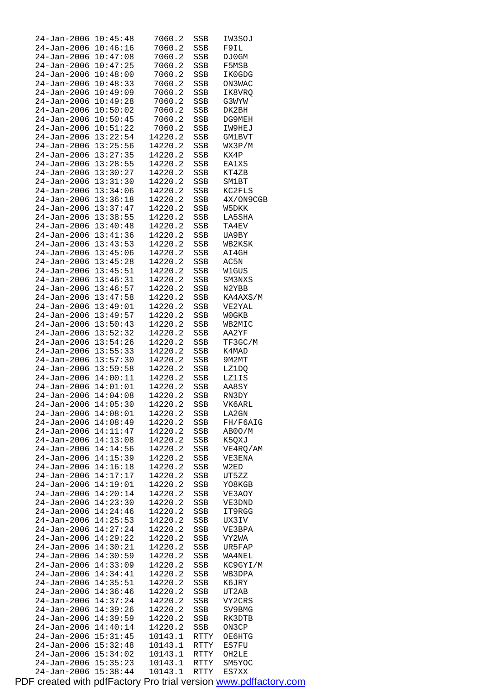| 24-Jan-2006                                  | 10:45:48             | 7060.2             | SSB        | IW3SOJ             |
|----------------------------------------------|----------------------|--------------------|------------|--------------------|
| 24-Jan-2006                                  | 10:46:16             | 7060.2             | SSB        | F9IL               |
| 24-Jan-2006                                  | 10:47:08             | 7060.2             | SSB        | DJ0GM              |
| 24-Jan-2006                                  | 10:47:25             | 7060.2             | SSB        | F5MSB              |
| $24 - Jan - 2006$<br>24-Jan-2006             | 10:48:00<br>10:48:33 | 7060.2<br>7060.2   | SSB<br>SSB | IK0GDG<br>ON3WAC   |
| 24-Jan-2006                                  | 10:49:09             | 7060.2             | SSB        | IK8VRQ             |
| 24-Jan-2006                                  | 10:49:28             | 7060.2             | SSB        | G3WYW              |
| 24-Jan-2006                                  | 10:50:02             | 7060.2             | SSB        | DK2BH              |
| 24-Jan-2006                                  | 10:50:45             | 7060.2             | SSB        | DG9MEH             |
| $24 - Jan - 2006$                            | 10:51:22             | 7060.2             | SSB        | IW9HEJ             |
| 24-Jan-2006                                  | 13:22:54             | 14220.2            | SSB        | GM1BVT             |
| 24-Jan-2006                                  | 13:25:56             | 14220.2            | SSB        | WX3P/M             |
| 24-Jan-2006                                  | 13:27:35             | 14220.2            | SSB        | KX4P               |
| 24-Jan-2006 13:28:55                         |                      | 14220.2            | SSB        | EA1XS              |
| 24-Jan-2006                                  | 13:30:27             | 14220.2            | SSB        | KT4ZB              |
| 24-Jan-2006                                  | 13:31:30             | 14220.2            | SSB        | SM1BT              |
| 24-Jan-2006                                  | 13:34:06             | 14220.2            | SSB        | KC2FLS             |
| 24-Jan-2006<br>24-Jan-2006 13:37:47          | 13:36:18             | 14220.2<br>14220.2 | SSB        | 4X/ON9CGB<br>W5DKK |
| $24 - Jan - 2006$                            | 13:38:55             | 14220.2            | SSB<br>SSB | LA5SHA             |
| 24-Jan-2006                                  | 13:40:48             | 14220.2            | SSB        | TA4EV              |
| 24-Jan-2006                                  | 13:41:36             | 14220.2            | SSB        | UA9BY              |
| 24-Jan-2006                                  | 13:43:53             | 14220.2            | SSB        | WB2KSK             |
| 24-Jan-2006 13:45:06                         |                      | 14220.2            | SSB        | AI4GH              |
| $24 - Jan - 2006$                            | 13:45:28             | 14220.2            | SSB        | AC5N               |
| 24-Jan-2006                                  | 13:45:51             | 14220.2            | SSB        | W1GUS              |
| $24 - Jan - 2006$                            | 13:46:31             | 14220.2            | SSB        | SM3NXS             |
| 24-Jan-2006                                  | 13:46:57             | 14220.2            | SSB        | N2YBB              |
| 24-Jan-2006                                  | 13:47:58             | 14220.2            | SSB        | KA4AXS/M           |
| 24-Jan-2006                                  | 13:49:01             | 14220.2            | SSB        | VE2YAL             |
| 24-Jan-2006                                  | 13:49:57             | 14220.2            | SSB        | <b>WOGKB</b>       |
| $24 - Jan - 2006$                            | 13:50:43             | 14220.2            | SSB        | WB2MIC             |
| 24-Jan-2006                                  | 13:52:32             | 14220.2            | SSB        | AA2YF              |
| 24-Jan-2006 13:54:26                         |                      | 14220.2            | SSB        | TF3GC/M            |
| 24-Jan-2006 13:55:33<br>24-Jan-2006 13:57:30 |                      | 14220.2<br>14220.2 | SSB<br>SSB | K4MAD<br>9M2MT     |
| 24-Jan-2006 13:59:58                         |                      | 14220.2            | SSB        | LZ1DQ              |
| 24-Jan-2006 14:00:11                         |                      | 14220.2            | SSB        | LZ1IS              |
| 24-Jan-2006 14:01:01                         |                      | 14220.2            | SSB        | AA8SY              |
| 24-Jan-2006                                  | 14:04:08             | 14220.2            | SSB        | RN3DY              |
| 24-Jan-2006 14:05:30                         |                      | 14220.2            | SSB        | VK6ARL             |
| 24-Jan-2006 14:08:01                         |                      | 14220.2            | SSB        | LA2GN              |
| 24-Jan-2006 14:08:49                         |                      | 14220.2            | SSB        | FH/F6AIG           |
| 24-Jan-2006 14:11:47                         |                      | 14220.2            | SSB        | AB0O/M             |
| 24-Jan-2006 14:13:08                         |                      | 14220.2            | SSB        | K5QXJ              |
| 24-Jan-2006                                  | 14:14:56             | 14220.2            | SSB        | VE4RQ/AM           |
| 24-Jan-2006                                  | 14:15:39             | 14220.2            | SSB        | VE3ENA             |
| 24–Jan–2006                                  | 14:16:18             | 14220.2            | SSB        | W2ED               |
| 24-Jan-2006 14:17:17<br>24-Jan-2006          | 14:19:01             | 14220.2<br>14220.2 | SSB        | UT5ZZ<br>YO8KGB    |
| 24-Jan-2006                                  | 14:20:14             | 14220.2            | SSB<br>SSB | VE3AOY             |
| 24-Jan-2006                                  | 14:23:30             | 14220.2            | SSB        | VE3DND             |
| $24 - Jan - 2006$                            | 14:24:46             | 14220.2            | SSB        | IT9RGG             |
| 24-Jan-2006                                  | 14:25:53             | 14220.2            | SSB        | UX3IV              |
| 24-Jan-2006                                  | 14:27:24             | 14220.2            | SSB        | VE3BPA             |
| 24-Jan-2006                                  | 14:29:22             | 14220.2            | SSB        | VY2WA              |
| 24-Jan-2006                                  | 14:30:21             | 14220.2            | SSB        | UR5FAP             |
| 24-Jan-2006                                  | 14:30:59             | 14220.2            | SSB        | WA4NEL             |
| 24-Jan-2006                                  | 14:33:09             | 14220.2            | SSB        | KC9GYI/M           |
| 24-Jan-2006                                  | 14:34:41             | 14220.2            | SSB        | WB3DPA             |
| 24-Jan-2006                                  | 14:35:51             | 14220.2            | SSB        | K6JRY              |
| 24-Jan-2006                                  | 14:36:46             | 14220.2            | SSB        | UT2AB              |
| $24 - Jan - 2006$                            | 14:37:24             | 14220.2            | SSB        | VY2CRS             |
| 24-Jan-2006<br>24-Jan-2006                   | 14:39:26<br>14:39:59 | 14220.2<br>14220.2 | SSB<br>SSB | SV9BMG<br>RK3DTB   |
| 24-Jan-2006                                  | 14:40:14             | 14220.2            | SSB        | ON3CP              |
| 24-Jan-2006                                  | 15:31:45             | 10143.1            | RTTY       | OE6HTG             |
| 24-Jan-2006                                  | 15:32:48             | 10143.1            | RTTY       | ES7FU              |
| 24-Jan-2006 15:34:02                         |                      | 10143.1            | RTTY       | OH2LE              |
| 24-Jan-2006 15:35:23                         |                      | 10143.1            | RTTY       | SM5YOC             |
| 24-Jan-2006                                  | 15:38:44             | 10143.1            | RTTY       | ES7XX              |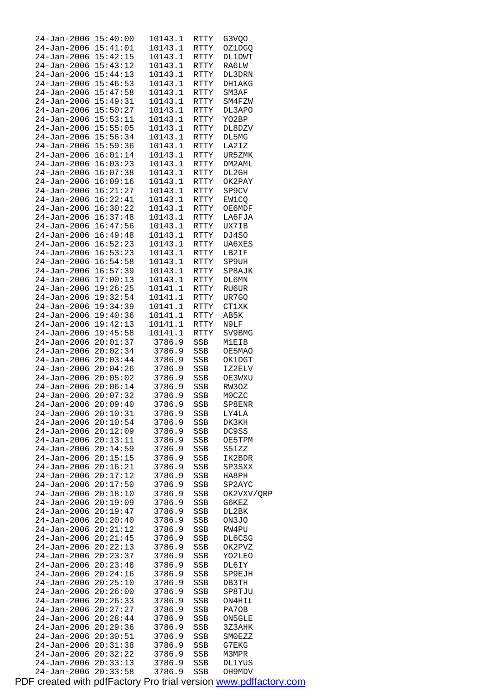| 24-Jan-2006 15:40:00                                                 |          | 10143.1 | RTTY | G3VOO        |
|----------------------------------------------------------------------|----------|---------|------|--------------|
| 24-Jan-2006 15:41:01                                                 |          | 10143.1 | RTTY | OZ1DGQ       |
| 24-Jan-2006 15:42:15                                                 |          | 10143.1 | RTTY | DL1DWT       |
|                                                                      |          |         |      |              |
| 24-Jan-2006 15:43:12<br>24-Jan-2006 15:44:13                         |          | 10143.1 | RTTY | RA6LW        |
|                                                                      |          | 10143.1 | RTTY | DL3DRN       |
| 24-Jan-2006 15:46:53                                                 |          | 10143.1 | RTTY | DH1AKG       |
| 24-Jan-2006 15:47:58                                                 |          | 10143.1 | RTTY | SM3AF        |
|                                                                      |          |         |      |              |
| 24-Jan-2006 15:49:31                                                 |          | 10143.1 | RTTY | SM4FZW       |
|                                                                      |          | 10143.1 | RTTY | DL3APO       |
| 24-Jan-2006 15:50:27<br>24-Jan-2006 15:50:27<br>24-Jan-2006 15:53:11 |          | 10143.1 | RTTY | YO2BP        |
| 24-Jan-2006 15:55:05                                                 |          | 10143.1 | RTTY |              |
|                                                                      |          |         |      | DL8DZV       |
| 24-Jan-2006 15:56:34                                                 |          | 10143.1 | RTTY | DL5MG        |
|                                                                      |          | 10143.1 | RTTY | LA2IZ        |
| 24-Jan-2006 15:59:36<br>24-Jan-2006 16:01:14<br>24-Jan-2006 16:03:23 |          | 10143.1 | RTTY | UR5ZMK       |
|                                                                      |          | 10143.1 | RTTY | DM2AML       |
|                                                                      |          |         |      |              |
| 24-Jan-2006 16:07:38                                                 |          | 10143.1 | RTTY | DL2GH        |
| 24-Jan-2006 16:09:16                                                 |          | 10143.1 | RTTY | OK2PAY       |
| 24-Jan-2006 16:21:27                                                 |          | 10143.1 | RTTY | SP9CV        |
|                                                                      |          | 10143.1 | RTTY | EW1CO        |
| 24-Jan-2006 16:22:41<br>24-Jan-2006 16:30:22                         |          | 10143.1 | RTTY |              |
|                                                                      |          |         |      | OE6MDF       |
| 24-Jan-2006 16:37:48                                                 |          | 10143.1 | RTTY | LA6FJA       |
| 24-Jan-2006 16:47:56                                                 |          | 10143.1 | RTTY | UX7IB        |
| 24-Jan-2006 16:49:48                                                 |          | 10143.1 | RTTY | DJ4SO        |
|                                                                      |          | 10143.1 | RTTY | UA6XES       |
| 24-Jan-2006 16:52:23<br>24-Jan-2006 16:53:23                         |          |         |      |              |
|                                                                      |          | 10143.1 | RTTY | LB2IF        |
| 24-Jan-2006 16:54:58                                                 |          | 10143.1 | RTTY | SP9UH        |
| 24-Jan-2006 16:57:39                                                 |          | 10143.1 | RTTY | SP8AJK       |
| 24-Jan-2006 17:00:13                                                 |          | 10143.1 | RTTY | DL6MN        |
|                                                                      |          | 10141.1 |      |              |
| 24-Jan-2006 19:26:25<br>24-Jan-2006 19:32:54                         |          |         | RTTY | RU6UR        |
|                                                                      |          | 10141.1 | RTTY | UR7GO        |
| 24-Jan-2006 19:34:39                                                 |          | 10141.1 | RTTY | <b>CT1XK</b> |
| 24-Jan-2006 19:40:36                                                 |          | 10141.1 | RTTY | AB5K         |
| 24-Jan-2006 19:42:13                                                 |          | 10141.1 | RTTY | N9LF         |
|                                                                      |          |         |      |              |
| 24-Jan-2006 19:45:58                                                 |          | 10141.1 | RTTY | SV9BMG       |
| 24-Jan-2006 20:01:37                                                 |          | 3786.9  | SSB  | M1EIB        |
| 24-Jan-2006 20:02:34                                                 |          | 3786.9  | SSB  | OE5MAO       |
| 24-Jan-2006 20:03:44                                                 |          | 3786.9  | SSB  | OK1DGT       |
| 24-Jan-2006 20:04:26                                                 |          | 3786.9  | SSB  | IZ2ELV       |
|                                                                      |          |         |      |              |
| $24 - Jan - 2006$ $20:05:02$                                         |          | 3786.9  | SSB  | OE3WXU       |
| $24 - Jan - 2006$ $20:06:14$                                         |          | 3786.9  | SSB  | RW3OZ        |
| 24-Jan-2006 20:07:32                                                 |          | 3786.9  | SSB  | M0CZC        |
| 24-Jan-2006 20:09:40                                                 |          | 3786.9  | SSB  | SP8ENR       |
| 24-Jan-2006 20:10:31                                                 |          | 3786.9  |      |              |
|                                                                      |          |         | SSB  | LY4LA        |
| 24-Jan-2006 20:10:54                                                 |          | 3786.9  | SSB  | DK3KH        |
| 24-Jan-2006 20:12:09                                                 |          | 3786.9  | SSB  | DC9SS        |
| 24-Jan-2006 20:13:11                                                 |          | 3786.9  | SSB  | OE5TPM       |
| 24-Jan-2006 20:14:59                                                 |          | 3786.9  | SSB  | S51ZZ        |
| 24-Jan-2006 20:15:15                                                 |          | 3786.9  |      | IK2BDR       |
|                                                                      |          |         | SSB  |              |
| $24 - Jan - 2006$ $20:16:21$                                         |          | 3786.9  | SSB  | SP3SXX       |
| 24-Jan-2006 20:17:12                                                 |          | 3786.9  | SSB  | HA8PH        |
| 24-Jan-2006 20:17:50                                                 |          | 3786.9  | SSB  | SP2AYC       |
| 24-Jan-2006 20:18:10                                                 |          | 3786.9  | SSB  | OK2VXV/QRP   |
| 24-Jan-2006 20:19:09                                                 |          | 3786.9  | SSB  | G6KEZ        |
|                                                                      |          |         |      |              |
| 24-Jan-2006 20:19:47                                                 |          | 3786.9  | SSB  | DL2BK        |
| 24-Jan-2006 20:20:40                                                 |          | 3786.9  | SSB  | ON3JO        |
| $24 - Jan - 2006$ $20:21:12$                                         |          | 3786.9  | SSB  | RW4PU        |
| 24-Jan-2006 20:21:45                                                 |          | 3786.9  | SSB  | DL6CSG       |
| 24-Jan-2006 20:22:13                                                 |          | 3786.9  |      |              |
|                                                                      |          |         | SSB  | OK2PVZ       |
| 24-Jan-2006 20:23:37                                                 |          | 3786.9  | SSB  | YO2LEO       |
| 24-Jan-2006 20:23:48                                                 |          | 3786.9  | SSB  | DL6IY        |
| 24-Jan-2006 20:24:16                                                 |          | 3786.9  | SSB  | SP9EJH       |
| 24-Jan-2006 20:25:10                                                 |          | 3786.9  | SSB  | DB3TH        |
| 24-Jan-2006 20:26:00                                                 |          | 3786.9  | SSB  | SP8TJU       |
|                                                                      |          |         |      |              |
| 24-Jan-2006 20:26:33                                                 |          | 3786.9  | SSB  | ON4HIL       |
| 24-Jan-2006 20:27:27                                                 |          | 3786.9  | SSB  | PA70B        |
| 24-Jan-2006 20:28:44                                                 |          | 3786.9  | SSB  | ON5GLE       |
| 24-Jan-2006 20:29:36                                                 |          | 3786.9  | SSB  | 3Z3AHK       |
| 24-Jan-2006 20:30:51                                                 |          | 3786.9  | SSB  | SMOEZZ       |
|                                                                      |          |         |      |              |
| 24-Jan-2006 20:31:38                                                 |          | 3786.9  | SSB  | G7EKG        |
| 24-Jan-2006 20:32:22                                                 |          | 3786.9  | SSB  | M3MPR        |
| 24-Jan-2006 20:33:13                                                 |          | 3786.9  | SSB  | DL1YUS       |
| 24-Jan-2006                                                          | 20:33:58 | 3786.9  | SSB  | OH9MDV       |
|                                                                      |          |         |      |              |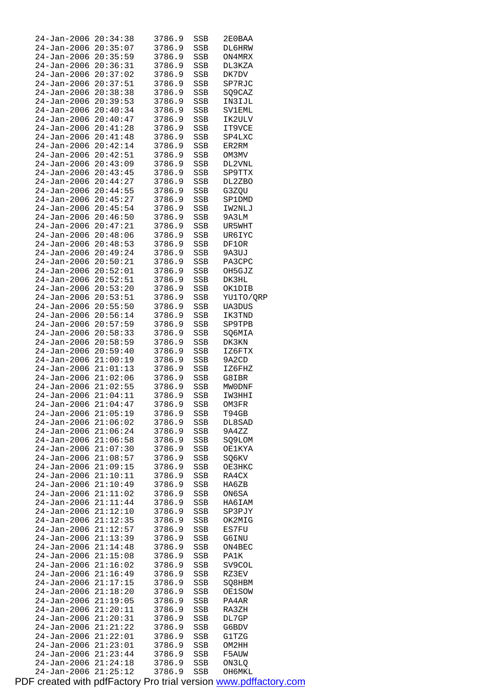| 24-Jan-2006          | 20:34:38 | 3786.9 | SSB | 2E0BAA        |
|----------------------|----------|--------|-----|---------------|
| 24-Jan-2006 20:35:07 |          | 3786.9 | SSB | DL6HRW        |
| 24-Jan-2006 20:35:59 |          | 3786.9 | SSB | ON4MRX        |
| 24-Jan-2006 20:36:31 |          | 3786.9 | SSB | DL3KZA        |
| 24-Jan-2006          | 20:37:02 | 3786.9 | SSB | DK7DV         |
| 24-Jan-2006          | 20:37:51 | 3786.9 | SSB | SP7RJC        |
| 24-Jan-2006          | 20:38:38 | 3786.9 | SSB | SQ9CAZ        |
| 24-Jan-2006          | 20:39:53 | 3786.9 | SSB | IN3IJL        |
| 24-Jan-2006          | 20:40:34 | 3786.9 | SSB | SV1EML        |
| $24 - Jan - 2006$    | 20:40:47 | 3786.9 | SSB | IK2ULV        |
| 24-Jan-2006          | 20:41:28 | 3786.9 | SSB | IT9VCE        |
| 24-Jan-2006          | 20:41:48 | 3786.9 | SSB | SP4LXC        |
| 24–Jan–2006          | 20:42:14 | 3786.9 | SSB | ER2RM         |
| 24-Jan-2006 20:42:51 |          | 3786.9 | SSB | OM3MV         |
| 24-Jan-2006          | 20:43:09 | 3786.9 | SSB | DL2VNL        |
| 24-Jan-2006          | 20:43:45 | 3786.9 | SSB | SP9TTX        |
| 24-Jan-2006 20:44:27 |          | 3786.9 | SSB | DL2ZBO        |
| 24–Jan–2006          | 20:44:55 | 3786.9 | SSB | G3ZQU         |
| 24-Jan-2006          | 20:45:27 | 3786.9 | SSB | SP1DMD        |
| $24 - Jan - 2006$    | 20:45:54 | 3786.9 | SSB | IW2NLJ        |
| 24-Jan-2006          | 20:46:50 | 3786.9 | SSB | 9A3LM         |
| 24-Jan-2006          | 20:47:21 | 3786.9 | SSB | UR5WHT        |
| 24–Jan–2006          | 20:48:06 | 3786.9 | SSB | UR6IYC        |
| 24-Jan-2006 20:48:53 |          | 3786.9 | SSB | DF10R         |
| 24-Jan-2006          | 20:49:24 | 3786.9 | SSB | 9A3UJ         |
| 24-Jan-2006          | 20:50:21 | 3786.9 | SSB | PA3CPC        |
| 24-Jan-2006 20:52:01 |          | 3786.9 | SSB | OH5GJZ        |
| 24–Jan–2006          | 20:52:51 | 3786.9 | SSB | DK3HL         |
| 24-Jan-2006          | 20:53:20 | 3786.9 | SSB | OK1DIB        |
| 24-Jan-2006          | 20:53:51 | 3786.9 | SSB | YU1TO/QRP     |
| 24-Jan-2006          | 20:55:50 | 3786.9 | SSB | UA3DUS        |
| 24-Jan-2006          | 20:56:14 | 3786.9 | SSB | IK3TND        |
| 24-Jan-2006          | 20:57:59 | 3786.9 | SSB | SP9TPB        |
| 24-Jan-2006 20:58:33 |          | 3786.9 | SSB | SQ6MIA        |
| 24-Jan-2006          | 20:58:59 | 3786.9 | SSB | DK3KN         |
| 24-Jan-2006          | 20:59:40 | 3786.9 | SSB | IZ6FTX        |
| 24-Jan-2006 21:00:19 |          | 3786.9 | SSB | 9A2CD         |
| 24-Jan-2006 21:01:13 |          | 3786.9 | SSB | IZ6FHZ        |
| 24-Jan-2006 21:02:06 |          | 3786.9 | SSB | G8IBR         |
| 24-Jan-2006 21:02:55 |          | 3786.9 | SSB | MW0DNF        |
| 24-Jan-2006 21:04:11 |          | 3786.9 | SSB | IW3HHI        |
| 24-Jan-2006 21:04:47 |          | 3786.9 | SSB | OM3FR         |
| 24-Jan-2006          | 21:05:19 | 3786.9 | SSB | T94GB         |
| 24-Jan-2006          | 21:06:02 | 3786.9 | SSB | DL8SAD        |
| $24 - Jan - 2006$    | 21:06:24 | 3786.9 | SSB | 9A4ZZ         |
| 24-Jan-2006          | 21:06:58 | 3786.9 | SSB | SQ9LOM        |
| 24-Jan-2006          | 21:07:30 | 3786.9 | SSB | <b>OE1KYA</b> |
| $24 - Jan - 2006$    | 21:08:57 | 3786.9 | SSB | SQ6KV         |
| 24-Jan-2006          | 21:09:15 | 3786.9 | SSB | OE3HKC        |
| $24 - Jan - 2006$    | 21:10:11 | 3786.9 | SSB | RA4CX         |
| 24-Jan-2006          | 21:10:49 | 3786.9 | SSB | HA6ZB         |
| 24-Jan-2006          | 21:11:02 | 3786.9 | SSB | ON6SA         |
| $24 - Jan - 2006$    | 21:11:44 | 3786.9 | SSB | HA6IAM        |
| 24-Jan-2006          | 21:12:10 | 3786.9 | SSB | SP3PJY        |
| 24-Jan-2006          | 21:12:35 | 3786.9 | SSB | OK2MIG        |
| 24-Jan-2006          | 21:12:57 | 3786.9 | SSB | ES7FU         |
| 24-Jan-2006          | 21:13:39 | 3786.9 | SSB | G6INU         |
| $24 - Jan - 2006$    | 21:14:48 | 3786.9 | SSB | ON4BEC        |
| $24 - Jan - 2006$    | 21:15:08 | 3786.9 | SSB | PA1K          |
| 24-Jan-2006          | 21:16:02 | 3786.9 | SSB | SV9COL        |
| $24 - Jan - 2006$    | 21:16:49 | 3786.9 | SSB | RZ3EV         |
| 24-Jan-2006          | 21:17:15 | 3786.9 | SSB | SQ8HBM        |
| 24-Jan-2006          | 21:18:20 | 3786.9 | SSB | OE1SOW        |
| 24-Jan-2006          | 21:19:05 | 3786.9 | SSB | PA4AR         |
| 24-Jan-2006          | 21:20:11 | 3786.9 | SSB | RA3ZH         |
| 24-Jan-2006          | 21:20:31 | 3786.9 | SSB | DL7GP         |
| 24-Jan-2006          | 21:21:22 | 3786.9 | SSB | G6BDV         |
| $24 - Jan - 2006$    | 21:22:01 | 3786.9 | SSB | G1TZG         |
| 24-Jan-2006          | 21:23:01 | 3786.9 | SSB | OM2HH         |
| 24-Jan-2006          | 21:23:44 | 3786.9 | SSB | F5AUW         |
| 24-Jan-2006          | 21:24:18 | 3786.9 | SSB | ON3LQ         |
| 24-Jan-2006          | 21:25:12 | 3786.9 | SSB | OH6MKL        |
|                      |          |        |     |               |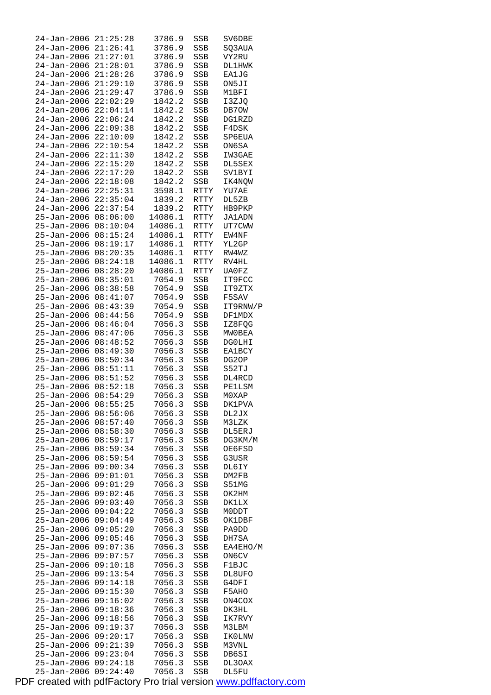| 24-Jan-2006                            | 21:25:28             | 3786.9           | SSB                 | SV6DBE           |
|----------------------------------------|----------------------|------------------|---------------------|------------------|
| 24-Jan-2006                            | 21:26:41             | 3786.9           | SSB                 | SQ3AUA           |
| 24-Jan-2006                            | 21:27:01             | 3786.9           | SSB                 | VY2RU            |
| 24-Jan-2006                            | 21:28:01             | 3786.9           | SSB                 | DL1HWK           |
| 24-Jan-2006                            | 21:28:26             | 3786.9           | SSB                 | EA1JG            |
| 24-Jan-2006                            | 21:29:10             | 3786.9           | SSB                 | ON5JI            |
| 24-Jan-2006                            | 21:29:47             | 3786.9           | SSB                 | M1BFI            |
| 24-Jan-2006                            | 22:02:29             | 1842.2           | SSB                 | I3ZJQ            |
| 24-Jan-2006                            | 22:04:14             | 1842.2           | SSB                 | DB70W            |
| 24-Jan-2006                            | 22:06:24             | 1842.2           | SSB                 | DG1RZD           |
| 24-Jan-2006                            | 22:09:38             | 1842.2           | SSB                 | F4DSK            |
| 24-Jan-2006                            | 22:10:09             | 1842.2           | SSB                 | SP6EUA           |
| $24 - Jan - 2006$                      | 22:10:54             | 1842.2           | SSB                 | ON6SA            |
| 24-Jan-2006                            | 22:11:30             | 1842.2           | SSB                 | IW3GAE           |
| 24-Jan-2006                            | 22:15:20             | 1842.2           | SSB                 | DL5SEX           |
| 24-Jan-2006                            | 22:17:20             | 1842.2           | SSB                 | SV1BYI           |
| 24-Jan-2006                            | 22:18:08             | 1842.2           | SSB                 | IK4NOW           |
| $24 - Jan - 2006$                      | 22:25:31             | 3598.1           | RTTY                | YU7AE            |
| 24-Jan-2006<br>24-Jan-2006             | 22:35:04<br>22:37:54 | 1839.2<br>1839.2 | RTTY<br><b>RTTY</b> | DL5ZB            |
| $25 - Jan - 2006$                      | 08:06:00             | 14086.1          | RTTY                | HB9PKP<br>JA1ADN |
| $25 - Jan - 2006$                      | 08:10:04             | 14086.1          | <b>RTTY</b>         | UT7CWW           |
| 25-Jan-2006                            | 08:15:24             | 14086.1          | RTTY                | EW4NF            |
| 25-Jan-2006                            | 08:19:17             | 14086.1          | RTTY                | YL2GP            |
| 25-Jan-2006                            | 08:20:35             | 14086.1          | RTTY                | RW4WZ            |
| $25 - Jan - 2006$                      | 08:24:18             | 14086.1          | RTTY                | RV4HL            |
| $25 - Jan - 2006$                      | 08:28:20             | 14086.1          | <b>RTTY</b>         | UA0FZ            |
| 25-Jan-2006                            | 08:35:01             | 7054.9           | SSB                 | IT9FCC           |
| 25-Jan-2006                            | 08:38:58             | 7054.9           | SSB                 | IT9ZTX           |
| $25 - Jan - 2006$                      | 08:41:07             | 7054.9           | SSB                 | F5SAV            |
| $25 - Jan - 2006$                      | 08:43:39             | 7054.9           | SSB                 | IT9RNW/P         |
| $25 - Jan - 2006$                      | 08:44:56             | 7054.9           | SSB                 | DF1MDX           |
| $25 - Jan - 2006$                      | 08:46:04             | 7056.3           | SSB                 | IZ8FQG           |
| 25-Jan-2006                            | 08:47:06             | 7056.3           | SSB                 | MWOBEA           |
| $25 - Jan - 2006$                      | 08:48:52             | 7056.3           | SSB                 | <b>DGOLHI</b>    |
| $25 - Jan - 2006$                      | 08:49:30             | 7056.3           | SSB                 | <b>EA1BCY</b>    |
| $25 - Jan - 2006$                      | 08:50:34             | 7056.3           | SSB                 | DG2OP            |
|                                        |                      |                  |                     |                  |
|                                        |                      |                  |                     |                  |
| $25 - Jan - 2006$                      | 08:51:11<br>08:51:52 | 7056.3<br>7056.3 | SSB                 | S52TJ            |
| $25 - Jan - 2006$<br>$25 - Jan - 2006$ | 08:52:18             | 7056.3           | SSB                 | DL4RCD<br>PE1LSM |
| $25 - Jan - 2006$                      | 08:54:29             | 7056.3           | $_{\rm SSB}$<br>SSB | M0XAP            |
| 25-Jan-2006 08:55:25                   |                      | 7056.3           | SSB                 | DK1PVA           |
| 25-Jan-2006                            | 08:56:06             | 7056.3           | SSB                 | DL2JX            |
| $25 - Jan - 2006$                      | 08:57:40             | 7056.3           | SSB                 | M3LZK            |
| 25-Jan-2006                            | 08:58:30             | 7056.3           | SSB                 | DL5ERJ           |
| 25-Jan-2006                            | 08:59:17             | 7056.3           | SSB                 | DG3KM/M          |
| 25-Jan-2006                            | 08:59:34             | 7056.3           | SSB                 | OE6FSD           |
| 25-Jan-2006                            | 08:59:54             | 7056.3           | SSB                 | G3USR            |
| 25-Jan-2006                            | 09:00:34             | 7056.3           | SSB                 | DL6IY            |
| $25 - Jan - 2006$                      | 09:01:01             | 7056.3           | SSB                 | DM2FB            |
| 25-Jan-2006                            | 09:01:29             | 7056.3           | SSB                 | S51MG            |
| $25 - Jan - 2006$                      | 09:02:46             | 7056.3           | SSB                 | OK2HM            |
| 25-Jan-2006                            | 09:03:40             | 7056.3           | SSB                 | <b>DK1LX</b>     |
| 25-Jan-2006                            | 09:04:22             | 7056.3           | SSB                 | M0DDT            |
| 25-Jan-2006                            | 09:04:49             | 7056.3           | SSB                 | OK1DBF           |
| 25-Jan-2006                            | 09:05:20             | 7056.3           | SSB                 | PA9DD            |
| $25 - Jan - 2006$                      | 09:05:46             | 7056.3           | SSB                 | DH7SA            |
| 25-Jan-2006                            | 09:07:36             | 7056.3           | SSB                 | EA4EHO/M         |
| $25 - Jan - 2006$                      | 09:07:57             | 7056.3           | SSB                 | <b>ON6CV</b>     |
| $25 - Jan - 2006$                      | 09:10:18             | 7056.3           | SSB                 | F1BJC            |
| 25-Jan-2006                            | 09:13:54             | 7056.3           | SSB                 | DL8UFO           |
| $25 - Jan - 2006$                      | 09:14:18             | 7056.3           | SSB                 | G4DFI            |
| 25-Jan-2006                            | 09:15:30             | 7056.3           | SSB                 | F5AHO            |
| $25 - Jan - 2006$                      | 09:16:02             | 7056.3           | SSB                 | ON4COX           |
| 25-Jan-2006                            | 09:18:36             | 7056.3           | SSB                 | DK3HL            |
| 25-Jan-2006                            | 09:18:56             | 7056.3           | SSB                 | IK7RVY           |
| $25 - Jan - 2006$                      | 09:19:37             | 7056.3           | SSB                 | M3LBM            |
| 25-Jan-2006                            | 09:20:17             | 7056.3           | SSB                 | IKOLNW           |
| $25 - Jan - 2006$                      | 09:21:39             | 7056.3           | SSB                 | M3VNL            |
| 25-Jan-2006<br>$25 - Jan - 2006$       | 09:23:04<br>09:24:18 | 7056.3<br>7056.3 | SSB<br>SSB          | DB6SI<br>DL3OAX  |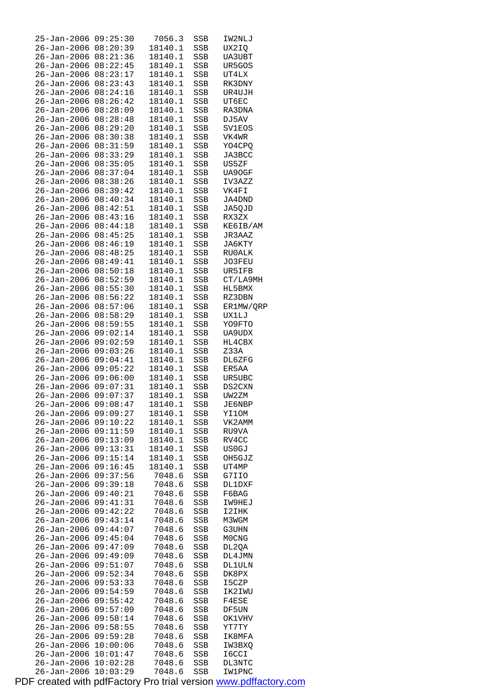| $25 - Jan - 2006$    | 09:25:30 | 7056.3  | SSB | IW2NLJ    |
|----------------------|----------|---------|-----|-----------|
| 26-Jan-2006          | 08:20:39 | 18140.1 | SSB | UX2IQ     |
| 26-Jan-2006          | 08:21:36 | 18140.1 | SSB | UA3UBT    |
| $26 - Jan - 2006$    | 08:22:45 | 18140.1 | SSB | UR5GOS    |
| 26-Jan-2006          | 08:23:17 | 18140.1 | SSB | UT4LX     |
| 26-Jan-2006          | 08:23:43 | 18140.1 | SSB | RK3DNY    |
|                      |          |         |     |           |
| 26-Jan-2006          | 08:24:16 | 18140.1 | SSB | UR4UJH    |
| $26 - Jan - 2006$    | 08:26:42 | 18140.1 | SSB | UT6EC     |
| 26-Jan-2006          | 08:28:09 | 18140.1 | SSB | RA3DNA    |
| 26-Jan-2006          | 08:28:48 | 18140.1 | SSB | DJ5AV     |
| 26-Jan-2006          | 08:29:20 | 18140.1 | SSB | SV1EOS    |
| 26-Jan-2006          | 08:30:38 | 18140.1 | SSB | VK4WR     |
| $26 - Jan - 2006$    | 08:31:59 | 18140.1 | SSB | YO4CPQ    |
| 26-Jan-2006          | 08:33:29 | 18140.1 | SSB | JA3BCC    |
|                      |          |         |     |           |
| 26-Jan-2006          | 08:35:05 | 18140.1 | SSB | US5ZF     |
| 26-Jan-2006          | 08:37:04 | 18140.1 | SSB | UA90GF    |
| 26-Jan-2006          | 08:38:26 | 18140.1 | SSB | IV3AZZ    |
| $26 - Jan - 2006$    | 08:39:42 | 18140.1 | SSB | VK4FI     |
| 26-Jan-2006          | 08:40:34 | 18140.1 | SSB | JA4DND    |
| 26-Jan-2006          | 08:42:51 | 18140.1 | SSB | JA5QJD    |
| 26-Jan-2006          | 08:43:16 | 18140.1 | SSB | RX3ZX     |
| 26-Jan-2006          | 08:44:18 | 18140.1 | SSB | KE6IB/AM  |
|                      | 08:45:25 |         |     |           |
| $26 - Jan - 2006$    |          | 18140.1 | SSB | JR3AAZ    |
| 26-Jan-2006          | 08:46:19 | 18140.1 | SSB | JA6KTY    |
| 26-Jan-2006          | 08:48:25 | 18140.1 | SSB | RU0ALK    |
| 26-Jan-2006          | 08:49:41 | 18140.1 | SSB | JO3FEU    |
| 26-Jan-2006          | 08:50:18 | 18140.1 | SSB | UR5IFB    |
| $26 - Jan - 2006$    | 08:52:59 | 18140.1 | SSB | CT/LA9MH  |
| 26-Jan-2006          | 08:55:30 | 18140.1 | SSB | HL5BMX    |
| 26-Jan-2006          | 08:56:22 | 18140.1 | SSB | RZ3DBN    |
|                      |          |         |     |           |
| 26-Jan-2006          | 08:57:06 | 18140.1 | SSB | ER1MW/QRP |
| 26-Jan-2006          | 08:58:29 | 18140.1 | SSB | UX1LJ     |
| $26 - Jan - 2006$    | 08:59:55 | 18140.1 | SSB | YO9FTO    |
| $26 - Jan - 2006$    | 09:02:14 | 18140.1 | SSB | UA9UDX    |
| 26-Jan-2006          | 09:02:59 | 18140.1 | SSB | HL4CBX    |
| 26-Jan-2006          | 09:03:26 | 18140.1 | SSB | Z33A      |
| 26-Jan-2006          | 09:04:41 | 18140.1 | SSB | DL6ZFG    |
| 26-Jan-2006          | 09:05:22 | 18140.1 | SSB | ER5AA     |
| 26-Jan-2006 09:06:00 |          | 18140.1 | SSB | UR5UBC    |
|                      | 09:07:31 |         |     |           |
| 26-Jan-2006          |          | 18140.1 | SSB | DS2CXN    |
| 26-Jan-2006          | 09:07:37 | 18140.1 | SSB | UW2ZM     |
| 26-Jan-2006 09:08:47 |          | 18140.1 | SSB | JE6NBP    |
| 26-Jan-2006          | 09:09:27 | 18140.1 | SSB | YI1OM     |
| 26-Jan-2006          | 09:10:22 | 18140.1 | SSB | VK2AMM    |
| $26 - Jan - 2006$    | 09:11:59 | 18140.1 | SSB | RU9VA     |
| 26-Jan-2006          | 09:13:09 | 18140.1 | SSB | RV4CC     |
| 26-Jan-2006          | 09:13:31 | 18140.1 | SSB | US0GJ     |
| 26-Jan-2006          | 09:15:14 | 18140.1 | SSB | OH5GJZ    |
|                      |          |         |     | UT4MP     |
| 26-Jan-2006          | 09:16:45 | 18140.1 | SSB |           |
| 26-Jan-2006          | 09:37:56 | 7048.6  | SSB | G7IIO     |
| $26 - Jan - 2006$    | 09:39:18 | 7048.6  | SSB | DL1DXF    |
| $26 - Jan - 2006$    | 09:40:21 | 7048.6  | SSB | F6BAG     |
| 26-Jan-2006          | 09:41:31 | 7048.6  | SSB | IW9HEJ    |
| 26-Jan-2006          | 09:42:22 | 7048.6  | SSB | I2IHK     |
| 26-Jan-2006          | 09:43:14 | 7048.6  | SSB | M3WGM     |
| 26-Jan-2006          | 09:44:07 | 7048.6  | SSB | G3UHN     |
| 26-Jan-2006          | 09:45:04 | 7048.6  | SSB | M0CNG     |
|                      |          |         |     |           |
| 26-Jan-2006          | 09:47:09 | 7048.6  | SSB | DL2QA     |
| $26 - Jan - 2006$    | 09:49:09 | 7048.6  | SSB | DL4JMN    |
| 26-Jan-2006          | 09:51:07 | 7048.6  | SSB | DL1ULN    |
| 26-Jan-2006          | 09:52:34 | 7048.6  | SSB | DK8PX     |
| 26-Jan-2006          | 09:53:33 | 7048.6  | SSB | I5CZP     |
| 26-Jan-2006          | 09:54:59 | 7048.6  | SSB | IK2IWU    |
| 26-Jan-2006          | 09:55:42 | 7048.6  | SSB | F4ESE     |
| 26-Jan-2006          | 09:57:09 | 7048.6  | SSB | DF5UN     |
| 26-Jan-2006          | 09:58:14 | 7048.6  | SSB | OK1VHV    |
|                      |          |         |     |           |
| 26-Jan-2006          | 09:58:55 | 7048.6  | SSB | YT7TY     |
| 26-Jan-2006          | 09:59:28 | 7048.6  | SSB | IK8MFA    |
| $26 - Jan - 2006$    | 10:00:06 | 7048.6  | SSB | IW3BXQ    |
| 26-Jan-2006          | 10:01:47 | 7048.6  | SSB | I6CCI     |
| 26-Jan-2006          | 10:02:28 | 7048.6  | SSB | DL3NTC    |
| $26 - Jan - 2006$    | 10:03:29 | 7048.6  | SSB | IW1PNC    |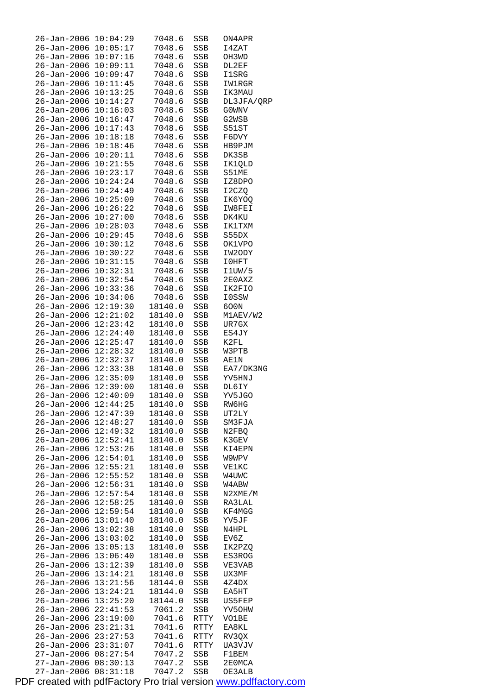| 26-Jan-2006          | 10:04:29 | 7048.6  | SSB        | ON4APR       |
|----------------------|----------|---------|------------|--------------|
| 26-Jan-2006          | 10:05:17 | 7048.6  | SSB        | 14ZAT        |
| 26-Jan-2006 10:07:16 |          | 7048.6  | SSB        | OH3WD        |
| 26-Jan-2006 10:09:11 |          | 7048.6  | SSB        | DL2EF        |
| 26-Jan-2006 10:09:47 |          | 7048.6  | SSB        | 11SRG        |
| $26 - Jan - 2006$    | 10:11:45 | 7048.6  | SSB        | IW1RGR       |
| $26 - Jan - 2006$    | 10:13:25 | 7048.6  | SSB        | IK3MAU       |
| 26-Jan-2006          | 10:14:27 | 7048.6  | SSB        | DL3JFA/QRP   |
| $26 - Jan - 2006$    | 10:16:03 | 7048.6  | SSB        | G0WNV        |
| 26-Jan-2006 10:16:47 |          | 7048.6  | SSB        | G2WSB        |
| 26-Jan-2006          | 10:17:43 | 7048.6  |            | S51ST        |
|                      | 10:18:18 | 7048.6  | SSB        |              |
| $26 - Jan - 2006$    |          |         | SSB        | F6DVY        |
| 26-Jan-2006          | 10:18:46 | 7048.6  | SSB        | HB9PJM       |
| 26-Jan-2006 10:20:11 |          | 7048.6  | SSB        | DK3SB        |
| 26-Jan-2006 10:21:55 |          | 7048.6  | SSB        | IK1QLD       |
| 26-Jan-2006 10:23:17 |          | 7048.6  | SSB        | S51ME        |
| 26-Jan-2006 10:24:24 |          | 7048.6  | SSB        | IZ8DPO       |
| 26–Jan–2006          | 10:24:49 | 7048.6  | SSB        | I2CZQ        |
| 26-Jan-2006 10:25:09 |          | 7048.6  | SSB        | IK6YOQ       |
| 26-Jan-2006 10:26:22 |          | 7048.6  | SSB        | IW8FEI       |
| 26-Jan-2006          | 10:27:00 | 7048.6  | SSB        | DK4KU        |
| 26-Jan-2006          | 10:28:03 | 7048.6  | SSB        | IK1TXM       |
| 26-Jan-2006          | 10:29:45 | 7048.6  | SSB        | S55DX        |
| 26-Jan-2006 10:30:12 |          | 7048.6  | SSB        | OK1VPO       |
| 26-Jan-2006 10:30:22 |          | 7048.6  | SSB        | IW2ODY       |
| 26-Jan-2006 10:31:15 |          | 7048.6  | SSB        | I0HFT        |
| 26-Jan-2006 10:32:31 |          | 7048.6  | SSB        | I1UN/5       |
| 26-Jan-2006 10:32:54 |          | 7048.6  | SSB        | 2E0AXZ       |
| 26-Jan-2006 10:33:36 |          | 7048.6  | SSB        | IK2FIO       |
|                      |          |         |            |              |
| 26-Jan-2006 10:34:06 |          | 7048.6  | SSB        | <b>IOSSW</b> |
| 26-Jan-2006          | 12:19:30 | 18140.0 | SSB        | 600N         |
| $26 - Jan - 2006$    | 12:21:02 | 18140.0 | SSB        | M1AEV/W2     |
| 26-Jan-2006          | 12:23:42 | 18140.0 | SSB        | UR7GX        |
| 26-Jan-2006 12:24:40 |          | 18140.0 | SSB        | ES4JY        |
| 26-Jan-2006 12:25:47 |          | 18140.0 | SSB        | K2FL         |
| 26-Jan-2006 12:28:32 |          | 18140.0 | SSB        | W3PTB        |
| 26-Jan-2006 12:32:37 |          | 18140.0 | SSB        | AE1N         |
| 26-Jan-2006 12:33:38 |          | 18140.0 | SSB        | EA7/DK3NG    |
| 26-Jan-2006 12:35:09 |          | 18140.0 | SSB        | YV5HNJ       |
| 26-Jan-2006 12:39:00 |          | 18140.0 | SSB        | DL6IY        |
| 26-Jan-2006 12:40:09 |          | 18140.0 | SSB        | YV5JGO       |
| 26-Jan-2006 12:44:25 |          | 18140.0 | SSB        | RW6HG        |
| 26-Jan-2006 12:47:39 |          | 18140.0 | SSB        | UT2LY        |
| 26-Jan-2006 12:48:27 |          | 18140.0 | SSB        | SM3FJA       |
| 26-Jan-2006          | 12:49:32 | 18140.0 | SSB        | N2FBQ        |
| 26-Jan-2006          | 12:52:41 | 18140.0 | SSB        | K3GEV        |
| $26 - Jan - 2006$    | 12:53:26 | 18140.0 | SSB        | KI4EPN       |
| $26 - Jan - 2006$    | 12:54:01 | 18140.0 | SSB        | W9WPV        |
| 26–Jan–2006          | 12:55:21 | 18140.0 | SSB        | VE1KC        |
| 26-Jan-2006 12:55:52 |          | 18140.0 | SSB        | W4UWC        |
| $26 - Jan - 2006$    | 12:56:31 | 18140.0 | SSB        | W4ABW        |
| 26-Jan-2006          | 12:57:54 | 18140.0 |            | N2XME/M      |
|                      |          |         | SSB        |              |
| 26-Jan-2006          | 12:58:25 | 18140.0 | SSB        | RA3LAL       |
| $26 - Jan - 2006$    | 12:59:54 | 18140.0 | SSB        | KF4MGG       |
| 26-Jan-2006          | 13:01:40 | 18140.0 | SSB        | YV5JF        |
| 26-Jan-2006          | 13:02:38 | 18140.0 | SSB        | N4HPL        |
| 26-Jan-2006          | 13:03:02 | 18140.0 | SSB        | EV6Z         |
| 26-Jan-2006          | 13:05:13 | 18140.0 | SSB        | IK2PZQ       |
| 26-Jan-2006          | 13:06:40 | 18140.0 | SSB        | ES3ROG       |
| 26-Jan-2006 13:12:39 |          | 18140.0 | SSB        | VE3VAB       |
| 26-Jan-2006 13:14:21 |          | 18140.0 | SSB        | UX3MF        |
| 26-Jan-2006          | 13:21:56 | 18144.0 | SSB        | 4Z4DX        |
| 26-Jan-2006          | 13:24:21 | 18144.0 | SSB        | EA5HT        |
| $26 - Jan - 2006$    | 13:25:20 | 18144.0 | SSB        | US5FEP       |
| 26-Jan-2006          | 22:41:53 | 7061.2  | SSB        | YV50HW       |
| 26-Jan-2006          | 23:19:00 | 7041.6  | RTTY       | VO1BE        |
| 26-Jan-2006          | 23:21:31 | 7041.6  | RTTY       | EA8KL        |
| 26-Jan-2006          | 23:27:53 | 7041.6  | RTTY       | RV3QX        |
| 26-Jan-2006          | 23:31:07 | 7041.6  | RTTY       | UA3VJV       |
| 27-Jan-2006 08:27:54 |          | 7047.2  | SSB        | F1BEM        |
| 27-Jan-2006          | 08:30:13 | 7047.2  | SSB        | 2E0MCA       |
| $27 - Jan - 2006$    | 08:31:18 | 7047.2  | <b>SSB</b> | OE3ALB       |
|                      |          |         |            |              |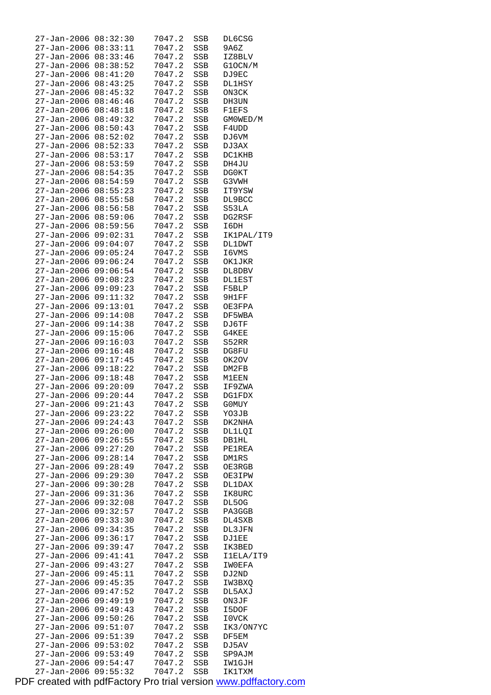| $27 - Jan - 2006$    | 08:32:30 | 7047.2 | SSB        | DL6CSG        |
|----------------------|----------|--------|------------|---------------|
| $27 - Jan - 2006$    | 08:33:11 | 7047.2 | SSB        | 9A6Z          |
| 27-Jan-2006          | 08:33:46 | 7047.2 | SSB        | IZ8BLV        |
| 27-Jan-2006          | 08:38:52 | 7047.2 | SSB        | G1OCN/M       |
| 27-Jan-2006          | 08:41:20 | 7047.2 | SSB        | DJ9EC         |
| $27 - Jan - 2006$    | 08:43:25 | 7047.2 | <b>SSB</b> | <b>DL1HSY</b> |
| 27-Jan-2006          | 08:45:32 | 7047.2 | SSB        | ON3CK         |
| 27-Jan-2006          | 08:46:46 | 7047.2 | SSB        | DH3UN         |
| 27-Jan-2006          | 08:48:18 | 7047.2 | SSB        | <b>F1EFS</b>  |
| $27 - Jan - 2006$    | 08:49:32 | 7047.2 | SSB        | GM0WED/M      |
| $27 - Jan - 2006$    | 08:50:43 | 7047.2 | <b>SSB</b> |               |
|                      |          |        |            | F4UDD         |
| $27 - Jan - 2006$    | 08:52:02 | 7047.2 | SSB        | DJ6VM         |
| $27 - Jan - 2006$    | 08:52:33 | 7047.2 | SSB        | DJ 3AX        |
| 27-Jan-2006          | 08:53:17 | 7047.2 | SSB        | <b>DC1KHB</b> |
| 27-Jan-2006          | 08:53:59 | 7047.2 | SSB        | DH4JU         |
| $27 - Jan - 2006$    | 08:54:35 | 7047.2 | SSB        | DG0KT         |
| 27-Jan-2006          | 08:54:59 | 7047.2 | SSB        | G3VWH         |
| 27-Jan-2006          | 08:55:23 | 7047.2 | SSB        | IT9YSW        |
| $27 - Jan - 2006$    | 08:55:58 | 7047.2 | SSB        | DL9BCC        |
| $27 - Jan - 2006$    | 08:56:58 | 7047.2 | SSB        | S53LA         |
| $27 - Jan - 2006$    | 08:59:06 | 7047.2 | <b>SSB</b> | DG2RSF        |
| 27-Jan-2006          | 08:59:56 | 7047.2 | SSB        | I6DH          |
| $27 - Jan - 2006$    | 09:02:31 | 7047.2 | SSB        | IK1PAL/IT9    |
| 27-Jan-2006          | 09:04:07 | 7047.2 | SSB        | <b>DL1DWT</b> |
| 27-Jan-2006          | 09:05:24 | 7047.2 | SSB        | I6VMS         |
| 27-Jan-2006          | 09:06:24 | 7047.2 | SSB        | OK1JKR        |
| 27-Jan-2006          | 09:06:54 | 7047.2 |            |               |
|                      |          |        | SSB        | DL8DBV        |
| 27-Jan-2006          | 09:08:23 | 7047.2 | SSB        | DL1EST        |
| 27-Jan-2006          | 09:09:23 | 7047.2 | SSB        | F5BLP         |
| 27-Jan-2006          | 09:11:32 | 7047.2 | SSB        | 9H1FF         |
| 27-Jan-2006          | 09:13:01 | 7047.2 | SSB        | OE3FPA        |
| $27 - Jan - 2006$    | 09:14:08 | 7047.2 | SSB        | DF5WBA        |
| $27 - Jan - 2006$    | 09:14:38 | 7047.2 | SSB        | DJ6TF         |
| 27-Jan-2006          | 09:15:06 | 7047.2 | SSB        | G4KEE         |
| 27-Jan-2006 09:16:03 |          | 7047.2 | SSB        | S52RR         |
| 27-Jan-2006 09:16:48 |          | 7047.2 | SSB        | DG8FU         |
| 27-Jan-2006 09:17:45 |          | 7047.2 | SSB        | OK2OV         |
| 27-Jan-2006 09:18:22 |          | 7047.2 | SSB        | DM2FB         |
| 27-Jan-2006 09:18:48 |          | 7047.2 | SSB        | M1EEN         |
| 27-Jan-2006 09:20:09 |          | 7047.2 | <b>SSB</b> | IF9ZWA        |
| 27-Jan-2006 09:20:44 |          | 7047.2 | <b>SSB</b> | <b>DG1FDX</b> |
| 27-Jan-2006 09:21:43 |          | 7047.2 | SSB        | G0MUY         |
| 27-Jan-2006 09:23:22 |          | 7047.2 | SSB        | YO3JB         |
| 27-Jan-2006 09:24:43 |          | 7047.2 | SSB        | DK2NHA        |
| 27-Jan-2006 09:26:00 |          | 7047.2 | SSB        | DL1LQI        |
| $27 - Jan - 2006$    | 09:26:55 | 7047.2 | SSB        | <b>DB1HL</b>  |
| $27 - Jan - 2006$    | 09:27:20 | 7047.2 | SSB        | PE1REA        |
| $27 - Jan - 2006$    | 09:28:14 |        |            | DM1RS         |
|                      |          | 7047.2 | SSB        |               |
| $27 - Jan - 2006$    | 09:28:49 | 7047.2 | SSB        | OE3RGB        |
| 27-Jan-2006          | 09:29:30 | 7047.2 | SSB        | OE3IPW        |
| 27-Jan-2006          | 09:30:28 | 7047.2 | SSB        | DL1DAX        |
| 27-Jan-2006          | 09:31:36 | 7047.2 | SSB        | IK8URC        |
| $27 - Jan - 2006$    | 09:32:08 | 7047.2 | SSB        | DL50G         |
| $27 - Jan - 2006$    | 09:32:57 | 7047.2 | SSB        | PA3GGB        |
| 27-Jan-2006          | 09:33:30 | 7047.2 | SSB        | DL4SXB        |
| 27-Jan-2006          | 09:34:35 | 7047.2 | SSB        | DL3JFN        |
| 27-Jan-2006          | 09:36:17 | 7047.2 | SSB        | DJ1EE         |
| $27 - Jan - 2006$    | 09:39:47 | 7047.2 | SSB        | IK3BED        |
| $27 - Jan - 2006$    | 09:41:41 | 7047.2 | SSB        | I1ELA/IT9     |
| 27-Jan-2006          | 09:43:27 | 7047.2 | SSB        | IW0EFA        |
| 27-Jan-2006          | 09:45:11 | 7047.2 | SSB        | DJ 2ND        |
| 27-Jan-2006          | 09:45:35 | 7047.2 | SSB        | IW3BXQ        |
| $27 - Jan - 2006$    | 09:47:52 | 7047.2 | SSB        | DL5AXJ        |
| $27 - Jan - 2006$    | 09:49:19 | 7047.2 | SSB        | ON3JF         |
| 27-Jan-2006          | 09:49:43 | 7047.2 | SSB        | I5DOF         |
| 27-Jan-2006          | 09:50:26 | 7047.2 | SSB        | I0VCK         |
| 27-Jan-2006          | 09:51:07 | 7047.2 | SSB        | IK3/ON7YC     |
| $27 - Jan - 2006$    | 09:51:39 | 7047.2 | SSB        | DF5EM         |
| $27 - Jan - 2006$    | 09:53:02 | 7047.2 |            | DJ5AV         |
|                      | 09:53:49 |        | SSB        |               |
| 27-Jan-2006          |          | 7047.2 | SSB        | SP9AJM        |
| 27-Jan-2006 09:54:47 |          | 7047.2 | SSB        | IW1GJH        |
| $27 - Jan - 2006$    | 09:55:32 | 7047.2 | SSB        | IK1TXM        |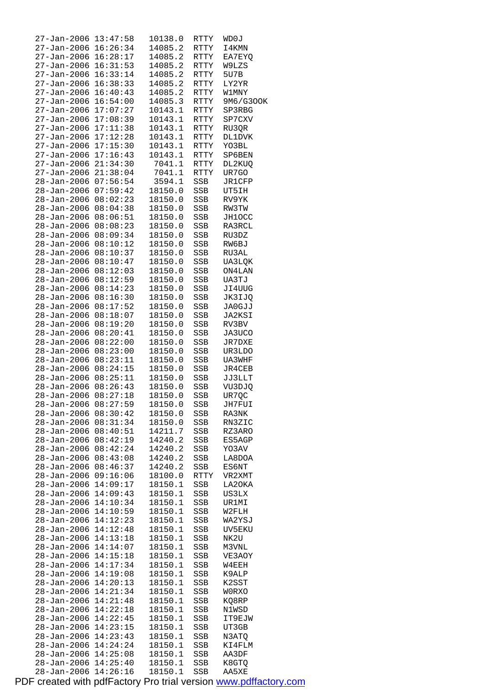| 27-Jan-2006                | 13:47:58             | 10138.0            | RTTY        | WD0J             |
|----------------------------|----------------------|--------------------|-------------|------------------|
| 27-Jan-2006                | 16:26:34             | 14085.2            | RTTY        | I4KMN            |
| 27-Jan-2006                | 16:28:17             | 14085.2            | RTTY        | EA7EYQ           |
| 27-Jan-2006                | 16:31:53             | 14085.2            | RTTY        | W9LZS            |
| 27-Jan-2006                | 16:33:14             | 14085.2            | RTTY        | 5U7B             |
| 27-Jan-2006                | 16:38:33             | 14085.2            | RTTY        | LY2YR            |
| 27-Jan-2006                | 16:40:43             | 14085.2            | <b>RTTY</b> | <b>W1MNY</b>     |
| 27-Jan-2006                | 16:54:00             | 14085.3            | RTTY        | 9M6/G300K        |
| 27-Jan-2006                | 17:07:27             | 10143.1            | RTTY        | SP3RBG           |
| 27-Jan-2006                | 17:08:39             | 10143.1            | RTTY        | SP7CXV           |
| 27-Jan-2006                | 17:11:38             | 10143.1            | RTTY        | RU3QR            |
| 27-Jan-2006                | 17:12:28             | 10143.1            | RTTY        | <b>DL1DVK</b>    |
| 27-Jan-2006                | 17:15:30             | 10143.1            | RTTY        | YO3BL            |
| 27-Jan-2006                | 17:16:43             | 10143.1            | RTTY        | SP6BEN           |
| 27-Jan-2006                | 21:34:30             | 7041.1             | RTTY        | DL2KUQ           |
| 27-Jan-2006                | 21:38:04             | 7041.1             | RTTY        | UR7GO            |
| 28-Jan-2006                | 07:56:54             | 3594.1             | SSB         | <b>JR1CFP</b>    |
| 28-Jan-2006                | 07:59:42             | 18150.0            | SSB         | UT5IH            |
| 28-Jan-2006                | 08:02:23             | 18150.0            | SSB         | RV9YK            |
| 28-Jan-2006                | 08:04:38             | 18150.0            | SSB         | RW3TW            |
| 28-Jan-2006                | 08:06:51             | 18150.0            | SSB         | JH1OCC           |
| 28-Jan-2006                | 08:08:23             | 18150.0            | <b>SSB</b>  | RA3RCL           |
| 28-Jan-2006                | 08:09:34             | 18150.0            | SSB         | RU3DZ            |
| 28-Jan-2006                | 08:10:12             | 18150.0            | SSB         | RW6BJ            |
| 28-Jan-2006                | 08:10:37             | 18150.0            | SSB         | RU3AL            |
| 28-Jan-2006                | 08:10:47             | 18150.0            | SSB         | UA3LQK           |
| 28-Jan-2006                | 08:12:03             | 18150.0            | <b>SSB</b>  | ON4LAN           |
| 28-Jan-2006                | 08:12:59             | 18150.0            | SSB         | UA3TJ            |
| 28-Jan-2006                | 08:14:23             | 18150.0            | SSB         | JI4UUG           |
| 28-Jan-2006                | 08:16:30             | 18150.0            | SSB         | JK3IJQ           |
| 28-Jan-2006                | 08:17:52<br>08:18:07 | 18150.0            | SSB         | JA0GJJ           |
| 28-Jan-2006                |                      | 18150.0            | SSB         | JA2KSI           |
| $28 - Jan - 2006$          | 08:19:20<br>08:20:41 | 18150.0            | SSB         | RV3BV            |
| 28-Jan-2006<br>28-Jan-2006 | 08:22:00             | 18150.0<br>18150.0 | SSB<br>SSB  | JA3UCO<br>JR7DXE |
| 28-Jan-2006                | 08:23:00             | 18150.0            | SSB         | UR3LDO           |
| 28-Jan-2006                | 08:23:11             | 18150.0            | SSB         | UA3WHF           |
| 28-Jan-2006                | 08:24:15             | 18150.0            | SSB         | JR4CEB           |
| 28-Jan-2006                | 08:25:11             | 18150.0            | SSB         | JJ3LLT           |
| $28 - Jan - 2006$          | 08:26:43             | 18150.0            | SSB         | VU3DJQ           |
| 28-Jan-2006                | 08:27:18             | 18150.0            | SSB         | UR7QC            |
| 28-Jan-2006 08:27:59       |                      | 18150.0            | SSB         | JH7FUI           |
| 28-Jan-2006                | 08:30:42             | 18150.0            | SSB         | RA3NK            |
| 28-Jan-2006                | 08:31:34             | 18150.0            | SSB         | RN3ZIC           |
| 28-Jan-2006                | 08:40:51             | 14211.7            | SSB         | RZ3ARO           |
| 28-Jan-2006                | 08:42:19             | 14240.2            | SSB         | ES5AGP           |
| 28-Jan-2006                | 08:42:24             | 14240.2            | SSB         | YO3AV            |
| 28-Jan-2006                | 08:43:08             | 14240.2            | SSB         | LA8DOA           |
| 28-Jan-2006                | 08:46:37             | 14240.2            | SSB         | ES6NT            |
| 28-Jan-2006                | 09:16:06             | 18100.0            | RTTY        | VR2XMT           |
| 28-Jan-2006                | 14:09:17             | 18150.1            | SSB         | LA20KA           |
| 28-Jan-2006                | 14:09:43             | 18150.1            | SSB         | US3LX            |
| 28-Jan-2006                | 14:10:34             | 18150.1            | SSB         | UR1MI            |
| 28-Jan-2006                | 14:10:59             | 18150.1            | SSB         | W2FLH            |
| 28-Jan-2006                | 14:12:23             | 18150.1            | SSB         | WA2YSJ           |
| 28-Jan-2006                | 14:12:48             | 18150.1            | SSB         | UV5EKU           |
| 28-Jan-2006                | 14:13:18             | 18150.1            | SSB         | NK2U             |
| 28-Jan-2006                | 14:14:07             | 18150.1            | SSB         | M3VNL            |
| 28-Jan-2006                | 14:15:18             | 18150.1            | SSB         | VE3AOY           |
| 28-Jan-2006                | 14:17:34             | 18150.1            | SSB         | W4EEH            |
| 28-Jan-2006                | 14:19:08             | 18150.1            | SSB         | K9ALP            |
| 28-Jan-2006                | 14:20:13             | 18150.1            | SSB         | K2SST            |
| 28-Jan-2006                | 14:21:34             | 18150.1            | SSB         | W0RXO            |
| 28-Jan-2006                | 14:21:48             | 18150.1            | SSB         | KQ8RP            |
| 28-Jan-2006                | 14:22:18             | 18150.1            | SSB         | N1WSD            |
| 28-Jan-2006                | 14:22:45             | 18150.1            | SSB         | IT9EJW           |
| 28-Jan-2006                | 14:23:15             | 18150.1            | SSB         | UT3GB            |
| $28 - Jan - 2006$          | 14:23:43             | 18150.1            | SSB         | N3ATQ            |
| 28-Jan-2006                | 14:24:24             | 18150.1            | SSB         | KI4FLM           |
| 28-Jan-2006                | 14:25:08             | 18150.1            | SSB         | AA3DF            |
| 28-Jan-2006                | 14:25:40             | 18150.1            | SSB         | K8GTQ            |
| 28-Jan-2006                | 14:26:16             | 18150.1            | SSB         | AA5XE            |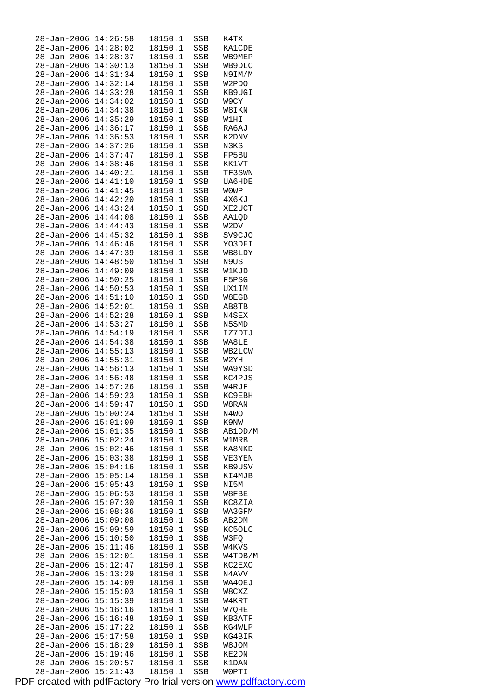| 28-Jan-2006          | 14:26:58 | 18150.1 | SSB        | K4TX          |
|----------------------|----------|---------|------------|---------------|
| 28-Jan-2006          | 14:28:02 | 18150.1 | SSB        | <b>KA1CDE</b> |
| $28 - Jan - 2006$    | 14:28:37 | 18150.1 | SSB        | WB9MEP        |
| 28-Jan-2006          | 14:30:13 | 18150.1 | SSB        | WB9DLC        |
| 28-Jan-2006          | 14:31:34 | 18150.1 | SSB        | N9IM/M        |
|                      | 14:32:14 | 18150.1 |            |               |
| $28 - Jan - 2006$    |          |         | SSB        | W2PDO         |
| 28-Jan-2006          | 14:33:28 | 18150.1 | SSB        | KB9UGI        |
| $28 - Jan - 2006$    | 14:34:02 | 18150.1 | SSB        | W9CY          |
| $28 - Jan - 2006$    | 14:34:38 | 18150.1 | SSB        | W8IKN         |
| 28-Jan-2006          | 14:35:29 | 18150.1 | SSB        | W1HI          |
| $28 - Jan - 2006$    | 14:36:17 | 18150.1 | SSB        | RA6AJ         |
| 28-Jan-2006          | 14:36:53 | 18150.1 | SSB        | K2DNV         |
| $28 - Jan - 2006$    | 14:37:26 | 18150.1 | SSB        | N3KS          |
| 28-Jan-2006          | 14:37:47 | 18150.1 |            | FP5BU         |
|                      |          |         | SSB        |               |
| 28-Jan-2006          | 14:38:46 | 18150.1 | SSB        | KK1VT         |
| 28-Jan-2006          | 14:40:21 | 18150.1 | SSB        | TF3SWN        |
| 28-Jan-2006          | 14:41:10 | 18150.1 | SSB        | UA6HDE        |
| $28 - Jan - 2006$    | 14:41:45 | 18150.1 | SSB        | <b>WOWP</b>   |
| $28 - Jan - 2006$    | 14:42:20 | 18150.1 | SSB        | 4X6KJ         |
| $28 - Jan - 2006$    | 14:43:24 | 18150.1 | SSB        | XE2UCT        |
| $28 - Jan - 2006$    | 14:44:08 | 18150.1 | SSB        | AA1QD         |
| 28-Jan-2006          | 14:44:43 | 18150.1 | SSB        | W2DV          |
| $28 - Jan - 2006$    | 14:45:32 | 18150.1 | SSB        | SV9CJO        |
|                      |          |         |            |               |
| 28-Jan-2006          | 14:46:46 | 18150.1 | SSB        | YO3DFI        |
| $28 - Jan - 2006$    | 14:47:39 | 18150.1 | SSB        | WB8LDY        |
| $28 - Jan - 2006$    | 14:48:50 | 18150.1 | SSB        | N9US          |
| 28-Jan-2006          | 14:49:09 | 18150.1 | SSB        | W1KJD         |
| $28 - Jan - 2006$    | 14:50:25 | 18150.1 | SSB        | F5PSG         |
| $28 - Jan - 2006$    | 14:50:53 | 18150.1 | SSB        | UX1IM         |
| 28-Jan-2006          | 14:51:10 | 18150.1 | SSB        | W8EGB         |
| 28-Jan-2006          | 14:52:01 | 18150.1 | SSB        | AB8TB         |
| 28-Jan-2006          | 14:52:28 | 18150.1 | SSB        | N4SEX         |
| $28 - Jan - 2006$    | 14:53:27 | 18150.1 | SSB        | N5SMD         |
|                      |          |         |            |               |
| 28-Jan-2006          | 14:54:19 | 18150.1 | SSB        | IZ7DTJ        |
| 28-Jan-2006          | 14:54:38 | 18150.1 | SSB        | WA8LE         |
| 28-Jan-2006          | 14:55:13 | 18150.1 | SSB        | WB2LCW        |
| 28-Jan-2006          | 14:55:31 | 18150.1 | SSB        | W2YH          |
| 28-Jan-2006          | 14:56:13 | 18150.1 | SSB        | WA9YSD        |
| $28 - Jan - 2006$    | 14:56:48 | 18150.1 | SSB        | KC4PJS        |
| 28-Jan-2006          | 14:57:26 | 18150.1 | SSB        | W4RJF         |
| $28 - Jan - 2006$    | 14:59:23 | 18150.1 | <b>SSB</b> | KC9EBH        |
| 28-Jan-2006 14:59:47 |          | 18150.1 | SSB        | W8RAN         |
| $28 - Jan - 2006$    | 15:00:24 | 18150.1 | SSB        | N4WO          |
| $28 - Jan - 2006$    | 15:01:09 | 18150.1 | SSB        | K9NW          |
| 28-Jan-2006          | 15:01:35 | 18150.1 | SSB        | AB1DD/M       |
| 28-Jan-2006          | 15:02:24 | 18150.1 | SSB        | W1MRB         |
| 28-Jan-2006          | 15:02:46 | 18150.1 | SSB        | KA8NKD        |
| 28-Jan-2006          | 15:03:38 | 18150.1 | SSB        | VE3YEN        |
| 28-Jan-2006          | 15:04:16 | 18150.1 | SSB        | KB9USV        |
|                      |          |         |            |               |
| 28-Jan-2006          | 15:05:14 | 18150.1 | SSB        | KI4MJB        |
| 28-Jan-2006          | 15:05:43 | 18150.1 | SSB        | NI5M          |
| 28-Jan-2006          | 15:06:53 | 18150.1 | SSB        | W8FBE         |
| 28-Jan-2006          | 15:07:30 | 18150.1 | SSB        | KC8ZIA        |
| 28-Jan-2006          | 15:08:36 | 18150.1 | SSB        | WA3GFM        |
| 28-Jan-2006          | 15:09:08 | 18150.1 | SSB        | AB2DM         |
| 28-Jan-2006          | 15:09:59 | 18150.1 | SSB        | KC50LC        |
| $28 - Jan - 2006$    | 15:10:50 | 18150.1 | SSB        | W3FQ          |
| 28-Jan-2006          | 15:11:46 | 18150.1 | SSB        | W4KVS         |
| 28-Jan-2006          | 15:12:01 | 18150.1 | SSB        | W4TDB/M       |
| 28-Jan-2006          | 15:12:47 | 18150.1 | SSB        | KC2EXO        |
| 28-Jan-2006          | 15:13:29 | 18150.1 | SSB        | N4AVV         |
|                      |          |         |            |               |
| 28-Jan-2006          | 15:14:09 | 18150.1 | SSB        | WA4OEJ        |
| 28-Jan-2006          | 15:15:03 | 18150.1 | SSB        | W8CXZ         |
| 28-Jan-2006          | 15:15:39 | 18150.1 | SSB        | W4KRT         |
| 28-Jan-2006          | 15:16:16 | 18150.1 | SSB        | W7QHE         |
| 28-Jan-2006          | 15:16:48 | 18150.1 | SSB        | KB3ATF        |
| 28-Jan-2006          | 15:17:22 | 18150.1 | SSB        | KG4WLP        |
| $28 - Jan - 2006$    | 15:17:58 | 18150.1 | SSB        | KG4BIR        |
| 28-Jan-2006          | 15:18:29 | 18150.1 | SSB        | W8JOM         |
| 28-Jan-2006          | 15:19:46 | 18150.1 | SSB        | KE2DN         |
| 28-Jan-2006          |          | 18150.1 |            |               |
|                      | 15:20:57 |         | SSB        | K1DAN         |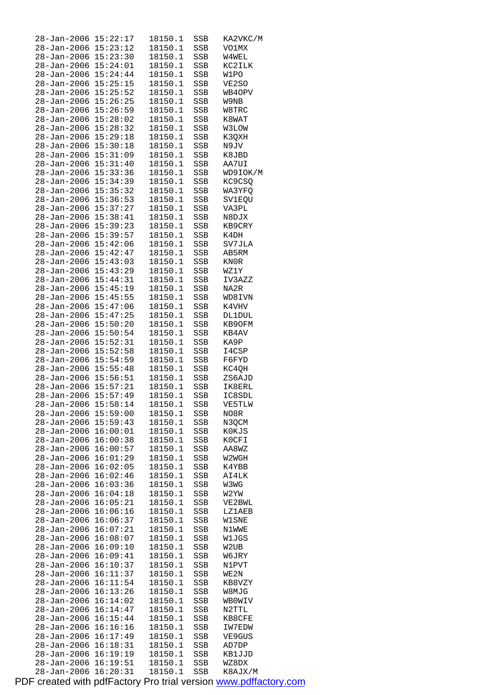| 28-Jan-2006 15:22:17                         |                      | 18150.1            | SSB        | KA2VKC/M         |
|----------------------------------------------|----------------------|--------------------|------------|------------------|
| $28 - Jan - 2006$ $15:23:12$                 |                      | 18150.1            | SSB        | VO1MX            |
| 28-Jan-2006 15:23:30                         |                      | 18150.1            | SSB        | W4WEL            |
| 28-Jan-2006 15:24:01<br>28-Jan-2006 15:24:44 |                      | 18150.1<br>18150.1 | SSB        | KC2ILK<br>W1PO   |
| 28-Jan-2006 15:25:15                         |                      | 18150.1            | SSB<br>SSB | VE2SO            |
| 28-Jan-2006 15:25:52                         |                      | 18150.1            | SSB        | WB4OPV           |
| 28-Jan-2006                                  | 15:26:25             | 18150.1            | SSB        | W9NB             |
| 28-Jan-2006                                  | 15:26:59             | 18150.1            | SSB        | W8TRC            |
| 28-Jan-2006 15:28:02                         |                      | 18150.1            | SSB        | K8WAT            |
| 28-Jan-2006                                  | 15:28:32             | 18150.1            | SSB        | <b>W3LOW</b>     |
| $28 - Jan - 2006$                            | 15:29:18             | 18150.1            | SSB        | K3QXH            |
| 28-Jan-2006                                  | 15:30:18             | 18150.1            | SSB        | N9JV             |
| 28-Jan-2006                                  | 15:31:09             | 18150.1            | SSB        | K8JBD            |
| 28-Jan-2006 15:31:40                         |                      | 18150.1            | SSB        | AA7UI            |
| 28-Jan-2006 15:33:36                         |                      | 18150.1            | SSB        | WD9IOK/M         |
| 28-Jan-2006 15:34:39                         |                      | 18150.1            | SSB        | KC9CSQ           |
| 28-Jan-2006 15:35:32<br>28-Jan-2006 15:36:53 |                      | 18150.1            | SSB        | WA3YFQ<br>SV1EQU |
| 28-Jan-2006 15:37:27                         |                      | 18150.1<br>18150.1 | SSB<br>SSB | VA3PL            |
| 28-Jan-2006 15:38:41                         |                      | 18150.1            | SSB        | N8DJX            |
| $28 - Jan - 2006$                            | 15:39:23             | 18150.1            | SSB        | KB9CRY           |
| 28-Jan-2006                                  | 15:39:57             | 18150.1            | SSB        | K4DH             |
| 28-Jan-2006                                  | 15:42:06             | 18150.1            | SSB        | SV7JLA           |
| 28-Jan-2006 15:42:47                         |                      | 18150.1            | SSB        | AB5RM            |
| 28-Jan-2006 15:43:03                         |                      | 18150.1            | SSB        | KN0R             |
| 28-Jan-2006 15:43:29                         |                      | 18150.1            | SSB        | WZ1Y             |
| 28-Jan-2006 15:44:31                         |                      | 18150.1            | SSB        | IV3AZZ           |
| 28-Jan-2006 15:45:19                         |                      | 18150.1            | SSB        | NA2R             |
| 28-Jan-2006 15:45:55                         |                      | 18150.1            | SSB        | WD8IVN           |
| 28-Jan-2006 15:47:06                         |                      | 18150.1            | SSB        | K4VHV            |
| 28-Jan-2006 15:47:25                         |                      | 18150.1            | SSB        | <b>DL1DUL</b>    |
| 28-Jan-2006<br>28-Jan-2006 15:50:54          | 15:50:20             | 18150.1            | SSB        | KB9OFM<br>KB4AV  |
| $28 - Jan - 2006$ $15:52:31$                 |                      | 18150.1<br>18150.1 | SSB<br>SSB | KA9P             |
| 28-Jan-2006 15:52:58                         |                      | 18150.1            | SSB        | I4CSP            |
| 28-Jan-2006 15:54:59                         |                      | 18150.1            | SSB        | F6FYD            |
| 28-Jan-2006 15:55:48                         |                      | 18150.1            | SSB        | KC4QH            |
| 28-Jan-2006 15:56:51                         |                      | 18150.1            | SSB        | ZS6AJD           |
| $28 - Jan - 2006$ $15:57:21$                 |                      | 18150.1            | SSB        | IK8ERL           |
| 28-Jan-2006 15:57:49                         |                      | 18150.1            | SSB        | IC8SDL           |
| 28-Jan-2006 15:58:14                         |                      | 18150.1            | SSB        | VE5TLW           |
| 28-Jan-2006 15:59:00                         |                      | 18150.1            | SSB        | NO8R             |
| 28-Jan-2006 15:59:43                         |                      | 18150.1            | SSB        | N3QCM            |
| 28-Jan-2006 16:00:01                         |                      | 18150.1            | SSB        | KOKJS            |
| 28-Jan-2006<br>28-Jan-2006                   | 16:00:38<br>16:00:57 | 18150.1<br>18150.1 | SSB        | K0CFI            |
| 28-Jan-2006                                  | 16:01:29             | 18150.1            | SSB<br>SSB | AA8WZ<br>W2WGH   |
| 28-Jan-2006                                  | 16:02:05             | 18150.1            | SSB        | K4YBB            |
| 28-Jan-2006                                  | 16:02:46             | 18150.1            | SSB        | AI4LK            |
| 28-Jan-2006                                  | 16:03:36             | 18150.1            | SSB        | W3WG             |
| 28-Jan-2006                                  | 16:04:18             | 18150.1            | SSB        | W2YW             |
| 28-Jan-2006                                  | 16:05:21             | 18150.1            | SSB        | VE2BWL           |
| $28 - Jan - 2006$                            | 16:06:16             | 18150.1            | SSB        | LZ1AEB           |
| 28-Jan-2006                                  | 16:06:37             | 18150.1            | SSB        | WISNE            |
| 28–Jan–2006                                  | 16:07:21             | 18150.1            | SSB        | N1WWE            |
| 28-Jan-2006                                  | 16:08:07             | 18150.1            | SSB        | W1JGS            |
| 28-Jan-2006                                  | 16:09:10             | 18150.1            | SSB        | W2UB             |
| 28-Jan-2006                                  | 16:09:41             | 18150.1            | SSB        | W6JRY            |
| 28-Jan-2006                                  | 16:10:37             | 18150.1            | SSB        | N1PVT            |
| 28–Jan–2006<br>28-Jan-2006                   | 16:11:37<br>16:11:54 | 18150.1<br>18150.1 | SSB<br>SSB | WE2N<br>KB8VZY   |
| 28-Jan-2006                                  | 16:13:26             | 18150.1            | SSB        | W8MJG            |
| 28-Jan-2006                                  | 16:14:02             | 18150.1            | SSB        | <b>WBOWIV</b>    |
| 28-Jan-2006                                  | 16:14:47             | 18150.1            | SSB        | N2TTL            |
| 28–Jan–2006                                  | 16:15:44             | 18150.1            | SSB        | KB8CFE           |
| 28-Jan-2006                                  | 16:16:16             | 18150.1            | SSB        | IW7EDW           |
| 28-Jan-2006                                  | 16:17:49             | 18150.1            | SSB        | VE9GUS           |
| $28 - Jan - 2006$                            | 16:18:31             | 18150.1            | SSB        | AD7DP            |
| 28-Jan-2006                                  | 16:19:19             | 18150.1            | SSB        | KB1JJD           |
| 28-Jan-2006                                  | 16:19:51             | 18150.1            | SSB        | WZ8DX            |
| 28-Jan-2006                                  | 16:20:31             | 18150.1            | SSB        | K8AJX/M          |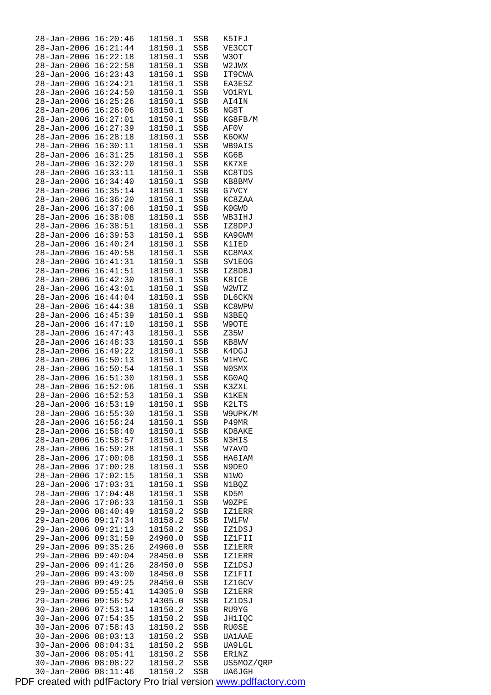| 28-Jan-2006          | 16:20:46 | 18150.1 | SSB | K5IFJ         |
|----------------------|----------|---------|-----|---------------|
| $28 - Jan - 2006$    | 16:21:44 | 18150.1 | SSB | VE3CCT        |
| 28-Jan-2006          | 16:22:18 | 18150.1 | SSB | W3OT          |
| 28-Jan-2006          | 16:22:58 | 18150.1 | SSB | W2JWX         |
| 28-Jan-2006          | 16:23:43 | 18150.1 | SSB | IT9CWA        |
| $28 - Jan - 2006$    | 16:24:21 | 18150.1 | SSB | EA3ESZ        |
| 28-Jan-2006          | 16:24:50 | 18150.1 | SSB | <b>VO1RYL</b> |
| 28-Jan-2006          | 16:25:26 | 18150.1 | SSB | AI4IN         |
| 28-Jan-2006          | 16:26:06 | 18150.1 | SSB | NG8T          |
| $28 - Jan - 2006$    | 16:27:01 | 18150.1 | SSB | KG8FB/M       |
| 28-Jan-2006          | 16:27:39 | 18150.1 | SSB | AF0V          |
| 28-Jan-2006          | 16:28:18 | 18150.1 |     | K6OKW         |
| 28-Jan-2006          | 16:30:11 |         | SSB | WB9AIS        |
|                      |          | 18150.1 | SSB |               |
| 28-Jan-2006          | 16:31:25 | 18150.1 | SSB | KG6B          |
| 28-Jan-2006          | 16:32:20 | 18150.1 | SSB | KK7XE         |
| 28-Jan-2006          | 16:33:11 | 18150.1 | SSB | KC8TDS        |
| 28-Jan-2006          | 16:34:40 | 18150.1 | SSB | KB8BMV        |
| 28-Jan-2006          | 16:35:14 | 18150.1 | SSB | G7VCY         |
| 28-Jan-2006          | 16:36:20 | 18150.1 | SSB | KC8ZAA        |
| $28 - Jan - 2006$    | 16:37:06 | 18150.1 | SSB | K0GWD         |
| 28-Jan-2006          | 16:38:08 | 18150.1 | SSB | WB3IHJ        |
| $28 - Jan - 2006$    | 16:38:51 | 18150.1 | SSB | IZ8DPJ        |
| 28-Jan-2006          | 16:39:53 | 18150.1 | SSB | KA9GWM        |
| 28-Jan-2006          | 16:40:24 | 18150.1 | SSB | K1IED         |
| 28-Jan-2006          | 16:40:58 | 18150.1 | SSB | KC8MAX        |
| 28-Jan-2006          | 16:41:31 | 18150.1 | SSB | SV1EOG        |
| 28-Jan-2006          | 16:41:51 | 18150.1 | SSB | IZ8DBJ        |
| 28-Jan-2006          | 16:42:30 | 18150.1 | SSB | K8ICE         |
| 28-Jan-2006          | 16:43:01 | 18150.1 | SSB | W2WTZ         |
| $28 - Jan - 2006$    | 16:44:04 | 18150.1 | SSB | <b>DL6CKN</b> |
| 28-Jan-2006          | 16:44:38 | 18150.1 | SSB | KC8WPW        |
| 28-Jan-2006          | 16:45:39 | 18150.1 |     | N3BEQ         |
|                      |          |         | SSB |               |
| 28-Jan-2006          | 16:47:10 | 18150.1 | SSB | W9OTE         |
| 28-Jan-2006          | 16:47:43 | 18150.1 | SSB | Z35W          |
| 28-Jan-2006          | 16:48:33 | 18150.1 | SSB | KB8WV         |
| 28-Jan-2006          | 16:49:22 | 18150.1 | SSB | K4DGJ         |
| 28-Jan-2006          | 16:50:13 | 18150.1 | SSB | <b>W1HVC</b>  |
| $28 - Jan - 2006$    | 16:50:54 | 18150.1 | SSB | N0SMX         |
| 28-Jan-2006          | 16:51:30 | 18150.1 | SSB | KG0AQ         |
| $28 - Jan - 2006$    | 16:52:06 | 18150.1 | SSB | K3ZXL         |
| 28-Jan-2006          | 16:52:53 | 18150.1 | SSB | K1KEN         |
| 28-Jan-2006 16:53:19 |          | 18150.1 | SSB | K2LTS         |
| 28-Jan-2006          | 16:55:30 | 18150.1 | SSB | W9UPK/M       |
| 28-Jan-2006          | 16:56:24 | 18150.1 | SSB | P49MR         |
| 28-Jan-2006          | 16:58:40 | 18150.1 | SSB | KD8AKE        |
| 28-Jan-2006          | 16:58:57 | 18150.1 | SSB | N3HIS         |
| $28 - Jan - 2006$    | 16:59:28 | 18150.1 | SSB | W7AVD         |
| 28-Jan-2006          | 17:00:08 | 18150.1 | SSB | HA6IAM        |
| 28-Jan-2006          | 17:00:28 | 18150.1 | SSB | N9DEO         |
| $28 - Jan - 2006$    | 17:02:15 | 18150.1 | SSB | N1WO          |
| $28 - Jan - 2006$    | 17:03:31 | 18150.1 | SSB | N1BQZ         |
| 28-Jan-2006          | 17:04:48 | 18150.1 | SSB | KD5M          |
| $28 - Jan - 2006$    | 17:06:33 | 18150.1 | SSB | <b>WOZPE</b>  |
| 29-Jan-2006          | 08:40:49 | 18158.2 | SSB | IZ1ERR        |
| 29-Jan-2006          | 09:17:34 | 18158.2 | SSB | IW1FW         |
| 29-Jan-2006          | 09:21:13 | 18158.2 | SSB | IZ1DSJ        |
| 29-Jan-2006          | 09:31:59 | 24960.0 | SSB | IZ1FII        |
| 29-Jan-2006          | 09:35:26 | 24960.0 |     |               |
|                      |          |         | SSB | IZ1ERR        |
| 29-Jan-2006          | 09:40:04 | 28450.0 | SSB | IZ1ERR        |
| 29-Jan-2006          | 09:41:26 | 28450.0 | SSB | IZ1DSJ        |
| 29-Jan-2006          | 09:43:00 | 18450.0 | SSB | IZ1FII        |
| 29-Jan-2006          | 09:49:25 | 28450.0 | SSB | IZ1GCV        |
| $29 - Jan - 2006$    | 09:55:41 | 14305.0 | SSB | IZ1ERR        |
| 29-Jan-2006          | 09:56:52 | 14305.0 | SSB | IZ1DSJ        |
| 30-Jan-2006          | 07:53:14 | 18150.2 | SSB | RU9YG         |
| $30 - Jan - 2006$    | 07:54:35 | 18150.2 | SSB | JH1IQC        |
| $30 - Jan - 2006$    | 07:58:43 | 18150.2 | SSB | RU0SE         |
| $30 - Jan - 2006$    | 08:03:13 | 18150.2 | SSB | UA1AAE        |
| $30 - Jan - 2006$    | 08:04:31 | 18150.2 | SSB | UA9LGL        |
| 30-Jan-2006          | 08:05:41 | 18150.2 | SSB | ER1NZ         |
| $30 - Jan - 2006$    | 08:08:22 | 18150.2 | SSB | US5MOZ/QRP    |
| $30 - Jan - 2006$    | 08:11:46 | 18150.2 | SSB | <b>UA6JGH</b> |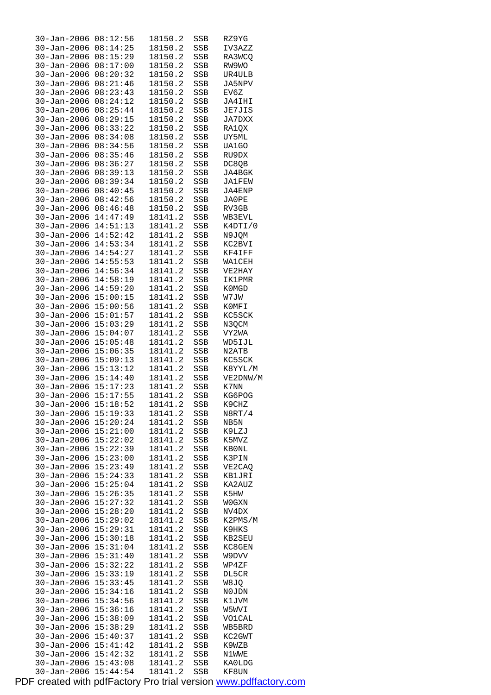| $30 - Jan - 2006$    | 08:12:56 | 18150.2 | SSB        | RZ9YG         |
|----------------------|----------|---------|------------|---------------|
| $30 - Jan - 2006$    | 08:14:25 | 18150.2 | SSB        | IV3AZZ        |
| $30 - Jan - 2006$    | 08:15:29 | 18150.2 | SSB        | RA3WCO        |
| $30 - Jan - 2006$    | 08:17:00 | 18150.2 | SSB        | RW9WO         |
| $30 - Jan - 2006$    | 08:20:32 | 18150.2 | SSB        | UR4ULB        |
| $30 - Jan - 2006$    | 08:21:46 | 18150.2 | SSB        | JA5NPV        |
|                      |          |         |            |               |
| $30 - Jan - 2006$    | 08:23:43 | 18150.2 | SSB        | EV6Z          |
| $30 - Jan - 2006$    | 08:24:12 | 18150.2 | SSB        | JA4IHI        |
| $30 - Jan - 2006$    | 08:25:44 | 18150.2 | SSB        | JE7JIS        |
| $30 - Jan - 2006$    | 08:29:15 | 18150.2 | SSB        | <b>JA7DXX</b> |
| $30 - Jan - 2006$    | 08:33:22 | 18150.2 | SSB        | RA1QX         |
| $30 - Jan - 2006$    | 08:34:08 | 18150.2 | <b>SSB</b> | UY5ML         |
| $30 - Jan - 2006$    | 08:34:56 | 18150.2 | SSB        | UA1GO         |
| $30 - Jan - 2006$    | 08:35:46 | 18150.2 | SSB        | RU9DX         |
|                      | 08:36:27 | 18150.2 |            |               |
| $30 - Jan - 2006$    |          |         | SSB        | DC8QB         |
| $30 - Jan - 2006$    | 08:39:13 | 18150.2 | SSB        | JA4BGK        |
| $30 - Jan - 2006$    | 08:39:34 | 18150.2 | SSB        | JA1FEW        |
| $30 - Jan - 2006$    | 08:40:45 | 18150.2 | SSB        | JA4ENP        |
| $30 - Jan - 2006$    | 08:42:56 | 18150.2 | SSB        | JA0PE         |
| $30 - Jan - 2006$    | 08:46:48 | 18150.2 | SSB        | RV3GB         |
| $30 - Jan - 2006$    | 14:47:49 | 18141.2 | SSB        | WB3EVL        |
| $30 - Jan - 2006$    | 14:51:13 | 18141.2 | SSB        | K4DTI/0       |
| $30 - Jan - 2006$    | 14:52:42 | 18141.2 | SSB        | N9JQM         |
|                      |          |         |            |               |
| $30 - Jan - 2006$    | 14:53:34 | 18141.2 | SSB        | KC2BVI        |
| $30 - Jan - 2006$    | 14:54:27 | 18141.2 | SSB        | KF4IFF        |
| $30 - Jan - 2006$    | 14:55:53 | 18141.2 | SSB        | WA1CEH        |
| $30 - Jan - 2006$    | 14:56:34 | 18141.2 | SSB        | VE2HAY        |
| $30 - Jan - 2006$    | 14:58:19 | 18141.2 | SSB        | IK1PMR        |
| $30 - Jan - 2006$    | 14:59:20 | 18141.2 | SSB        | K0MGD         |
| $30 - Jan - 2006$    | 15:00:15 | 18141.2 | SSB        | W7JW          |
| $30 - Jan - 2006$    | 15:00:56 | 18141.2 | SSB        | K0MFI         |
| $30 - Jan - 2006$    | 15:01:57 | 18141.2 |            | KC5SCK        |
|                      |          |         | SSB        |               |
| $30 - Jan - 2006$    | 15:03:29 | 18141.2 | SSB        | N3QCM         |
| $30 - Jan - 2006$    | 15:04:07 | 18141.2 | SSB        | VY2WA         |
| $30 - Jan - 2006$    | 15:05:48 | 18141.2 | SSB        | WD5IJL        |
| $30 - Jan - 2006$    | 15:06:35 | 18141.2 | SSB        | N2ATB         |
| $30 - Jan - 2006$    | 15:09:13 | 18141.2 | SSB        | KC5SCK        |
| $30 - Jan - 2006$    | 15:13:12 | 18141.2 | SSB        | K8YYL/M       |
| $30 - Jan - 2006$    | 15:14:40 | 18141.2 | SSB        | VE2DNW/M      |
| 30-Jan-2006          | 15:17:23 | 18141.2 | SSB        | K7NN          |
| $30 - Jan - 2006$    | 15:17:55 | 18141.2 | SSB        | KG6POG        |
| 30-Jan-2006 15:18:52 |          | 18141.2 | SSB        | K9CHZ         |
| 30-Jan-2006          | 15:19:33 | 18141.2 | SSB        | N8RT/4        |
|                      |          |         |            |               |
| 30-Jan-2006          | 15:20:24 | 18141.2 | SSB        | NB5N          |
| $30 - Jan - 2006$    | 15:21:00 | 18141.2 | SSB        | K9LZJ         |
| $30 - Jan - 2006$    | 15:22:02 | 18141.2 | SSB        | K5MVZ         |
| $30 - Jan - 2006$    | 15:22:39 | 18141.2 |            |               |
| $30 - Jan - 2006$    |          |         | SSB        | KB0NL         |
| 30-Jan-2006          | 15:23:00 | 18141.2 | SSB        | K3PIN         |
| $30 - Jan - 2006$    | 15:23:49 | 18141.2 | SSB        | VE2CAQ        |
| $30 - Jan - 2006$    |          |         | SSB        |               |
| 30-Jan-2006          | 15:24:33 | 18141.2 |            | KB1JRI        |
|                      | 15:25:04 | 18141.2 | SSB        | KA2AUZ        |
|                      | 15:26:35 | 18141.2 | SSB        | K5HW          |
| 30-Jan-2006          | 15:27:32 | 18141.2 | SSB        | W0GXN         |
| 30-Jan-2006          | 15:28:20 | 18141.2 | SSB        | NV4DX         |
| 30-Jan-2006          | 15:29:02 | 18141.2 | SSB        | K2PMS/M       |
| 30-Jan-2006          | 15:29:31 | 18141.2 | SSB        | K9HKS         |
| $30 - Jan - 2006$    | 15:30:18 | 18141.2 | SSB        | KB2SEU        |
| $30 - Jan - 2006$    | 15:31:04 | 18141.2 | SSB        | KC8GEN        |
| $30 - Jan - 2006$    | 15:31:40 | 18141.2 | SSB        | W9DVV         |
|                      |          |         | SSB        | WP4ZF         |
| 30-Jan-2006          | 15:32:22 | 18141.2 |            |               |
| 30-Jan-2006          | 15:33:19 | 18141.2 | SSB        | DL5CR         |
| 30-Jan-2006          | 15:33:45 | 18141.2 | SSB        | W8JQ          |
| 30-Jan-2006          | 15:34:16 | 18141.2 | SSB        | N0JDN         |
| 30-Jan-2006          | 15:34:56 | 18141.2 | SSB        | K1JVM         |
| 30-Jan-2006          | 15:36:16 | 18141.2 | SSB        | W5WVI         |
| 30-Jan-2006          | 15:38:09 | 18141.2 | SSB        | <b>VO1CAL</b> |
| $30 - Jan - 2006$    | 15:38:29 | 18141.2 | SSB        | WB5BRD        |
| $30 - Jan - 2006$    | 15:40:37 | 18141.2 | SSB        | KC2GWT        |
| $30 - Jan - 2006$    | 15:41:42 | 18141.2 | SSB        | K9WZB         |
| 30-Jan-2006          | 15:42:32 | 18141.2 | SSB        | N1WWE         |
| $30 - Jan - 2006$    | 15:43:08 | 18141.2 | SSB        | KA0LDG        |
| $30 - Jan - 2006$    | 15:44:54 | 18141.2 | SSB        | KF8UN         |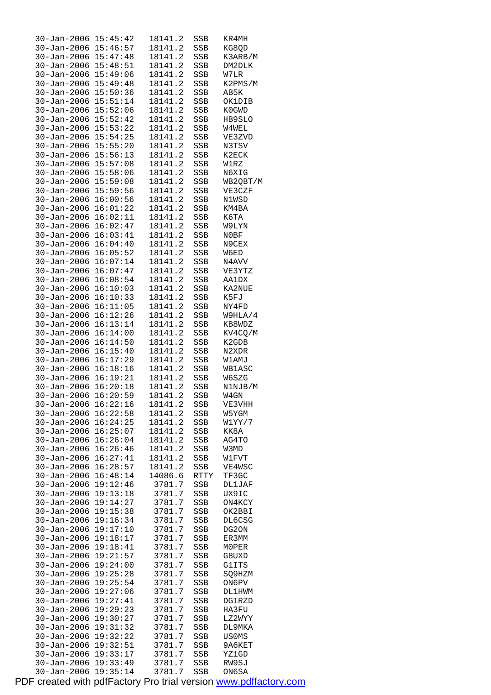| $30 - Jan - 2006$            | 15:45:42 | 18141.2 | SSB  | KR4MH         |
|------------------------------|----------|---------|------|---------------|
| 30-Jan-2006 15:46:57         |          | 18141.2 | SSB  | KG8QD         |
| 30-Jan-2006 15:47:48         |          | 18141.2 | SSB  | K3ARB/M       |
| $30 - Jan - 2006$ $15:48:51$ |          | 18141.2 | SSB  | DM2DLK        |
| 30-Jan-2006 15:49:06         |          | 18141.2 | SSB  | W7LR          |
| $30 - Jan - 2006$            | 15:49:48 | 18141.2 | SSB  | K2PMS/M       |
|                              |          |         |      |               |
| $30 - Jan - 2006$            | 15:50:36 | 18141.2 | SSB  | AB5K          |
| 30-Jan-2006                  | 15:51:14 | 18141.2 | SSB  | OK1DIB        |
| $30 - Jan - 2006$ $15:52:06$ |          | 18141.2 | SSB  | K0GWD         |
| $30 - Jan - 2006$ $15:52:42$ |          | 18141.2 | SSB  | HB9SLO        |
| $30 - Jan - 2006$            | 15:53:22 | 18141.2 | SSB  | W4WEL         |
| 30-Jan-2006                  | 15:54:25 | 18141.2 | SSB  | VE3ZVD        |
| $30 - Jan - 2006$            | 15:55:20 | 18141.2 | SSB  | N3TSV         |
| $30 - Jan - 2006$ $15:56:13$ |          | 18141.2 | SSB  | K2ECK         |
| 30-Jan-2006 15:57:08         |          | 18141.2 | SSB  | W1RZ          |
| 30-Jan-2006 15:58:06         |          |         |      |               |
|                              |          | 18141.2 | SSB  | N6XIG         |
| 30-Jan-2006                  | 15:59:08 | 18141.2 | SSB  | WB2QBT/M      |
| 30-Jan-2006                  | 15:59:56 | 18141.2 | SSB  | VE3CZF        |
| 30-Jan-2006 16:00:56         |          | 18141.2 | SSB  | N1WSD         |
| $30 - Jan - 2006$            | 16:01:22 | 18141.2 | SSB  | KM4BA         |
| $30 - Jan - 2006$            | 16:02:11 | 18141.2 | SSB  | К6ТА          |
| 30-Jan-2006                  | 16:02:47 | 18141.2 | SSB  | W9LYN         |
| 30-Jan-2006                  | 16:03:41 | 18141.2 | SSB  | N0BF          |
| $30 - Jan - 2006$ $16:04:40$ |          | 18141.2 | SSB  | N9CEX         |
| $30 - Jan - 2006$            | 16:05:52 | 18141.2 | SSB  | W6ED          |
| $30 - Jan - 2006$            | 16:07:14 | 18141.2 | SSB  | N4AVV         |
|                              |          |         |      |               |
| $30 - Jan - 2006$            | 16:07:47 | 18141.2 | SSB  | VE3YTZ        |
| 30-Jan-2006                  | 16:08:54 | 18141.2 | SSB  | AA1DX         |
| 30-Jan-2006                  | 16:10:03 | 18141.2 | SSB  | KA2NUE        |
| $30 - Jan - 2006$            | 16:10:33 | 18141.2 | SSB  | K5FJ          |
| $30 - Jan - 2006$            | 16:11:05 | 18141.2 | SSB  | NY4FD         |
| $30 - Jan - 2006$            | 16:12:26 | 18141.2 | SSB  | W9HLA/4       |
| $30 - Jan - 2006$            | 16:13:14 | 18141.2 | SSB  | KB8WDZ        |
| $30 - Jan - 2006$ $16:14:00$ |          | 18141.2 | SSB  | KV4CQ/M       |
| $30 - Jan - 2006$            | 16:14:50 | 18141.2 | SSB  | K2GDB         |
| $30 - Jan - 2006$            | 16:15:40 | 18141.2 | SSB  | N2XDR         |
| $30 - Jan - 2006$            | 16:17:29 | 18141.2 | SSB  | W1AMJ         |
| 30-Jan-2006 16:18:16         |          | 18141.2 | SSB  | <b>WB1ASC</b> |
| 30-Jan-2006 16:19:21         |          | 18141.2 | SSB  | W6SZG         |
| $30 - Jan - 2006$ $16:20:18$ |          | 18141.2 | SSB  | N1NJB/M       |
| $30 - Jan - 2006$            | 16:20:59 | 18141.2 | SSB  | W4GN          |
| $30 - Jan - 2006$ $16:22:16$ |          | 18141.2 | SSB  | VE3VHH        |
| $30 - Jan - 2006$            | 16:22:58 | 18141.2 | SSB  | W5YGM         |
| 30-Jan-2006                  | 16:24:25 | 18141.2 | SSB  | W1YY/7        |
| $30 - Jan - 2006$            | 16:25:07 | 18141.2 | SSB  | KK8A          |
| $30 - Jan - 2006$            | 16:26:04 | 18141.2 | SSB  | AG4TO         |
| $30 - Jan - 2006$            | 16:26:46 | 18141.2 |      |               |
|                              |          |         | SSB  | W3MD          |
| $30 - Jan - 2006$            | 16:27:41 | 18141.2 | SSB  | W1FVT         |
| $30 - Jan - 2006$            | 16:28:57 | 18141.2 | SSB  | VE4WSC        |
| $30 - Jan - 2006$            | 16:48:14 | 14086.6 | RTTY | TF3GC         |
| $30 - Jan - 2006$            | 19:12:46 | 3781.7  | SSB  | DL1JAF        |
| $30 - Jan - 2006$            | 19:13:18 | 3781.7  | SSB  | UX9IC         |
| $30 - Jan - 2006$            | 19:14:27 | 3781.7  | SSB  | ON4KCY        |
| $30 - Jan - 2006$            | 19:15:38 | 3781.7  | SSB  | OK2BBI        |
| 30-Jan-2006                  | 19:16:34 | 3781.7  | SSB  | DL6CSG        |
| 30-Jan-2006                  | 19:17:10 | 3781.7  | SSB  | DG20N         |
| $30 - Jan - 2006$            | 19:18:17 | 3781.7  | SSB  | ER3MM         |
| $30 - Jan - 2006$            | 19:18:41 | 3781.7  | SSB  | M0PER         |
| $30 - Jan - 2006$            | 19:21:57 | 3781.7  | SSB  | G8UXD         |
| 30-Jan-2006                  | 19:24:00 | 3781.7  | SSB  | G1ITS         |
| $30 - Jan - 2006$            | 19:25:28 | 3781.7  | SSB  | SQ9HZM        |
| 30-Jan-2006                  | 19:25:54 | 3781.7  | SSB  | ON6PV         |
| $30 - Jan - 2006$            | 19:27:06 | 3781.7  | SSB  | DL1HWM        |
| 30-Jan-2006                  | 19:27:41 | 3781.7  | SSB  | DG1RZD        |
| 30-Jan-2006                  | 19:29:23 | 3781.7  | SSB  | HA3FU         |
| 30-Jan-2006                  | 19:30:27 | 3781.7  | SSB  | LZ2WYY        |
| $30 - Jan - 2006$            | 19:31:32 | 3781.7  | SSB  | DL9MKA        |
|                              |          |         |      |               |
| $30 - Jan - 2006$            | 19:32:22 | 3781.7  | SSB  | US0MS         |
| $30 - Jan - 2006$            | 19:32:51 | 3781.7  | SSB  | 9A6KET        |
| 30-Jan-2006                  | 19:33:17 | 3781.7  | SSB  | YZ1GD         |
| $30 - Jan - 2006$            | 19:33:49 | 3781.7  | SSB  | RW9SJ         |
| $30 - Jan - 2006$            | 19:35:14 | 3781.7  | SSB  | ON6SA         |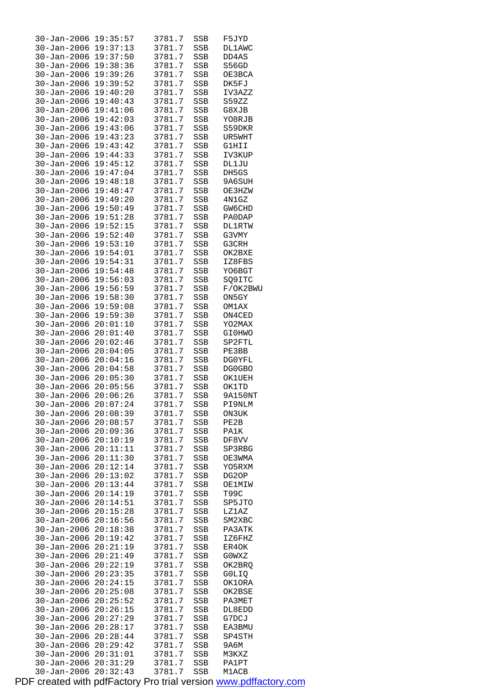| $30 - Jan - 2006$    | 19:35:57 | 3781.7 | SSB | F5JYD         |  |
|----------------------|----------|--------|-----|---------------|--|
| 30-Jan-2006          | 19:37:13 | 3781.7 | SSB | <b>DL1AWC</b> |  |
| $30 - Jan - 2006$    | 19:37:50 | 3781.7 | SSB | DD4AS         |  |
| $30 - Jan - 2006$    | 19:38:36 | 3781.7 | SSB | S56GD         |  |
| $30 - Jan - 2006$    | 19:39:26 | 3781.7 | SSB | OE3BCA        |  |
| $30 - Jan - 2006$    | 19:39:52 | 3781.7 | SSB | DK5FJ         |  |
| $30 - Jan - 2006$    | 19:40:20 | 3781.7 | SSB | IV3AZZ        |  |
| $30 - Jan - 2006$    | 19:40:43 | 3781.7 | SSB | S59ZZ         |  |
| $30 - Jan - 2006$    | 19:41:06 | 3781.7 | SSB | G8XJB         |  |
| $30 - Jan - 2006$    | 19:42:03 | 3781.7 | SSB | YO8RJB        |  |
| $30 - Jan - 2006$    | 19:43:06 | 3781.7 | SSB | S59DKR        |  |
| $30 - Jan - 2006$    | 19:43:23 | 3781.7 | SSB | UR5WHT        |  |
| $30 - Jan - 2006$    | 19:43:42 | 3781.7 | SSB | G1HII         |  |
| $30 - Jan - 2006$    | 19:44:33 | 3781.7 | SSB | IV3KUP        |  |
| $30 - Jan - 2006$    | 19:45:12 | 3781.7 | SSB | DL1JU         |  |
| $30 - Jan - 2006$    | 19:47:04 | 3781.7 | SSB | DH5GS         |  |
| $30 - Jan - 2006$    | 19:48:18 | 3781.7 | SSB | 9A6SUH        |  |
| $30 - Jan - 2006$    | 19:48:47 | 3781.7 | SSB | OE3HZW        |  |
|                      |          | 3781.7 |     | 4N1GZ         |  |
| $30 - Jan - 2006$    | 19:49:20 |        | SSB |               |  |
| $30 - Jan - 2006$    | 19:50:49 | 3781.7 | SSB | GW6CHD        |  |
| $30 - Jan - 2006$    | 19:51:28 | 3781.7 | SSB | PA0DAP        |  |
| $30 - Jan - 2006$    | 19:52:15 | 3781.7 | SSB | <b>DL1RTW</b> |  |
| $30 - Jan - 2006$    | 19:52:40 | 3781.7 | SSB | G3VMY         |  |
| $30 - Jan - 2006$    | 19:53:10 | 3781.7 | SSB | G3CRH         |  |
| $30 - Jan - 2006$    | 19:54:01 | 3781.7 | SSB | OK2BXE        |  |
| $30 - Jan - 2006$    | 19:54:31 | 3781.7 | SSB | IZ8FBS        |  |
| $30 - Jan - 2006$    | 19:54:48 | 3781.7 | SSB | YO6BGT        |  |
| $30 - Jan - 2006$    | 19:56:03 | 3781.7 | SSB | SQ9ITC        |  |
| $30 - Jan - 2006$    | 19:56:59 | 3781.7 | SSB | F/OK2BWU      |  |
| $30 - Jan - 2006$    | 19:58:30 | 3781.7 | SSB | ON5GY         |  |
| $30 - Jan - 2006$    | 19:59:08 | 3781.7 | SSB | OM1AX         |  |
| $30 - Jan - 2006$    | 19:59:30 | 3781.7 | SSB | ON4CED        |  |
| $30 - Jan - 2006$    | 20:01:10 | 3781.7 | SSB | YO2MAX        |  |
| $30 - Jan - 2006$    | 20:01:40 | 3781.7 | SSB | GI0HWO        |  |
| 30-Jan-2006          | 20:02:46 | 3781.7 | SSB | SP2FTL        |  |
| $30 - Jan - 2006$    | 20:04:05 | 3781.7 | SSB | PE3BB         |  |
| $30 - Jan - 2006$    | 20:04:16 | 3781.7 | SSB | DG0YFL        |  |
| 30-Jan-2006          | 20:04:58 | 3781.7 | SSB | DG0GBO        |  |
| 30-Jan-2006          | 20:05:30 | 3781.7 | SSB | OK1UEH        |  |
| 30-Jan-2006          | 20:05:56 | 3781.7 | SSB | OK1TD         |  |
| $30 - Jan - 2006$    | 20:06:26 | 3781.7 | SSB | 9A150NT       |  |
| 30-Jan-2006 20:07:24 |          | 3781.7 | SSB | PI9NLM        |  |
| $30 - Jan - 2006$    | 20:08:39 | 3781.7 | SSB | ON3UK         |  |
| $30 - Jan - 2006$    | 20:08:57 | 3781.7 | SSB | PE2B          |  |
| 30-Jan-2006          | 20:09:36 | 3781.7 | SSB | PA1K          |  |
| $30 - Jan - 2006$    | 20:10:19 | 3781.7 | SSB | DF8VV         |  |
| $30 - Jan - 2006$    | 20:11:11 | 3781.7 | SSB | SP3RBG        |  |
| $30 - Jan - 2006$    | 20:11:30 | 3781.7 | SSB | OE3WMA        |  |
| $30 - Jan - 2006$    | 20:12:14 | 3781.7 | SSB | YO5RXM        |  |
| 30-Jan-2006          | 20:13:02 | 3781.7 | SSB | DG2OP         |  |
| $30 - Jan - 2006$    | 20:13:44 | 3781.7 | SSB | OE1MIW        |  |
| $30 - Jan - 2006$    | 20:14:19 | 3781.7 | SSB | T99C          |  |
| $30 - Jan - 2006$    | 20:14:51 | 3781.7 | SSB | SP5JTO        |  |
| $30 - Jan - 2006$    | 20:15:28 | 3781.7 | SSB | LZ1AZ         |  |
| 30-Jan-2006          | 20:16:56 | 3781.7 | SSB | SM2XBC        |  |
| 30-Jan-2006          | 20:18:38 | 3781.7 | SSB | PA3ATK        |  |
| $30 - Jan - 2006$    | 20:19:42 | 3781.7 | SSB | IZ6FHZ        |  |
| $30 - Jan - 2006$    | 20:21:19 | 3781.7 | SSB | ER4OK         |  |
| $30 - Jan - 2006$    | 20:21:49 | 3781.7 | SSB | GOWXZ         |  |
| 30-Jan-2006          | 20:22:19 | 3781.7 | SSB | OK2BRQ        |  |
| 30-Jan-2006          | 20:23:35 | 3781.7 | SSB | G0LIQ         |  |
| $30 - Jan - 2006$    | 20:24:15 | 3781.7 | SSB | OK1ORA        |  |
| 30-Jan-2006          | 20:25:08 | 3781.7 | SSB | OK2BSE        |  |
| $30 - Jan - 2006$    | 20:25:52 | 3781.7 | SSB | PA3MET        |  |
| 30-Jan-2006          | 20:26:15 | 3781.7 | SSB | DL8EDD        |  |
| 30-Jan-2006          | 20:27:29 | 3781.7 | SSB | G7DCJ         |  |
| $30 - Jan - 2006$    | 20:28:17 | 3781.7 | SSB | EA3BMU        |  |
| $30 - Jan - 2006$    | 20:28:44 | 3781.7 | SSB | SP4STH        |  |
| $30 - Jan - 2006$    | 20:29:42 | 3781.7 | SSB | 9А6М          |  |
| 30-Jan-2006          | 20:31:01 | 3781.7 | SSB | M3KXZ         |  |
| $30 - Jan - 2006$    | 20:31:29 | 3781.7 | SSB | PA1PT         |  |
| $30 - Jan - 2006$    | 20:32:43 | 3781.7 | SSB | M1ACB         |  |
|                      |          |        |     |               |  |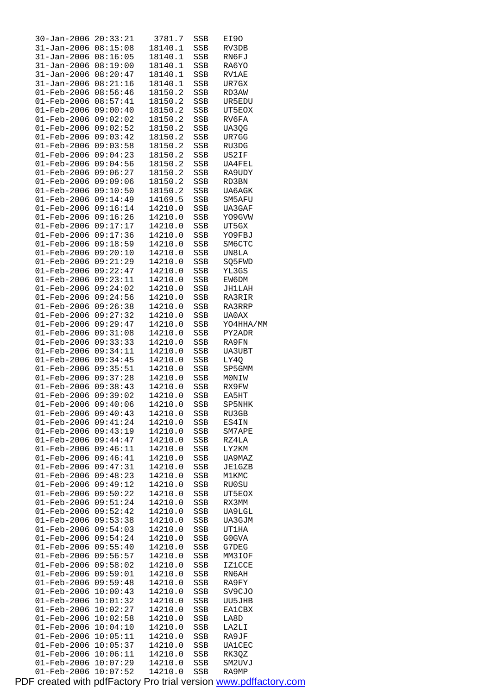| $30 - Jan - 2006$                                    | 20:33:21             | 3781.7             | SSB        | EI9O            |
|------------------------------------------------------|----------------------|--------------------|------------|-----------------|
| $31 - Jan - 2006$                                    | 08:15:08             | 18140.1            | SSB        | RV3DB           |
| $31 - Jan - 2006$                                    | 08:16:05<br>08:19:00 | 18140.1            | SSB        | RN6FJ           |
| $31 - Jan - 2006$<br>$31 - Jan - 2006$               | 08:20:47             | 18140.1            | SSB        | RA6YO           |
| $31 - Jan - 2006$                                    | 08:21:16             | 18140.1<br>18140.1 | SSB<br>SSB | RV1AE<br>UR7GX  |
| $01 - \text{Feb} - 2006$                             | 08:56:46             | 18150.2            | SSB        | RD3AW           |
| 01-Feb-2006                                          | 08:57:41             | 18150.2            | SSB        | UR5EDU          |
| $01 - \text{Feb} - 2006$                             | 09:00:40             | 18150.2            | SSB        | UT5EOX          |
| $01 - Feb - 2006$                                    | 09:02:02             | 18150.2            | SSB        | RV6FA           |
| $01 - \text{Feb} - 2006$                             | 09:02:52             | 18150.2            | SSB        | UA3QG           |
| $01 - \text{Feb} - 2006$                             | 09:03:42             | 18150.2            | SSB        | UR7GG           |
| 01-Feb-2006                                          | 09:03:58             | 18150.2            | SSB        | RU3DG           |
| $01 - \text{Feb} - 2006$                             | 09:04:23             | 18150.2            | SSB        | US2IF           |
| $01 - Feb - 2006$                                    | 09:04:56             | 18150.2            | SSB        | UA4FEL          |
| $01 - \text{Feb} - 2006$                             | 09:06:27             | 18150.2            | SSB        | RA9UDY          |
| $01 - \text{Feb} - 2006$                             | 09:09:06             | 18150.2            | SSB        | RD3BN           |
| 01-Feb-2006                                          | 09:10:50             | 18150.2            | SSB        | UA6AGK          |
| $01 - \text{Feb} - 2006$                             | 09:14:49             | 14169.5            | SSB        | SM5AFU          |
| $01 - Feb - 2006$                                    | 09:16:14             | 14210.0            | SSB        | UA3GAF          |
| $01 - \text{Feb} - 2006$<br>$01 - \text{Feb} - 2006$ | 09:16:26<br>09:17:17 | 14210.0<br>14210.0 | SSB<br>SSB | YO9GVW<br>UT5GX |
| 01-Feb-2006                                          | 09:17:36             | 14210.0            | SSB        | YO9FBJ          |
| $01 - \text{Feb} - 2006$                             | 09:18:59             | 14210.0            | SSB        | SM6CTC          |
| $01 - Feb - 2006$                                    | 09:20:10             | 14210.0            | SSB        | UN8LA           |
| $01 - \text{Feb} - 2006$                             | 09:21:29             | 14210.0            | SSB        | SQ5FWD          |
| $01 - \text{Feb} - 2006$                             | 09:22:47             | 14210.0            | SSB        | YL3GS           |
| 01-Feb-2006                                          | 09:23:11             | 14210.0            | SSB        | EW6DM           |
| $01 - \text{Feb} - 2006$                             | 09:24:02             | 14210.0            | SSB        | JH1LAH          |
| $01 - \text{Feb} - 2006$                             | 09:24:56             | 14210.0            | SSB        | RA3RIR          |
| $01 - \text{Feb} - 2006$                             | 09:26:38             | 14210.0            | SSB        | RA3RRP          |
| $01 - \text{Feb} - 2006$                             | 09:27:32             | 14210.0            | SSB        | UA0AX           |
| $01 - Feb - 2006$                                    | 09:29:47             | 14210.0            | SSB        | YO4HHA/MM       |
| $01 - \text{Feb} - 2006$                             | 09:31:08             | 14210.0            | SSB        | PY2ADR          |
| $01 - Feb - 2006$                                    | 09:33:33             | 14210.0            | SSB        | RA9FN           |
| $01 - \text{Feb} - 2006$                             | 09:34:11             | 14210.0<br>14210.0 | SSB        | <b>UA3UBT</b>   |
| $01 - \text{Feb} - 2006$<br>$01 - Feb - 2006$        | 09:34:45<br>09:35:51 | 14210.0            | SSB<br>SSB | LY4Q<br>SP5GMM  |
| 01-Feb-2006 09:37:28                                 |                      | 14210.0            | SSB        | MONIW           |
| $01 - Feb - 2006$                                    | 09:38:43             | 14210.0            | SSB        | RX9FW           |
| $01 - \text{Feb} - 2006$                             | 09:39:02             | 14210.0            | SSB        | EA5HT           |
| $01 - \text{Feb} - 2006 09:40:06$                    |                      | 14210.0            | SSB        | SP5NHK          |
| $01 - \text{Feb} - 2006$                             | 09:40:43             | 14210.0            | SSB        | RU3GB           |
| $01 - \text{Feb} - 2006$                             | 09:41:24             | 14210.0            | SSB        | ES4IN           |
| $01 - Feb - 2006$                                    | 09:43:19             | 14210.0            | SSB        | SM7APE          |
| $01 - Feb - 2006$                                    | 09:44:47             | 14210.0            | SSB        | RZ4LA           |
| $01 - Feb - 2006$                                    | 09:46:11             | 14210.0            | SSB        | LY2KM           |
| $01 - Feb - 2006$                                    | 09:46:41             | 14210.0            | SSB        | UA9MAZ          |
| $01 - \text{Feb} - 2006$                             | 09:47:31             | 14210.0            | SSB        | <b>JE1GZB</b>   |
| $01 - Feb - 2006$                                    | 09:48:23             | 14210.0            | SSB        | M1KMC           |
| $01 - \text{Feb} - 2006$                             | 09:49:12<br>09:50:22 | 14210.0<br>14210.0 | SSB        | RU0SU           |
| $01 - Feb - 2006$<br>$01 - Feb - 2006$               | 09:51:24             | 14210.0            | SSB<br>SSB | UT5EOX<br>RX3MM |
| $01 - Feb - 2006$                                    | 09:52:42             | 14210.0            | SSB        | UA9LGL          |
| $01 - Feb - 2006$                                    | 09:53:38             | 14210.0            | SSB        | UA3GJM          |
| $01 - \text{Feb} - 2006$                             | 09:54:03             | 14210.0            | SSB        | UT1HA           |
| $01 - Feb - 2006$                                    | 09:54:24             | 14210.0            | SSB        | G0GVA           |
| $01 - Feb - 2006$                                    | 09:55:40             | 14210.0            | SSB        | G7DEG           |
| $01 - Feb - 2006$                                    | 09:56:57             | 14210.0            | SSB        | MM3IOF          |
| 01-Feb-2006                                          | 09:58:02             | 14210.0            | SSB        | <b>IZ1CCE</b>   |
| $01 - \text{Feb} - 2006$                             | 09:59:01             | 14210.0            | SSB        | RN6AH           |
| $01 - Feb - 2006$                                    | 09:59:48             | 14210.0            | SSB        | RA9FY           |
| $01 - Feb - 2006$                                    | 10:00:43             | 14210.0            | SSB        | SV9CJO          |
| $01 - Feb - 2006$                                    | 10:01:32             | 14210.0            | SSB        | UU5JHB          |
| $01 - Feb - 2006$                                    |                      |                    |            |                 |
|                                                      | 10:02:27             | 14210.0            | SSB        | <b>EA1CBX</b>   |
| $01 - \text{Feb} - 2006$                             | 10:02:58             | 14210.0            | SSB        | LA8D            |
| $01 - \text{Feb} - 2006$                             | 10:04:10             | 14210.0            | SSB        | LA2LI           |
| 01-Feb-2006                                          | 10:05:11             | 14210.0            | SSB        | RA9JF           |
| $01 - Feb - 2006$                                    | 10:05:37             | 14210.0            | SSB        | <b>UA1CEC</b>   |
| $01 - Feb - 2006$<br>$01 - \text{Feb} - 2006$        | 10:06:11<br>10:07:29 | 14210.0<br>14210.0 | SSB<br>SSB | RK3QZ<br>SM2UVJ |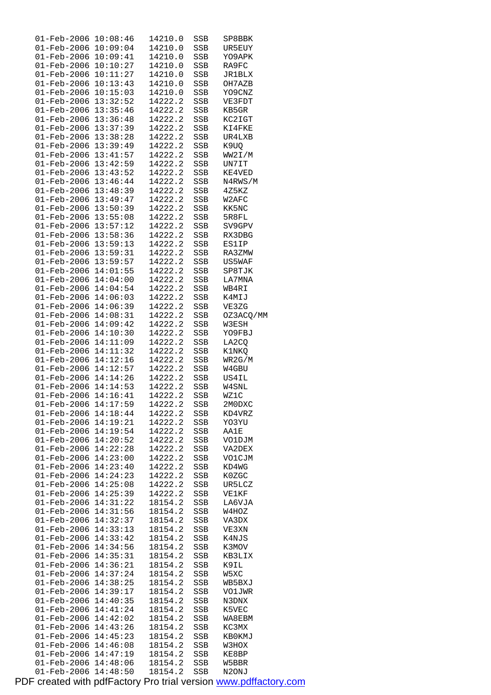| 01-Feb-2006                                  | 10:08:46             | 14210.0            | SSB          | SP8BBK          |
|----------------------------------------------|----------------------|--------------------|--------------|-----------------|
| 01-Feb-2006                                  | 10:09:04             | 14210.0            | SSB          | UR5EUY          |
| 01-Feb-2006                                  | 10:09:41             | 14210.0            | SSB          | YO9APK          |
| 01-Feb-2006                                  | 10:10:27             | 14210.0            | SSB          | RA9FC           |
| $01 - \text{Feb} - 2006$                     | 10:11:27             | 14210.0            | SSB          | <b>JR1BLX</b>   |
| $01 - \text{Feb} - 2006$                     | 10:13:43             | 14210.0            | SSB          | OH7AZB          |
| $01 - \text{Feb} - 2006$                     | 10:15:03             | 14210.0            | SSB          | YO9CNZ          |
| 01-Feb-2006 13:32:52                         |                      | 14222.2            | SSB          | VE3FDT          |
| 01-Feb-2006 13:35:46                         |                      | 14222.2            | SSB          | KB5GR           |
| $01 - Feb - 2006$                            | 13:36:48             | 14222.2            | SSB          | KC2IGT          |
| 01-Feb-2006                                  | 13:37:39             | 14222.2            | SSB          | KI4FKE          |
| 01-Feb-2006<br>01-Feb-2006 13:39:49          | 13:38:28             | 14222.2            | SSB          | UR4LXB<br>K9UO  |
|                                              |                      | 14222.2<br>14222.2 | SSB          |                 |
| 01-Feb-2006 13:41:57<br>01-Feb-2006 13:42:59 |                      |                    | SSB          | WW2I/M          |
| $01 - Feb - 2006$ $13:43:52$                 |                      | 14222.2<br>14222.2 | SSB<br>SSB   | UN7IT<br>KE4VED |
| 01-Feb-2006 13:46:44                         |                      | 14222.2            | SSB          | N4RWS/M         |
| 01-Feb-2006 13:48:39                         |                      | 14222.2            | SSB          | 4Z5KZ           |
| 01-Feb-2006 13:49:47                         |                      | 14222.2            | SSB          | W2AFC           |
| 01-Feb-2006 13:50:39                         |                      | 14222.2            | SSB          | KK5NC           |
| 01-Feb-2006 13:55:08                         |                      | 14222.2            | SSB          | 5R8FL           |
| $01 - Feb - 2006$ $13:57:12$                 |                      | 14222.2            | SSB          | SV9GPV          |
| 01-Feb-2006 13:58:36                         |                      | 14222.2            | SSB          | RX3DBG          |
| $01 - \text{Feb} - 2006$ $13:59:13$          |                      | 14222.2            | SSB          | <b>ES1IP</b>    |
| 01-Feb-2006 13:59:31                         |                      | 14222.2            | SSB          | RA3ZMW          |
| 01-Feb-2006 13:59:57                         |                      | 14222.2            | SSB          | US5WAF          |
| $01 - \text{Feb} - 2006$ $14:01:55$          |                      | 14222.2            | SSB          | SP8TJK          |
| 01-Feb-2006 14:04:00                         |                      | 14222.2            | SSB          | LA7MNA          |
| $01$ -Feb-2006 14:04:54                      |                      | 14222.2            | SSB          | WB4RI           |
| $01 - Feb - 2006$                            | 14:06:03             | 14222.2            | SSB          | K4MIJ           |
| 01-Feb-2006                                  | 14:06:39             | 14222.2            | SSB          | VE3ZG           |
| $01 - \text{Feb} - 2006$                     | 14:08:31             | 14222.2            | SSB          | OZ3ACQ/MM       |
| 01-Feb-2006                                  | 14:09:42             | 14222.2            | SSB          | W3ESH           |
| 01-Feb-2006 14:10:30                         |                      | 14222.2            | SSB          | YO9FBJ          |
| $01 - \text{Feb} - 2006$ $14:11:09$          |                      | 14222.2            | SSB          | LA2CQ           |
| 01-Feb-2006 14:11:32                         |                      | 14222.2            | SSB          | K1NKQ           |
| $01 - Feb - 2006 14:12:16$                   |                      | 14222.2            | SSB          | WR2G/M          |
| $01 - \text{Feb} - 2006$ $14:12:57$          |                      | 14222.2            | SSB          | W4GBU           |
| $01$ -Feb-2006 14:14:26                      |                      | 14222.2            | SSB          | US4IL           |
| 01-Feb-2006 14:14:53                         |                      | 14222.2            | SSB          | W4SNL           |
| 01-Feb-2006 14:16:41                         |                      | 14222.2            | SSB          | WZ1C            |
| $01 - \text{Feb} - 2006$ $14:17:59$          |                      | 14222.2            | $_{\rm SSB}$ | 2M0DXC          |
| 01-Feb-2006                                  | 14:18:44             | 14222.2            | SSB          | KD4VRZ          |
| 01-Feb-2006                                  | 14:19:21             | 14222.2            | SSB          | YO3YU           |
| $01 - \text{Feb} - 2006$                     | 14:19:54             | 14222.2            | SSB          | AA1E            |
| 01-Feb-2006                                  | 14:20:52             | 14222.2            | SSB          | VO1DJM          |
| $01 - \text{Feb} - 2006$                     | 14:22:28             | 14222.2            | SSB          | VA2DEX          |
| $01 - Feb - 2006$                            | 14:23:00             | 14222.2            | SSB          | VO1CJM          |
| 01-Feb-2006                                  | 14:23:40             | 14222.2            | SSB          | KD4WG           |
| 01-Feb-2006                                  | 14:24:23             | 14222.2            | SSB          | K0ZGC           |
| 01-Feb-2006                                  | 14:25:08             | 14222.2            | SSB          | UR5LCZ          |
| $01 - Feb - 2006$                            | 14:25:39             | 14222.2            | SSB          | VE1KF           |
| $01 - Feb - 2006$                            | 14:31:22             | 18154.2            | SSB          | LA6VJA          |
| $01 - Feb - 2006$                            | 14:31:56             | 18154.2            | SSB          | W4HOZ           |
| 01-Feb-2006                                  | 14:32:37             | 18154.2            | SSB          | VA3DX           |
| 01-Feb-2006                                  | 14:33:13             | 18154.2            | SSB          | VE3XN           |
| 01-Feb-2006                                  | 14:33:42             | 18154.2            | SSB          | K4NJS           |
| 01-Feb-2006                                  | 14:34:56             | 18154.2            | SSB          | K3MOV           |
| 01-Feb-2006                                  | 14:35:31             | 18154.2            | SSB          | KB3LIX          |
| 01-Feb-2006                                  | 14:36:21             | 18154.2            | SSB          | K9IL            |
| 01-Feb-2006                                  | 14:37:24             | 18154.2            | SSB          | W5XC            |
| 01-Feb-2006                                  | 14:38:25             | 18154.2            | SSB          | WB5BXJ          |
| $01 - Feb - 2006$                            | 14:39:17             | 18154.2            | SSB          | VO1JWR          |
| 01-Feb-2006                                  | 14:40:35             | 18154.2<br>18154.2 | SSB          | N3DNX           |
| 01-Feb-2006                                  | 14:41:24             |                    | SSB          | K5VEC           |
| 01-Feb-2006<br>$01 - Feb - 2006$             | 14:42:02<br>14:43:26 | 18154.2<br>18154.2 | SSB          | WA8EBM<br>KC3MX |
|                                              |                      |                    | SSB          |                 |
| 01-Feb-2006<br>01-Feb-2006                   | 14:45:23<br>14:46:08 | 18154.2<br>18154.2 | SSB          | KBOKMJ<br>W3HOX |
| $01 - Feb - 2006$                            | 14:47:19             | 18154.2            | SSB<br>SSB   | KE8BP           |
| 01-Feb-2006                                  | 14:48:06             | 18154.2            | SSB          | W5BBR           |
| 01-Feb-2006                                  | 14:48:50             | 18154.2            | <b>SSB</b>   | N2ONJ           |
|                                              |                      |                    |              |                 |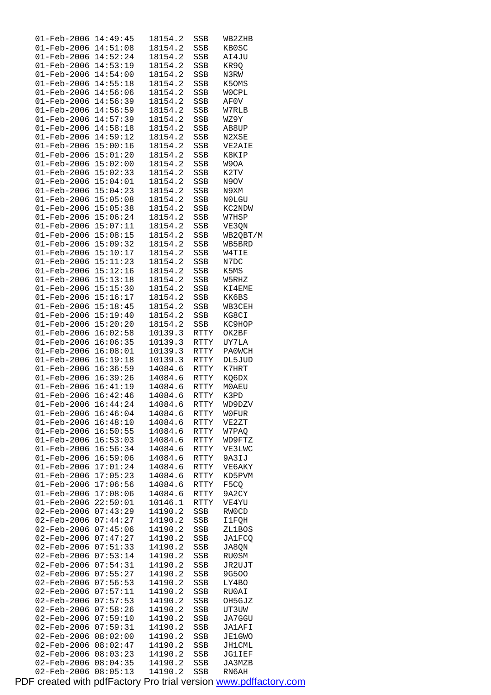| $01 - Feb - 2006$          | 14:49:45 | 18154.2 | SSB  | WB2ZHB        |
|----------------------------|----------|---------|------|---------------|
| $01 - \text{Feb} - 2006$   | 14:51:08 | 18154.2 | SSB  | KB0SC         |
| $01 - \text{Feb} - 2006$   | 14:52:24 | 18154.2 | SSB  | AI4JU         |
| $01 - Feb - 2006$          | 14:53:19 | 18154.2 | SSB  | KR9Q          |
| $01 - Feb - 2006$          | 14:54:00 | 18154.2 | SSB  | N3RW          |
|                            | 14:55:18 |         |      |               |
| $01 - Feb - 2006$          |          | 18154.2 | SSB  | K50MS         |
| $01 - \text{Feb} - 2006$   | 14:56:06 | 18154.2 | SSB  | WOCPL         |
| 01-Feb-2006                | 14:56:39 | 18154.2 | SSB  | AF0V          |
| 01-Feb-2006                | 14:56:59 | 18154.2 | SSB  | W7RLB         |
| 01-Feb-2006                | 14:57:39 | 18154.2 | SSB  | WZ9Y          |
| $01 - Feb - 2006$          | 14:58:18 | 18154.2 | SSB  | AB8UP         |
| $01 - \text{Feb} - 2006$   | 14:59:12 | 18154.2 | SSB  | N2XSE         |
| 01-Feb-2006                | 15:00:16 | 18154.2 | SSB  | VE2AIE        |
| 01-Feb-2006                | 15:01:20 | 18154.2 | SSB  | K8KIP         |
|                            |          |         |      |               |
| $01 - Feb - 2006$          | 15:02:00 | 18154.2 | SSB  | W9OA          |
| $01 - Feb - 2006$          | 15:02:33 | 18154.2 | SSB  | K2TV          |
| $01 - \text{Feb} - 2006$   | 15:04:01 | 18154.2 | SSB  | N9OV          |
| 01-Feb-2006                | 15:04:23 | 18154.2 | SSB  | N9XM          |
| 01-Feb-2006                | 15:05:08 | 18154.2 | SSB  | N0LGU         |
| 01-Feb-2006                | 15:05:38 | 18154.2 | SSB  | KC2NDW        |
| $01 - Feb - 2006$          | 15:06:24 | 18154.2 | SSB  | W7HSP         |
| $01 - \text{Feb} - 2006$   | 15:07:11 | 18154.2 | SSB  | VE3QN         |
| $01 - Feb - 2006$          | 15:08:15 | 18154.2 | SSB  | WB2QBT/M      |
| 01-Feb-2006                | 15:09:32 | 18154.2 | SSB  | WB5BRD        |
|                            |          |         |      |               |
| $01 - Feb - 2006$          | 15:10:17 | 18154.2 | SSB  | W4TIE         |
| $01 - Feb - 2006$          | 15:11:23 | 18154.2 | SSB  | N7DC          |
| $01 - \text{Feb} - 2006$   | 15:12:16 | 18154.2 | SSB  | K5MS          |
| 01-Feb-2006                | 15:13:18 | 18154.2 | SSB  | W5RHZ         |
| 01-Feb-2006                | 15:15:30 | 18154.2 | SSB  | KI4EME        |
| 01-Feb-2006                | 15:16:17 | 18154.2 | SSB  | KK6BS         |
| $01 - Feb - 2006$          | 15:18:45 | 18154.2 | SSB  | WB3CEH        |
| $01 - \text{Feb} - 2006$   | 15:19:40 | 18154.2 | SSB  | KG8CI         |
| $01 - Feb - 2006$          | 15:20:20 | 18154.2 | SSB  | KC9HOP        |
| 01-Feb-2006                | 16:02:58 | 10139.3 | RTTY | OK2BF         |
| $01 - \text{Feb} - 2006$   | 16:06:35 | 10139.3 | RTTY | UY7LA         |
| $01 - Feb - 2006$          | 16:08:01 | 10139.3 | RTTY | PA0WCH        |
|                            |          |         |      |               |
| $01 - \text{Feb} - 2006$   | 16:19:18 | 10139.3 | RTTY | DL5JUD        |
| $01 - Feb - 2006$          | 16:36:59 | 14084.6 | RTTY | K7HRT         |
| 01-Feb-2006                | 16:39:26 | 14084.6 | RTTY | KQ6DX         |
| $01 - Feb - 2006$          | 16:41:19 | 14084.6 | RTTY | M0AEU         |
| $01 - Feb - 2006$          | 16:42:46 | 14084.6 | RTTY | K3PD          |
| $01 - Feb - 2006 16:44:24$ |          | 14084.6 | RTTY | WD9DZV        |
| 01-Feb-2006                | 16:46:04 | 14084.6 | RTTY | W0FUR         |
| 01-Feb-2006                | 16:48:10 | 14084.6 | RTTY | VE2ZT         |
| $01 - \text{Feb} - 2006$   | 16:50:55 | 14084.6 | RTTY | W7PAQ         |
| $01 - Feb - 2006$          | 16:53:03 | 14084.6 | RTTY | WD9FTZ        |
| $01 - \text{Feb} - 2006$   | 16:56:34 | 14084.6 | RTTY | VE3LWC        |
| $01 - Feb - 2006$          | 16:59:06 | 14084.6 | RTTY | 9A3IJ         |
| $01 - Feb - 2006$          | 17:01:24 | 14084.6 | RTTY | VE6AKY        |
| 01-Feb-2006                | 17:05:23 | 14084.6 | RTTY | KD5PVM        |
| $01 - Feb - 2006$          | 17:06:56 | 14084.6 | RTTY | F5CQ          |
|                            |          |         |      |               |
| $01 - \text{Feb} - 2006$   | 17:08:06 | 14084.6 | RTTY | 9A2CY         |
| 01-Feb-2006                | 22:50:01 | 10146.1 | RTTY | VE4YU         |
| 02-Feb-2006                | 07:43:29 | 14190.2 | SSB  | RW0CD         |
| 02-Feb-2006                | 07:44:27 | 14190.2 | SSB  | I1FQH         |
| 02-Feb-2006                | 07:45:06 | 14190.2 | SSB  | ZL1BOS        |
| 02-Feb-2006                | 07:47:27 | 14190.2 | SSB  | <b>JA1FCQ</b> |
| 02-Feb-2006                | 07:51:33 | 14190.2 | SSB  | JA8QN         |
| 02-Feb-2006                | 07:53:14 | 14190.2 | SSB  | RU0SM         |
| 02-Feb-2006                | 07:54:31 | 14190.2 | SSB  | JR2UJT        |
| 02-Feb-2006                | 07:55:27 | 14190.2 | SSB  | 9G500         |
| 02-Feb-2006                | 07:56:53 | 14190.2 | SSB  | LY4BO         |
| 02-Feb-2006                | 07:57:11 | 14190.2 | SSB  | RU0AI         |
| 02-Feb-2006                | 07:57:53 | 14190.2 |      | OH5GJZ        |
|                            |          |         | SSB  |               |
| 02-Feb-2006                | 07:58:26 | 14190.2 | SSB  | UT3UW         |
| 02-Feb-2006                | 07:59:10 | 14190.2 | SSB  | JA7GGU        |
| 02-Feb-2006                | 07:59:31 | 14190.2 | SSB  | JA1AFI        |
| 02-Feb-2006                | 08:02:00 | 14190.2 | SSB  | <b>JE1GWO</b> |
| 02-Feb-2006                | 08:02:47 | 14190.2 | SSB  | JH1CML        |
| 02-Feb-2006                | 08:03:23 | 14190.2 | SSB  | JG1IEF        |
| 02-Feb-2006                | 08:04:35 | 14190.2 | SSB  | JA3MZB        |
| 02-Feb-2006                | 08:05:13 | 14190.2 | SSB  | RN6AH         |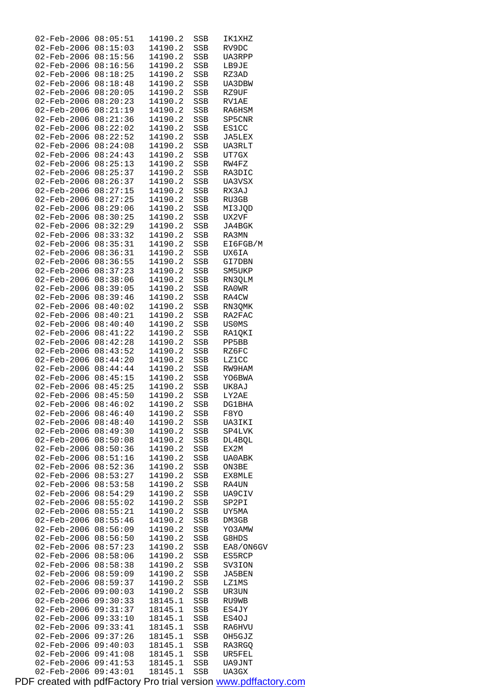| 02-Feb-2006 08:05:51                    |                      | 14190.2            | SSB        | IK1XHZ          |
|-----------------------------------------|----------------------|--------------------|------------|-----------------|
| 02-Feb-2006 08:15:03                    |                      | 14190.2            | SSB        | RV9DC           |
| 02-Feb-2006 08:15:56                    |                      | 14190.2            | SSB        | UA3RPP          |
| 02-Feb-2006 08:16:56                    |                      | 14190.2            | SSB        | LB9JE           |
| 02-Feb-2006                             | 08:18:25             | 14190.2            | SSB        | RZ3AD           |
| 02-Feb-2006                             | 08:18:48             | 14190.2            | SSB        | UA3DBW          |
| 02-Feb-2006                             | 08:20:05             | 14190.2            | SSB        | RZ9UF           |
| 02-Feb-2006                             | 08:20:23             | 14190.2            | SSB        | RV1AE           |
| 02-Feb-2006                             | 08:21:19             | 14190.2            | SSB        | RA6HSM          |
| 02-Feb-2006                             | 08:21:36             | 14190.2            | SSB        | SP5CNR          |
| 02-Feb-2006                             | 08:22:02             | 14190.2            | SSB        | ES1CC           |
| $02 - \text{Feb} - 2006$                | 08:22:52             | 14190.2            | SSB        | JA5LEX          |
| 02-Feb-2006                             | 08:24:08             | 14190.2            | SSB        | UA3RLT          |
| $02$ -Feb-2006 $08:24:43$               |                      | 14190.2            | SSB        | UT7GX           |
| 02-Feb-2006                             | 08:25:13             | 14190.2            | SSB        | RW4FZ           |
| 02-Feb-2006                             | 08:25:37             | 14190.2            | SSB        | RA3DIC          |
| 02-Feb-2006                             | 08:26:37             | 14190.2            | SSB        | UA3VSX          |
| 02-Feb-2006                             | 08:27:15             | 14190.2            | SSB        | RX3AJ           |
| $02 - \text{Feb} - 2006 \quad 08:27:25$ |                      | 14190.2            | SSB        | RU3GB           |
| 02-Feb-2006                             | 08:29:06             | 14190.2            | SSB        | MI3JQD          |
| 02-Feb-2006                             | 08:30:25             | 14190.2            | SSB        | UX2VF           |
| 02-Feb-2006                             | 08:32:29             | 14190.2            | SSB        | JA4BGK          |
| 02-Feb-2006                             | 08:33:32             | 14190.2            | SSB        | RA3MN           |
| 02-Feb-2006 08:35:31                    |                      | 14190.2            | SSB        | EI6FGB/M        |
| 02-Feb-2006                             | 08:36:31             | 14190.2            | SSB        | UX6IA           |
| 02-Feb-2006                             | 08:36:55             | 14190.2            | SSB        | GI7DBN          |
| 02-Feb-2006                             | 08:37:23             | 14190.2            | SSB        | SM5UKP          |
| 02-Feb-2006                             | 08:38:06             | 14190.2            | SSB        | RN3QLM          |
| 02-Feb-2006                             | 08:39:05             | 14190.2            | SSB        | RA0WR           |
| 02-Feb-2006                             | 08:39:46             | 14190.2            | SSB        | RA4CW           |
| 02-Feb-2006                             | 08:40:02             | 14190.2            | SSB        | RN3QMK          |
| $02 - \text{Feb} - 2006$                | 08:40:21             | 14190.2            | SSB        | RA2FAC          |
| 02-Feb-2006                             | 08:40:40             | 14190.2            | SSB        | US0MS           |
| 02-Feb-2006                             | 08:41:22             | 14190.2            | SSB        | RA1QKI          |
| 02-Feb-2006                             | 08:42:28             | 14190.2            | SSB        | PP5BB           |
| 02-Feb-2006                             | 08:43:52             | 14190.2            | SSB        | RZ6FC           |
| 02-Feb-2006                             | 08:44:20             | 14190.2            | SSB        | <b>LZ1CC</b>    |
| 02-Feb-2006                             | 08:44:44             | 14190.2            | SSB        | RW9HAM          |
| 02-Feb-2006 08:45:15                    |                      | 14190.2            | SSB        | YO6BWA          |
| 02-Feb-2006 08:45:25                    |                      | 14190.2            | SSB        | UK8AJ           |
| 02-Feb-2006 08:45:50                    |                      | 14190.2            | SSB        | LY2AE           |
| 02-Feb-2006 08:46:02                    |                      | 14190.2            | SSB        | DG1BHA          |
| $02 - Feb - 2006$                       | 08:46:40             | 14190.2            | SSB        | F8YO            |
| 02-Feb-2006<br>$02 - Feb - 2006$        | 08:48:40             | 14190.2            | SSB        | UA3IKI          |
|                                         | 08:49:30             | 14190.2<br>14190.2 | SSB        | SP4LVK          |
| 02-Feb-2006<br>$02 - Feb - 2006$        | 08:50:08<br>08:50:36 | 14190.2            | SSB        | DL4BQL          |
| $02 - Feb - 2006$                       |                      |                    | SSB        | EX2M            |
| 02-Feb-2006                             | 08:51:16             | 14190.2<br>14190.2 | SSB        | UA0ABK<br>ON3BE |
| 02-Feb-2006                             | 08:52:36<br>08:53:27 | 14190.2            | SSB        |                 |
| $02 - Feb - 2006$                       | 08:53:58             | 14190.2            | SSB<br>SSB | EX8MLE<br>RA4UN |
| 02-Feb-2006                             | 08:54:29             | 14190.2            | SSB        | UA9CIV          |
| $02 - Feb - 2006$                       | 08:55:02             | 14190.2            | SSB        | SP2PI           |
| $02 - Feb - 2006$                       | 08:55:21             | 14190.2            | SSB        | UY5MA           |
| 02-Feb-2006                             | 08:55:46             | 14190.2            | SSB        | DM3GB           |
| 02-Feb-2006                             | 08:56:09             | 14190.2            | SSB        | YO3AMW          |
| 02-Feb-2006                             | 08:56:50             | 14190.2            | SSB        | G8HDS           |
| 02-Feb-2006                             | 08:57:23             | 14190.2            | SSB        | EA8/ON6GV       |
| 02-Feb-2006                             | 08:58:06             | 14190.2            | SSB        | ES5RCP          |
| 02-Feb-2006                             | 08:58:38             | 14190.2            | SSB        | SV3ION          |
| 02-Feb-2006                             | 08:59:09             | 14190.2            | SSB        | JA5BEN          |
| 02-Feb-2006                             | 08:59:37             | 14190.2            | SSB        | LZ1MS           |
| 02-Feb-2006                             | 09:00:03             | 14190.2            | SSB        | UR3UN           |
| 02-Feb-2006                             | 09:30:33             | 18145.1            | SSB        | RU9WB           |
| 02-Feb-2006                             | 09:31:37             | 18145.1            | SSB        | ES4JY           |
| 02-Feb-2006                             | 09:33:10             | 18145.1            | SSB        | ES4OJ           |
| 02-Feb-2006                             | 09:33:41             | 18145.1            | SSB        | RA6HVU          |
| 02-Feb-2006                             | 09:37:26             | 18145.1            | SSB        | OH5GJZ          |
| 02-Feb-2006                             | 09:40:03             | 18145.1            | SSB        | RA3RGQ          |
| 02-Feb-2006                             | 09:41:08             | 18145.1            | SSB        | UR5FEL          |
| 02-Feb-2006                             | 09:41:53             | 18145.1            | SSB        | UA9JNT          |
| 02-Feb-2006                             | 09:43:01             | 18145.1            | <b>SSB</b> | UA3GX           |
|                                         |                      |                    |            |                 |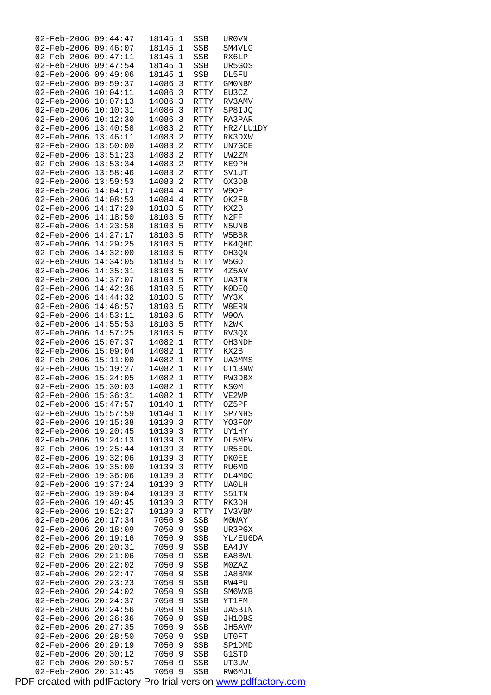| $02 - Feb - 2006$        | 09:44:47 | 18145.1 | SSB         | UR0VN         |
|--------------------------|----------|---------|-------------|---------------|
| 02-Feb-2006              | 09:46:07 | 18145.1 | SSB         | SM4VLG        |
|                          | 09:47:11 |         |             |               |
| 02-Feb-2006              |          | 18145.1 | SSB         | RX6LP         |
| 02-Feb-2006              | 09:47:54 | 18145.1 | SSB         | UR5GOS        |
| 02-Feb-2006              | 09:49:06 | 18145.1 | SSB         | DL5FU         |
|                          |          |         |             |               |
| 02-Feb-2006              | 09:59:37 | 14086.3 | RTTY        | <b>GMONBM</b> |
| 02-Feb-2006              | 10:04:11 | 14086.3 | RTTY        | EU3CZ         |
| 02-Feb-2006              | 10:07:13 | 14086.3 | RTTY        | RV3AMV        |
|                          |          |         |             |               |
| $02 - \text{Feb} - 2006$ | 10:10:31 | 14086.3 | RTTY        | SP8IJQ        |
| 02-Feb-2006              | 10:12:30 | 14086.3 | RTTY        | RA3PAR        |
| $02 - \text{Feb} - 2006$ | 13:40:58 | 14083.2 |             |               |
|                          |          |         | RTTY        | HR2/LU1DY     |
| 02-Feb-2006              | 13:46:11 | 14083.2 | RTTY        | RK3DXW        |
| 02-Feb-2006              | 13:50:00 | 14083.2 | RTTY        | UN7GCE        |
|                          |          |         |             |               |
| $02 - \text{Feb} - 2006$ | 13:51:23 | 14083.2 | RTTY        | UW2ZM         |
| $02 - \text{Feb} - 2006$ | 13:53:34 | 14083.2 | RTTY        | KE9PH         |
| 02-Feb-2006              | 13:58:46 | 14083.2 | RTTY        | SV1UT         |
|                          |          |         |             |               |
| 02-Feb-2006              | 13:59:53 | 14083.2 | <b>RTTY</b> | OX3DB         |
| 02-Feb-2006              | 14:04:17 | 14084.4 | RTTY        | W9OP          |
| $02 - \text{Feb} - 2006$ | 14:08:53 | 14084.4 | RTTY        | OK2FB         |
|                          |          |         |             |               |
| 02-Feb-2006              | 14:17:29 | 18103.5 | RTTY        | KX2B          |
| $02 - \text{Feb} - 2006$ | 14:18:50 | 18103.5 | <b>RTTY</b> | N2FF          |
| 02-Feb-2006              | 14:23:58 | 18103.5 | RTTY        | N5UNB         |
|                          |          |         |             |               |
| 02-Feb-2006              | 14:27:17 | 18103.5 | RTTY        | W5BBR         |
| $02 - \text{Feb} - 2006$ | 14:29:25 | 18103.5 | RTTY        | HK4QHD        |
| $02 - \text{Feb} - 2006$ | 14:32:00 | 18103.5 | RTTY        | OH3QN         |
|                          |          |         |             |               |
| $02 - \text{Feb} - 2006$ | 14:34:05 | 18103.5 | RTTY        | W5GO          |
| 02-Feb-2006              | 14:35:31 | 18103.5 | <b>RTTY</b> | 4Z5AV         |
| 02-Feb-2006              | 14:37:07 | 18103.5 | RTTY        | UA3TN         |
|                          |          |         |             |               |
| $02 - \text{Feb} - 2006$ | 14:42:36 | 18103.5 | RTTY        | K0DEQ         |
| $02 - \text{Feb} - 2006$ | 14:44:32 | 18103.5 | RTTY        | WY3X          |
| $02 - \text{Feb} - 2006$ | 14:46:57 | 18103.5 |             |               |
|                          |          |         | RTTY        | W8ERN         |
| 02-Feb-2006              | 14:53:11 | 18103.5 | RTTY        | W9OA          |
| 02-Feb-2006              | 14:55:53 | 18103.5 | RTTY        | N2WK          |
|                          |          |         |             |               |
| $02 - \text{Feb} - 2006$ | 14:57:25 | 18103.5 | RTTY        | RV3QX         |
| 02-Feb-2006              | 15:07:37 | 14082.1 | RTTY        | OH3NDH        |
| $02 - \text{Feb} - 2006$ | 15:09:04 | 14082.1 | RTTY        | KX2B          |
|                          |          |         |             |               |
| 02-Feb-2006              | 15:11:00 | 14082.1 | RTTY        | UA3MMS        |
| 02-Feb-2006              | 15:19:27 | 14082.1 | RTTY        | <b>CT1BNW</b> |
| $02 - \text{Feb} - 2006$ | 15:24:05 | 14082.1 | RTTY        | RW3DBX        |
|                          |          |         |             |               |
| 02-Feb-2006              | 15:30:03 | 14082.1 | RTTY        | KS0M          |
| 02-Feb-2006              | 15:36:31 | 14082.1 | <b>RTTY</b> | VE2WP         |
| 02-Feb-2006              | 15:47:57 | 10140.1 | <b>RTTY</b> | OZ5PF         |
|                          |          |         |             |               |
| 02-Feb-2006              | 15:57:59 | 10140.1 | RTTY        | SP7NHS        |
| $02 - Feb - 2006$        | 19:15:38 | 10139.3 | RTTY        | YO3FOM        |
| 02-Feb-2006              | 19:20:45 | 10139.3 | RTTY        | <b>UY1HY</b>  |
|                          |          |         |             |               |
| 02-Feb-2006              | 19:24:13 | 10139.3 | RTTY        | DL5MEV        |
| 02-Feb-2006              | 19:25:44 | 10139.3 | RTTY        | UR5EDU        |
| 02-Feb-2006              | 19:32:06 | 10139.3 | <b>RTTY</b> | DK0EE         |
|                          |          |         |             |               |
| 02-Feb-2006              | 19:35:00 | 10139.3 | <b>RTTY</b> | RU6MD         |
| 02-Feb-2006              | 19:36:06 | 10139.3 | RTTY        | DL4MDO        |
| $02 - \text{Feb} - 2006$ | 19:37:24 | 10139.3 | RTTY        | <b>UA0LH</b>  |
| 02-Feb-2006              |          | 10139.3 |             |               |
|                          | 19:39:04 |         | RTTY        | S51TN         |
| 02-Feb-2006              | 19:40:45 | 10139.3 | <b>RTTY</b> | RK3DH         |
| 02-Feb-2006              | 19:52:27 | 10139.3 | RTTY        | IV3VBM        |
|                          |          |         |             |               |
| 02-Feb-2006              | 20:17:34 | 7050.9  | SSB         | M0WAY         |
| 02-Feb-2006              | 20:18:09 | 7050.9  | SSB         | UR3PGX        |
| 02-Feb-2006              | 20:19:16 | 7050.9  | SSB         | YL/EU6DA      |
|                          |          |         |             |               |
| 02-Feb-2006              | 20:20:31 | 7050.9  | SSB         | EA4JV         |
| 02-Feb-2006              | 20:21:06 | 7050.9  | SSB         | EA8BWL        |
| 02-Feb-2006              | 20:22:02 | 7050.9  | SSB         | MOZAZ         |
|                          |          |         |             |               |
| 02-Feb-2006              | 20:22:47 | 7050.9  | SSB         | JA8BMK        |
| 02-Feb-2006              | 20:23:23 | 7050.9  | SSB         | RW4PU         |
| 02-Feb-2006              | 20:24:02 | 7050.9  | SSB         | SM6WXB        |
|                          |          |         |             |               |
| 02-Feb-2006              | 20:24:37 | 7050.9  | SSB         | YT1FM         |
| 02-Feb-2006              | 20:24:56 | 7050.9  | SSB         | JA5BIN        |
| 02-Feb-2006              | 20:26:36 | 7050.9  | SSB         | JH10BS        |
|                          |          |         |             |               |
| 02-Feb-2006              | 20:27:35 | 7050.9  | SSB         | JH5AVM        |
| 02-Feb-2006              | 20:28:50 | 7050.9  | SSB         | UT0FT         |
| 02-Feb-2006              | 20:29:19 | 7050.9  | SSB         | SP1DMD        |
|                          |          |         |             |               |
| 02-Feb-2006              | 20:30:12 | 7050.9  | SSB         | G1STD         |
| $02 - Feb - 2006$        | 20:30:57 | 7050.9  | SSB         | UT3UW         |
| $02 - \text{Feb} - 2006$ | 20:31:45 | 7050.9  | SSB         | RW6MJL        |
|                          |          |         |             |               |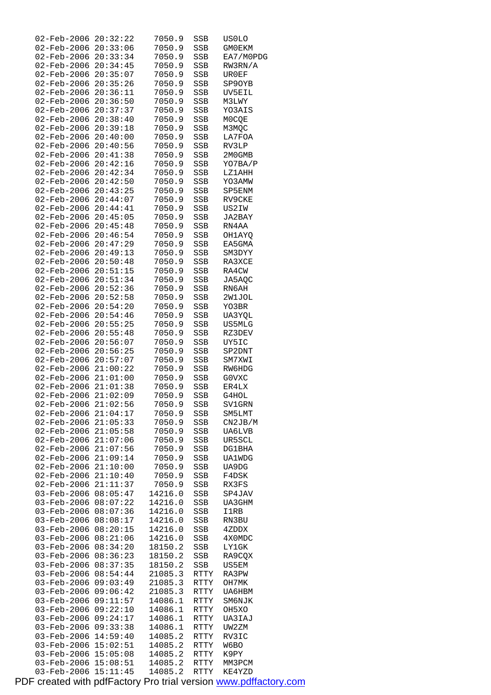| 02-Feb-2006                         | 20:32:22             | 7050.9           | SSB        | US0LO             |
|-------------------------------------|----------------------|------------------|------------|-------------------|
| 02-Feb-2006                         | 20:33:06             | 7050.9           | SSB        | <b>GMOEKM</b>     |
| 02-Feb-2006 20:33:34                |                      | 7050.9           | SSB        | EA7/M0PDG         |
| 02-Feb-2006                         | 20:34:45             | 7050.9           | SSB        | RW3RN/A           |
| 02-Feb-2006                         | 20:35:07             | 7050.9           | SSB        | UR0EF             |
| 02-Feb-2006                         | 20:35:26             | 7050.9           | SSB        | SP90YB            |
| 02-Feb-2006                         | 20:36:11             | 7050.9           | SSB        | UV5EIL            |
| 02-Feb-2006                         | 20:36:50             | 7050.9           | SSB        | M3LWY             |
| 02-Feb-2006<br>02-Feb-2006          | 20:37:37             | 7050.9<br>7050.9 | SSB        | YO3AIS            |
| 02-Feb-2006                         | 20:38:40<br>20:39:18 |                  | SSB        | M0CQE             |
| $02 - \text{Feb} - 2006$            | 20:40:00             | 7050.9<br>7050.9 | SSB<br>SSB | M3MQC<br>LA7FOA   |
| 02-Feb-2006                         | 20:40:56             | 7050.9           | SSB        | RV3LP             |
| 02-Feb-2006                         | 20:41:38             | 7050.9           | SSB        | 2M0GMB            |
| 02-Feb-2006                         | 20:42:16             | 7050.9           | SSB        | YO7BA/P           |
| $02 - \text{Feb} - 2006$            | 20:42:34             | 7050.9           | SSB        | LZ1AHH            |
| 02-Feb-2006                         | 20:42:50             | 7050.9           | SSB        | YO3AMW            |
| 02-Feb-2006                         | 20:43:25             | 7050.9           | SSB        | SP5ENM            |
| 02-Feb-2006                         | 20:44:07             | 7050.9           | SSB        | RV9CKE            |
| 02-Feb-2006                         | 20:44:41             | 7050.9           | SSB        | US2IW             |
| 02-Feb-2006                         | 20:45:05             | 7050.9           | SSB        | JA2BAY            |
| $02 - \text{Feb} - 2006$            | 20:45:48             | 7050.9           | SSB        | RN4AA             |
| 02-Feb-2006                         | 20:46:54             | 7050.9           | SSB        | OH1AYQ            |
| 02-Feb-2006                         | 20:47:29             | 7050.9           | SSB        | EA5GMA            |
| 02-Feb-2006                         | 20:49:13             | 7050.9           | SSB        | SM3DYY            |
| 02-Feb-2006                         | 20:50:48             | 7050.9           | SSB        | RA3XCE            |
| 02-Feb-2006                         | 20:51:15             | 7050.9           | SSB        | RA4CW             |
| 02-Feb-2006                         | 20:51:34             | 7050.9           | SSB        | JA5AQC            |
| 02-Feb-2006                         | 20:52:36             | 7050.9           | SSB        | RN6AH             |
| 02-Feb-2006                         | 20:52:58             | 7050.9           | SSB        | 2W1JOL            |
| 02-Feb-2006                         | 20:54:20             | 7050.9           | SSB        | YO3BR             |
| 02-Feb-2006                         | 20:54:46             | 7050.9           | SSB        | UA3YQL            |
| 02-Feb-2006                         | 20:55:25             | 7050.9           | SSB        | US5MLG            |
| 02-Feb-2006                         | 20:55:48             | 7050.9           | SSB        | RZ3DEV            |
| 02-Feb-2006                         | 20:56:07             | 7050.9           | SSB        | UY5IC             |
| 02-Feb-2006                         | 20:56:25             | 7050.9           | SSB        | SP2DNT            |
| 02-Feb-2006 20:57:07                |                      | 7050.9           | SSB        | SM7XWI            |
| 02-Feb-2006 21:00:22                |                      | 7050.9           | SSB        | RW6HDG            |
| 02-Feb-2006 21:01:00                |                      | 7050.9           | SSB        | G0VXC             |
| 02-Feb-2006 21:01:38                |                      | 7050.9           | SSB        | ER4LX             |
| 02-Feb-2006 21:02:09                |                      | 7050.9           | SSB        | G4HOL             |
| $02 - \text{Feb} - 2006$ $21:02:56$ |                      | 7050.9           | SSB        | SV1GRN            |
| 02-Feb-2006                         | 21:04:17<br>21:05:33 | 7050.9<br>7050.9 | SSB        | SM5LMT<br>CN2JB/M |
| 02-Feb-2006<br>02-Feb-2006          | 21:05:58             | 7050.9           | SSB<br>SSB | UA6LVB            |
| 02-Feb-2006                         | 21:07:06             | 7050.9           | SSB        | UR5SCL            |
| $02 - Feb - 2006$                   | 21:07:56             | 7050.9           | SSB        | DG1BHA            |
| 02-Feb-2006                         | 21:09:14             | 7050.9           | SSB        | <b>UA1WDG</b>     |
| 02-Feb-2006                         | 21:10:00             | 7050.9           | SSB        | UA9DG             |
| 02-Feb-2006                         | 21:10:40             | 7050.9           | SSB        | F4DSK             |
| 02-Feb-2006                         | 21:11:37             | 7050.9           | SSB        | RX3FS             |
| 03-Feb-2006                         | 08:05:47             | 14216.0          | SSB        | SP4JAV            |
| 03-Feb-2006                         | 08:07:22             | 14216.0          | SSB        | UA3GHM            |
| 03-Feb-2006                         | 08:07:36             | 14216.0          | SSB        | I1RB              |
| 03-Feb-2006                         | 08:08:17             | 14216.0          | SSB        | RN3BU             |
| 03-Feb-2006                         | 08:20:15             | 14216.0          | SSB        | 4ZDDX             |
| 03-Feb-2006                         | 08:21:06             | 14216.0          | SSB        | 4X0MDC            |
| 03-Feb-2006                         | 08:34:20             | 18150.2          | SSB        | LY1GK             |
| 03-Feb-2006                         | 08:36:23             | 18150.2          | SSB        | RA9COX            |
| 03-Feb-2006                         | 08:37:35             | 18150.2          | SSB        | US5EM             |
| 03-Feb-2006                         | 08:54:44             | 21085.3          | RTTY       | RA3PW             |
| 03-Feb-2006                         | 09:03:49             | 21085.3          | RTTY       | OH7MK             |
| 03-Feb-2006                         | 09:06:42             | 21085.3          | RTTY       | UA6HBM            |
| 03-Feb-2006                         | 09:11:57             | 14086.1          | RTTY       | SM6NJK            |
| 03-Feb-2006                         | 09:22:10             | 14086.1          | RTTY       | OH5XO             |
| 03-Feb-2006                         | 09:24:17             | 14086.1          | RTTY       | UA3IAJ            |
| 03-Feb-2006                         | 09:33:38             | 14086.1          | RTTY       | UW2ZM             |
| 03-Feb-2006                         | 14:59:40             | 14085.2          | RTTY       | RV3IC             |
| 03-Feb-2006                         | 15:02:51             | 14085.2          | RTTY       | W6BO              |
| 03-Feb-2006                         | 15:05:08             | 14085.2          | RTTY       | K9PY              |
| 03-Feb-2006                         | 15:08:51             | 14085.2          | RTTY       | MM3PCM            |
| 03-Feb-2006                         | 15:11:45             | 14085.2          | RTTY       | KE4YZD            |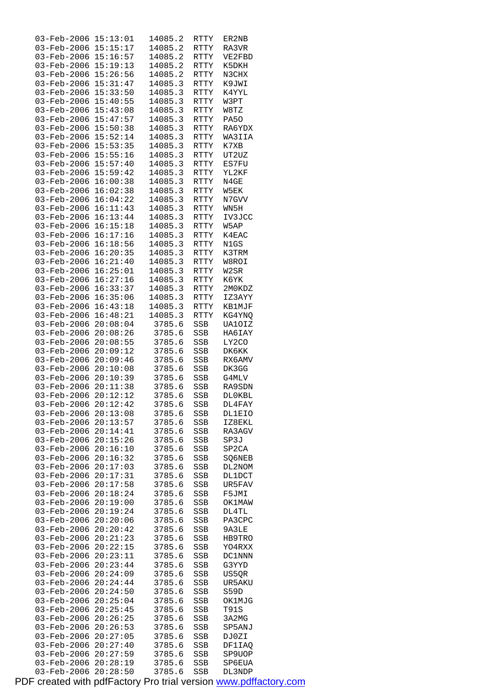| 03-Feb-2006              | 15:13:01 | 14085.2 | RTTY        | ER2NB         |
|--------------------------|----------|---------|-------------|---------------|
|                          |          |         |             |               |
| 03-Feb-2006              | 15:15:17 | 14085.2 | RTTY        | RA3VR         |
| 03-Feb-2006              | 15:16:57 | 14085.2 | RTTY        | VE2FBD        |
| 03-Feb-2006              | 15:19:13 | 14085.2 | RTTY        | K5DKH         |
|                          |          |         |             |               |
| 03-Feb-2006              | 15:26:56 | 14085.2 | RTTY        | N3CHX         |
| $03 - \text{Feb} - 2006$ | 15:31:47 | 14085.3 | RTTY        | K9JWI         |
|                          |          |         |             |               |
| 03-Feb-2006              | 15:33:50 | 14085.3 | <b>RTTY</b> | K4YYL         |
| 03-Feb-2006              | 15:40:55 | 14085.3 | RTTY        | W3PT          |
| 03-Feb-2006              | 15:43:08 | 14085.3 | RTTY        | W8TZ          |
|                          |          |         |             |               |
| 03-Feb-2006              | 15:47:57 | 14085.3 | RTTY        | PA50          |
| 03-Feb-2006              | 15:50:38 | 14085.3 | RTTY        | RA6YDX        |
| 03-Feb-2006              | 15:52:14 | 14085.3 | <b>RTTY</b> | WA3IIA        |
|                          |          |         |             |               |
| 03-Feb-2006              | 15:53:35 | 14085.3 | RTTY        | K7XB          |
| 03-Feb-2006              | 15:55:16 | 14085.3 | RTTY        | UT2UZ         |
|                          | 15:57:40 |         |             |               |
| 03-Feb-2006              |          | 14085.3 | RTTY        | ES7FU         |
| $03 - \text{Feb} - 2006$ | 15:59:42 | 14085.3 | RTTY        | YL2KF         |
| 03-Feb-2006              | 16:00:38 | 14085.3 | <b>RTTY</b> | N4GE          |
|                          |          |         | <b>RTTY</b> |               |
| 03-Feb-2006              | 16:02:38 | 14085.3 |             | W5EK          |
| 03-Feb-2006              | 16:04:22 | 14085.3 | RTTY        | N7GVV         |
| 03-Feb-2006              | 16:11:43 | 14085.3 | RTTY        | WN5H          |
| 03-Feb-2006              | 16:13:44 | 14085.3 |             | IV3JCC        |
|                          |          |         | RTTY        |               |
| 03-Feb-2006              | 16:15:18 | 14085.3 | RTTY        | W5AP          |
| 03-Feb-2006              | 16:17:16 | 14085.3 | <b>RTTY</b> | K4EAC         |
|                          |          |         |             |               |
| 03-Feb-2006              | 16:18:56 | 14085.3 | RTTY        | N1GS          |
| 03-Feb-2006              | 16:20:35 | 14085.3 | RTTY        | K3TRM         |
| $03 - \text{Feb} - 2006$ | 16:21:40 | 14085.3 | RTTY        | W8ROI         |
|                          |          |         |             |               |
| 03-Feb-2006              | 16:25:01 | 14085.3 | <b>RTTY</b> | W2SR          |
| 03-Feb-2006              | 16:27:16 | 14085.3 | RTTY        | K6YK          |
| 03-Feb-2006              | 16:33:37 | 14085.3 | RTTY        | 2M0KDZ        |
|                          |          |         |             |               |
| 03-Feb-2006              | 16:35:06 | 14085.3 | RTTY        | IZ3AYY        |
| $03 - \text{Feb} - 2006$ | 16:43:18 | 14085.3 | RTTY        | KB1MJF        |
| 03-Feb-2006              | 16:48:21 | 14085.3 | <b>RTTY</b> | KG4YNQ        |
|                          |          |         |             |               |
| $03 - \text{Feb} - 2006$ | 20:08:04 | 3785.6  | SSB         | UA10IZ        |
| 03-Feb-2006              | 20:08:26 | 3785.6  | SSB         | HA6IAY        |
| 03-Feb-2006              | 20:08:55 | 3785.6  | SSB         | LY2CO         |
|                          |          |         |             |               |
| $03 - \text{Feb} - 2006$ | 20:09:12 | 3785.6  | SSB         | DK6KK         |
| $03 - Feb - 2006$        | 20:09:46 | 3785.6  | SSB         | RX6AMV        |
| $03 - \text{Feb} - 2006$ | 20:10:08 |         |             |               |
|                          |          | 3785.6  | SSB         | DK3GG         |
| 03-Feb-2006              | 20:10:39 | 3785.6  | <b>SSB</b>  | G4MLV         |
| 03-Feb-2006              | 20:11:38 | 3785.6  | SSB         | RA9SDN        |
| 03-Feb-2006              | 20:12:12 | 3785.6  | <b>SSB</b>  | DL0KBL        |
|                          |          |         |             |               |
| 03-Feb-2006              | 20:12:42 | 3785.6  | SSB         | DL4FAY        |
| $03 - \text{Feb} - 2006$ | 20:13:08 | 3785.6  | SSB         | <b>DL1EIO</b> |
|                          |          |         |             |               |
| 03-Feb-2006              | 20:13:57 | 3785.6  | SSB         | IZ8EKL        |
| 03-Feb-2006              | 20:14:41 | 3785.6  | SSB         | RA3AGV        |
| $03 - Feb - 2006$        | 20:15:26 | 3785.6  | <b>SSB</b>  | SP3J          |
| 03-Feb-2006              | 20:16:10 | 3785.6  |             | SP2CA         |
|                          |          |         | SSB         |               |
| $03 - \text{Feb} - 2006$ | 20:16:32 | 3785.6  | SSB         | SQ6NEB        |
| 03-Feb-2006              | 20:17:03 | 3785.6  | SSB         | DL2NOM        |
| 03-Feb-2006              | 20:17:31 | 3785.6  | SSB         | <b>DL1DCT</b> |
|                          |          |         |             |               |
| $03 - \text{Feb} - 2006$ | 20:17:58 | 3785.6  | SSB         | UR5FAV        |
| 03-Feb-2006              | 20:18:24 | 3785.6  | <b>SSB</b>  | F5JMI         |
| $03 - \text{Feb} - 2006$ | 20:19:00 | 3785.6  | SSB         | <b>OK1MAW</b> |
|                          |          |         |             |               |
| 03-Feb-2006              | 20:19:24 | 3785.6  | SSB         | DL4TL         |
| 03-Feb-2006              | 20:20:06 | 3785.6  | SSB         | PA3CPC        |
| 03-Feb-2006              | 20:20:42 | 3785.6  | SSB         | 9A3LE         |
|                          |          |         |             |               |
| 03-Feb-2006              | 20:21:23 | 3785.6  | SSB         | HB9TRO        |
| $03 - \text{Feb} - 2006$ | 20:22:15 | 3785.6  | SSB         | YO4RXX        |
| 03-Feb-2006              | 20:23:11 | 3785.6  | SSB         | DC1NNN        |
|                          |          |         |             |               |
| 03-Feb-2006              | 20:23:44 | 3785.6  | SSB         | G3YYD         |
| 03-Feb-2006              | 20:24:09 | 3785.6  | SSB         | US5QR         |
| 03-Feb-2006              | 20:24:44 | 3785.6  | SSB         | UR5AKU        |
|                          |          |         |             |               |
| $03 - \text{Feb} - 2006$ | 20:24:50 | 3785.6  | SSB         | S59D          |
| 03-Feb-2006              | 20:25:04 | 3785.6  | SSB         | OK1MJG        |
| 03-Feb-2006              | 20:25:45 | 3785.6  | SSB         | T91S          |
|                          |          |         |             |               |
| 03-Feb-2006              | 20:26:25 | 3785.6  | SSB         | 3A2MG         |
| 03-Feb-2006              | 20:26:53 | 3785.6  | SSB         | SP5ANJ        |
| $03 - \text{Feb} - 2006$ | 20:27:05 | 3785.6  | SSB         | DJ0ZI         |
|                          |          |         |             |               |
| 03-Feb-2006              | 20:27:40 | 3785.6  | SSB         | DF1IAQ        |
| 03-Feb-2006              | 20:27:59 | 3785.6  | SSB         | SP9UOP        |
| 03-Feb-2006              | 20:28:19 | 3785.6  | SSB         | SP6EUA        |
|                          |          |         |             |               |
| 03-Feb-2006              | 20:28:50 | 3785.6  | <b>SSB</b>  | DL3NDP        |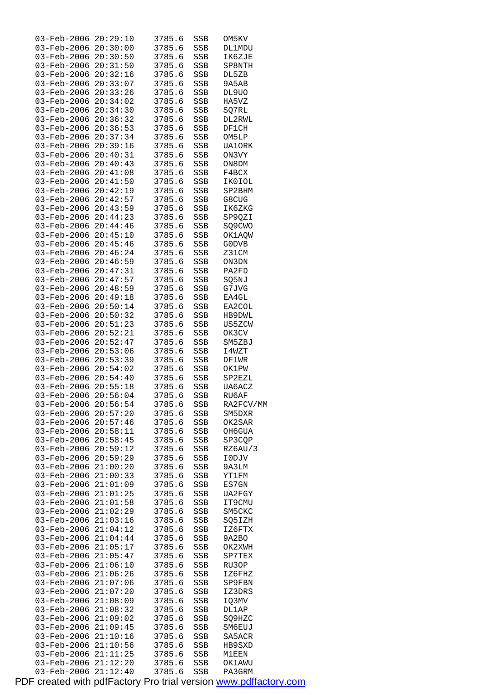| 03-Feb-2006                         | 20:29:10             | 3785.6           | SSB               | OM5KV            |
|-------------------------------------|----------------------|------------------|-------------------|------------------|
| $03 - Feb - 2006 20:30:00$          |                      | 3785.6           | SSB               | DL1MDU           |
| $03 - Feb - 2006 20:30:50$          |                      | 3785.6           | SSB               | IK6ZJE           |
| 03-Feb-2006 20:31:50                |                      | 3785.6           | SSB               | SP8NTH           |
| 03-Feb-2006 20:32:16                |                      | 3785.6           | SSB               | DL5ZB            |
| 03-Feb-2006                         | 20:33:07             | 3785.6           | SSB               | 9A5AB            |
| 03-Feb-2006                         | 20:33:26             | 3785.6           | <b>SSB</b>        | DL9UO            |
|                                     |                      |                  |                   |                  |
| 03-Feb-2006 20:34:02                |                      | 3785.6           | SSB               | HA5VZ            |
| 03-Feb-2006 20:34:30                |                      | 3785.6           | SSB               | SQ7RL            |
| 03-Feb-2006 20:36:32                |                      | 3785.6           | SSB               | DL2RWL           |
| $03 - \text{Feb} - 2006$            | 20:36:53             | 3785.6           | SSB               | DF1CH            |
| 03-Feb-2006                         | 20:37:34             | 3785.6           | <b>SSB</b>        | OM5LP            |
| 03-Feb-2006 20:39:16                |                      | 3785.6           | SSB               | UA10RK           |
| $03 - Feb - 2006 20:40:31$          |                      | 3785.6           | SSB               | ON3VY            |
| $03 - \text{Feb} - 2006$ $20:40:43$ |                      | 3785.6           | SSB               | ON8DM            |
| 03-Feb-2006 20:41:08                |                      |                  |                   |                  |
|                                     |                      | 3785.6           | SSB               | F4BCX            |
| 03-Feb-2006 20:41:50                |                      | 3785.6           | SSB               | IK0IOL           |
| 03-Feb-2006 20:42:19                |                      | 3785.6           | SSB               | SP2BHM           |
| 03-Feb-2006 20:42:57                |                      | 3785.6           | SSB               | G8CUG            |
| 03-Feb-2006 20:43:59                |                      | 3785.6           | SSB               | IK6ZKG           |
| 03-Feb-2006                         | 20:44:23             | 3785.6           | SSB               | SP9QZI           |
| $03 - \text{Feb} - 2006$ $20:44:46$ |                      | 3785.6           | <b>SSB</b>        | SQ9CWO           |
| 03-Feb-2006 20:45:10                |                      | 3785.6           | SSB               | OK1AQW           |
| 03-Feb-2006 20:45:46                |                      | 3785.6           | SSB               | G0DVB            |
|                                     |                      |                  |                   |                  |
| $03 - \text{Feb} - 2006$ $20:46:24$ |                      | 3785.6           | SSB               | Z31CM            |
| $03 - \text{Feb} - 2006$ $20:46:59$ |                      | 3785.6           | SSB               | ON3DN            |
| 03-Feb-2006 20:47:31                |                      | 3785.6           | SSB               | PA2FD            |
| 03-Feb-2006 20:47:57                |                      | 3785.6           | SSB               | SQ5NJ            |
| 03-Feb-2006 20:48:59                |                      | 3785.6           | SSB               | G7JVG            |
| 03-Feb-2006 20:49:18                |                      | 3785.6           | SSB               | EA4GL            |
| 03-Feb-2006                         | 20:50:14             | 3785.6           | SSB               | EA2COL           |
| $03 - \text{Feb} - 2006$ $20:50:32$ |                      | 3785.6           | SSB               | HB9DWL           |
| 03-Feb-2006                         | 20:51:23             |                  |                   |                  |
|                                     |                      | 3785.6           | SSB               | US5ZCW           |
| 03-Feb-2006 20:52:21                |                      | 3785.6           | SSB               | OK3CV            |
| 03-Feb-2006 20:52:47                |                      | 3785.6           | SSB               | SM5ZBJ           |
| 03-Feb-2006 20:53:06                |                      | 3785.6           | SSB               | I4WZT            |
| 03-Feb-2006 20:53:39                |                      | 3785.6           | SSB               | DF1WR            |
| 03-Feb-2006 20:54:02                |                      | 3785.6           | SSB               | OK1PW            |
| 03-Feb-2006 20:54:40                |                      | 3785.6           | SSB               | SP2EZL           |
| 03-Feb-2006 20:55:18                |                      | 3785.6           | SSB               | UA6ACZ           |
| 03-Feb-2006 20:56:04                |                      | 3785.6           | SSB               | RU6AF            |
| 03-Feb-2006 20:56:54                |                      | 3785.6           | SSB               | RA2FCV/MM        |
|                                     |                      |                  |                   |                  |
| 03-Feb-2006                         | 20:57:20             | 3785.6           | SSB               | SM5DXR           |
| 03-Feb-2006                         | 20:57:46             | 3785.6           | SSB               | OK2SAR           |
| 03-Feb-2006                         | 20:58:11             | 3785.6           | SSB               | OH6GUA           |
| 03-Feb-2006                         | 20:58:45             | 3785.6           | SSB               | SP3CQP           |
| $03 - \text{Feb} - 2006$            | 20:59:12             | 3785.6           | SSB               | RZ6AU/3          |
| 03-Feb-2006                         | 20:59:29             | 3785.6           |                   |                  |
| 03-Feb-2006                         |                      |                  |                   | I0DJV            |
| 03-Feb-2006                         |                      | 3785.6           | SSB               |                  |
| 03-Feb-2006                         | 21:00:20             |                  | SSB               | 9A3LM            |
| 03-Feb-2006                         | 21:00:33             | 3785.6           | SSB               | YT1FM            |
|                                     | 21:01:09             | 3785.6           | SSB               | ES7GN            |
|                                     | 21:01:25             | 3785.6           | SSB               | UA2FGY           |
| 03-Feb-2006                         | 21:01:58             | 3785.6           | SSB               | IT9CMU           |
| $03 - Feb - 2006$                   | 21:02:29             | 3785.6           | SSB               | SM5CKC           |
| 03-Feb-2006                         | 21:03:16             | 3785.6           | SSB               | SQ5IZH           |
| $03 - \text{Feb} - 2006$            | 21:04:12             | 3785.6           | SSB               | IZ6FTX           |
| $03 - \text{Feb} - 2006$            | 21:04:44             | 3785.6           | SSB               | 9A2BO            |
|                                     |                      |                  |                   |                  |
| 03-Feb-2006                         | 21:05:17             | 3785.6           | SSB               | OK2XWH           |
| 03-Feb-2006                         | 21:05:47             | 3785.6           | SSB               | SP7TEX           |
| 03-Feb-2006                         | 21:06:10             | 3785.6           | SSB               | RU3OP            |
| 03-Feb-2006                         | 21:06:26             | 3785.6           | SSB               | 1Z6FHZ           |
| 03-Feb-2006                         | 21:07:06             | 3785.6           | SSB               | SP9FBN           |
| 03-Feb-2006                         | 21:07:20             | 3785.6           | SSB               | IZ3DRS           |
| $03 - \text{Feb} - 2006$            | 21:08:09             | 3785.6           | SSB               | IQ3MV            |
| 03-Feb-2006                         | 21:08:32             | 3785.6           | SSB               | DL1AP            |
| $03 - \text{Feb} - 2006$            | 21:09:02             | 3785.6           | SSB               | SQ9HZC           |
| $03 - \text{Feb} - 2006$            | 21:09:45             | 3785.6           | SSB               | SM6EUJ           |
| 03-Feb-2006                         | 21:10:16             | 3785.6           | SSB               | SA5ACR           |
| 03-Feb-2006                         | 21:10:56             | 3785.6           |                   | HB9SXD           |
|                                     |                      |                  | SSB               |                  |
| 03-Feb-2006 21:11:25                |                      | 3785.6           | SSB               | M1EEN            |
| 03-Feb-2006<br>03-Feb-2006          | 21:12:20<br>21:12:40 | 3785.6<br>3785.6 | SSB<br><b>SSB</b> | OK1AWU<br>PA3GRM |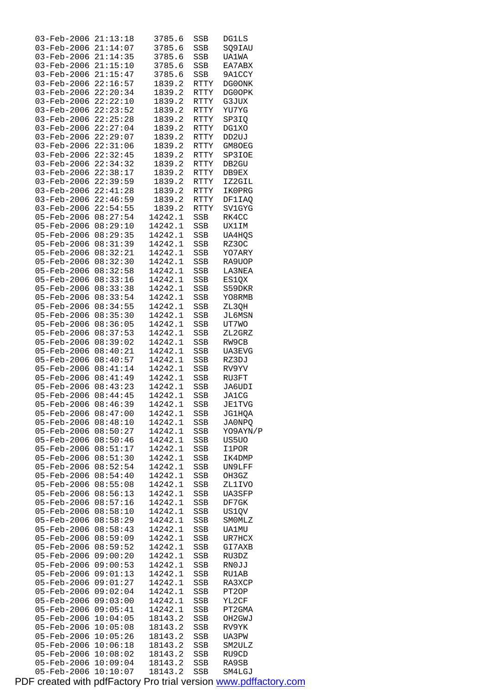| $03 - Feb - 2006$          | 21:13:18             | 3785.6             | SSB         | <b>DG1LS</b>     |
|----------------------------|----------------------|--------------------|-------------|------------------|
| 03-Feb-2006                | 21:14:07             | 3785.6             | SSB         | SQ9IAU           |
| 03-Feb-2006                | 21:14:35             | 3785.6             | SSB         | UA1WA            |
| 03-Feb-2006                | 21:15:10             | 3785.6             | SSB         | EA7ABX           |
| 03-Feb-2006                | 21:15:47             | 3785.6             | SSB         | 9A1CCY           |
| 03-Feb-2006                | 22:16:57             | 1839.2             | RTTY        | DG0ONK           |
| $03 - \text{Feb} - 2006$   | 22:20:34             | 1839.2             | RTTY        | DG0OPK           |
| 03-Feb-2006                | 22:22:10             | 1839.2             | RTTY        | G3JUX            |
| 03-Feb-2006                | 22:23:52             | 1839.2             | RTTY        | YU7YG            |
| 03-Feb-2006                | 22:25:28             | 1839.2             | <b>RTTY</b> | SP3IQ            |
| 03-Feb-2006                | 22:27:04             | 1839.2             | <b>RTTY</b> | DG1XO            |
| $03 - \text{Feb} - 2006$   | 22:29:07             | 1839.2             | RTTY        | DD2UJ            |
| 03-Feb-2006                | 22:31:06             | 1839.2             | RTTY        | GM8OEG           |
| 03-Feb-2006                | 22:32:45             | 1839.2             | RTTY        | SP3IOE           |
| 03-Feb-2006                | 22:34:32             | 1839.2             | RTTY        | DB2GU            |
| 03-Feb-2006                | 22:38:17             | 1839.2             | RTTY        | DB9EX            |
| $03 - \text{Feb} - 2006$   | 22:39:59             | 1839.2             | RTTY        | IZ2GIL           |
| 03-Feb-2006                | 22:41:28             | 1839.2             | RTTY        | IK0PRG           |
| 03-Feb-2006                | 22:46:59             | 1839.2             | <b>RTTY</b> | DF1IAQ           |
| 03-Feb-2006                | 22:54:55             |                    |             |                  |
|                            | 08:27:54             | 1839.2             | <b>RTTY</b> | SV1GYG           |
| 05-Feb-2006                |                      | 14242.1            | SSB         | RK4CC            |
| $05 - \text{Feb} - 2006$   | 08:29:10             | 14242.1            | SSB         | UX1IM            |
| 05-Feb-2006                | 08:29:35             | 14242.1            | SSB         | UA4HOS           |
| 05-Feb-2006                | 08:31:39             | 14242.1            | SSB         | RZ30C            |
| 05-Feb-2006                | 08:32:21             | 14242.1            | SSB         | YO7ARY           |
| 05-Feb-2006                | 08:32:30             | 14242.1            | SSB         | RA9UOP           |
| $05 - \text{Feb} - 2006$   | 08:32:58             | 14242.1            | SSB         | LA3NEA           |
| 05-Feb-2006                | 08:33:16             | 14242.1            | SSB         | ES1QX            |
| 05-Feb-2006                | 08:33:38             | 14242.1            | SSB         | S59DKR           |
| 05-Feb-2006                | 08:33:54             | 14242.1            | SSB         | YO8RMB           |
| 05-Feb-2006                | 08:34:55             | 14242.1            | SSB         | ZL3QH            |
| 05-Feb-2006                | 08:35:30             | 14242.1            | SSB         | JL6MSN           |
| 05-Feb-2006                | 08:36:05             | 14242.1            | SSB         | UT7WO            |
| 05-Feb-2006                | 08:37:53             | 14242.1            | SSB         | ZL2GRZ           |
| 05-Feb-2006                | 08:39:02             | 14242.1            | SSB         | RW9CB            |
| 05-Feb-2006                | 08:40:21             | 14242.1            | SSB         | UA3EVG           |
| $05 - \text{Feb} - 2006$   | 08:40:57             | 14242.1            | SSB         | RZ3DJ            |
| 05-Feb-2006                | 08:41:14             | 14242.1            | SSB         | RV9YV            |
| 05-Feb-2006                | 08:41:49             | 14242.1            | SSB         | RU3FT            |
| 05-Feb-2006                | 08:43:23             | 14242.1            | SSB         | JA6UDI           |
| 05-Feb-2006                | 08:44:45             | 14242.1            | SSB         | <b>JA1CG</b>     |
| 05-Feb-2006 08:46:39       |                      | 14242.1            | SSB         | <b>JE1TVG</b>    |
| 05-Feb-2006                | 08:47:00             | 14242.1            | SSB         | JG1HQA           |
| 05-Feb-2006                | 08:48:10             | 14242.1            | SSB         | JA0NPQ           |
| 05-Feb-2006                | 08:50:27             | 14242.1            | SSB         | YO9AYN/P         |
| 05-Feb-2006                | 08:50:46             | 14242.1            | SSB         | US5UO            |
| 05-Feb-2006                | 08:51:17             | 14242.1            | SSB         | I1POR            |
| 05-Feb-2006                | 08:51:30             | 14242.1            | SSB         | IK4DMP           |
| 05-Feb-2006                | 08:52:54             | 14242.1            | SSB         | UN9LFF           |
| 05-Feb-2006                | 08:54:40             | 14242.1            | SSB         | OH3GZ            |
| 05-Feb-2006                | 08:55:08             | 14242.1            | SSB         | ZL1IVO           |
| 05-Feb-2006                | 08:56:13             | 14242.1            | SSB         | UA3SFP           |
| 05-Feb-2006                | 08:57:16             | 14242.1            | SSB         | DF7GK            |
| 05-Feb-2006                | 08:58:10             | 14242.1            | SSB         | US1QV            |
| 05-Feb-2006                | 08:58:29             | 14242.1            | SSB         | SMOMLZ           |
| 05-Feb-2006                |                      |                    |             |                  |
|                            | 08:58:43             | 14242.1            | SSB         | UA1MU            |
| 05-Feb-2006                | 08:59:09             | 14242.1            |             |                  |
| 05-Feb-2006                | 08:59:52             | 14242.1            | SSB<br>SSB  | UR7HCX<br>GI7AXB |
| 05-Feb-2006                | 09:00:20             | 14242.1            |             | RU3DZ            |
| 05-Feb-2006                | 09:00:53             | 14242.1            | SSB<br>SSB  | RN0JJ            |
| 05-Feb-2006                | 09:01:13             | 14242.1            | SSB         | RU1AB            |
| 05-Feb-2006                | 09:01:27             | 14242.1            |             | RA3XCP           |
| 05-Feb-2006                | 09:02:04             | 14242.1            | SSB<br>SSB  | PT2OP            |
|                            |                      |                    |             | YL2CF            |
| 05-Feb-2006                | 09:03:00             | 14242.1            | SSB         |                  |
| 05-Feb-2006                | 09:05:41             | 14242.1            | SSB         | PT2GMA<br>OH2GWJ |
| 05-Feb-2006                | 10:04:05             | 18143.2            | SSB         | RV9YK            |
| 05-Feb-2006                | 10:05:08             | 18143.2            | SSB         |                  |
| 05-Feb-2006                | 10:05:26             | 18143.2            | SSB         | UA3PW            |
| 05-Feb-2006<br>05-Feb-2006 | 10:06:18<br>10:08:02 | 18143.2            | SSB         | SM2ULZ           |
| 05-Feb-2006                | 10:09:04             | 18143.2<br>18143.2 | SSB<br>SSB  | RU9CD<br>RA9SB   |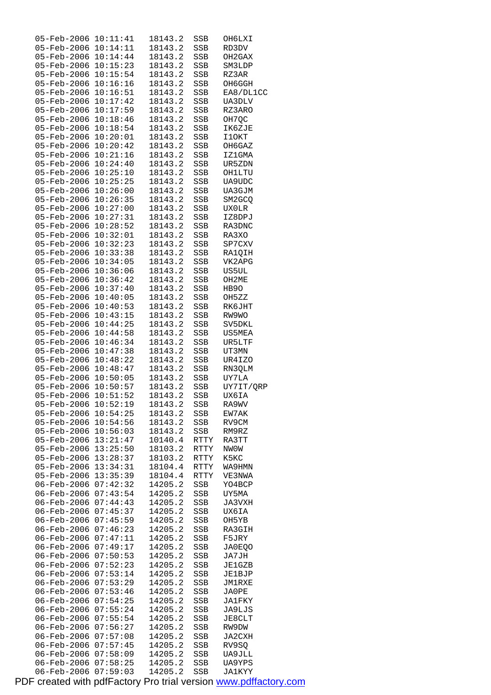| 05-Feb-2006                | 10:11:41                         | 18143.2            | SSB        | OH6LXI           |
|----------------------------|----------------------------------|--------------------|------------|------------------|
| 05-Feb-2006                | 10:14:11                         | 18143.2            | SSB        | RD3DV            |
| 05-Feb-2006                | 10:14:44                         | 18143.2            | SSB        | OH2GAX           |
| 05-Feb-2006                | 10:15:23                         | 18143.2            | SSB        | SM3LDP           |
| 05-Feb-2006                | 10:15:54                         | 18143.2            | SSB        | RZ3AR            |
| 05-Feb-2006                | 10:16:16                         | 18143.2            | SSB        | OH6GGH           |
| $05 - \text{Feb} - 2006$   | 10:16:51                         | 18143.2            | SSB        | EA8/DL1CC        |
| 05-Feb-2006                | 10:17:42                         | 18143.2            | SSB        | UA3DLV           |
| 05-Feb-2006                | 10:17:59                         | 18143.2            | SSB        | RZ3ARO           |
| 05-Feb-2006                | 10:18:46                         | 18143.2            | SSB        | OH7QC            |
| 05-Feb-2006                | 10:18:54                         | 18143.2            | SSB        | IK6ZJE           |
| $05 - \text{Feb} - 2006$   | 10:20:01                         | 18143.2            | SSB        | I1OKT            |
| 05-Feb-2006                | 10:20:42                         | 18143.2            | SSB        | OH6GAZ           |
| 05-Feb-2006                | 10:21:16                         | 18143.2            | SSB        | IZ1GMA           |
| 05-Feb-2006                | 10:24:40                         |                    |            |                  |
|                            |                                  | 18143.2            | SSB        | UR5ZDN           |
| 05-Feb-2006                | 10:25:10                         | 18143.2            | SSB        | OH1LTU           |
| $05 - \text{Feb} - 2006$   | 10:25:25                         | 18143.2            | SSB        | UA9UDC           |
| 05-Feb-2006                | 10:26:00                         | 18143.2            | SSB        | UA3GJM           |
| $05 - \text{Feb} - 2006$   | 10:26:35                         | 18143.2            | SSB        | SM2GCO           |
| 05-Feb-2006                | 10:27:00                         | 18143.2            | SSB        | <b>UXOLR</b>     |
| 05-Feb-2006                | 10:27:31                         | 18143.2            | SSB        | IZ8DPJ           |
| $05 - \text{Feb} - 2006$   | 10:28:52                         | 18143.2            | SSB        | RA3DNC           |
| 05-Feb-2006                | 10:32:01                         | 18143.2            | SSB        | RA3XO            |
| 05-Feb-2006                | 10:32:23                         | 18143.2            | SSB        | SP7CXV           |
| 05-Feb-2006                | 10:33:38                         | 18143.2            | SSB        | RA1QIH           |
| 05-Feb-2006                | 10:34:05                         | 18143.2            | SSB        | VK2APG           |
| $05 - \text{Feb} - 2006$   | 10:36:06                         | 18143.2            | SSB        | US5UL            |
| 05-Feb-2006                | 10:36:42                         | 18143.2            | SSB        | OH2ME            |
| 05-Feb-2006                | 10:37:40                         | 18143.2            | SSB        | HB90             |
| 05-Feb-2006                | 10:40:05                         | 18143.2            | SSB        | OH5ZZ            |
| 05-Feb-2006                | 10:40:53                         | 18143.2            | SSB        | RK6JHT           |
| $05 - \text{Feb} - 2006$   | 10:43:15                         | 18143.2            | SSB        | RW9WO            |
| 05-Feb-2006                | 10:44:25                         | 18143.2            | SSB        | SV5DKL           |
| 05-Feb-2006                | 10:44:58                         | 18143.2            | SSB        | US5MEA           |
| 05-Feb-2006                | 10:46:34                         | 18143.2            | SSB        | UR5LTF           |
| 05-Feb-2006                | 10:47:38                         | 18143.2            |            | UT3MN            |
| $05 - \text{Feb} - 2006$   | 10:48:22                         |                    | SSB<br>SSB | UR4IZO           |
|                            |                                  | 18143.2            |            |                  |
| 05-Feb-2006                | 10:48:47                         | 18143.2            | SSB        | RN3QLM           |
| 05-Feb-2006<br>05-Feb-2006 | $10:50:05 \ \overline{10:50:57}$ | 18143.2            | SSB        | UY7LA            |
|                            |                                  | 18143.2            | SSB        | UY7IT/QRP        |
|                            |                                  |                    |            |                  |
| 05-Feb-2006                | 10:51:52                         | 18143.2            | SSB        | UX6IA            |
| 05-Feb-2006 10:52:19       |                                  | 18143.2            | SSB        | RA9WV            |
| 05-Feb-2006                | 10:54:25                         | 18143.2            | SSB        | EW7AK            |
| $05 - \text{Feb} - 2006$   | 10:54:56                         | 18143.2            | SSB        | RV9CM            |
| 05-Feb-2006                | 10:56:03                         | 18143.2            | SSB        | RM9RZ            |
| 05-Feb-2006                | 13:21:47                         | 10140.4            | RTTY       | RA3TT            |
| $05 - Feb - 2006$          | 13:25:50                         | 18103.2            | RTTY       | NW0W             |
| 05-Feb-2006                | 13:28:37                         | 18103.2            | RTTY       | K5KC             |
| 05-Feb-2006                | 13:34:31                         | 18104.4            | RTTY       | WA9HMN           |
| 05-Feb-2006                | 13:35:39                         | 18104.4            | RTTY       | VE3NWA           |
| 06-Feb-2006                | 07:42:32                         | 14205.2            | SSB        | YO4BCP           |
| $06 - \text{Feb} - 2006$   | 07:43:54                         | 14205.2            | SSB        | UY5MA            |
| 06-Feb-2006                | 07:44:43                         | 14205.2            | SSB        | JA3VXH           |
|                            | 07:45:37                         | 14205.2            | SSB        | UX6IA            |
| 06-Feb-2006                |                                  |                    |            |                  |
| 06-Feb-2006                | 07:45:59                         | 14205.2            | SSB        | OH5YB            |
| 06-Feb-2006                | 07:46:23                         | 14205.2            | SSB        | RA3GIH           |
| $06 - Feb - 2006$          | 07:47:11                         | 14205.2            | SSB        | F5JRY            |
| 06-Feb-2006                | 07:49:17                         | 14205.2            | SSB        | JA0EQO           |
| 06-Feb-2006                | 07:50:53                         | 14205.2            | SSB        | JA7JH            |
| 06-Feb-2006                | 07:52:23                         | 14205.2            | SSB        | JE1GZB           |
| 06-Feb-2006                | 07:53:14                         | 14205.2            | SSB        | JE1BJP           |
| 06-Feb-2006                | 07:53:29                         | 14205.2            | SSB        | JM1RXE           |
| 06-Feb-2006                | 07:53:46                         | 14205.2            | SSB        | JA0PE            |
| 06-Feb-2006                | 07:54:25                         | 14205.2            | SSB        | JA1FKY           |
| 06-Feb-2006                | 07:55:24                         | 14205.2            | SSB        | JA9LJS           |
| 06-Feb-2006                | 07:55:54                         | 14205.2            | SSB        | JE8CLT           |
| $06 - Feb - 2006$          | 07:56:27                         | 14205.2            | SSB        | RW9DW            |
| 06-Feb-2006                | 07:57:08                         | 14205.2            | SSB        | JA2CXH           |
| 06-Feb-2006                | 07:57:45                         | 14205.2            | SSB        | RV9SQ            |
| 06-Feb-2006                | 07:58:09                         | 14205.2            | SSB        | UA9JLL           |
| 06-Feb-2006<br>06-Feb-2006 | 07:58:25<br>07:59:03             | 14205.2<br>14205.2 | SSB<br>SSB | UA9YPS<br>JA1KYY |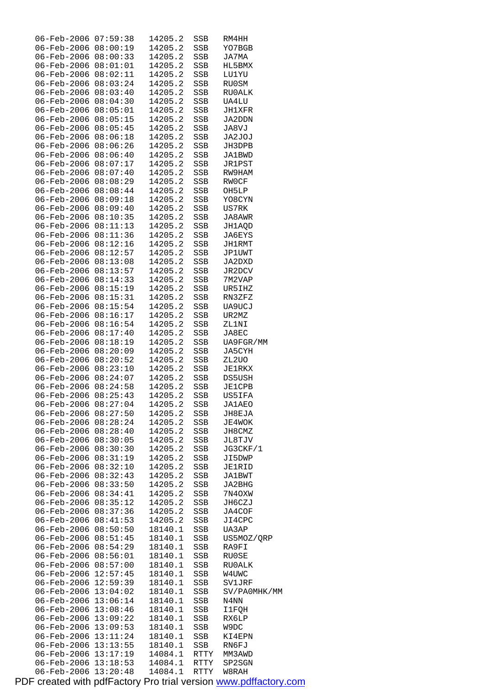| 06-Feb-2006 07:59:38                               |                      | 14205.2            | SSB                 |               |
|----------------------------------------------------|----------------------|--------------------|---------------------|---------------|
|                                                    |                      |                    |                     | RM4HH         |
| 06-Feb-2006 08:00:19                               |                      | 14205.2            | SSB                 | YO7BGB        |
| 06-Feb-2006                                        | 08:00:33             | 14205.2            | SSB                 | JA7MA         |
|                                                    |                      |                    |                     |               |
| 06-Feb-2006                                        | 08:01:01             | 14205.2            | SSB                 | HL5BMX        |
| 06-Feb-2006                                        | 08:02:11             | 14205.2            | SSB                 | LU1YU         |
|                                                    | 08:03:24             | 14205.2            |                     |               |
| 06-Feb-2006                                        |                      |                    | SSB                 | RU0SM         |
| $06 - \text{Feb} - 2006$                           | 08:03:40             | 14205.2            | SSB                 | RU0ALK        |
| 06-Feb-2006                                        | 08:04:30             | 14205.2            | SSB                 | UA4LU         |
|                                                    |                      |                    |                     |               |
| 06-Feb-2006                                        | 08:05:01             | 14205.2            | SSB                 | JH1XFR        |
| 06-Feb-2006                                        | 08:05:15             | 14205.2            | SSB                 | JA2DDN        |
| 06-Feb-2006                                        | 08:05:45             | 14205.2            | SSB                 | JA8VJ         |
|                                                    |                      |                    |                     |               |
| 06-Feb-2006 08:06:18                               |                      | 14205.2            | SSB                 | JA2JOJ        |
| 06-Feb-2006                                        | 08:06:26             | 14205.2            | SSB                 | JH3DPB        |
|                                                    |                      |                    |                     |               |
| 06-Feb-2006                                        | 08:06:40             | 14205.2            | SSB                 | JA1BWD        |
| 06-Feb-2006                                        | 08:07:17             | 14205.2            | SSB                 | <b>JR1PST</b> |
| 06-Feb-2006                                        | 08:07:40             | 14205.2            | SSB                 | RW9HAM        |
|                                                    |                      |                    |                     |               |
| 06-Feb-2006                                        | 08:08:29             | 14205.2            | SSB                 | RWOCF         |
| 06-Feb-2006                                        | 08:08:44             | 14205.2            | SSB                 | OH5LP         |
| 06-Feb-2006                                        | 08:09:18             | 14205.2            | SSB                 | YO8CYN        |
|                                                    |                      |                    |                     |               |
| 06-Feb-2006                                        | 08:09:40             | 14205.2            | SSB                 | US7RK         |
| 06-Feb-2006                                        | 08:10:35             | 14205.2            | SSB                 | JA8AWR        |
| 06-Feb-2006 08:11:13                               |                      | 14205.2            |                     | JH1AOD        |
|                                                    |                      |                    | SSB                 |               |
| 06-Feb-2006                                        | 08:11:36             | 14205.2            | SSB                 | JA6EYS        |
| 06-Feb-2006                                        | 08:12:16             | 14205.2            | SSB                 | JH1RMT        |
|                                                    |                      |                    |                     |               |
| 06-Feb-2006                                        | 08:12:57             | 14205.2            | SSB                 | JP1UWT        |
| 06-Feb-2006                                        | 08:13:08             | 14205.2            | SSB                 | JA2DXD        |
| $06 - \text{Feb} - 2006$                           | 08:13:57             | 14205.2            | SSB                 | JR2DCV        |
|                                                    |                      |                    |                     |               |
| 06-Feb-2006                                        | 08:14:33             | 14205.2            | SSB                 | 7M2VAP        |
| 06-Feb-2006                                        | 08:15:19             | 14205.2            | SSB                 | UR5IHZ        |
|                                                    |                      |                    |                     |               |
| 06-Feb-2006                                        | 08:15:31             | 14205.2            | SSB                 | RN3ZFZ        |
| 06-Feb-2006                                        | 08:15:54             | 14205.2            | SSB                 | UA9UCJ        |
| 06-Feb-2006 08:16:17                               |                      | 14205.2            | SSB                 | UR2MZ         |
|                                                    |                      |                    |                     |               |
| 06-Feb-2006                                        | 08:16:54             | 14205.2            | SSB                 | ZL1NI         |
| 06-Feb-2006                                        | 08:17:40             | 14205.2            | SSB                 | JA8EC         |
| 06-Feb-2006                                        | 08:18:19             | 14205.2            | SSB                 | UA9FGR/MM     |
|                                                    |                      |                    |                     |               |
| 06-Feb-2006                                        | 08:20:09             | 14205.2            | SSB                 | JA5CYH        |
| $06 - \text{Feb} - 2006 \quad 08:20:52$            |                      | 14205.2            | SSB                 | ZL2UO         |
| 06-Feb-2006                                        | 08:23:10             | 14205.2            | SSB                 | <b>JE1RKX</b> |
|                                                    |                      |                    |                     |               |
| 06-Feb-2006                                        | 08:24:07             | 14205.2            | SSB                 | DS5USH        |
| 06-Feb-2006                                        | 08:24:58             | 14205.2            | SSB                 | <b>JE1CPB</b> |
| 06-Feb-2006                                        | 08:25:43             | 14205.2            | SSB                 | US5IFA        |
|                                                    |                      |                    |                     |               |
| 06-Feb-2006                                        | 08:27:04             | 14205.2            | SSB                 | <b>JA1AEO</b> |
| $06 - Feb - 2006$                                  | 08:27:50             | 14205.2            | SSB                 | JH8EJA        |
| 06-Feb-2006                                        | 08:28:24             | 14205.2            |                     |               |
|                                                    |                      |                    | SSB                 | JE4WOK        |
| $06 - Feb - 2006$                                  | 08:28:40             | 14205.2            | SSB                 | JH8CMZ        |
| 06-Feb-2006                                        | 08:30:05             | 14205.2            | SSB                 | JL8TJV        |
| $06 - \text{Feb} - 2006$                           | 08:30:30             | 14205.2            | SSB                 |               |
|                                                    |                      |                    |                     | JG3CKF/1      |
| 06-Feb-2006                                        | 08:31:19             | 14205.2            | SSB                 | JI5DWP        |
| 06-Feb-2006                                        | 08:32:10             | 14205.2            | SSB                 | <b>JE1RID</b> |
| $06 - \text{Feb} - 2006$                           | 08:32:43             | 14205.2            |                     |               |
|                                                    |                      |                    | SSB                 | JA1BWT        |
| 06-Feb-2006                                        | 08:33:50             | 14205.2            | SSB                 | JA2BHG        |
| 06-Feb-2006                                        | 08:34:41             | 14205.2            | SSB                 | 7N4OXW        |
| $06 - Feb - 2006$                                  | 08:35:12             |                    |                     |               |
|                                                    |                      | 14205.2            | SSB                 | JH6CZJ        |
| $06 - \text{Feb} - 2006$                           | 08:37:36             | 14205.2            | SSB                 | JA4COF        |
| $06 - \text{Feb} - 2006$                           | 08:41:53             | 14205.2            | SSB                 | JI4CPC        |
|                                                    |                      |                    |                     |               |
| 06-Feb-2006                                        | 08:50:50             | 18140.1            | SSB                 | UA3AP         |
| 06-Feb-2006                                        | 08:51:45             | 18140.1            | SSB                 | US5MOZ/QRP    |
| 06-Feb-2006                                        | 08:54:29             | 18140.1            | SSB                 | RA9FI         |
|                                                    |                      |                    |                     |               |
| 06-Feb-2006                                        | 08:56:01             | 18140.1            | SSB                 | RU0SE         |
| 06-Feb-2006                                        | 08:57:00             | 18140.1            | SSB                 | RU0ALK        |
| 06-Feb-2006                                        | 12:57:45             | 18140.1            | SSB                 | W4UWC         |
|                                                    |                      |                    |                     |               |
| $06 - \text{Feb} - 2006$                           | 12:59:39             | 18140.1            | SSB                 | SV1JRF        |
| $06 - Feb - 2006$                                  | 13:04:02             | 18140.1            | SSB                 | SV/PA0MHK/MM  |
| $06 - \text{Feb} - 2006$                           | 13:06:14             | 18140.1            |                     | N4NN          |
|                                                    |                      |                    | SSB                 |               |
| $06 - \text{Feb} - 2006$                           | 13:08:46             | 18140.1            | SSB                 | <b>I1FQH</b>  |
| 06-Feb-2006                                        | 13:09:22             | 18140.1            | SSB                 | RX6LP         |
|                                                    |                      |                    |                     |               |
|                                                    |                      |                    |                     |               |
|                                                    | 06-Feb-2006 13:09:53 | 18140.1            | SSB                 | W9DC          |
| 06-Feb-2006                                        | 13:11:24             | 18140.1            | SSB                 | KI4EPN        |
| 06-Feb-2006                                        |                      |                    |                     |               |
|                                                    | 13:13:55             | 18140.1            | SSB                 | RN6FJ         |
| 06-Feb-2006                                        | 13:17:19             | 14084.1            | RTTY                | MM3AWD        |
| $06 - Feb - 2006$ 13:18:53<br>06-Feb-2006 13:20:48 |                      | 14084.1<br>14084.1 | RTTY<br><b>RTTY</b> | SP2SGN        |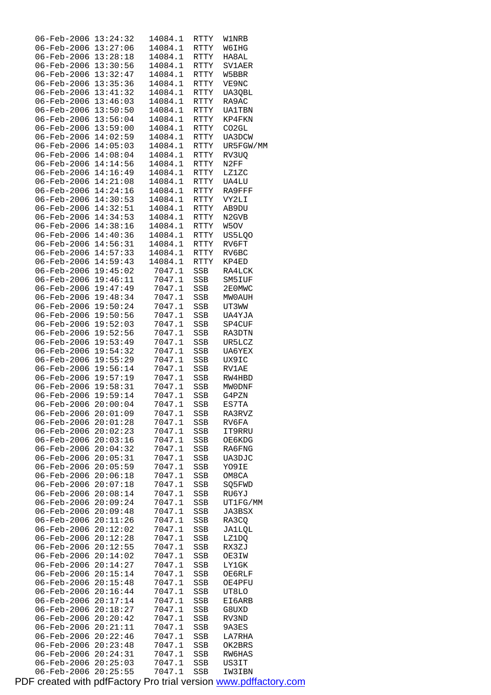| $06 - \text{Feb} - 2006$ | 13:24:32 | 14084.1 | RTTY        | <b>W1NRB</b>                   |
|--------------------------|----------|---------|-------------|--------------------------------|
| 06-Feb-2006              | 13:27:06 | 14084.1 | RTTY        | W6IHG                          |
| 06-Feb-2006              | 13:28:18 |         |             |                                |
|                          |          | 14084.1 | RTTY        | HA8AL                          |
| $06 - \text{Feb} - 2006$ | 13:30:56 | 14084.1 | RTTY        | SV1AER                         |
| 06-Feb-2006              | 13:32:47 | 14084.1 | RTTY        | W5BBR                          |
| $06 - \text{Feb} - 2006$ | 13:35:36 | 14084.1 | RTTY        | VE9NC                          |
| 06-Feb-2006              | 13:41:32 | 14084.1 | RTTY        | UA30BL                         |
| 06-Feb-2006              | 13:46:03 | 14084.1 | RTTY        | RA9AC                          |
|                          |          | 14084.1 | <b>RTTY</b> |                                |
| $06 - \text{Feb} - 2006$ | 13:50:50 |         |             | <b>UA1TBN</b>                  |
| 06-Feb-2006              | 13:56:04 | 14084.1 | RTTY        | KP4FKN                         |
| $06 - Feb - 2006$        | 13:59:00 | 14084.1 | RTTY        | CO2GL                          |
| 06-Feb-2006              | 14:02:59 | 14084.1 | RTTY        | UA3DCW                         |
| 06-Feb-2006              | 14:05:03 | 14084.1 | RTTY        | UR5FGW/MM                      |
| $06 - \text{Feb} - 2006$ | 14:08:04 | 14084.1 | RTTY        | RV3UQ                          |
| 06-Feb-2006              | 14:14:56 | 14084.1 | RTTY        | N2FF                           |
|                          |          |         |             |                                |
| $06 - \text{Feb} - 2006$ | 14:16:49 | 14084.1 | RTTY        | LZ1ZC                          |
| 06-Feb-2006              | 14:21:08 | 14084.1 | RTTY        | UA4LU                          |
| 06-Feb-2006              | 14:24:16 | 14084.1 | RTTY        | RA9FFF                         |
| $06 - \text{Feb} - 2006$ | 14:30:53 | 14084.1 | RTTY        | VY2LI                          |
| 06-Feb-2006              | 14:32:51 | 14084.1 | RTTY        | AB9DU                          |
| $06 - \text{Feb} - 2006$ | 14:34:53 | 14084.1 | RTTY        | N <sub>2</sub> GV <sub>B</sub> |
|                          |          |         |             |                                |
| 06-Feb-2006              | 14:38:16 | 14084.1 | RTTY        | W5OV                           |
| 06-Feb-2006              | 14:40:36 | 14084.1 | RTTY        | US5LQO                         |
| $06 - \text{Feb} - 2006$ | 14:56:31 | 14084.1 | <b>RTTY</b> | RV6FT                          |
| 06-Feb-2006              | 14:57:33 | 14084.1 | RTTY        | RV6BC                          |
| $06 - \text{Feb} - 2006$ | 14:59:43 | 14084.1 | RTTY        | KP4ED                          |
| 06-Feb-2006              | 19:45:02 | 7047.1  | SSB         | RA4LCK                         |
|                          |          |         |             |                                |
| 06-Feb-2006              | 19:46:11 | 7047.1  | SSB         | SM5IUF                         |
| 06-Feb-2006              | 19:47:49 | 7047.1  | SSB         | 2E0MWC                         |
| 06-Feb-2006              | 19:48:34 | 7047.1  | SSB         | MW0AUH                         |
| $06 - Feb - 2006$        | 19:50:24 | 7047.1  | SSB         | UT3WW                          |
| 06-Feb-2006              | 19:50:56 | 7047.1  | SSB         | UA4YJA                         |
| 06-Feb-2006              | 19:52:03 | 7047.1  | SSB         | SP4CUF                         |
|                          |          |         |             |                                |
| $06 - \text{Feb} - 2006$ | 19:52:56 | 7047.1  | SSB         | RA3DTN                         |
| 06-Feb-2006              | 19:53:49 | 7047.1  | SSB         | UR5LCZ                         |
| $06 - \text{Feb} - 2006$ | 19:54:32 | 7047.1  | SSB         | UA6YEX                         |
| 06-Feb-2006              | 19:55:29 | 7047.1  | SSB         | UX9IC                          |
| 06-Feb-2006              | 19:56:14 | 7047.1  | SSB         | RV1AE                          |
| 06-Feb-2006              | 19:57:19 | 7047.1  | SSB         | RW4HBD                         |
| 06-Feb-2006              | 19:58:31 | 7047.1  |             |                                |
|                          |          |         | SSB         | MWODNF                         |
| 06-Feb-2006 19:59:14     |          | 7047.1  | SSB         | G4PZN                          |
| 06-Feb-2006              | 20:00:04 | 7047.1  | SSB         | ES7TA                          |
| 06-Feb-2006              | 20:01:09 | 7047.1  | SSB         | RA3RVZ                         |
| $06 - \text{Feb} - 2006$ | 20:01:28 | 7047.1  | SSB         | RV6FA                          |
| 06-Feb-2006              | 20:02:23 | 7047.1  | SSB         | IT9RRU                         |
| 06-Feb-2006              | 20:03:16 | 7047.1  | SSB         | OE6KDG                         |
|                          |          |         |             |                                |
| 06-Feb-2006              | 20:04:32 | 7047.1  | SSB         | RA6FNG                         |
| 06-Feb-2006              | 20:05:31 | 7047.1  | SSB         | UA3DJC                         |
| 06-Feb-2006              | 20:05:59 | 7047.1  | SSB         | YO9IE                          |
| 06-Feb-2006              | 20:06:18 | 7047.1  | SSB         | OM8CA                          |
| 06-Feb-2006              | 20:07:18 | 7047.1  | SSB         | SQ5FWD                         |
| 06-Feb-2006              | 20:08:14 | 7047.1  | SSB         | RU6YJ                          |
|                          |          |         |             |                                |
| 06-Feb-2006              | 20:09:24 | 7047.1  | SSB         | UT1FG/MM                       |
| 06-Feb-2006              | 20:09:48 | 7047.1  | SSB         | JA3BSX                         |
| 06-Feb-2006              | 20:11:26 | 7047.1  | SSB         | RA3CQ                          |
| 06-Feb-2006              | 20:12:02 | 7047.1  | SSB         | JA1LQL                         |
| 06-Feb-2006              | 20:12:28 | 7047.1  | SSB         | LZ1DQ                          |
| 06-Feb-2006              | 20:12:55 | 7047.1  | SSB         | RX3ZJ                          |
|                          |          | 7047.1  |             |                                |
| $06 - Feb - 2006$        | 20:14:02 |         | SSB         | OE3IW                          |
| 06-Feb-2006              | 20:14:27 | 7047.1  | SSB         | LY1GK                          |
| 06-Feb-2006              | 20:15:14 | 7047.1  | SSB         | OE6RLF                         |
| 06-Feb-2006              | 20:15:48 | 7047.1  | SSB         | OE4PFU                         |
| 06-Feb-2006              | 20:16:44 | 7047.1  | SSB         | UT8LO                          |
| 06-Feb-2006              | 20:17:14 | 7047.1  | SSB         | EI6ARB                         |
|                          |          |         |             |                                |
| 06-Feb-2006              | 20:18:27 | 7047.1  | SSB         | G8UXD                          |
| 06-Feb-2006              | 20:20:42 | 7047.1  | SSB         | RV3ND                          |
| 06-Feb-2006              | 20:21:11 | 7047.1  | SSB         | 9A3ES                          |
| 06-Feb-2006              | 20:22:46 | 7047.1  | SSB         | LA7RHA                         |
| $06 - Feb - 2006$        | 20:23:48 | 7047.1  | SSB         | OK2BRS                         |
| 06-Feb-2006              | 20:24:31 | 7047.1  | SSB         | RW6HAS                         |
| $06 - \text{Feb} - 2006$ | 20:25:03 |         |             |                                |
|                          |          | 7047.1  | SSB         | US3IT                          |
| 06-Feb-2006              | 20:25:55 | 7047.1  | SSB         | IW3IBN                         |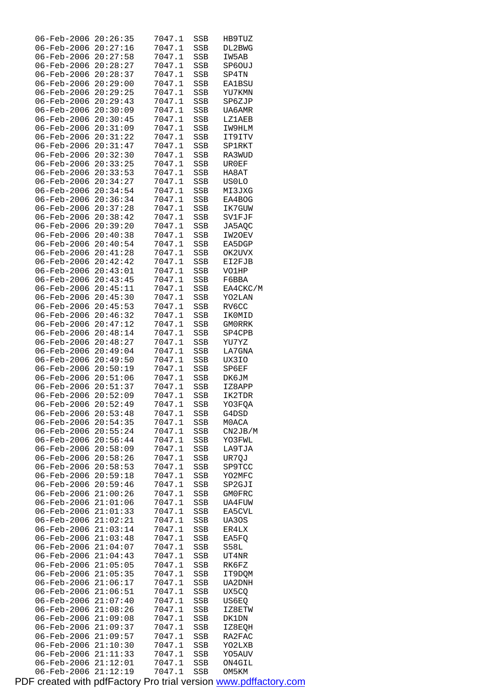| 06-Feb-2006              | 20:26:35 | 7047.1     | SSB | HB9TUZ        |  |
|--------------------------|----------|------------|-----|---------------|--|
| 06-Feb-2006              | 20:27:16 | 7047.1     | SSB | DL2BWG        |  |
| 06-Feb-2006              | 20:27:58 | 7047.1     | SSB | IW5AB         |  |
| 06-Feb-2006              | 20:28:27 | 7047.1     | SSB | SP6OUJ        |  |
| 06-Feb-2006              | 20:28:37 | 7047.1     | SSB | SP4TN         |  |
| $06 - \text{Feb} - 2006$ | 20:29:00 | 7047.1     | SSB | <b>EA1BSU</b> |  |
| 06-Feb-2006              | 20:29:25 | 7047.1     | SSB | YU7KMN        |  |
| 06-Feb-2006              | 20:29:43 | 7047.1     | SSB | SP6ZJP        |  |
| 06-Feb-2006              | 20:30:09 | 7047.1     | SSB | UA6AMR        |  |
| 06-Feb-2006              | 20:30:45 | 7047.1     | SSB | <b>LZ1AEB</b> |  |
| 06-Feb-2006              | 20:31:09 | 7047.1     | SSB | IW9HLM        |  |
| $06 - \text{Feb} - 2006$ | 20:31:22 | 7047.1     | SSB | IT9ITV        |  |
| 06-Feb-2006              | 20:31:47 | 7047.1     | SSB | SP1RKT        |  |
| 06-Feb-2006              | 20:32:30 | 7047.1     | SSB | RA3WUD        |  |
| 06-Feb-2006              | 20:33:25 | 7047.1     | SSB | UR0EF         |  |
| $06 - \text{Feb} - 2006$ | 20:33:53 | 7047.1     | SSB | HA8AT         |  |
| 06-Feb-2006              | 20:34:27 | 7047.1     | SSB | US0LO         |  |
| 06-Feb-2006              | 20:34:54 | 7047.1     | SSB | MI3JXG        |  |
| 06-Feb-2006              | 20:36:34 | 7047.1     | SSB | EA4BOG        |  |
| 06-Feb-2006              | 20:37:28 | 7047.1     | SSB | IK7GUW        |  |
| 06-Feb-2006              | 20:38:42 | 7047.1     |     |               |  |
| $06 - \text{Feb} - 2006$ |          |            | SSB | SV1FJF        |  |
|                          | 20:39:20 | 7047.1     | SSB | JA5AQC        |  |
| 06-Feb-2006              | 20:40:38 | 7047.1     | SSB | IW2OEV        |  |
| 06-Feb-2006              | 20:40:54 | 7047.1     | SSB | EA5DGP        |  |
| 06-Feb-2006              | 20:41:28 | 7047.1     | SSB | OK2UVX        |  |
| $06 - \text{Feb} - 2006$ | 20:42:42 | 7047.1     | SSB | EI2FJB        |  |
| 06-Feb-2006              | 20:43:01 | 7047.1     | SSB | VO1HP         |  |
| 06-Feb-2006              | 20:43:45 | 7047.1     | SSB | F6BBA         |  |
| 06-Feb-2006              | 20:45:11 | 7047.1     | SSB | EA4CKC/M      |  |
| 06-Feb-2006              | 20:45:30 | 7047.1     | SSB | YO2LAN        |  |
| 06-Feb-2006              | 20:45:53 | 7047.1     | SSB | RV6CC         |  |
| 06-Feb-2006              | 20:46:32 | 7047.1     | SSB | IK0MID        |  |
| 06-Feb-2006              | 20:47:12 | 7047.1     | SSB | GM0RRK        |  |
| 06-Feb-2006              | 20:48:14 | 7047.1     | SSB | SP4CPB        |  |
| 06-Feb-2006              | 20:48:27 | 7047.1     | SSB | YU7YZ         |  |
| 06-Feb-2006              | 20:49:04 | 7047.1     | SSB | LA7GNA        |  |
| 06-Feb-2006              | 20:49:50 | 7047.1     | SSB | UX3IO         |  |
| 06-Feb-2006              | 20:50:19 | 7047.1     | SSB | SP6EF         |  |
| 06-Feb-2006 20:51:06     |          | 7047.1     | SSB | <b>DK6JM</b>  |  |
| 06-Feb-2006              | 20:51:37 | 7047.1     | SSB | IZ8APP        |  |
| 06-Feb-2006              | 20:52:09 | 7047.1     | SSB | IK2TDR        |  |
| 06-Feb-2006 20:52:49     |          | 7047.1 SSB |     | YO3FQA        |  |
| 06-Feb-2006              | 20:53:48 | 7047.1     | SSB | G4DSD         |  |
| $06 - Feb - 2006$        | 20:54:35 | 7047.1     | SSB | M0ACA         |  |
| 06-Feb-2006              | 20:55:24 | 7047.1     | SSB | CN2JB/M       |  |
| 06-Feb-2006              | 20:56:44 | 7047.1     | SSB | YO3FWL        |  |
| $06 - Feb - 2006$        | 20:58:09 | 7047.1     | SSB | LA9TJA        |  |
| 06-Feb-2006              | 20:58:26 | 7047.1     | SSB | UR70J         |  |
| 06-Feb-2006              | 20:58:53 | 7047.1     | SSB | SP9TCC        |  |
| 06-Feb-2006              | 20:59:18 | 7047.1     | SSB | YO2MFC        |  |
| 06-Feb-2006              | 20:59:46 | 7047.1     | SSB | SP2GJI        |  |
| 06-Feb-2006              | 21:00:26 | 7047.1     | SSB | <b>GMOFRC</b> |  |
| 06-Feb-2006              | 21:01:06 | 7047.1     | SSB | UA4FUW        |  |
| 06-Feb-2006              | 21:01:33 | 7047.1     | SSB | EA5CVL        |  |
| 06-Feb-2006              | 21:02:21 | 7047.1     | SSB | UA30S         |  |
| 06-Feb-2006              | 21:03:14 | 7047.1     | SSB | ER4LX         |  |
| 06-Feb-2006              | 21:03:48 | 7047.1     | SSB | EA5FQ         |  |
| 06-Feb-2006              | 21:04:07 | 7047.1     | SSB | S58L          |  |
| 06-Feb-2006              | 21:04:43 | 7047.1     | SSB | UT4NR         |  |
| 06-Feb-2006              | 21:05:05 | 7047.1     | SSB | RK6FZ         |  |
| 06-Feb-2006              | 21:05:35 | 7047.1     | SSB | IT9DQM        |  |
| 06-Feb-2006              | 21:06:17 | 7047.1     | SSB | UA2DNH        |  |
| 06-Feb-2006              | 21:06:51 | 7047.1     | SSB | UX5CQ         |  |
| 06-Feb-2006              | 21:07:40 | 7047.1     | SSB | US6EQ         |  |
| 06-Feb-2006              | 21:08:26 | 7047.1     | SSB | IZ8ETW        |  |
| 06-Feb-2006              | 21:09:08 | 7047.1     | SSB | DK1DN         |  |
| 06-Feb-2006              | 21:09:37 | 7047.1     | SSB | IZ8EQH        |  |
| 06-Feb-2006              | 21:09:57 | 7047.1     | SSB | RA2FAC        |  |
| 06-Feb-2006              | 21:10:30 | 7047.1     | SSB | YO2LXB        |  |
| 06-Feb-2006              | 21:11:33 | 7047.1     | SSB | Y05AUV        |  |
| 06-Feb-2006              | 21:12:01 | 7047.1     | SSB | ON4GIL        |  |
| 06-Feb-2006              | 21:12:19 | 7047.1     | SSB | OM5KM         |  |
|                          |          |            |     |               |  |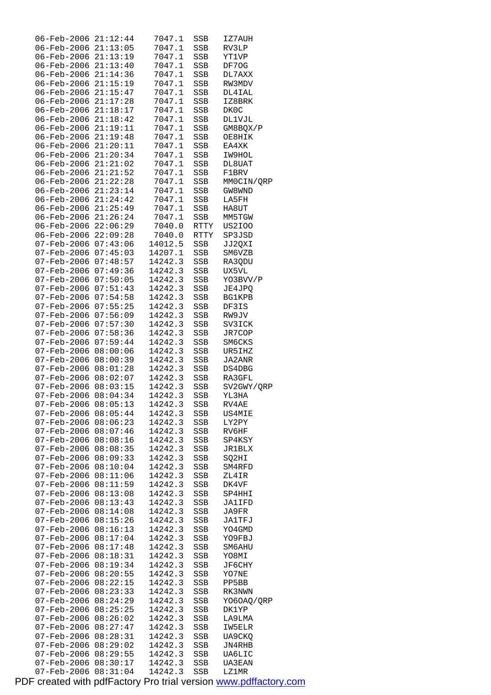| 06-Feb-2006                | 21:12:44 | 7047.1  | SSB          | IZ7AUH        |
|----------------------------|----------|---------|--------------|---------------|
| 06-Feb-2006 21:13:05       |          | 7047.1  | SSB          | RV3LP         |
| 06-Feb-2006 21:13:19       |          | 7047.1  | SSB          | YT1VP         |
| 06-Feb-2006 21:13:40       |          | 7047.1  | SSB          | DF70G         |
| 06-Feb-2006 21:14:36       |          | 7047.1  | SSB          | DL7AXX        |
| 06-Feb-2006 21:15:19       |          | 7047.1  | SSB          | RW3MDV        |
| 06-Feb-2006 21:15:47       |          |         |              |               |
|                            |          | 7047.1  | SSB          | DL4IAL        |
| 06-Feb-2006 21:17:28       |          | 7047.1  | SSB          | IZ8BRK        |
| 06-Feb-2006 21:18:17       |          | 7047.1  | SSB          | DK0C          |
| 06-Feb-2006                | 21:18:42 | 7047.1  | SSB          | <b>DL1VJL</b> |
| $06 - \text{Feb} - 2006$   | 21:19:11 | 7047.1  | SSB          | GM8BQX/P      |
| 06-Feb-2006                | 21:19:48 | 7047.1  | SSB          | OE8HIK        |
| 06-Feb-2006 21:20:11       |          | 7047.1  | SSB          | EA4XK         |
| 06-Feb-2006 21:20:34       |          | 7047.1  | SSB          | IW9HOL        |
| 06-Feb-2006 21:21:02       |          | 7047.1  | SSB          | DL8UAT        |
|                            |          |         |              |               |
| 06-Feb-2006 21:21:52       |          | 7047.1  | SSB          | F1BRV         |
| 06-Feb-2006 21:22:28       |          | 7047.1  | SSB          | MMOCIN/QRP    |
| 06-Feb-2006 21:23:14       |          | 7047.1  | SSB          | GW8WND        |
| 06-Feb-2006 21:24:42       |          | 7047.1  | SSB          | LA5FH         |
| 06-Feb-2006                | 21:25:49 | 7047.1  | SSB          | HA8UT         |
| $06 - \text{Feb} - 2006$   | 21:26:24 | 7047.1  | SSB          | MM5TGW        |
| 06-Feb-2006                | 22:06:29 | 7040.0  | RTTY         | US2I00        |
| 06-Feb-2006                | 22:09:28 | 7040.0  | RTTY         | SP3JSD        |
| 07-Feb-2006 07:43:06       |          | 14012.5 |              |               |
|                            |          |         | SSB          | JJ2QXI        |
| 07-Feb-2006 07:45:03       |          | 14207.1 | SSB          | SM6VZB        |
| 07-Feb-2006 07:48:57       |          | 14242.3 | SSB          | RA3QDU        |
| 07-Feb-2006                | 07:49:36 | 14242.3 | SSB          | UX5VL         |
| 07-Feb-2006                | 07:50:05 | 14242.3 | SSB          | YO3BVV/P      |
| 07-Feb-2006                | 07:51:43 | 14242.3 | SSB          | JE4JPQ        |
| 07-Feb-2006                | 07:54:58 | 14242.3 | SSB          | <b>BG1KPB</b> |
| $07 - \text{Feb} - 2006$   | 07:55:25 | 14242.3 | SSB          | DF3IS         |
| $07 - \text{Feb} - 2006$   | 07:56:09 | 14242.3 | SSB          | RW9JV         |
|                            | 07:57:30 |         |              |               |
| $07 - Feb - 2006$          |          | 14242.3 | SSB          | SV3ICK        |
| 07-Feb-2006                | 07:58:36 | 14242.3 | SSB          | JR7COP        |
| 07-Feb-2006 07:59:44       |          | 14242.3 | SSB          | SM6CKS        |
| 07-Feb-2006                | 08:00:06 | 14242.3 | SSB          | UR5IHZ        |
| $07 - \text{Feb} - 2006$   | 08:00:39 | 14242.3 | SSB          | JA2ANR        |
| $07 - Feb - 2006 08:01:28$ |          | 14242.3 | SSB          | DS4DBG        |
| $07 - Feb - 2006 08:02:07$ |          | 14242.3 | SSB          | RA3GFL        |
| 07-Feb-2006 08:03:15       |          | 14242.3 | SSB          | SV2GWY/QRP    |
| 07-Feb-2006 08:04:34       |          | 14242.3 | SSB          | YL3HA         |
| 07-Feb-2006 08:05:13       |          | 14242.3 | SSB          | RV4AE         |
|                            | 08:05:44 |         |              |               |
| 07-Feb-2006                |          | 14242.3 | SSB          | US4MIE        |
| $07 - Feb - 2006$          | 08:06:23 | 14242.3 | SSB          | LY2PY         |
| 07-Feb-2006                | 08:07:46 | 14242.3 | SSB          | RV6HF         |
| 07-Feb-2006                | 08:08:16 | 14242.3 | SSB          | SP4KSY        |
| $07 - Feb - 2006$          | 08:08:35 | 14242.3 | SSB          | <b>JR1BLX</b> |
| 07-Feb-2006                | 08:09:33 | 14242.3 | $_{\rm SSB}$ | SO2HI         |
| 07-Feb-2006                | 08:10:04 | 14242.3 | SSB          | SM4RFD        |
| 07-Feb-2006                | 08:11:06 | 14242.3 | SSB          | ZL4IR         |
| 07-Feb-2006                | 08:11:59 | 14242.3 | SSB          | DK4VF         |
| $07 - Feb - 2006$          | 08:13:08 | 14242.3 | SSB          | SP4HHI        |
| 07-Feb-2006                | 08:13:43 | 14242.3 | SSB          | JA1IFD        |
|                            |          |         |              |               |
| 07-Feb-2006                | 08:14:08 | 14242.3 | SSB          | JA9FR         |
| 07-Feb-2006                | 08:15:26 | 14242.3 | SSB          | JA1TFJ        |
| 07-Feb-2006                | 08:16:13 | 14242.3 | SSB          | YO4GMD        |
| $07 - Feb - 2006$          | 08:17:04 | 14242.3 | SSB          | YO9FBJ        |
| 07-Feb-2006                | 08:17:48 | 14242.3 | SSB          | SM6AHU        |
| 07-Feb-2006                | 08:18:31 | 14242.3 | SSB          | YO8MI         |
| 07-Feb-2006                | 08:19:34 | 14242.3 | SSB          | JF6CHY        |
| 07-Feb-2006                | 08:20:55 | 14242.3 | SSB          | YO7NE         |
| 07-Feb-2006                | 08:22:15 | 14242.3 | SSB          | PP5BB         |
| 07-Feb-2006                | 08:23:33 | 14242.3 | SSB          | RK3NWN        |
|                            |          |         |              |               |
| 07-Feb-2006                | 08:24:29 | 14242.3 | SSB          | YO6OAQ/QRP    |
| 07-Feb-2006                | 08:25:25 | 14242.3 | SSB          | DK1YP         |
| 07-Feb-2006                | 08:26:02 | 14242.3 | SSB          | LA9LMA        |
| $07 - Feb - 2006$          | 08:27:47 | 14242.3 | SSB          | IW5ELR        |
| 07-Feb-2006                | 08:28:31 | 14242.3 | SSB          | UA9CKQ        |
| 07-Feb-2006                | 08:29:02 | 14242.3 | SSB          | JN4RHB        |
| 07-Feb-2006                | 08:29:55 | 14242.3 | SSB          | UA6LIC        |
| 07-Feb-2006                | 08:30:17 | 14242.3 | SSB          | UA3EAN        |
| $07 - \text{Feb} - 2006$   | 08:31:04 | 14242.3 | <b>SSB</b>   | LZ1MR         |
|                            |          |         |              |               |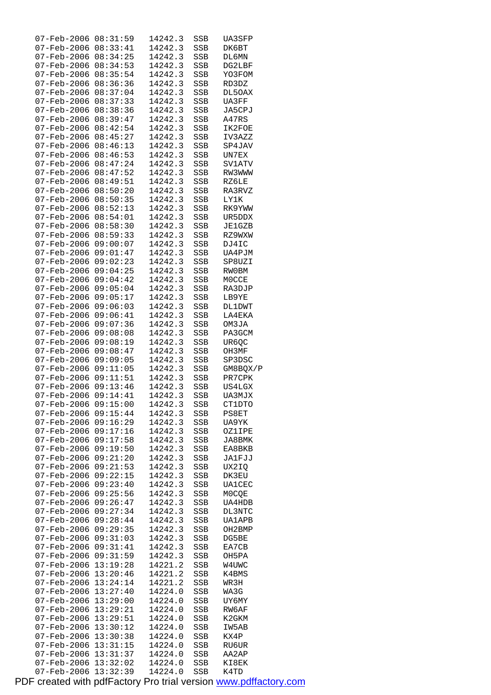| $07 - Feb - 2006$                       | 08:31:59             | 14242.3            | SSB        | UA3SFP        |
|-----------------------------------------|----------------------|--------------------|------------|---------------|
| $07 - \text{Feb} - 2006$                | 08:33:41             | 14242.3            | SSB        | DK6BT         |
| 07-Feb-2006                             | 08:34:25             | 14242.3            | SSB        | DL6MN         |
| 07-Feb-2006                             | 08:34:53             | 14242.3            | SSB        | DG2LBF        |
| 07-Feb-2006                             | 08:35:54             | 14242.3            | SSB        | YO3FOM        |
| 07-Feb-2006                             | 08:36:36             | 14242.3            | SSB        | RD3DZ         |
| $07 - \text{Feb} - 2006$                | 08:37:04             | 14242.3            | SSB        | DL50AX        |
| 07-Feb-2006                             | 08:37:33             | 14242.3            | SSB        | UA3FF         |
| 07-Feb-2006                             | 08:38:36             | 14242.3            | SSB        | JA5CPJ        |
| 07-Feb-2006                             | 08:39:47             | 14242.3            | SSB        | A47RS         |
| 07-Feb-2006                             | 08:42:54             | 14242.3            | SSB        | IK2FOE        |
| $07 - \text{Feb} - 2006$                | 08:45:27             | 14242.3            | SSB        | IV3AZZ        |
| 07-Feb-2006                             | 08:46:13             | 14242.3            | SSB        | SP4JAV        |
| $07 - \text{Feb} - 2006$                | 08:46:53             | 14242.3            | SSB        | UN7EX         |
| 07-Feb-2006                             | 08:47:24             | 14242.3            | SSB        | SV1ATV        |
| 07-Feb-2006                             | 08:47:52             | 14242.3            | SSB        | RW3WWW        |
| $07 - \text{Feb} - 2006$                | 08:49:51             | 14242.3            |            |               |
|                                         | 08:50:20             |                    | SSB        | RZ6LE         |
| 07-Feb-2006                             |                      | 14242.3            | SSB        | RA3RVZ        |
| 07-Feb-2006                             | 08:50:35             | 14242.3            | SSB        | <b>LY1K</b>   |
| 07-Feb-2006                             | 08:52:13             | 14242.3            | SSB        | RK9YWW        |
| 07-Feb-2006                             | 08:54:01             | 14242.3            | SSB        | UR5DDX        |
| $07 - \text{Feb} - 2006$                | 08:58:30             | 14242.3            | SSB        | JE1GZB        |
| 07-Feb-2006                             | 08:59:33             | 14242.3            | SSB        | RZ9WXW        |
| 07-Feb-2006                             | 09:00:07             | 14242.3            | SSB        | DJ4IC         |
| 07-Feb-2006                             | 09:01:47             | 14242.3            | SSB        | UA4PJM        |
| 07-Feb-2006                             | 09:02:23             | 14242.3            | SSB        | SP8UZI        |
| $07 - \text{Feb} - 2006$                | 09:04:25             | 14242.3            | SSB        | <b>RW0BM</b>  |
| 07-Feb-2006                             | 09:04:42             | 14242.3            | SSB        | M0CCE         |
| 07-Feb-2006                             | 09:05:04             | 14242.3            | SSB        | RA3DJP        |
| 07-Feb-2006                             | 09:05:17             | 14242.3            | SSB        | LB9YE         |
| 07-Feb-2006                             | 09:06:03             | 14242.3            | SSB        | <b>DL1DWT</b> |
| 07-Feb-2006                             | 09:06:41             | 14242.3            | SSB        | LA4EKA        |
| 07-Feb-2006                             | 09:07:36             | 14242.3            | SSB        | OM3JA         |
| 07-Feb-2006                             | 09:08:08             | 14242.3            | SSB        | PA3GCM        |
| 07-Feb-2006                             | 09:08:19             | 14242.3            | SSB        | UR6QC         |
|                                         |                      |                    |            |               |
|                                         |                      |                    |            |               |
| 07-Feb-2006                             | 09:08:47             | 14242.3            | SSB        | OH3MF         |
| $07 - \text{Feb} - 2006$                | 09:09:05             | 14242.3            | SSB        | SP3DSC        |
| 07-Feb-2006                             | 09:11:05             | 14242.3            | SSB        | GM8BQX/P      |
| 07-Feb-2006                             | 09:11:51             | 14242.3            | SSB        | PR7CPK        |
| 07-Feb-2006                             | 09:13:46             | 14242.3            | SSB        | <b>US4LGX</b> |
| 07-Feb-2006                             | 09:14:41             | 14242.3            | SSB        | UA3MJX        |
| $07 - \text{Feb} - 2006 \quad 09:15:00$ |                      | 14242.3            | SSB        | CT1DTO        |
| 07-Feb-2006                             | 09:15:44             | 14242.3            | SSB        | PS8ET         |
| $07 - Feb - 2006$                       | 09:16:29             | 14242.3            | SSB        | UA9YK         |
| $07 - Feb - 2006$                       | 09:17:16             | 14242.3            | SSB        | OZ1IPE        |
| 07-Feb-2006                             | 09:17:58             | 14242.3            | SSB        | JA8BMK        |
| $07 - \text{Feb} - 2006$                | 09:19:50             | 14242.3            | SSB        | EA8BKB        |
| 07-Feb-2006                             | 09:21:20             | 14242.3            | SSB        | JA1FJJ        |
| 07-Feb-2006                             | 09:21:53             | 14242.3            | SSB        | UX2IQ         |
| $07 - Feb - 2006$                       | 09:22:15             | 14242.3            | SSB        | DK3EU         |
| 07-Feb-2006                             | 09:23:40             | 14242.3            | SSB        | <b>UA1CEC</b> |
| 07-Feb-2006                             | 09:25:56             | 14242.3            | SSB        | M0CQE         |
| $07 - Feb - 2006$                       | 09:26:47             | 14242.3            | SSB        | UA4HDB        |
| $07 - Feb - 2006$                       | 09:27:34             | 14242.3            | SSB        | DL3NTC        |
| 07-Feb-2006                             | 09:28:44             | 14242.3            | SSB        | <b>UA1APB</b> |
| 07-Feb-2006                             | 09:29:35             | 14242.3            | SSB        | OH2BMP        |
| 07-Feb-2006                             | 09:31:03             | 14242.3            | SSB        | DG5BE         |
| 07-Feb-2006                             | 09:31:41             | 14242.3            | SSB        | EA7CB         |
| 07-Feb-2006                             | 09:31:59             | 14242.3            | SSB        | OH5PA         |
| 07-Feb-2006                             | 13:19:28             | 14221.2            | SSB        | W4UWC         |
| 07-Feb-2006                             | 13:20:46             | 14221.2            | SSB        | K4BMS         |
| 07-Feb-2006                             | 13:24:14             | 14221.2            | SSB        | WR3H          |
| 07-Feb-2006                             | 13:27:40             | 14224.0            | SSB        | WA3G          |
| 07-Feb-2006                             | 13:29:00             | 14224.0            | SSB        | UY6MY         |
| 07-Feb-2006                             | 13:29:21             | 14224.0            | SSB        | RW6AF         |
| 07-Feb-2006                             | 13:29:51             | 14224.0            | SSB        | K2GKM         |
| 07-Feb-2006                             | 13:30:12             | 14224.0            | SSB        | IW5AB         |
| 07-Feb-2006                             | 13:30:38             | 14224.0            | SSB        | KX4P          |
| 07-Feb-2006                             | 13:31:15             | 14224.0            | SSB        | RU6UR         |
| 07-Feb-2006                             | 13:31:37             | 14224.0            | SSB        | AA2AP         |
| 07-Feb-2006<br>07-Feb-2006              | 13:32:02<br>13:32:39 | 14224.0<br>14224.0 | SSB<br>SSB | KI8EK<br>K4TD |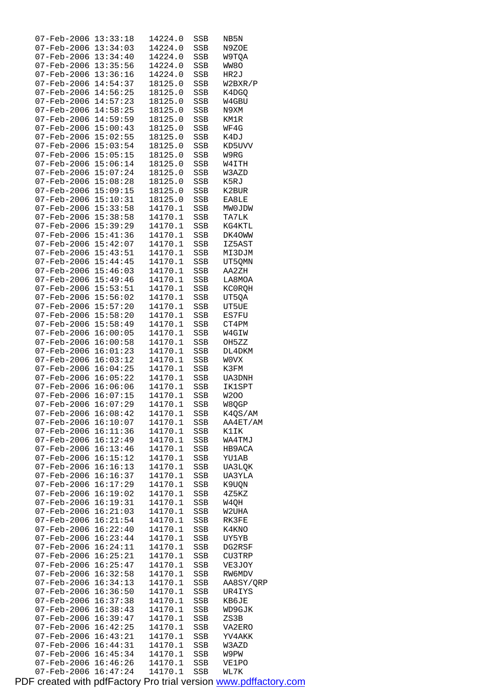| 07-Feb-2006                                          | 13:33:18             | 14224.0            | SSB        | NB5N           |
|------------------------------------------------------|----------------------|--------------------|------------|----------------|
| 07-Feb-2006 13:34:03                                 |                      | 14224.0            | SSB        | N9ZOE          |
| 07-Feb-2006                                          | 13:34:40             | 14224.0            | SSB        | W9TQA          |
| 07-Feb-2006 13:35:56                                 |                      | 14224.0            | SSB        | WW8O           |
| 07-Feb-2006 13:36:16                                 |                      | 14224.0            | SSB        | HR2J           |
| $07 - \text{Feb} - 2006$                             | 14:54:37             | 18125.0            | SSB        | W2BXR/P        |
| $07 - \text{Feb} - 2006$                             | 14:56:25             | 18125.0            | SSB        | K4DGO          |
| 07-Feb-2006                                          | 14:57:23             | 18125.0            | SSB        | W4GBU          |
| 07-Feb-2006                                          | 14:58:25             | 18125.0            | SSB        | N9XM           |
| 07-Feb-2006                                          | 14:59:59             | 18125.0            | SSB        | KM1R           |
| 07-Feb-2006                                          | 15:00:43             | 18125.0            | SSB        | WF4G           |
| $07 - \text{Feb} - 2006$                             | 15:02:55             | 18125.0            | SSB        | K4DJ           |
| 07-Feb-2006                                          | 15:03:54             | 18125.0            | SSB        | KD5UVV         |
| 07-Feb-2006 15:05:15                                 |                      | 18125.0            | SSB        | W9RG           |
| $07$ -Feb-2006 15:06:14                              |                      | 18125.0            | SSB        | W4ITH          |
| $07 - \text{Feb} - 2006$                             | 15:07:24             | 18125.0            | SSB        | W3AZD          |
| $07 - \text{Feb} - 2006$                             | 15:08:28             | 18125.0            | SSB        | K5RJ           |
| 07-Feb-2006                                          | 15:09:15             | 18125.0            | SSB        | K2BUR          |
| 07-Feb-2006 15:10:31                                 |                      | 18125.0            | SSB        | EA8LE          |
| 07-Feb-2006 15:33:58                                 |                      | 14170.1            | SSB        | MWOJDW         |
| 07-Feb-2006                                          | 15:38:58             | 14170.1            | SSB        | TA7LK          |
| $07 - \text{Feb} - 2006$                             | 15:39:29             | 14170.1            | SSB        | KG4KTL         |
| 07-Feb-2006                                          | 15:41:36             | 14170.1            | SSB        | DK40WW         |
| $07 - \text{Feb} - 2006$ $15:42:07$                  |                      | 14170.1<br>14170.1 | SSB        | IZ5AST         |
| $07$ -Feb-2006 15:43:51                              |                      |                    | SSB        | MI3DJM         |
| $07 - \text{Feb} - 2006$<br>$07 - \text{Feb} - 2006$ | 15:44:45             | 14170.1            | SSB        | UT5QMN         |
|                                                      | 15:46:03             | 14170.1            | SSB        | AA2ZH          |
| 07-Feb-2006                                          | 15:49:46             | 14170.1            | SSB        | LA8MOA         |
| 07-Feb-2006 15:53:51                                 |                      | 14170.1            | SSB        | KC0RQH         |
| 07-Feb-2006                                          | 15:56:02<br>15:57:20 | 14170.1            | SSB        | UT5QA          |
| 07-Feb-2006                                          |                      | 14170.1            | SSB        | UT5UE          |
| 07-Feb-2006<br>$07 - \text{Feb} - 2006$              | 15:58:20<br>15:58:49 | 14170.1            | SSB        | ES7FU          |
| 07-Feb-2006                                          | 16:00:05             | 14170.1<br>14170.1 | SSB        | CT4PM<br>W4GIW |
| 07-Feb-2006                                          | 16:00:58             | 14170.1            | SSB<br>SSB | OH5ZZ          |
| 07-Feb-2006                                          | 16:01:23             | 14170.1            | SSB        | DL4DKM         |
| $07 - \text{Feb} - 2006$                             | 16:03:12             | 14170.1            | SSB        | WOVX           |
| $07 - \text{Feb} - 2006$                             | 16:04:25             | 14170.1            | SSB        | K3FM           |
| $07 - \text{Feb} - 2006$ $16:05:22$                  |                      | 14170.1            | SSB        | UA3DNH         |
| $07 - \text{Feb} - 2006$ $16:06:06$                  |                      | 14170.1            | SSB        | <b>IK1SPT</b>  |
| 07-Feb-2006                                          | 16:07:15             | 14170.1            | SSB        | <b>W200</b>    |
| 07-Feb-2006 16:07:29                                 |                      | 14170.1            | SSB        | W8QGP          |
| 07-Feb-2006 16:08:42                                 |                      | 14170.1            | SSB        | K4QS/AM        |
| 07-Feb-2006                                          | 16:10:07             | 14170.1            | SSB        | AA4ET/AM       |
| 07-Feb-2006                                          | 16:11:36             | 14170.1            | SSB        | K1IK           |
| 07-Feb-2006                                          | 16:12:49             | 14170.1            | SSB        | WA4TMJ         |
| 07-Feb-2006                                          | 16:13:46             | 14170.1            | SSB        | HB9ACA         |
| $07 - Feb - 2006$                                    | 16:15:12             | 14170.1            | SSB        | <b>YU1AB</b>   |
| 07-Feb-2006                                          | 16:16:13             | 14170.1            | SSB        | UA3LQK         |
| $07 - \text{Feb} - 2006$                             | 16:16:37             | 14170.1            | SSB        | UA3YLA         |
| 07-Feb-2006                                          | 16:17:29             | 14170.1            | SSB        | K9UQN          |
| 07-Feb-2006                                          | 16:19:02             | 14170.1            | SSB        | 4Z5KZ          |
| 07-Feb-2006                                          | 16:19:31             | 14170.1            | SSB        | W4QH           |
| $07 - Feb - 2006$                                    | 16:21:03             | 14170.1            | SSB        | W2UHA          |
| 07-Feb-2006                                          | 16:21:54             | 14170.1            | SSB        | RK3FE          |
| 07-Feb-2006                                          | 16:22:40             | 14170.1            | SSB        | K4KNO          |
| $07 - \text{Feb} - 2006$                             | 16:23:44             | 14170.1            | SSB        | UY5YB          |
| $07 - Feb - 2006$                                    | 16:24:11             | 14170.1            | SSB        | DG2RSF         |
| 07-Feb-2006                                          | 16:25:21             | 14170.1            | SSB        | CU3TRP         |
| 07-Feb-2006                                          | 16:25:47             | 14170.1            | SSB        | VE3JOY         |
| 07-Feb-2006                                          | 16:32:58             | 14170.1            | SSB        | RW6MDV         |
| 07-Feb-2006                                          | 16:34:13             | 14170.1            | SSB        | AA8SY/QRP      |
| $07 - Feb - 2006$                                    | 16:36:50             | 14170.1            | SSB        | UR4IYS         |
| $07 - Feb - 2006$                                    | 16:37:38             | 14170.1            | SSB        | KB6JE          |
| 07-Feb-2006                                          | 16:38:43             | 14170.1            | SSB        | WD9GJK         |
| $07 - \text{Feb} - 2006$                             | 16:39:47             | 14170.1            | SSB        | ZS3B           |
| 07-Feb-2006                                          | 16:42:25             | 14170.1            | SSB        | VA2ERO         |
| $07 - Feb - 2006$                                    | 16:43:21             | 14170.1            | SSB        | YV4AKK         |
| 07-Feb-2006                                          | 16:44:31             | 14170.1            | SSB        | W3AZD          |
| 07-Feb-2006                                          | 16:45:34             | 14170.1            | SSB        | W9PW           |
| 07-Feb-2006                                          | 16:46:26             | 14170.1            | SSB        | VE1PO          |
| $07 - \text{Feb} - 2006$                             | 16:47:24             | 14170.1            | <b>SSB</b> | WL7K           |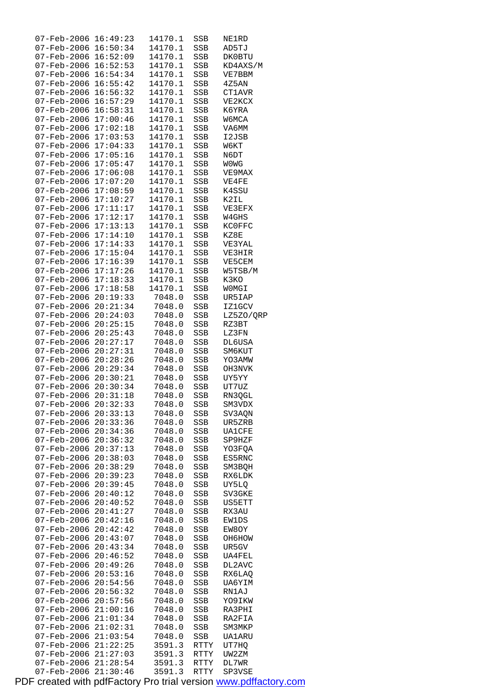| 07-Feb-2006                                          | 16:49:23             | 14170.1          | SSB          | NE1RD          |
|------------------------------------------------------|----------------------|------------------|--------------|----------------|
|                                                      | 16:50:34             | 14170.1          | SSB          | AD5TJ          |
| 07-Feb-2006                                          | 16:52:09             | 14170.1          | SSB          | DK0BTU         |
| 07-Feb-2006                                          | 16:52:53             | 14170.1          | SSB          | KD4AXS/M       |
| $07 - \text{Feb} - 2006$                             | 16:54:34             | 14170.1          | SSB          | VE7BBM         |
| $07 - Feb - 2006$                                    | 16:55:42             | 14170.1          | SSB          | 4Z5AN          |
| $07 - \text{Feb} - 2006$                             | 16:56:32             | 14170.1          | SSB          | CT1AVR         |
| 07-Feb-2006                                          | 16:57:29             | 14170.1          | SSB          | VE2KCX         |
| 07-Feb-2006                                          | 16:58:31             | 14170.1          | SSB          | K6YRA          |
| $07 - Feb - 2006$                                    | 17:00:46             | 14170.1          | SSB          | W6MCA          |
| 07-Feb-2006                                          | 17:02:18             | 14170.1          | SSB          | VA6MM          |
| $07 - \text{Feb} - 2006$                             | 17:03:53             | 14170.1          | SSB          | I2JSB          |
| 07-Feb-2006                                          | 17:04:33             | 14170.1          | SSB          | W6KT           |
| 07-Feb-2006                                          | 17:05:16             | 14170.1          | SSB          | N6DT           |
| 07-Feb-2006 17:05:47                                 |                      | 14170.1          | SSB          | W0WG           |
| $07 - \text{Feb} - 2006$                             | 17:06:08             | 14170.1          | SSB          | VE9MAX         |
| 07-Feb-2006 17:07:20                                 |                      | 14170.1          | SSB          | VE4FE          |
| 07-Feb-2006                                          | 17:08:59             | 14170.1          | SSB          | K4SSU          |
| 07-Feb-2006 17:10:27                                 |                      | 14170.1          |              |                |
| 07-Feb-2006 17:11:17                                 |                      | 14170.1          | SSB<br>SSB   | K2IL<br>VE3EFX |
|                                                      |                      |                  |              |                |
| 07-Feb-2006                                          | 17:12:17             | 14170.1          | SSB          | W4GHS          |
| $07 - \text{Feb} - 2006$                             | 17:13:13             | 14170.1          | SSB          | <b>KCOFFC</b>  |
| 07-Feb-2006                                          | 17:14:10             | 14170.1          | SSB          | KZ8E           |
| 07-Feb-2006 17:14:33                                 |                      | 14170.1          | SSB          | VE3YAL         |
| 07-Feb-2006 17:15:04                                 |                      | 14170.1          | SSB          | VE3HIR         |
| $07 - \text{Feb} - 2006$                             | 17:16:39             | 14170.1          | SSB          | VE5CEM         |
| 07-Feb-2006 17:17:26                                 |                      | 14170.1          | SSB          | W5TSB/M        |
| 07-Feb-2006                                          | 17:18:33             | 14170.1          | SSB          | K3KO           |
| $07 - \text{Feb} - 2006$                             | 17:18:58             | 14170.1          | SSB          | <b>WOMGI</b>   |
| 07-Feb-2006                                          | 20:19:33             | 7048.0           | SSB          | UR5IAP         |
| 07-Feb-2006                                          | 20:21:34             | 7048.0           | SSB          | <b>IZ1GCV</b>  |
| $07 - \text{Feb} - 2006$                             | 20:24:03             | 7048.0           | SSB          | LZ5ZO/QRP      |
| $07 - Feb - 2006$                                    | 20:25:15             | 7048.0           | SSB          | RZ3BT          |
| 07-Feb-2006                                          | 20:25:43             | 7048.0           | SSB          | LZ3FN          |
| 07-Feb-2006                                          | 20:27:17             | 7048.0           | SSB          | DL6USA         |
| $07 - \text{Feb} - 2006$                             | 20:27:31             | 7048.0           | SSB          | SM6KUT         |
| $07 - \text{Feb} - 2006$                             | 20:28:26             | 7048.0           | SSB          | YO3AMW         |
| $07 - Feb - 2006$                                    | 20:29:34             | 7048.0           | SSB          | OH3NVK         |
| 07-Feb-2006                                          | 20:30:21             | 7048.0           | SSB          | UY5YY          |
|                                                      |                      |                  |              |                |
| 07-Feb-2006 20:30:34                                 |                      | 7048.0           | SSB          | UT7UZ          |
| $07 - \text{Feb} - 2006$                             | 20:31:18             | 7048.0           | SSB          | RN3QGL         |
| 07-Feb-2006                                          | 20:32:33             | 7048.0           | SSB          | SM3VDX         |
| $07 - Feb - 2006$                                    | 20:33:13             | 7048.0           | SSB          | SV3AQN         |
| 07-Feb-2006                                          | 20:33:36             | 7048.0           | SSB          | UR5ZRB         |
| $07 - \text{Feb} - 2006$                             | 20:34:36             | 7048.0           | SSB          | <b>UA1CFE</b>  |
| 07-Feb-2006                                          | 20:36:32             | 7048.0           | SSB          | SP9HZF         |
| $07 - Feb - 2006$                                    | 20:37:13             | 7048.0           | SSB          | YO3FQA         |
| $07 - Feb - 2006$                                    | 20:38:03             | 7048.0           | SSB          | ES5RNC         |
| 07-Feb-2006                                          | 20:38:29             | 7048.0           | SSB          | SM3BQH         |
| $07 - Feb - 2006$                                    | 20:39:23             | 7048.0           | SSB          | RX6LDK         |
| $07 - Feb - 2006$                                    | 20:39:45             | 7048.0           | SSB          | UY5LQ          |
| $07 - \text{Feb} - 2006$                             | 20:40:12             | 7048.0           | SSB          | SV3GKE         |
|                                                      | 20:40:52             | 7048.0           | SSB          | US5ETT         |
| $07 - Feb - 2006$                                    | 20:41:27             | 7048.0           | SSB          | RX3AU          |
| $07 - Feb - 2006$<br>$07 - \text{Feb} - 2006$        | 20:42:16             | 7048.0           | SSB          | EW1DS          |
| $07 - \text{Feb} - 2006$                             | 20:42:42             |                  | SSB          | EW8OY          |
| $07 - \text{Feb} - 2006$                             | 20:43:07             | 7048.0<br>7048.0 |              |                |
|                                                      |                      |                  | SSB          | OH6HOW         |
| $07 - Feb - 2006$                                    | 20:43:34             | 7048.0           | SSB          | UR5GV          |
| 07-Feb-2006                                          | 20:46:52             | 7048.0           | SSB          | UA4FEL         |
| $07 - \text{Feb} - 2006$                             | 20:49:26             | 7048.0           | SSB          | DL2AVC         |
| $07 - \text{Feb} - 2006$<br>$07 - \text{Feb} - 2006$ | 20:53:16             | 7048.0<br>7048.0 | SSB          | RX6LAQ         |
|                                                      | 20:54:56             |                  | SSB          | UA6YIM         |
| $07 - \text{Feb} - 2006$                             | 20:56:32             | 7048.0           | SSB          | RN1AJ          |
| $07 - Feb - 2006$                                    | 20:57:56             | 7048.0           | SSB          | YO9IKW         |
| $07 - \text{Feb} - 2006$                             | 21:00:16             | 7048.0           | SSB          | RA3PHI         |
| $07 - \text{Feb} - 2006$                             | 21:01:34             | 7048.0           | SSB          | RA2FIA         |
| $07 - \text{Feb} - 2006$                             | 21:02:31             | 7048.0           | SSB          | SM3MKP         |
| 07-Feb-2006                                          | 21:03:54             | 7048.0           | SSB          | UA1ARU         |
| 07-Feb-2006                                          | 21:22:25             | 3591.3           | RTTY         | UT7HQ          |
| $07 - \text{Feb} - 2006$<br>07-Feb-2006              | 21:27:03<br>21:28:54 | 3591.3<br>3591.3 | RTTY<br>RTTY | UW2ZM<br>DL7WR |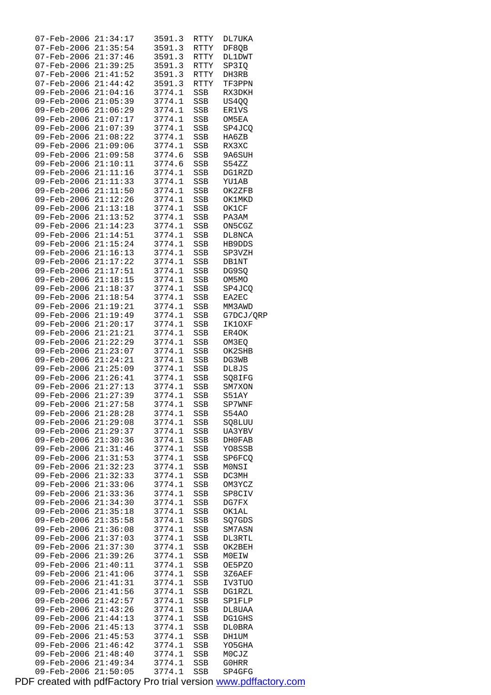| 07-Feb-2006                                  | 21:34:17             | 3591.3           | RTTY              | DL7UKA           |
|----------------------------------------------|----------------------|------------------|-------------------|------------------|
| 07-Feb-2006 21:35:54                         |                      | 3591.3           | RTTY              | DF8QB            |
| 07-Feb-2006 21:37:46                         |                      | 3591.3           | RTTY              | <b>DL1DWT</b>    |
| 07-Feb-2006 21:39:25                         |                      | 3591.3           | RTTY              | SP3IQ            |
| $07$ -Feb-2006 $21:41:52$                    |                      | 3591.3           | RTTY              | DH3RB            |
| $07 - Feb - 2006 21:44:42$                   |                      | 3591.3           | <b>RTTY</b>       | TF3PPN           |
| 09-Feb-2006 21:04:16                         |                      | 3774.1           | <b>SSB</b>        | RX3DKH           |
| 09-Feb-2006 21:05:39                         |                      | 3774.1           | SSB               | US4QQ            |
| 09-Feb-2006 21:06:29<br>09-Feb-2006 21:07:17 |                      | 3774.1           | SSB               | ER1VS            |
|                                              |                      | 3774.1<br>3774.1 | SSB<br>SSB        | OM5EA<br>SP4JCQ  |
| 09-Feb-2006 21:07:39<br>09-Feb-2006 21:08:22 |                      | 3774.1           | SSB               | HA6ZB            |
| 09-Feb-2006 21:09:06                         |                      | 3774.1           | SSB               | RX3XC            |
| 09-Feb-2006 21:09:58                         |                      | 3774.6           | SSB               | 9A6SUH           |
| 09-Feb-2006 21:10:11                         |                      | 3774.6           | SSB               | S54ZZ            |
| 09-Feb-2006 21:11:16                         |                      | 3774.1           | SSB               | DG1RZD           |
| 09-Feb-2006 21:11:33                         |                      | 3774.1           | SSB               | <b>YU1AB</b>     |
| 09-Feb-2006 21:11:50                         |                      | 3774.1           | SSB               | OK2ZFB           |
| 09-Feb-2006 21:12:26                         |                      | 3774.1           | SSB               | OK1MKD           |
| 09-Feb-2006 21:13:18                         |                      | 3774.1           | SSB               | OK1CF            |
| 09-Feb-2006 21:13:52                         |                      | 3774.1           | SSB               | PA3AM            |
| 09-Feb-2006 21:14:23                         |                      | 3774.1           | SSB               | ON5CGZ           |
| 09-Feb-2006 21:14:51                         |                      | 3774.1           | SSB               | DL8NCA           |
| 09-Feb-2006 21:15:24                         |                      | 3774.1           | SSB               | HB9DDS           |
| 09-Feb-2006 21:16:13                         |                      | 3774.1           | SSB               | SP3VZH           |
| 09-Feb-2006 21:17:22                         |                      | 3774.1           | SSB               | <b>DB1NT</b>     |
| 09-Feb-2006 21:17:51                         |                      | 3774.1           | SSB               | DG9SQ            |
| 09-Feb-2006 21:18:15                         |                      | 3774.1           | SSB               | OM5MO            |
| 09-Feb-2006 21:18:37                         |                      | 3774.1           | SSB               | SP4JCQ           |
| 09-Feb-2006 21:18:54                         |                      | 3774.1           | SSB               | EA2EC            |
| 09-Feb-2006 21:19:21                         |                      | 3774.1           | SSB               | MM3AWD           |
| 09-Feb-2006 21:19:49                         |                      | 3774.1           | SSB               | G7DCJ/QRP        |
| 09-Feb-2006 21:20:17                         |                      | 3774.1           | SSB               | IK10XF           |
| 09-Feb-2006 21:21:21                         |                      | 3774.1           | SSB               | ER4OK            |
| 09-Feb-2006 21:22:29                         |                      | 3774.1           | SSB               | OM3EQ            |
| 09-Feb-2006 21:23:07                         |                      | 3774.1           | SSB               | OK2SHB           |
| 09-Feb-2006 21:24:21                         |                      | 3774.1           | SSB               | DG3WB            |
| 09-Feb-2006 21:25:09                         |                      | 3774.1           | SSB               | DL8JS            |
| 09-Feb-2006 21:26:41                         |                      | 3774.1           | SSB               | SQ8IFG           |
| 09-Feb-2006 21:27:13                         |                      | 3774.1           | SSB               | SM7XON           |
| 09-Feb-2006 21:27:39                         |                      | 3774.1           | <b>SSB</b>        | S51AY            |
| $09 - \text{Feb} - 2006$ $21:27:58$          |                      | 3774.1 SSB       |                   | SP7WNF           |
| 09-Feb-2006                                  | 21:28:28             | 3774.1<br>3774.1 | SSB               | S54AO            |
| 09-Feb-2006                                  | 21:29:08             |                  | SSB<br><b>SSB</b> | SQ8LUU           |
| 09-Feb-2006<br>09-Feb-2006                   | 21:29:37<br>21:30:36 | 3774.1<br>3774.1 |                   | UA3YBV           |
| 09-Feb-2006                                  | 21:31:46             | 3774.1           | SSB<br>SSB        | DH0FAB<br>YO8SSB |
| 09-Feb-2006                                  | 21:31:53             | 3774.1           | SSB               | SP6FCQ           |
| 09-Feb-2006                                  | 21:32:23             | 3774.1           | SSB               | MONSI            |
| 09-Feb-2006                                  | 21:32:33             | 3774.1           | SSB               | DC3MH            |
| 09-Feb-2006                                  | 21:33:06             | 3774.1           | SSB               | OM3YCZ           |
| 09-Feb-2006                                  | 21:33:36             | 3774.1           | SSB               | SP8CIV           |
| 09-Feb-2006                                  | 21:34:30             | 3774.1           | SSB               | DG7FX            |
| 09-Feb-2006                                  | 21:35:18             | 3774.1           | SSB               | OK1AL            |
| 09-Feb-2006                                  | 21:35:58             | 3774.1           | SSB               | SQ7GDS           |
| 09-Feb-2006                                  | 21:36:08             | 3774.1           | SSB               | SM7ASN           |
| 09-Feb-2006                                  | 21:37:03             | 3774.1           | SSB               | DL3RTL           |
| 09-Feb-2006                                  | 21:37:30             | 3774.1           | SSB               | OK2BEH           |
| 09-Feb-2006                                  | 21:39:26             | 3774.1           | SSB               | MOEIW            |
| 09-Feb-2006                                  | 21:40:11             | 3774.1           | SSB               | OE5PZO           |
| 09-Feb-2006                                  | 21:41:06             | 3774.1           | SSB               | 3Z6AEF           |
| 09-Feb-2006                                  | 21:41:31             | 3774.1           | SSB               | IV3TUO           |
| 09-Feb-2006                                  | 21:41:56             | 3774.1           | SSB               | DG1RZL           |
| 09-Feb-2006                                  | 21:42:57             | 3774.1           | SSB               | SP1FLP           |
| 09-Feb-2006                                  | 21:43:26             | 3774.1           | SSB               | DL8UAA           |
| 09-Feb-2006                                  | 21:44:13             | 3774.1           | SSB               | <b>DG1GHS</b>    |
| 09-Feb-2006                                  | 21:45:13             | 3774.1           | SSB               | DL0BRA           |
| 09-Feb-2006                                  | 21:45:53             | 3774.1           | SSB               | DH1UM            |
| 09-Feb-2006                                  | 21:46:42             | 3774.1           | SSB               | YO5GHA           |
| 09-Feb-2006                                  | 21:48:40             | 3774.1           | SSB               | MOCJZ            |
| 09-Feb-2006<br>$09 - \text{Feb} - 2006$      | 21:49:34<br>21:50:05 | 3774.1<br>3774.1 | SSB<br><b>SSB</b> | G0HRR<br>SP4GFG  |
|                                              |                      |                  |                   |                  |